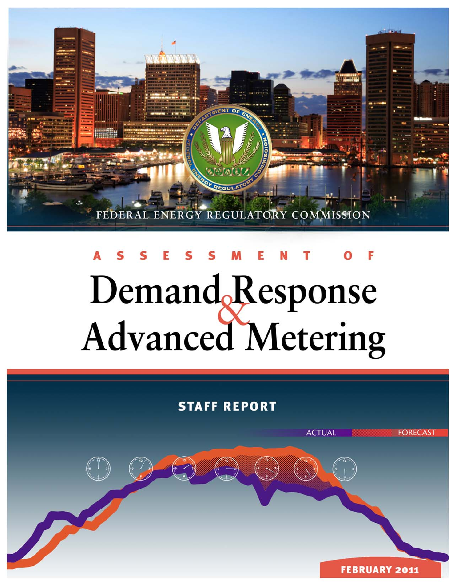

# Demand Response **Advanced Metering**

# **STAFF REPORT**

P

**FEBRUARY 2011** 

**FORECAST** 

**ACTUAL**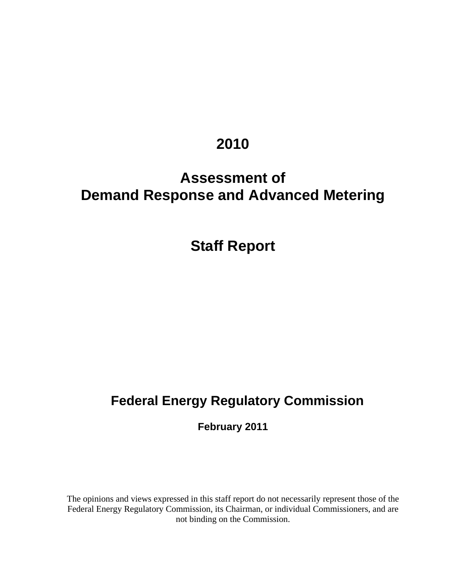# **2010**

# **Assessment of Demand Response and Advanced Metering**

# **Staff Report**

# **Federal Energy Regulatory Commission**

**February 2011** 

The opinions and views expressed in this staff report do not necessarily represent those of the Federal Energy Regulatory Commission, its Chairman, or individual Commissioners, and are not binding on the Commission.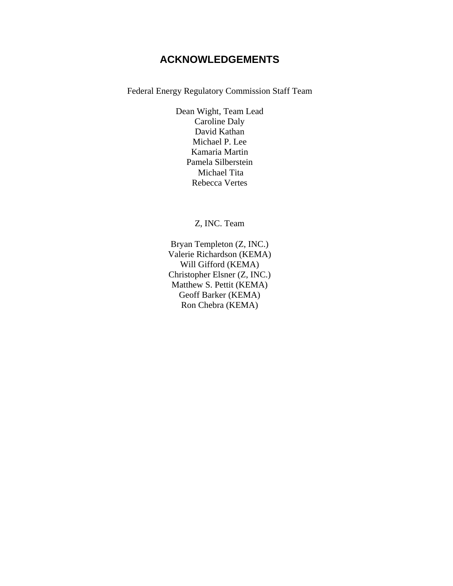# **ACKNOWLEDGEMENTS**

Federal Energy Regulatory Commission Staff Team

Dean Wight, Team Lead Caroline Daly David Kathan Michael P. Lee Kamaria Martin Pamela Silberstein Michael Tita Rebecca Vertes

Z, INC. Team

Bryan Templeton (Z, INC.) Valerie Richardson (KEMA) Will Gifford (KEMA) Christopher Elsner (Z, INC.) Matthew S. Pettit (KEMA) Geoff Barker (KEMA) Ron Chebra (KEMA)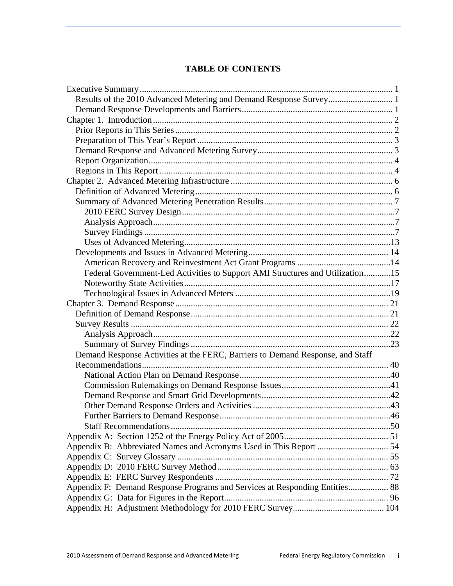#### **TABLE OF CONTENTS**

| Results of the 2010 Advanced Metering and Demand Response Survey 1             |  |
|--------------------------------------------------------------------------------|--|
|                                                                                |  |
|                                                                                |  |
|                                                                                |  |
|                                                                                |  |
|                                                                                |  |
|                                                                                |  |
|                                                                                |  |
|                                                                                |  |
|                                                                                |  |
|                                                                                |  |
|                                                                                |  |
|                                                                                |  |
|                                                                                |  |
|                                                                                |  |
|                                                                                |  |
|                                                                                |  |
| Federal Government-Led Activities to Support AMI Structures and Utilization15  |  |
|                                                                                |  |
|                                                                                |  |
|                                                                                |  |
|                                                                                |  |
|                                                                                |  |
|                                                                                |  |
|                                                                                |  |
| Demand Response Activities at the FERC, Barriers to Demand Response, and Staff |  |
|                                                                                |  |
|                                                                                |  |
|                                                                                |  |
|                                                                                |  |
|                                                                                |  |
|                                                                                |  |
|                                                                                |  |
|                                                                                |  |
|                                                                                |  |
|                                                                                |  |
|                                                                                |  |
|                                                                                |  |
| Appendix F: Demand Response Programs and Services at Responding Entities 88    |  |
|                                                                                |  |
|                                                                                |  |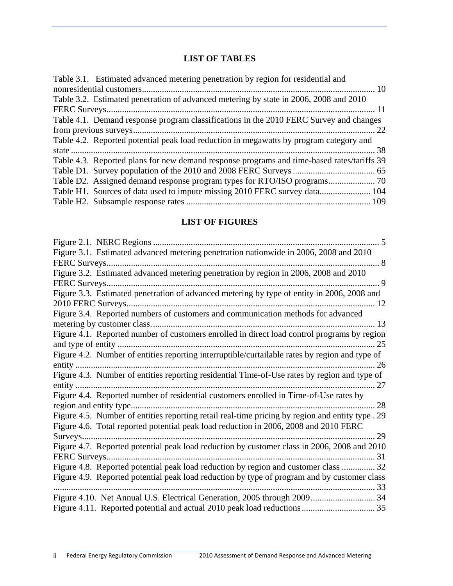# **LIST OF TABLES**

| Table 3.1. Estimated advanced metering penetration by region for residential and           |
|--------------------------------------------------------------------------------------------|
|                                                                                            |
| Table 3.2. Estimated penetration of advanced metering by state in 2006, 2008 and 2010      |
|                                                                                            |
| Table 4.1. Demand response program classifications in the 2010 FERC Survey and changes     |
|                                                                                            |
| Table 4.2. Reported potential peak load reduction in megawatts by program category and     |
|                                                                                            |
| Table 4.3. Reported plans for new demand response programs and time-based rates/tariffs 39 |
|                                                                                            |
|                                                                                            |
| Table H1. Sources of data used to impute missing 2010 FERC survey data 104                 |
|                                                                                            |
|                                                                                            |

## **LIST OF FIGURES**

| Figure 3.2. Estimated advanced metering penetration by region in 2006, 2008 and 2010             |
|--------------------------------------------------------------------------------------------------|
|                                                                                                  |
| Figure 3.3. Estimated penetration of advanced metering by type of entity in 2006, 2008 and       |
|                                                                                                  |
| Figure 3.4. Reported numbers of customers and communication methods for advanced                 |
|                                                                                                  |
| Figure 4.1. Reported number of customers enrolled in direct load control programs by region      |
|                                                                                                  |
| Figure 4.2. Number of entities reporting interruptible/curtailable rates by region and type of   |
|                                                                                                  |
| Figure 4.3. Number of entities reporting residential Time-of-Use rates by region and type of     |
|                                                                                                  |
| Figure 4.4. Reported number of residential customers enrolled in Time-of-Use rates by            |
|                                                                                                  |
| Figure 4.5. Number of entities reporting retail real-time pricing by region and entity type . 29 |
| Figure 4.6. Total reported potential peak load reduction in 2006, 2008 and 2010 FERC             |
|                                                                                                  |
| Figure 4.7. Reported potential peak load reduction by customer class in 2006, 2008 and 2010      |
|                                                                                                  |
| Figure 4.8. Reported potential peak load reduction by region and customer class  32              |
| Figure 4.9. Reported potential peak load reduction by type of program and by customer class      |
|                                                                                                  |
|                                                                                                  |
|                                                                                                  |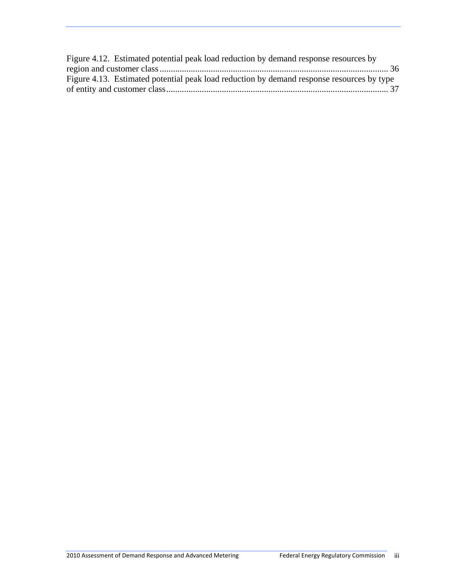| Figure 4.12. Estimated potential peak load reduction by demand response resources by      |  |
|-------------------------------------------------------------------------------------------|--|
|                                                                                           |  |
| Figure 4.13. Estimated potential peak load reduction by demand response resources by type |  |
|                                                                                           |  |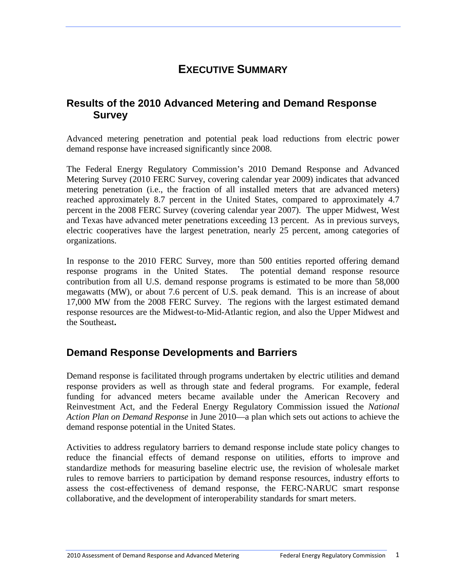# **EXECUTIVE SUMMARY**

# <span id="page-7-1"></span><span id="page-7-0"></span>**Results of the 2010 Advanced Metering and Demand Response Survey**

Advanced metering penetration and potential peak load reductions from electric power demand response have increased significantly since 2008.

The Federal Energy Regulatory Commission's 2010 Demand Response and Advanced Metering Survey (2010 FERC Survey, covering calendar year 2009) indicates that advanced metering penetration (i.e., the fraction of all installed meters that are advanced meters) reached approximately 8.7 percent in the United States, compared to approximately 4.7 percent in the 2008 FERC Survey (covering calendar year 2007). The upper Midwest, West and Texas have advanced meter penetrations exceeding 13 percent. As in previous surveys, electric cooperatives have the largest penetration, nearly 25 percent, among categories of organizations.

In response to the 2010 FERC Survey, more than 500 entities reported offering demand response programs in the United States. The potential demand response resource contribution from all U.S. demand response programs is estimated to be more than 58,000 megawatts (MW), or about 7.6 percent of U.S. peak demand. This is an increase of about 17,000 MW from the 2008 FERC Survey. The regions with the largest estimated demand response resources are the Midwest-to-Mid-Atlantic region, and also the Upper Midwest and the Southeast**.**

# <span id="page-7-2"></span>**Demand Response Developments and Barriers**

Demand response is facilitated through programs undertaken by electric utilities and demand response providers as well as through state and federal programs. For example, federal funding for advanced meters became available under the American Recovery and Reinvestment Act, and the Federal Energy Regulatory Commission issued the *National Action Plan on Demand Response* in June 2010—a plan which sets out actions to achieve the demand response potential in the United States.

Activities to address regulatory barriers to demand response include state policy changes to reduce the financial effects of demand response on utilities, efforts to improve and standardize methods for measuring baseline electric use, the revision of wholesale market rules to remove barriers to participation by demand response resources, industry efforts to assess the cost-effectiveness of demand response, the FERC-NARUC smart response collaborative, and the development of interoperability standards for smart meters.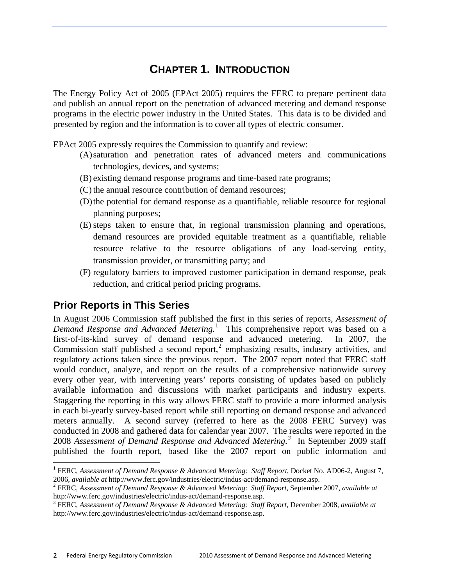# **CHAPTER 1. INTRODUCTION**

<span id="page-8-0"></span>The Energy Policy Act of 2005 (EPAct 2005) requires the FERC to prepare pertinent data and publish an annual report on the penetration of advanced metering and demand response programs in the electric power industry in the United States. This data is to be divided and presented by region and the information is to cover all types of electric consumer.

EPAct 2005 expressly requires the Commission to quantify and review:

- (A)saturation and penetration rates of advanced meters and communications technologies, devices, and systems;
- (B) existing demand response programs and time-based rate programs;
- (C) the annual resource contribution of demand resources;
- (D)the potential for demand response as a quantifiable, reliable resource for regional planning purposes;
- (E) steps taken to ensure that, in regional transmission planning and operations, demand resources are provided equitable treatment as a quantifiable, reliable resource relative to the resource obligations of any load-serving entity, transmission provider, or transmitting party; and
- (F) regulatory barriers to improved customer participation in demand response, peak reduction, and critical period pricing programs.

# <span id="page-8-1"></span>**Prior Reports in This Series**

In August 2006 Commission staff published the first in this series of reports, *Assessment of Demand Response and Advanced Metering.*[1](#page-8-2) This comprehensive report was based on a first-of-its-kind survey of demand response and advanced metering. In 2007, the Commission staff published a second report, $2$  emphasizing results, industry activities, and regulatory actions taken since the previous report. The 2007 report noted that FERC staff would conduct, analyze, and report on the results of a comprehensive nationwide survey every other year, with intervening years' reports consisting of updates based on publicly available information and discussions with market participants and industry experts. Staggering the reporting in this way allows FERC staff to provide a more informed analysis in each bi-yearly survey-based report while still reporting on demand response and advanced meters annually. A second survey (referred to here as the 2008 FERC Survey) was conducted in 2008 and gathered data for calendar year 2007. The results were reported in the 2008 *Assessment of Demand Response and Advanced Metering.[3](#page-8-4)* In September 2009 staff published the fourth report, based like the 2007 report on public information and

<span id="page-8-2"></span><sup>&</sup>lt;sup>1</sup> FERC, *Assessment of Demand Response & Advanced Metering: Staff Report*, Docket No. AD06-2, August 7, 2006, *available at* http://www.ferc.gov/industries/electric/indus-act/demand-response.asp. 2

<span id="page-8-3"></span>FERC, *Assessment of Demand Response & Advanced Metering*: *Staff Report*, September 2007, *available at* http://www.ferc.gov/industries/electric/indus-act/demand-response.asp. 3

<span id="page-8-4"></span>FERC, *Assessment of Demand Response & Advanced Metering*: *Staff Report*, December 2008, *available at* http://www.ferc.gov/industries/electric/indus-act/demand-response.asp.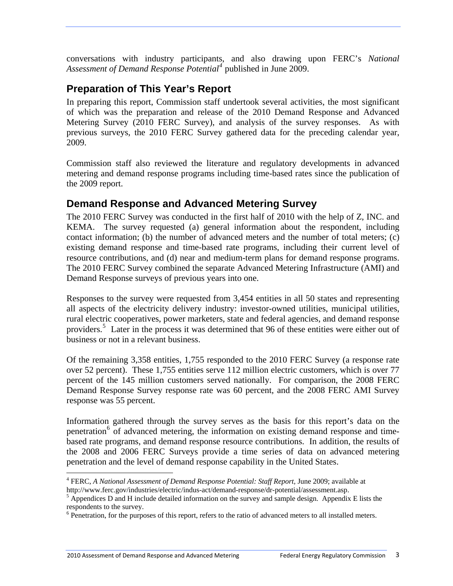conversations with industry participants, and also drawing upon FERC's *National Assessment of Demand Response Potential[4](#page-9-2)* published in June 2009.

# <span id="page-9-0"></span>**Preparation of This Year's Report**

In preparing this report, Commission staff undertook several activities, the most significant of which was the preparation and release of the 2010 Demand Response and Advanced Metering Survey (2010 FERC Survey), and analysis of the survey responses. As with previous surveys, the 2010 FERC Survey gathered data for the preceding calendar year, 2009.

Commission staff also reviewed the literature and regulatory developments in advanced metering and demand response programs including time-based rates since the publication of the 2009 report.

# <span id="page-9-1"></span>**Demand Response and Advanced Metering Survey**

The 2010 FERC Survey was conducted in the first half of 2010 with the help of Z, INC. and KEMA. The survey requested (a) general information about the respondent, including contact information; (b) the number of advanced meters and the number of total meters; (c) existing demand response and time-based rate programs, including their current level of resource contributions, and (d) near and medium-term plans for demand response programs. The 2010 FERC Survey combined the separate Advanced Metering Infrastructure (AMI) and Demand Response surveys of previous years into one.

Responses to the survey were requested from 3,454 entities in all 50 states and representing all aspects of the electricity delivery industry: investor-owned utilities, municipal utilities, rural electric cooperatives, power marketers, state and federal agencies, and demand response providers.<sup>[5](#page-9-3)</sup> Later in the process it was determined that 96 of these entities were either out of business or not in a relevant business.

Of the remaining 3,358 entities, 1,755 responded to the 2010 FERC Survey (a response rate over 52 percent). These 1,755 entities serve 112 million electric customers, which is over 77 percent of the 145 million customers served nationally. For comparison, the 2008 FERC Demand Response Survey response rate was 60 percent, and the 2008 FERC AMI Survey response was 55 percent.

Information gathered through the survey serves as the basis for this report's data on the penetration<sup>[6](#page-9-4)</sup> of advanced metering, the information on existing demand response and timebased rate programs, and demand response resource contributions. In addition, the results of the 2008 and 2006 FERC Surveys provide a time series of data on advanced metering penetration and the level of demand response capability in the United States.

<span id="page-9-2"></span> $\overline{a}$ <sup>4</sup> FERC, *A National Assessment of Demand Response Potential: Staff Report, June 2009; available at* http://www.ferc.gov/industries/electric/indus-act/demand-response/dr-potential/assessment.asp. 5

<span id="page-9-3"></span> $<sup>5</sup>$  Appendices D and H include detailed information on the survey and sample design. Appendix E lists the</sup> respondents to the survey.

<span id="page-9-4"></span><sup>&</sup>lt;sup>6</sup> Penetration, for the purposes of this report, refers to the ratio of advanced meters to all installed meters.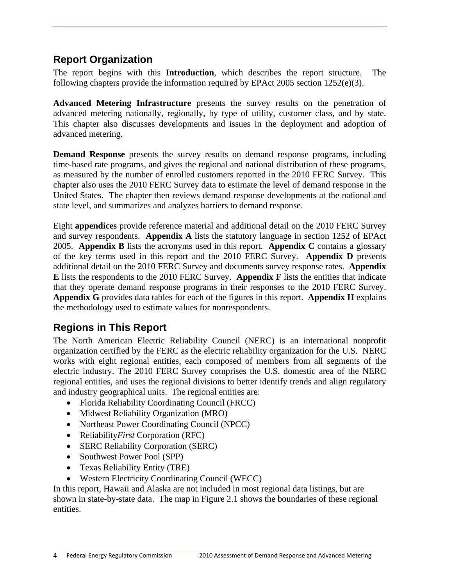# <span id="page-10-0"></span>**Report Organization**

The report begins with this **Introduction**, which describes the report structure. The following chapters provide the information required by EPAct 2005 section 1252(e)(3).

**Advanced Metering Infrastructure** presents the survey results on the penetration of advanced metering nationally, regionally, by type of utility, customer class, and by state. This chapter also discusses developments and issues in the deployment and adoption of advanced metering.

**Demand Response** presents the survey results on demand response programs, including time-based rate programs, and gives the regional and national distribution of these programs, as measured by the number of enrolled customers reported in the 2010 FERC Survey. This chapter also uses the 2010 FERC Survey data to estimate the level of demand response in the United States. The chapter then reviews demand response developments at the national and state level, and summarizes and analyzes barriers to demand response.

Eight **appendices** provide reference material and additional detail on the 2010 FERC Survey and survey respondents. **Appendix A** lists the statutory language in section 1252 of EPAct 2005. **Appendix B** lists the acronyms used in this report. **Appendix C** contains a glossary of the key terms used in this report and the 2010 FERC Survey. **Appendix D** presents additional detail on the 2010 FERC Survey and documents survey response rates. **Appendix E** lists the respondents to the 2010 FERC Survey. **Appendix F** lists the entities that indicate that they operate demand response programs in their responses to the 2010 FERC Survey. **Appendix G** provides data tables for each of the figures in this report. **Appendix H** explains the methodology used to estimate values for nonrespondents.

# <span id="page-10-1"></span>**Regions in This Report**

The North American Electric Reliability Council (NERC) is an international nonprofit organization certified by the FERC as the electric reliability organization for the U.S. NERC works with eight regional entities, each composed of members from all segments of the electric industry. The 2010 FERC Survey comprises the U.S. domestic area of the NERC regional entities, and uses the regional divisions to better identify trends and align regulatory and industry geographical units. The regional entities are:

- Florida Reliability Coordinating Council (FRCC)
- Midwest Reliability Organization (MRO)
- Northeast Power Coordinating Council (NPCC)
- Reliability*First* Corporation (RFC)
- SERC Reliability Corporation (SERC)
- Southwest Power Pool (SPP)
- Texas Reliability Entity (TRE)
- Western Electricity Coordinating Council (WECC)

In this report, Hawaii and Alaska are not included in most regional data listings, but are shown in state-by-state data. The map in Figure 2.1 shows the boundaries of these regional entities.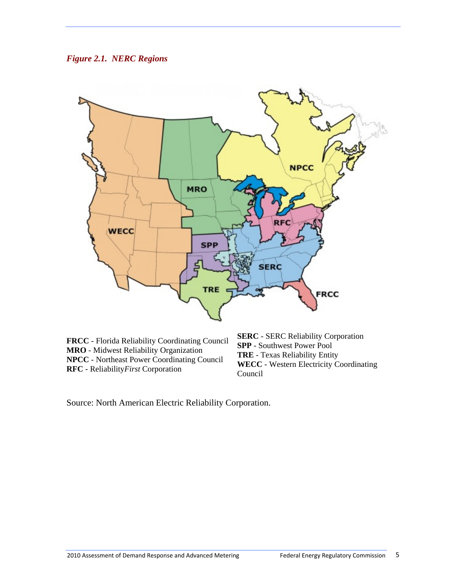<span id="page-11-0"></span>



**FRCC** - Florida Reliability Coordinating Council **MRO** - Midwest Reliability Organization **NPCC** - Northeast Power Coordinating Council **RFC** - Reliability*First* Corporation

**SERC** - SERC Reliability Corporation **SPP** - Southwest Power Pool **TRE** - Texas Reliability Entity **WECC** - Western Electricity Coordinating Council

Source: North American Electric Reliability Corporation.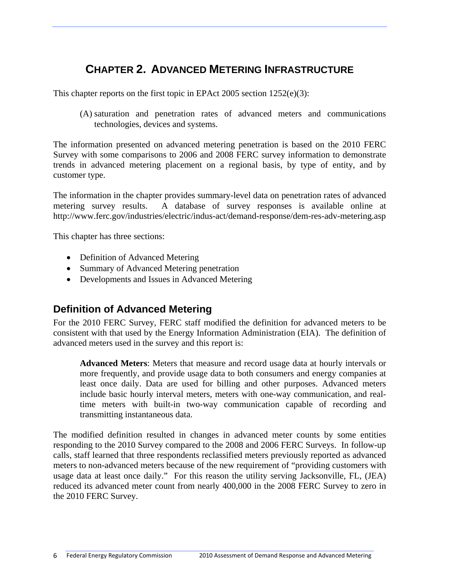# **CHAPTER 2. ADVANCED METERING INFRASTRUCTURE**

<span id="page-12-0"></span>This chapter reports on the first topic in EPAct 2005 section 1252(e)(3):

(A) saturation and penetration rates of advanced meters and communications technologies, devices and systems.

The information presented on advanced metering penetration is based on the 2010 FERC Survey with some comparisons to 2006 and 2008 FERC survey information to demonstrate trends in advanced metering placement on a regional basis, by type of entity, and by customer type.

The information in the chapter provides summary-level data on penetration rates of advanced metering survey results. A database of survey responses is available online at http://www.ferc.gov/industries/electric/indus-act/demand-response/dem-res-adv-metering.asp

This chapter has three sections:

- Definition of Advanced Metering
- Summary of Advanced Metering penetration
- Developments and Issues in Advanced Metering

## <span id="page-12-1"></span>**Definition of Advanced Metering**

For the 2010 FERC Survey, FERC staff modified the definition for advanced meters to be consistent with that used by the Energy Information Administration (EIA). The definition of advanced meters used in the survey and this report is:

**Advanced Meters**: Meters that measure and record usage data at hourly intervals or more frequently, and provide usage data to both consumers and energy companies at least once daily. Data are used for billing and other purposes. Advanced meters include basic hourly interval meters, meters with one-way communication, and realtime meters with built-in two-way communication capable of recording and transmitting instantaneous data.

The modified definition resulted in changes in advanced meter counts by some entities responding to the 2010 Survey compared to the 2008 and 2006 FERC Surveys. In follow-up calls, staff learned that three respondents reclassified meters previously reported as advanced meters to non-advanced meters because of the new requirement of "providing customers with usage data at least once daily." For this reason the utility serving Jacksonville, FL, (JEA) reduced its advanced meter count from nearly 400,000 in the 2008 FERC Survey to zero in the 2010 FERC Survey.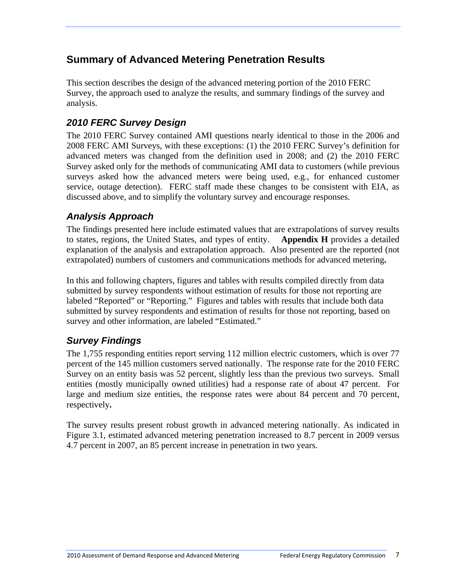# <span id="page-13-0"></span>**Summary of Advanced Metering Penetration Results**

This section describes the design of the advanced metering portion of the 2010 FERC Survey, the approach used to analyze the results, and summary findings of the survey and analysis.

# <span id="page-13-1"></span>*2010 FERC Survey Design*

The 2010 FERC Survey contained AMI questions nearly identical to those in the 2006 and 2008 FERC AMI Surveys, with these exceptions: (1) the 2010 FERC Survey's definition for advanced meters was changed from the definition used in 2008; and (2) the 2010 FERC Survey asked only for the methods of communicating AMI data to customers (while previous surveys asked how the advanced meters were being used, e.g., for enhanced customer service, outage detection). FERC staff made these changes to be consistent with EIA, as discussed above, and to simplify the voluntary survey and encourage responses.

# <span id="page-13-2"></span>*Analysis Approach*

The findings presented here include estimated values that are extrapolations of survey results to states, regions, the United States, and types of entity. **Appendix H** provides a detailed explanation of the analysis and extrapolation approach. Also presented are the reported (not extrapolated) numbers of customers and communications methods for advanced metering**.**

In this and following chapters, figures and tables with results compiled directly from data submitted by survey respondents without estimation of results for those not reporting are labeled "Reported" or "Reporting." Figures and tables with results that include both data submitted by survey respondents and estimation of results for those not reporting, based on survey and other information, are labeled "Estimated."

## <span id="page-13-3"></span>*Survey Findings*

The 1,755 responding entities report serving 112 million electric customers, which is over 77 percent of the 145 million customers served nationally. The response rate for the 2010 FERC Survey on an entity basis was 52 percent, slightly less than the previous two surveys. Small entities (mostly municipally owned utilities) had a response rate of about 47 percent. For large and medium size entities, the response rates were about 84 percent and 70 percent, respectively**.**

The survey results present robust growth in advanced metering nationally. As indicated in Figure 3.1, estimated advanced metering penetration increased to 8.7 percent in 2009 versus 4.7 percent in 2007, an 85 percent increase in penetration in two years.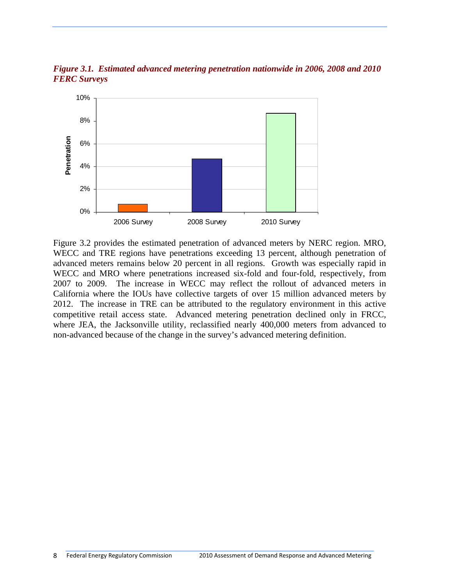<span id="page-14-0"></span>*Figure 3.1. Estimated advanced metering penetration nationwide in 2006, 2008 and 2010 FERC Surveys* 



Figure 3.2 provides the estimated penetration of advanced meters by NERC region. MRO, WECC and TRE regions have penetrations exceeding 13 percent, although penetration of advanced meters remains below 20 percent in all regions. Growth was especially rapid in WECC and MRO where penetrations increased six-fold and four-fold, respectively, from 2007 to 2009. The increase in WECC may reflect the rollout of advanced meters in California where the IOUs have collective targets of over 15 million advanced meters by 2012. The increase in TRE can be attributed to the regulatory environment in this active competitive retail access state. Advanced metering penetration declined only in FRCC, where JEA, the Jacksonville utility, reclassified nearly 400,000 meters from advanced to non-advanced because of the change in the survey's advanced metering definition.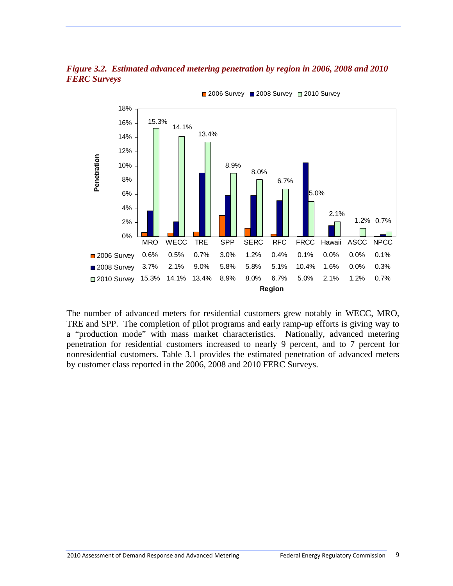<span id="page-15-0"></span>



■ 2006 Survey ■ 2008 Survey ■ 2010 Survey

The number of advanced meters for residential customers grew notably in WECC, MRO, TRE and SPP. The completion of pilot programs and early ramp-up efforts is giving way to a "production mode" with mass market characteristics. Nationally, advanced metering penetration for residential customers increased to nearly 9 percent, and to 7 percent for nonresidential customers. Table 3.1 provides the estimated penetration of advanced meters by customer class reported in the 2006, 2008 and 2010 FERC Surveys.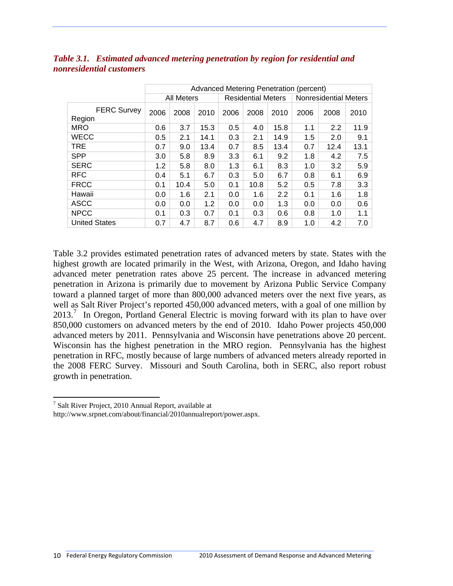|                              |                   | Advanced Metering Penetration (percent) |      |                           |      |      |                              |      |      |
|------------------------------|-------------------|-----------------------------------------|------|---------------------------|------|------|------------------------------|------|------|
|                              | <b>All Meters</b> |                                         |      | <b>Residential Meters</b> |      |      | <b>Nonresidential Meters</b> |      |      |
| <b>FERC Survey</b><br>Region | 2006              | 2008                                    | 2010 | 2006                      | 2008 | 2010 | 2006                         | 2008 | 2010 |
| <b>MRO</b>                   | 0.6               | 3.7                                     | 15.3 | 0.5                       | 4.0  | 15.8 | 1.1                          | 2.2  | 11.9 |
| <b>WECC</b>                  | 0.5               | 2.1                                     | 14.1 | 0.3                       | 2.1  | 14.9 | 1.5                          | 2.0  | 9.1  |
| <b>TRE</b>                   | 0.7               | 9.0                                     | 13.4 | 0.7                       | 8.5  | 13.4 | 0.7                          | 12.4 | 13.1 |
| <b>SPP</b>                   | 3.0               | 5.8                                     | 8.9  | 3.3                       | 6.1  | 9.2  | 1.8                          | 4.2  | 7.5  |
| <b>SERC</b>                  | 1.2               | 5.8                                     | 8.0  | 1.3                       | 6.1  | 8.3  | 1.0                          | 3.2  | 5.9  |
| <b>RFC</b>                   | 0.4               | 5.1                                     | 6.7  | 0.3                       | 5.0  | 6.7  | 0.8                          | 6.1  | 6.9  |
| <b>FRCC</b>                  | 0.1               | 10.4                                    | 5.0  | 0.1                       | 10.8 | 5.2  | 0.5                          | 7.8  | 3.3  |
| Hawaii                       | 0.0               | 1.6                                     | 2.1  | 0.0                       | 1.6  | 2.2  | 0.1                          | 1.6  | 1.8  |
| <b>ASCC</b>                  | 0.0               | 0.0                                     | 1.2  | 0.0                       | 0.0  | 1.3  | 0.0                          | 0.0  | 0.6  |
| <b>NPCC</b>                  | 0.1               | 0.3                                     | 0.7  | 0.1                       | 0.3  | 0.6  | 0.8                          | 1.0  | 1.1  |
| <b>United States</b>         | 0.7               | 4.7                                     | 8.7  | 0.6                       | 4.7  | 8.9  | 1.0                          | 4.2  | 7.0  |

#### <span id="page-16-0"></span>*Table 3.1. Estimated advanced metering penetration by region for residential and nonresidential customers*

Table 3.2 provides estimated penetration rates of advanced meters by state. States with the highest growth are located primarily in the West, with Arizona, Oregon, and Idaho having advanced meter penetration rates above 25 percent. The increase in advanced metering penetration in Arizona is primarily due to movement by Arizona Public Service Company toward a planned target of more than 800,000 advanced meters over the next five years, as well as Salt River Project's reported 450,000 advanced meters, with a goal of one million by  $2013<sup>7</sup>$  $2013<sup>7</sup>$  $2013<sup>7</sup>$  In Oregon, Portland General Electric is moving forward with its plan to have over 850,000 customers on advanced meters by the end of 2010. Idaho Power projects 450,000 advanced meters by 2011. Pennsylvania and Wisconsin have penetrations above 20 percent. Wisconsin has the highest penetration in the MRO region. Pennsylvania has the highest penetration in RFC, mostly because of large numbers of advanced meters already reported in the 2008 FERC Survey. Missouri and South Carolina, both in SERC, also report robust growth in penetration.

<sup>&</sup>lt;sup>7</sup> Salt River Project, 2010 Annual Report, available at

<span id="page-16-1"></span>http://www.srpnet.com/about/financial/2010annualreport/power.aspx.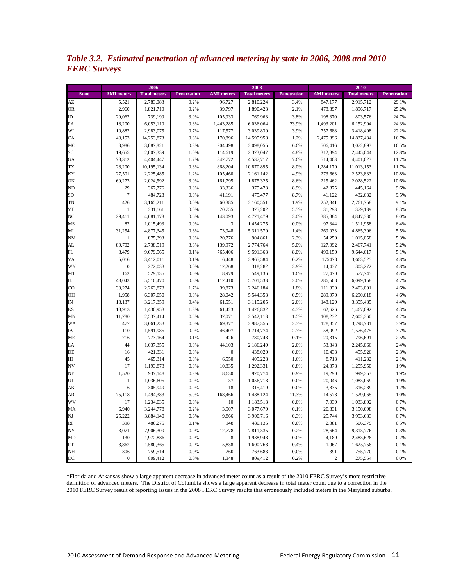<span id="page-17-0"></span>*Table 3.2. Estimated penetration of advanced metering by state in 2006, 2008 and 2010 FERC Surveys* 

|                 |                         | 2006                |              | 2008              |                     |              | 2010                  |                     |                    |  |
|-----------------|-------------------------|---------------------|--------------|-------------------|---------------------|--------------|-----------------------|---------------------|--------------------|--|
| <b>State</b>    | <b>AMI</b> meters       | <b>Total meters</b> | Penetration  | <b>AMI</b> meters | <b>Total meters</b> | Penetration  | <b>AMI</b> meters     | <b>Total meters</b> | <b>Penetration</b> |  |
| AZ              | 5,521                   | 2,783,083           | 0.2%         | 96,727            | 2,810,224           | 3.4%         | 847,177               | 2,915,712           | 29.1%              |  |
| <b>OR</b>       | 2,960                   | 1,821,710           | 0.2%         | 39,797            | 1,890,423           | 2.1%         | 478,897               | 1,896,717           | 25.2%              |  |
| ID              | 29,062                  | 739,199             | 3.9%         | 105,933           | 769,963             | 13.8%        | 198,370               | 803,576             | 24.7%              |  |
| PA              | 18,200                  | 6,053,110           | 0.3%         | 1,443,285         | 6,036,064           | 23.9%        | 1,493,201             | 6,152,994           | 24.3%              |  |
| WI              | 19,882                  | 2,983,075           | 0.7%         | 117,577           | 3,039,830           | 3.9%         | 757,688               | 3,418,498           | 22.2%              |  |
| CA              | 40,153                  | 14,253,873          | 0.3%         | 170,896           | 14,595,958          | 1.2%         | 2,475,896             | 14,837,434          | 16.7%              |  |
| MO              | 8,986                   | 3,087,821           | 0.3%         | 204,498           | 3,098,055           | 6.6%         | 506,416               | 3,072,893           | 16.5%              |  |
| SC              | 19,655                  | 2,007,339           | 1.0%         | 114,619           | 2,373,047           | 4.8%         | 312,894               | 2,445,044           | 12.8%              |  |
| GA              | 73,312                  | 4,404,447           | 1.7%         | 342,772           | 4,537,717           | 7.6%         | 514,403               | 4,401,623           | 11.7%              |  |
| <b>TX</b>       | 28,200                  | 10,195,134          | 0.3%         | 868,204           | 10,870,895          | 8.0%         | 1,284,179             | 11,013,153          | 11.7%              |  |
| KY              | 27,501                  | 2,225,485           | 1.2%         | 105,460           | 2,161,142           | 4.9%         | 273,663               | 2,523,833           | 10.8%              |  |
| OK              | 60,273                  | 2,024,592           | 3.0%         | 161,795           | 1,875,325           | 8.6%         | 215,462               | 2,028,522           | 10.6%              |  |
| N <sub>D</sub>  | 29                      | 367,776             | 0.0%         | 33,336            | 375,473             | 8.9%         | 42,875                | 445,164             | 9.6%               |  |
| <b>SD</b>       | $\overline{7}$          | 484,728             | 0.0%         | 41,191            | 475,477             | 8.7%         | 41,122                | 432,632             | 9.5%               |  |
| <b>TN</b>       | 426                     | 3,165,211           | 0.0%         | 60,385            | 3,160,551           | 1.9%         | 252,341               | 2,761,758           | 9.1%               |  |
| VT              | $1\,$                   | 331,161             | 0.0%         | 20,755            | 375,202             | 5.5%         | 31,293                | 379,139             | 8.3%               |  |
| NC              | 29,411                  | 4,681,178           | 0.6%         | 143,093           | 4,771,479           | 3.0%         | 385,884               | 4,847,336           | 8.0%               |  |
| MS              | 82                      | 1,015,493           | 0.0%         | 3                 | 1,454,275           | 0.0%         | 97,344                | 1,511,958           | 6.4%               |  |
| MI              | 31,254                  | 4,877,345           | 0.6%         | 73,948            | 5,311,570           | 1.4%         | 269,933               | 4,865,396           | 5.5%               |  |
| <b>NM</b>       | $\mathbf{1}$            | 875,393             | 0.0%         | 20,776            | 904,861             | 2.3%         | 54,250                | 1,015,058           | 5.3%               |  |
| AL              | 89,702                  | 2,738,519           | 3.3%         | 139,972           | 2,774,764           | 5.0%         | 127,092               | 2,467,741           | 5.2%               |  |
| FL              | 8,479                   | 9,679,565           | 0.1%         | 765,406           | 9,591,363           | 8.0%         | 490,150               | 9,644,617           | 5.1%               |  |
| VA              | 5,016                   | 3,412,011           | 0.1%         | 6,448             | 3,965,584           | 0.2%         | 175478                | 3,663,525           | 4.8%               |  |
| WY              | $\mathbf{0}$            | 272,033             | 0.0%         | 12,268            | 318,282             | 3.9%         | 14,437                | 303,272             | 4.8%               |  |
| MT              | 162                     | 529,135             | 0.0%         | 8,979             | 549,136             | 1.6%         | 27,470                | 577,745             | 4.8%               |  |
| $\rm IL$        | 43,043                  | 5,510,470           | 0.8%         | 112,410           | 5,701,533           | 2.0%         | 286,568               | 6,099,158           | 4.7%               |  |
| $\overline{c}$  | 39,274                  | 2,263,873           | 1.7%         | 39,873            | 2,246,184           | 1.8%         | 111,330               | 2,403,001           | 4.6%               |  |
| OH              | 1,958                   | 6,307,050           | 0.0%         | 28,042            | 5,544,353           | 0.5%         | 289,970               | 6,290,618           | 4.6%               |  |
| IN              | 13,137                  | 3,217,359           | 0.4%         | 61,551            | 3,115,205           | 2.0%         | 148,129               | 3,355,485           | 4.4%               |  |
| <b>KS</b>       | 18,913                  | 1,430,953           | 1.3%         | 61,423            | 1,426,832           | 4.3%         | 62,626                | 1,467,092           | 4.3%               |  |
| MN              | 11,780                  | 2,537,414           | 0.5%         | 37,071            | 2,542,113           | 1.5%         | 108,232               | 2,602,360           | 4.2%               |  |
| <b>WA</b>       | 477                     | 3,061,233           | 0.0%         | 69,377            | 2,987,355           | 2.3%         | 128,857               | 3,298,781           | 3.9%               |  |
| IA              | 110                     | 1,591,985           | 0.0%         | 46,407            | 1,714,774           | 2.7%         | 58,092                | 1,576,475           | 3.7%               |  |
| ME              | 716                     | 773,164             | 0.1%         | 426               | 780,748             | 0.1%         | 20,315                | 796,691             | 2.5%               |  |
| LA              | 44                      | 1,037,355           | 0.0%         | 44,103            | 2,186,249           | 2.0%         | 53,848                | 2,245,066           | 2.4%               |  |
| DE              | 16                      | 421,331             | 0.0%         | $\boldsymbol{0}$  | 438,020             | 0.0%         | 10,433                | 455,926             | 2.3%               |  |
| HI              | 45                      | 465,314             | 0.0%         | 6,550             | 405,228             | 1.6%         | 8,713                 | 411,232             | 2.1%               |  |
| NV              | 17                      | 1,193,873           | 0.0%         | 10,835            | 1,292,331           | 0.8%         | 24,378                | 1,255,950           | 1.9%               |  |
| <b>NE</b>       | 1,520                   | 937,148             | 0.2%         | 8,630             | 970,774             | 0.9%         | 19,290                | 999,353             | 1.9%               |  |
| UT              | 1                       | 1,036,605           | 0.0%         | 37                | 1,056,718           | 0.0%         | 20,046                | 1,083,069           | 1.9%               |  |
| AK              | 6                       | 305,949             | 0.0%         | 18                | 315,419             | 0.0%         | 3,835                 | 316,289             | 1.2%               |  |
| AR              | 75,118                  | 1,494,383           | 5.0%         | 168,466           | 1,488,124           | 11.3%        | 14,578                | 1,529,065           | 1.0%               |  |
| WV              | 17                      | 1,234,035           | 0.0%         | 10                | 1,183,513           | 0.0%         | 7,039                 | 1,033,802           | 0.7%               |  |
| MA              | 6,940                   | 3,244,778           | 0.2%         | 3,907             | 3,077,679           | 0.1%         | 20,831                | 3,150,098           | 0.7%               |  |
| $_{\rm NJ}$     | 25,222                  | 3,884,140           | 0.6%         | 9,866             | 3,900,716           | 0.3%         | 25,744                | 3,953,683           | 0.7%               |  |
| RI              | 398                     | 480,275             | 0.1%         | 148               | 480,135             | 0.0%         | 2,381                 | 506,379             | 0.5%               |  |
| NY              | 3,071                   | 7,906,309           | 0.0%         | 12,778            | 7,811,335           | 0.2%         | 28,664                | 9,313,776           | 0.3%               |  |
| MD              | 130                     | 1,972,886           | 0.0%         | 8                 | 1,938,948           | 0.0%         | 4,189                 | 2,483,628           | 0.2%               |  |
| <b>CT</b>       | 3,862                   | 1,580,365           | 0.2%         | 5,838             | 1,600,768           | 0.4%         | 1,967                 | 1,625,758           | 0.1%               |  |
| <b>NH</b><br>DC | 306<br>$\boldsymbol{0}$ | 759,514<br>809,412  | 0.0%<br>0.0% | 260<br>1,348      | 763,683<br>809,412  | 0.0%<br>0.2% | 391<br>$\overline{c}$ | 755,770<br>275,554  | 0.1%<br>0.0%       |  |

\*Florida and Arkansas show a large apparent decrease in advanced meter count as a result of the 2010 FERC Survey's more restrictive definition of advanced meters. The District of Columbia shows a large apparent decrease in total meter count due to a correction in the 2010 FERC Survey result of reporting issues in the 2008 FERC Survey results that erroneously included meters in the Maryland suburbs.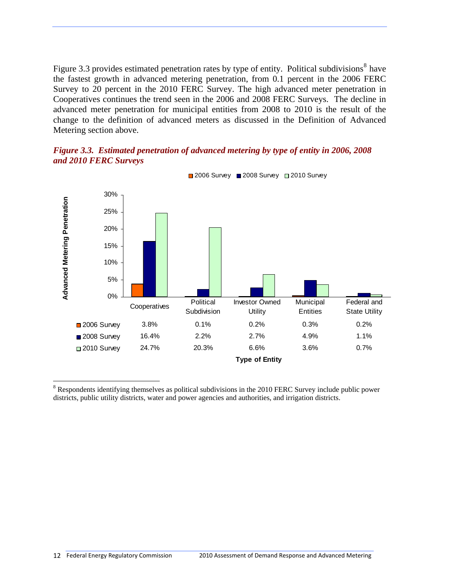Figure 3.3 provides estimated penetration rates by type of entity. Political subdivisions<sup>[8](#page-18-1)</sup> have the fastest growth in advanced metering penetration, from 0.1 percent in the 2006 FERC Survey to 20 percent in the 2010 FERC Survey. The high advanced meter penetration in Cooperatives continues the trend seen in the 2006 and 2008 FERC Surveys. The decline in advanced meter penetration for municipal entities from 2008 to 2010 is the result of the change to the definition of advanced meters as discussed in the Definition of Advanced Metering section above.

#### <span id="page-18-0"></span>*Figure 3.3. Estimated penetration of advanced metering by type of entity in 2006, 2008 and 2010 FERC Surveys*



■ 2006 Survey ■ 2008 Survey ■ 2010 Survey

<span id="page-18-1"></span> $8$  Respondents identifying themselves as political subdivisions in the 2010 FERC Survey include public power districts, public utility districts, water and power agencies and authorities, and irrigation districts.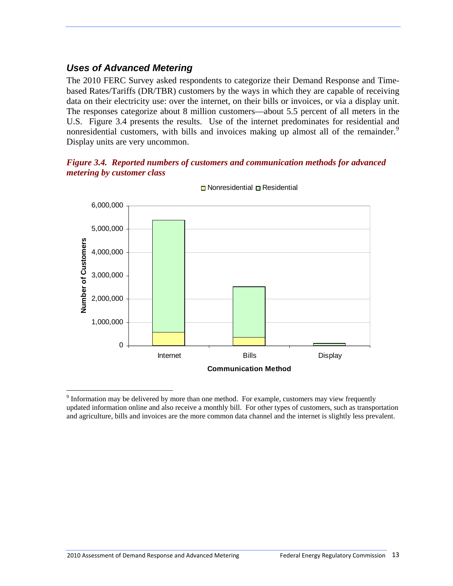# <span id="page-19-0"></span>*Uses of Advanced Metering*

The 2010 FERC Survey asked respondents to categorize their Demand Response and Timebased Rates/Tariffs (DR/TBR) customers by the ways in which they are capable of receiving data on their electricity use: over the internet, on their bills or invoices, or via a display unit. The responses categorize about 8 million customers—about 5.5 percent of all meters in the U.S. Figure 3.4 presents the results. Use of the internet predominates for residential and nonresidential customers, with bills and invoices making up almost all of the remainder.<sup>[9](#page-19-2)</sup> Display units are very uncommon.

#### <span id="page-19-1"></span>*Figure 3.4. Reported numbers of customers and communication methods for advanced metering by customer class*



 $\Box$  Nonresidential  $\Box$  Residential

<span id="page-19-2"></span><sup>1</sup>  $9$  Information may be delivered by more than one method. For example, customers may view frequently updated information online and also receive a monthly bill. For other types of customers, such as transportation and agriculture, bills and invoices are the more common data channel and the internet is slightly less prevalent.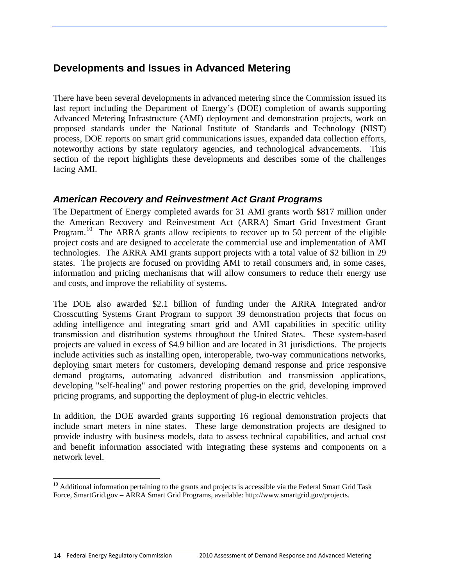# <span id="page-20-0"></span>**Developments and Issues in Advanced Metering**

There have been several developments in advanced metering since the Commission issued its last report including the Department of Energy's (DOE) completion of awards supporting Advanced Metering Infrastructure (AMI) deployment and demonstration projects, work on proposed standards under the National Institute of Standards and Technology (NIST) process, DOE reports on smart grid communications issues, expanded data collection efforts, noteworthy actions by state regulatory agencies, and technological advancements. This section of the report highlights these developments and describes some of the challenges facing AMI.

#### <span id="page-20-1"></span>*American Recovery and Reinvestment Act Grant Programs*

The Department of Energy completed awards for 31 AMI grants worth \$817 million under the American Recovery and Reinvestment Act (ARRA) Smart Grid Investment Grant Program.<sup>[10](#page-20-2)</sup> The ARRA grants allow recipients to recover up to 50 percent of the eligible project costs and are designed to accelerate the commercial use and implementation of AMI technologies. The ARRA AMI grants support projects with a total value of \$2 billion in 29 states. The projects are focused on providing AMI to retail consumers and, in some cases, information and pricing mechanisms that will allow consumers to reduce their energy use and costs, and improve the reliability of systems.

The DOE also awarded \$2.1 billion of funding under the ARRA Integrated and/or Crosscutting Systems Grant Program to support 39 demonstration projects that focus on adding intelligence and integrating smart grid and AMI capabilities in specific utility transmission and distribution systems throughout the United States. These system-based projects are valued in excess of \$4.9 billion and are located in 31 jurisdictions. The projects include activities such as installing open, interoperable, two-way communications networks, deploying smart meters for customers, developing demand response and price responsive demand programs, automating advanced distribution and transmission applications, developing "self-healing" and power restoring properties on the grid, developing improved pricing programs, and supporting the deployment of plug-in electric vehicles.

In addition, the DOE awarded grants supporting 16 regional demonstration projects that include smart meters in nine states. These large demonstration projects are designed to provide industry with business models, data to assess technical capabilities, and actual cost and benefit information associated with integrating these systems and components on a network level.

<span id="page-20-2"></span><sup>&</sup>lt;sup>10</sup> Additional information pertaining to the grants and projects is accessible via the Federal Smart Grid Task Force, SmartGrid.gov – ARRA Smart Grid Programs, available: http://www.smartgrid.gov/projects.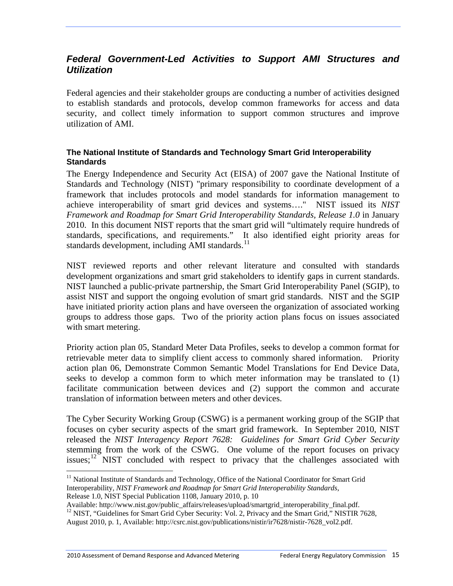## <span id="page-21-0"></span>*Federal Government-Led Activities to Support AMI Structures and Utilization*

Federal agencies and their stakeholder groups are conducting a number of activities designed to establish standards and protocols, develop common frameworks for access and data security, and collect timely information to support common structures and improve utilization of AMI.

#### **The National Institute of Standards and Technology Smart Grid Interoperability Standards**

The Energy Independence and Security Act (EISA) of 2007 gave the National Institute of Standards and Technology (NIST) "primary responsibility to coordinate development of a framework that includes protocols and model standards for information management to achieve interoperability of smart grid devices and systems…." NIST issued its *NIST Framework and Roadmap for Smart Grid Interoperability Standards, Release 1.0* in January 2010. In this document NIST reports that the smart grid will "ultimately require hundreds of standards, specifications, and requirements." It also identified eight priority areas for standards development, including AMI standards.<sup>[11](#page-21-1)</sup>

NIST reviewed reports and other relevant literature and consulted with standards development organizations and smart grid stakeholders to identify gaps in current standards. NIST launched a public-private partnership, the Smart Grid Interoperability Panel (SGIP), to assist NIST and support the ongoing evolution of smart grid standards. NIST and the SGIP have initiated priority action plans and have overseen the organization of associated working groups to address those gaps. Two of the priority action plans focus on issues associated with smart metering.

Priority action plan 05, Standard Meter Data Profiles, seeks to develop a common format for retrievable meter data to simplify client access to commonly shared information. Priority action plan 06, Demonstrate Common Semantic Model Translations for End Device Data, seeks to develop a common form to which meter information may be translated to (1) facilitate communication between devices and (2) support the common and accurate translation of information between meters and other devices.

The Cyber Security Working Group (CSWG) is a permanent working group of the SGIP that focuses on cyber security aspects of the smart grid framework. In September 2010, NIST released the *NIST Interagency Report 7628: Guidelines for Smart Grid Cyber Security* stemming from the work of the CSWG. One volume of the report focuses on privacy issues;<sup>[12](#page-21-2)</sup> NIST concluded with respect to privacy that the challenges associated with

1

<span id="page-21-1"></span><sup>&</sup>lt;sup>11</sup> National Institute of Standards and Technology, Office of the National Coordinator for Smart Grid Interoperability, *NIST Framework and Roadmap for Smart Grid Interoperability Standards*,

Release 1.0, NIST Special Publication 1108, January 2010, p. 10<br>Available: http://www.nist.gov/public\_affairs/releases/upload/smartgrid\_interoperability\_final.pdf.

<span id="page-21-2"></span><sup>&</sup>lt;sup>12</sup> NIST, "Guidelines for Smart Grid Cyber Security: Vol. 2, Privacy and the Smart Grid," NISTIR 7628,

August 2010, p. 1, Available: http://csrc.nist.gov/publications/nistir/ir7628/nistir-7628\_vol2.pdf.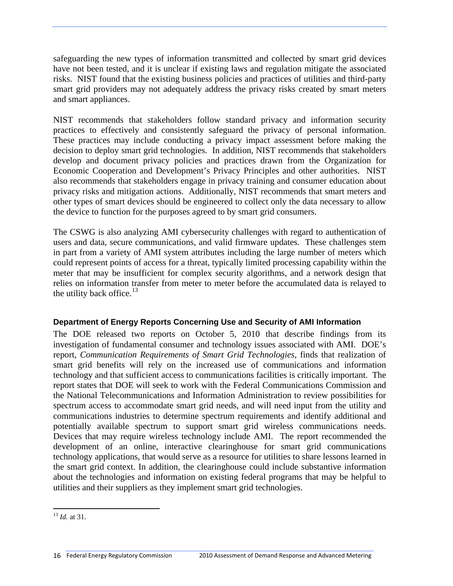safeguarding the new types of information transmitted and collected by smart grid devices have not been tested, and it is unclear if existing laws and regulation mitigate the associated risks. NIST found that the existing business policies and practices of utilities and third-party smart grid providers may not adequately address the privacy risks created by smart meters and smart appliances.

NIST recommends that stakeholders follow standard privacy and information security practices to effectively and consistently safeguard the privacy of personal information. These practices may include conducting a privacy impact assessment before making the decision to deploy smart grid technologies. In addition, NIST recommends that stakeholders develop and document privacy policies and practices drawn from the Organization for Economic Cooperation and Development's Privacy Principles and other authorities. NIST also recommends that stakeholders engage in privacy training and consumer education about privacy risks and mitigation actions. Additionally, NIST recommends that smart meters and other types of smart devices should be engineered to collect only the data necessary to allow the device to function for the purposes agreed to by smart grid consumers.

The CSWG is also analyzing AMI cybersecurity challenges with regard to authentication of users and data, secure communications, and valid firmware updates. These challenges stem in part from a variety of AMI system attributes including the large number of meters which could represent points of access for a threat, typically limited processing capability within the meter that may be insufficient for complex security algorithms, and a network design that relies on information transfer from meter to meter before the accumulated data is relayed to the utility back office. $13$ 

#### **Department of Energy Reports Concerning Use and Security of AMI Information**

The DOE released two reports on October 5, 2010 that describe findings from its investigation of fundamental consumer and technology issues associated with AMI. DOE's report, *Communication Requirements of Smart Grid Technologies*, finds that realization of smart grid benefits will rely on the increased use of communications and information technology and that sufficient access to communications facilities is critically important. The report states that DOE will seek to work with the Federal Communications Commission and the National Telecommunications and Information Administration to review possibilities for spectrum access to accommodate smart grid needs, and will need input from the utility and communications industries to determine spectrum requirements and identify additional and potentially available spectrum to support smart grid wireless communications needs. Devices that may require wireless technology include AMI. The report recommended the development of an online, interactive clearinghouse for smart grid communications technology applications, that would serve as a resource for utilities to share lessons learned in the smart grid context. In addition, the clearinghouse could include substantive information about the technologies and information on existing federal programs that may be helpful to utilities and their suppliers as they implement smart grid technologies.

<span id="page-22-0"></span><sup>1</sup> <sup>13</sup> *Id.* at 31.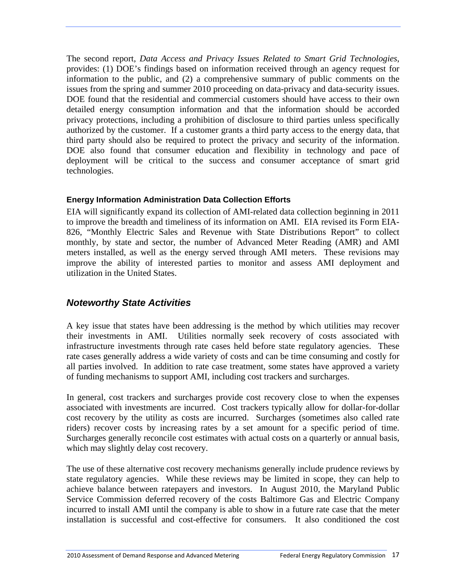The second report, *Data Access and Privacy Issues Related to Smart Grid Technologies*, provides: (1) DOE's findings based on information received through an agency request for information to the public, and (2) a comprehensive summary of public comments on the issues from the spring and summer 2010 proceeding on data-privacy and data-security issues. DOE found that the residential and commercial customers should have access to their own detailed energy consumption information and that the information should be accorded privacy protections, including a prohibition of disclosure to third parties unless specifically authorized by the customer. If a customer grants a third party access to the energy data, that third party should also be required to protect the privacy and security of the information. DOE also found that consumer education and flexibility in technology and pace of deployment will be critical to the success and consumer acceptance of smart grid technologies.

#### **Energy Information Administration Data Collection Efforts**

EIA will significantly expand its collection of AMI-related data collection beginning in 2011 to improve the breadth and timeliness of its information on AMI. EIA revised its Form EIA-826, "Monthly Electric Sales and Revenue with State Distributions Report" to collect monthly, by state and sector, the number of Advanced Meter Reading (AMR) and AMI meters installed, as well as the energy served through AMI meters. These revisions may improve the ability of interested parties to monitor and assess AMI deployment and utilization in the United States.

## <span id="page-23-0"></span>*Noteworthy State Activities*

A key issue that states have been addressing is the method by which utilities may recover their investments in AMI. Utilities normally seek recovery of costs associated with infrastructure investments through rate cases held before state regulatory agencies. These rate cases generally address a wide variety of costs and can be time consuming and costly for all parties involved. In addition to rate case treatment, some states have approved a variety of funding mechanisms to support AMI, including cost trackers and surcharges.

In general, cost trackers and surcharges provide cost recovery close to when the expenses associated with investments are incurred. Cost trackers typically allow for dollar-for-dollar cost recovery by the utility as costs are incurred. Surcharges (sometimes also called rate riders) recover costs by increasing rates by a set amount for a specific period of time. Surcharges generally reconcile cost estimates with actual costs on a quarterly or annual basis, which may slightly delay cost recovery.

The use of these alternative cost recovery mechanisms generally include prudence reviews by state regulatory agencies. While these reviews may be limited in scope, they can help to achieve balance between ratepayers and investors. In August 2010, the Maryland Public Service Commission deferred recovery of the costs Baltimore Gas and Electric Company incurred to install AMI until the company is able to show in a future rate case that the meter installation is successful and cost-effective for consumers. It also conditioned the cost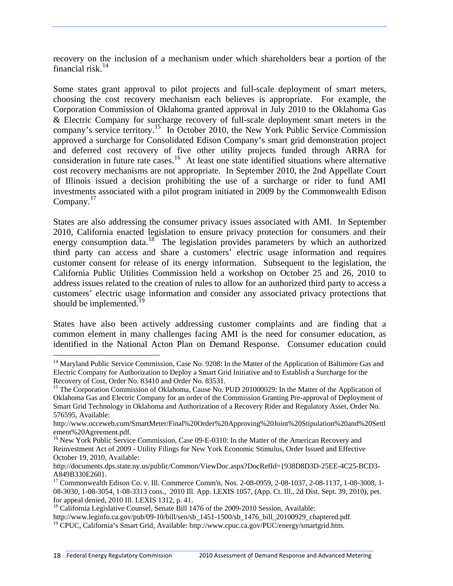recovery on the inclusion of a mechanism under which shareholders bear a portion of the financial risk. $^{14}$  $^{14}$  $^{14}$ 

Some states grant approval to pilot projects and full-scale deployment of smart meters, choosing the cost recovery mechanism each believes is appropriate. For example, the Corporation Commission of Oklahoma granted approval in July 2010 to the Oklahoma Gas & Electric Company for surcharge recovery of full-scale deployment smart meters in the company's service territory.<sup>[15](#page-24-1)</sup> In October 2010, the New York Public Service Commission approved a surcharge for Consolidated Edison Company's smart grid demonstration project and deferred cost recovery of five other utility projects funded through ARRA for consideration in future rate cases.<sup>[16](#page-24-2)</sup> At least one state identified situations where alternative cost recovery mechanisms are not appropriate. In September 2010, the 2nd Appellate Court of Illinois issued a decision prohibiting the use of a surcharge or rider to fund AMI investments associated with a pilot program initiated in 2009 by the Commonwealth Edison Company.<sup>[17](#page-24-3)</sup>

States are also addressing the consumer privacy issues associated with AMI. In September 2010, California enacted legislation to ensure privacy protection for consumers and their energy consumption data.<sup>[18](#page-24-4)</sup> The legislation provides parameters by which an authorized third party can access and share a customers' electric usage information and requires customer consent for release of its energy information. Subsequent to the legislation, the California Public Utilities Commission held a workshop on October 25 and 26, 2010 to address issues related to the creation of rules to allow for an authorized third party to access a customers' electric usage information and consider any associated privacy protections that should be implemented. $^{19}$ 

States have also been actively addressing customer complaints and are finding that a common element in many challenges facing AMI is the need for consumer education, as identified in the National Acton Plan on Demand Response. Consumer education could

<span id="page-24-0"></span><sup>&</sup>lt;sup>14</sup> Maryland Public Service Commission, Case No. 9208: In the Matter of the Application of Baltimore Gas and Electric Company for Authorization to Deploy a Smart Grid Initiative and to Establish a Surcharge for the Recovery of Cost, Order No. 83410 and Order No. 83531.

<span id="page-24-1"></span><sup>&</sup>lt;sup>15</sup> The Corporation Commission of Oklahoma, Cause No. PUD 201000029: In the Matter of the Application of Oklahoma Gas and Electric Company for an order of the Commission Granting Pre-approval of Deployment of Smart Grid Technology in Oklahoma and Authorization of a Recovery Rider and Regulatory Asset, Order No. 576595, Available:

[http://www.occeweb.com/SmartMeter/Final%20Order%20Approving%20Joint%20Stipulation%20and%20Settl](http://www.occeweb.com/SmartMeter/Final%20Order%20Approving%20Joint%20Stipulation%20and%20Settlement%20Agreement.pdf) [ement%20Agreement.pdf](http://www.occeweb.com/SmartMeter/Final%20Order%20Approving%20Joint%20Stipulation%20and%20Settlement%20Agreement.pdf).<br><sup>[16](http://www.occeweb.com/SmartMeter/Final%20Order%20Approving%20Joint%20Stipulation%20and%20Settlement%20Agreement.pdf)</sup> New York Public Service Commission, Case 09-E-0310: In the Matter of the American Recovery and

<span id="page-24-2"></span>Reinvestment Act of 2009 - Utility Filings for New York Economic Stimulus, Order Issued and Effective October 19, 2010, Available:

[http://documents.dps.state.ny.us/public/Common/ViewDoc.aspx?DocRefId={938D8D3D-25EE-4C25-BCD3-](http://documents.dps.state.ny.us/public/Common/ViewDoc.aspx?DocRefId=%7B938D8D3D-25EE-4C25-BCD3-A849B330E260)

<span id="page-24-3"></span>[A849B330E260}](http://documents.dps.state.ny.us/public/Common/ViewDoc.aspx?DocRefId=%7B938D8D3D-25EE-4C25-BCD3-A849B330E260).<br><sup>[17](http://documents.dps.state.ny.us/public/Common/ViewDoc.aspx?DocRefId=%7B938D8D3D-25EE-4C25-BCD3-A849B330E260)</sup> [Commonwealth Edison Co. v. Ill. Commerce Comm'n,](http://www.lexis.com/research/retrieve?_m=a02d107fe865637601788e38b0fbf949&docnum=4&_fmtstr=FULL&_startdoc=1&wchp=dGLbVlz-zSkAW&_md5=82cd22b3648156bc82f556595d0cbb5c) Nos. 2-08-0959, 2-08-1037, 2-08-1137, 1-08-3008, 1-08-3030, 1-08-3054, 1-08-3313 cons., 2010 Ill. App. LEXIS 1057, (App. Ct. Ill., 2d Dist. Sept. 39, 2010), pet. for appeal denied, 2010 Ill. LEXIS 1312, p. 41.

<span id="page-24-4"></span><sup>&</sup>lt;sup>18</sup> California Legislative Counsel, Senate Bill 1476 of the 2009-2010 Session, Available:<br>http://www.leginfo.ca.gov/pub/09-10/bill/sen/sb\_1451-1500/sb\_1476\_bill\_20100929\_chaptered.pdf.

<sup>&</sup>lt;sup>19</sup> CPUC, California's Smart Grid, Available: http://www.cpuc.ca.gov/PUC/energy/smartgrid.htm.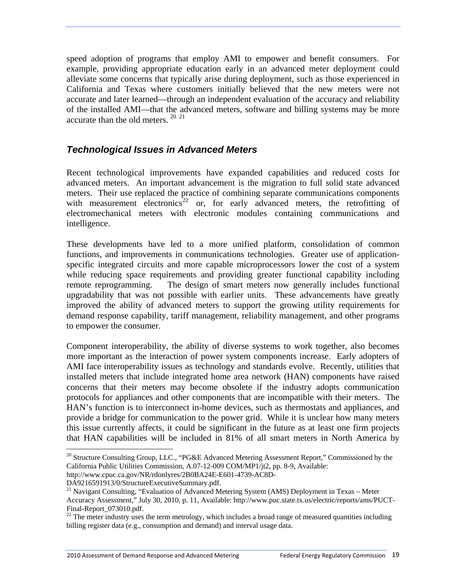speed adoption of programs that employ AMI to empower and benefit consumers. For example, providing appropriate education early in an advanced meter deployment could alleviate some concerns that typically arise during deployment, such as those experienced in California and Texas where customers initially believed that the new meters were not accurate and later learned—through an independent evaluation of the accuracy and reliability of the installed AMI—that the advanced meters, software and billing systems may be more accurate than the old meters. [20](#page-25-1) [21](#page-25-2)

## <span id="page-25-0"></span>*Technological Issues in Advanced Meters*

Recent technological improvements have expanded capabilities and reduced costs for advanced meters. An important advancement is the migration to full solid state advanced meters. Their use replaced the practice of combining separate communications components with measurement electronics<sup>[22](#page-25-3)</sup> or, for early advanced meters, the retrofitting of electromechanical meters with electronic modules containing communications and intelligence.

These developments have led to a more unified platform, consolidation of common functions, and improvements in communications technologies. Greater use of applicationspecific integrated circuits and more capable microprocessors lower the cost of a system while reducing space requirements and providing greater functional capability including remote reprogramming. The design of smart meters now generally includes functional upgradability that was not possible with earlier units. These advancements have greatly improved the ability of advanced meters to support the growing utility requirements for demand response capability, tariff management, reliability management, and other programs to empower the consumer.

Component interoperability, the ability of diverse systems to work together, also becomes more important as the interaction of power system components increase. Early adopters of AMI face interoperability issues as technology and standards evolve. Recently, utilities that installed meters that include integrated home area network (HAN) components have raised concerns that their meters may become obsolete if the industry adopts communication protocols for appliances and other components that are incompatible with their meters. The HAN's function is to interconnect in-home devices, such as thermostats and appliances, and provide a bridge for communication to the power grid. While it is unclear how many meters this issue currently affects, it could be significant in the future as at least one firm projects that HAN capabilities will be included in 81% of all smart meters in North America by

http://www.cpuc.ca.gov/NR/rdonlyres/2B0BA24E-E601-4739-AC8D-

DA9216591913/0/StructureExecutiveSummary.pdf.

<span id="page-25-1"></span><sup>&</sup>lt;sup>20</sup> Structure Consulting Group, LLC., "PG&E Advanced Metering Assessment Report," Commissioned by the California Public Utilities Commission, A.07-12-009 COM/MP1/jt2, pp. 8-9, Available:

<span id="page-25-2"></span><sup>&</sup>lt;sup>21</sup> Navigant Consulting, "Evaluation of Advanced Metering System (AMS) Deployment in Texas - Meter Accuracy Assessment," July 30, 2010, p. 11, Available: http://www.puc.state.tx.us/electric/reports/ams/PUCT-Final-Report\_073010.pdf.

<span id="page-25-3"></span><sup>&</sup>lt;sup>22</sup> The meter industry uses the term metrology, which includes a broad range of measured quantities including billing register data (e.g., consumption and demand) and interval usage data.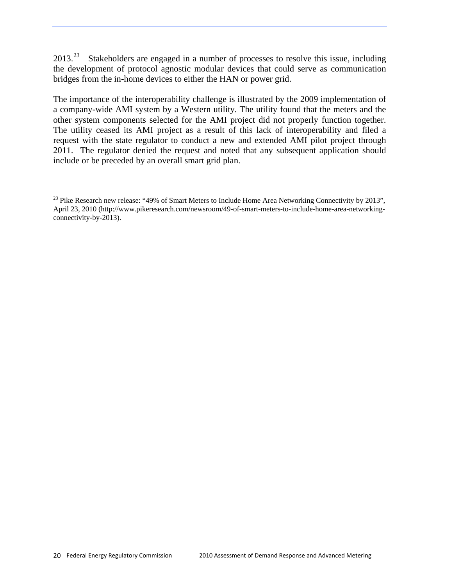2013.<sup>[23](#page-26-0)</sup> Stakeholders are engaged in a number of processes to resolve this issue, including the development of protocol agnostic modular devices that could serve as communication bridges from the in-home devices to either the HAN or power grid.

The importance of the interoperability challenge is illustrated by the 2009 implementation of a company-wide AMI system by a Western utility. The utility found that the meters and the other system components selected for the AMI project did not properly function together. The utility ceased its AMI project as a result of this lack of interoperability and filed a request with the state regulator to conduct a new and extended AMI pilot project through 2011. The regulator denied the request and noted that any subsequent application should include or be preceded by an overall smart grid plan.

<span id="page-26-0"></span> $\overline{a}$ <sup>23</sup> Pike Research new release: "49% of Smart Meters to Include Home Area Networking Connectivity by 2013", April 23, 2010 (http://www.pikeresearch.com/newsroom/49-of-smart-meters-to-include-home-area-networkingconnectivity-by-2013).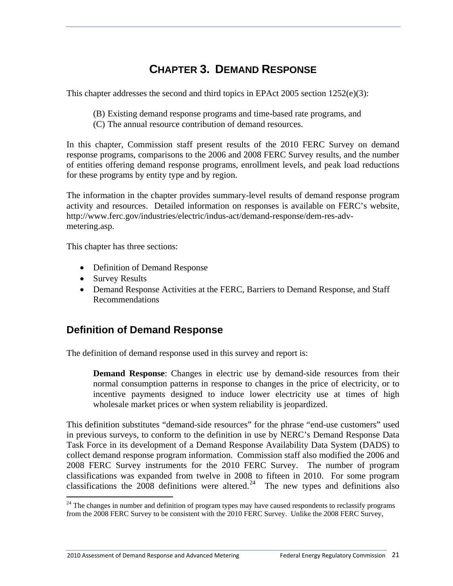# **CHAPTER 3. DEMAND RESPONSE**

<span id="page-27-0"></span>This chapter addresses the second and third topics in EPAct 2005 section 1252(e)(3):

- (B) Existing demand response programs and time-based rate programs, and
- (C) The annual resource contribution of demand resources.

In this chapter, Commission staff present results of the 2010 FERC Survey on demand response programs, comparisons to the 2006 and 2008 FERC Survey results, and the number of entities offering demand response programs, enrollment levels, and peak load reductions for these programs by entity type and by region.

The information in the chapter provides summary-level results of demand response program activity and resources. Detailed information on responses is available on FERC's website, http://www.ferc.gov/industries/electric/indus-act/demand-response/dem-res-advmetering.asp.

This chapter has three sections:

- Definition of Demand Response
- Survey Results

 $\overline{a}$ 

 Demand Response Activities at the FERC, Barriers to Demand Response, and Staff Recommendations

# <span id="page-27-1"></span>**Definition of Demand Response**

The definition of demand response used in this survey and report is:

**Demand Response**: Changes in electric use by demand-side resources from their normal consumption patterns in response to changes in the price of electricity, or to incentive payments designed to induce lower electricity use at times of high wholesale market prices or when system reliability is jeopardized.

This definition substitutes "demand-side resources" for the phrase "end-use customers" used in previous surveys, to conform to the definition in use by NERC's Demand Response Data Task Force in its development of a Demand Response Availability Data System (DADS) to collect demand response program information. Commission staff also modified the 2006 and 2008 FERC Survey instruments for the 2010 FERC Survey. The number of program classifications was expanded from twelve in 2008 to fifteen in 2010. For some program classifications the 2008 definitions were altered.<sup>[24](#page-27-2)</sup> The new types and definitions also

<span id="page-27-2"></span> $24$  The changes in number and definition of program types may have caused respondents to reclassify programs from the 2008 FERC Survey to be consistent with the 2010 FERC Survey. Unlike the 2008 FERC Survey,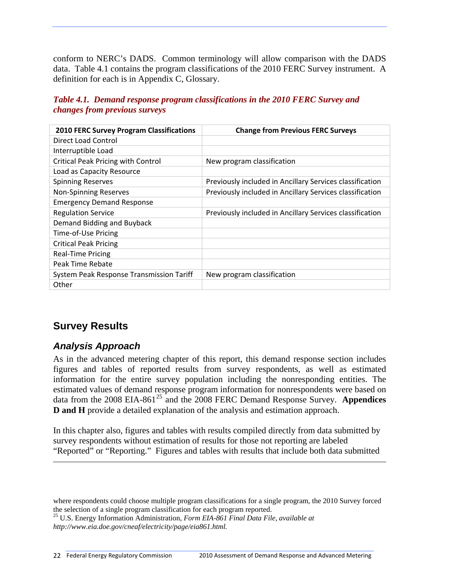conform to NERC's DADS. Common terminology will allow comparison with the DADS data. Table 4.1 contains the program classifications of the 2010 FERC Survey instrument. A definition for each is in Appendix C, Glossary.

<span id="page-28-2"></span>*Table 4.1. Demand response program classifications in the 2010 FERC Survey and changes from previous surveys* 

| <b>2010 FERC Survey Program Classifications</b> | <b>Change from Previous FERC Surveys</b>                 |
|-------------------------------------------------|----------------------------------------------------------|
| Direct Load Control                             |                                                          |
| Interruptible Load                              |                                                          |
| <b>Critical Peak Pricing with Control</b>       | New program classification                               |
| Load as Capacity Resource                       |                                                          |
| <b>Spinning Reserves</b>                        | Previously included in Ancillary Services classification |
| <b>Non-Spinning Reserves</b>                    | Previously included in Ancillary Services classification |
| <b>Emergency Demand Response</b>                |                                                          |
| <b>Regulation Service</b>                       | Previously included in Ancillary Services classification |
| Demand Bidding and Buyback                      |                                                          |
| Time-of-Use Pricing                             |                                                          |
| <b>Critical Peak Pricing</b>                    |                                                          |
| <b>Real-Time Pricing</b>                        |                                                          |
| Peak Time Rebate                                |                                                          |
| System Peak Response Transmission Tariff        | New program classification                               |
| Other                                           |                                                          |

# <span id="page-28-0"></span>**Survey Results**

 $\overline{a}$ 

# <span id="page-28-1"></span>*Analysis Approach*

As in the advanced metering chapter of this report, this demand response section includes figures and tables of reported results from survey respondents, as well as estimated information for the entire survey population including the nonresponding entities. The estimated values of demand response program information for nonrespondents were based on data from the 2008 EIA-861<sup>[25](#page-28-3)</sup> and the 2008 FERC Demand Response Survey. **Appendices D and H** provide a detailed explanation of the analysis and estimation approach.

In this chapter also, figures and tables with results compiled directly from data submitted by survey respondents without estimation of results for those not reporting are labeled "Reported" or "Reporting." Figures and tables with results that include both data submitted

where respondents could choose multiple program classifications for a single program, the 2010 Survey forced

<span id="page-28-3"></span>the selection of a single program classification for each program reported. 25 U.S. Energy Information Administration, *Form EIA-861 Final Data File, available at http://www.eia.doe.gov/cneaf/electricity/page/eia861.html.*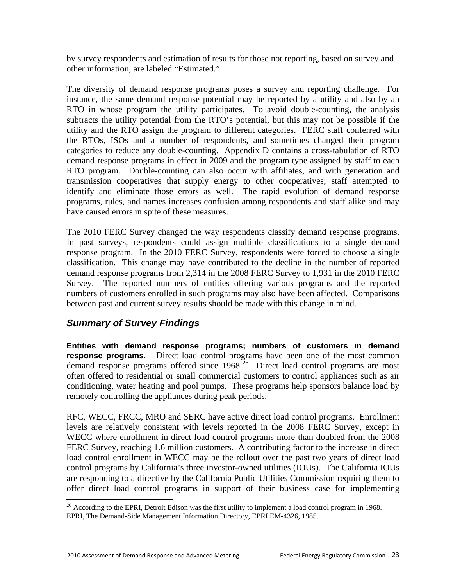by survey respondents and estimation of results for those not reporting, based on survey and other information, are labeled "Estimated."

The diversity of demand response programs poses a survey and reporting challenge. For instance, the same demand response potential may be reported by a utility and also by an RTO in whose program the utility participates. To avoid double-counting, the analysis subtracts the utility potential from the RTO's potential, but this may not be possible if the utility and the RTO assign the program to different categories. FERC staff conferred with the RTOs, ISOs and a number of respondents, and sometimes changed their program categories to reduce any double-counting. Appendix D contains a cross-tabulation of RTO demand response programs in effect in 2009 and the program type assigned by staff to each RTO program. Double-counting can also occur with affiliates, and with generation and transmission cooperatives that supply energy to other cooperatives; staff attempted to identify and eliminate those errors as well. The rapid evolution of demand response programs, rules, and names increases confusion among respondents and staff alike and may have caused errors in spite of these measures.

The 2010 FERC Survey changed the way respondents classify demand response programs. In past surveys, respondents could assign multiple classifications to a single demand response program. In the 2010 FERC Survey, respondents were forced to choose a single classification. This change may have contributed to the decline in the number of reported demand response programs from 2,314 in the 2008 FERC Survey to 1,931 in the 2010 FERC Survey. The reported numbers of entities offering various programs and the reported numbers of customers enrolled in such programs may also have been affected. Comparisons between past and current survey results should be made with this change in mind.

## <span id="page-29-0"></span>*Summary of Survey Findings*

**Entities with demand response programs; numbers of customers in demand response programs.**Direct load control programs have been one of the most common demand response programs offered since  $1968$ .<sup>[26](#page-29-1)</sup> Direct load control programs are most often offered to residential or small commercial customers to control appliances such as air conditioning, water heating and pool pumps. These programs help sponsors balance load by remotely controlling the appliances during peak periods.

RFC, WECC, FRCC, MRO and SERC have active direct load control programs. Enrollment levels are relatively consistent with levels reported in the 2008 FERC Survey, except in WECC where enrollment in direct load control programs more than doubled from the 2008 FERC Survey, reaching 1.6 million customers. A contributing factor to the increase in direct load control enrollment in WECC may be the rollout over the past two years of direct load control programs by California's three investor-owned utilities (IOUs). The California IOUs are responding to a directive by the California Public Utilities Commission requiring them to offer direct load control programs in support of their business case for implementing

<span id="page-29-1"></span> $\overline{a}$  $^{26}$  According to the EPRI, Detroit Edison was the first utility to implement a load control program in 1968. EPRI, The Demand-Side Management Information Directory, EPRI EM-4326, 1985.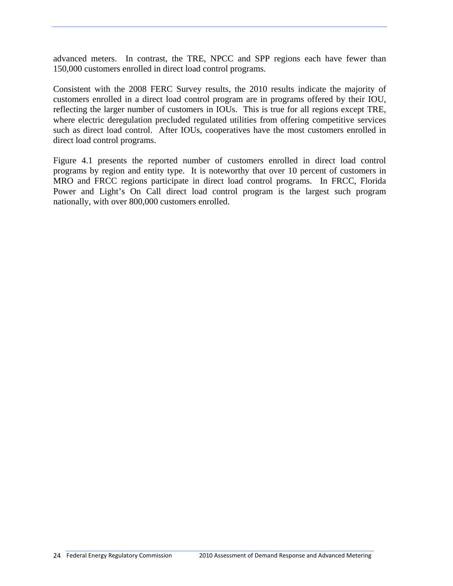advanced meters. In contrast, the TRE, NPCC and SPP regions each have fewer than 150,000 customers enrolled in direct load control programs.

Consistent with the 2008 FERC Survey results, the 2010 results indicate the majority of customers enrolled in a direct load control program are in programs offered by their IOU, reflecting the larger number of customers in IOUs. This is true for all regions except TRE, where electric deregulation precluded regulated utilities from offering competitive services such as direct load control. After IOUs, cooperatives have the most customers enrolled in direct load control programs.

Figure 4.1 presents the reported number of customers enrolled in direct load control programs by region and entity type. It is noteworthy that over 10 percent of customers in MRO and FRCC regions participate in direct load control programs. In FRCC, Florida Power and Light's On Call direct load control program is the largest such program nationally, with over 800,000 customers enrolled.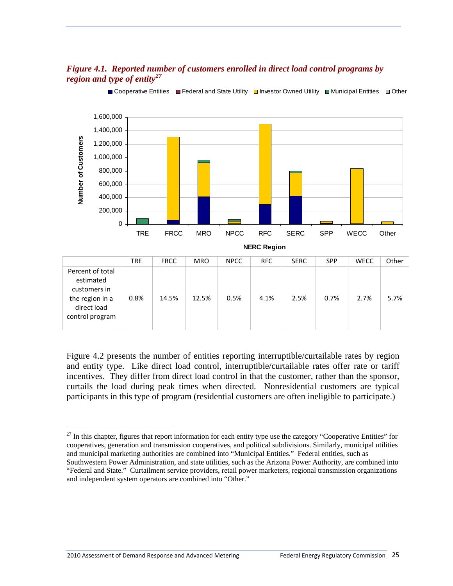#### *Figure 4.1. Reported number of customers enrolled in direct load control programs by region and type of entity[27](#page-31-1)*

<span id="page-31-0"></span>

■ Cooperative Entities ■ Federal and State Utility □ Investor Owned Utility ■ Municipal Entities ■ Other

Figure 4.2 presents the number of entities reporting interruptible/curtailable rates by region and entity type. Like direct load control, interruptible/curtailable rates offer rate or tariff incentives. They differ from direct load control in that the customer, rather than the sponsor, curtails the load during peak times when directed. Nonresidential customers are typical participants in this type of program (residential customers are often ineligible to participate.)

<span id="page-31-1"></span> $27$  In this chapter, figures that report information for each entity type use the category "Cooperative Entities" for cooperatives, generation and transmission cooperatives, and political subdivisions. Similarly, municipal utilities and municipal marketing authorities are combined into "Municipal Entities." Federal entities, such as Southwestern Power Administration, and state utilities, such as the Arizona Power Authority, are combined into "Federal and State." Curtailment service providers, retail power marketers, regional transmission organizations and independent system operators are combined into "Other."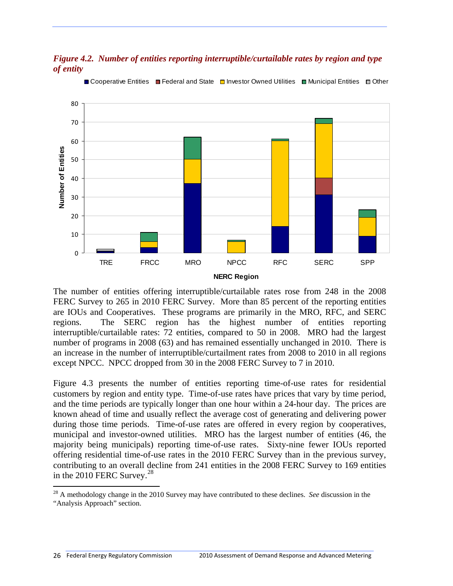#### <span id="page-32-0"></span>*Figure 4.2. Number of entities reporting interruptible/curtailable rates by region and type of entity*



■ Cooperative Entities ■ Federal and State ■ Investor Owned Utilities ■ Municipal Entities ■ Other

The number of entities offering interruptible/curtailable rates rose from 248 in the 2008 FERC Survey to 265 in 2010 FERC Survey. More than 85 percent of the reporting entities are IOUs and Cooperatives. These programs are primarily in the MRO, RFC, and SERC regions. The SERC region has the highest number of entities reporting interruptible/curtailable rates: 72 entities, compared to 50 in 2008. MRO had the largest number of programs in 2008 (63) and has remained essentially unchanged in 2010. There is an increase in the number of interruptible/curtailment rates from 2008 to 2010 in all regions except NPCC. NPCC dropped from 30 in the 2008 FERC Survey to 7 in 2010.

Figure 4.3 presents the number of entities reporting time-of-use rates for residential customers by region and entity type. Time-of-use rates have prices that vary by time period, and the time periods are typically longer than one hour within a 24-hour day. The prices are known ahead of time and usually reflect the average cost of generating and delivering power during those time periods. Time-of-use rates are offered in every region by cooperatives, municipal and investor-owned utilities. MRO has the largest number of entities (46, the majority being municipals) reporting time-of-use rates. Sixty-nine fewer IOUs reported offering residential time-of-use rates in the 2010 FERC Survey than in the previous survey, contributing to an overall decline from 241 entities in the 2008 FERC Survey to 169 entities in the  $2010$  FERC Survey.<sup>[28](#page-32-1)</sup>

<span id="page-32-1"></span><sup>28</sup> A methodology change in the 2010 Survey may have contributed to these declines. *See* discussion in the "Analysis Approach" section.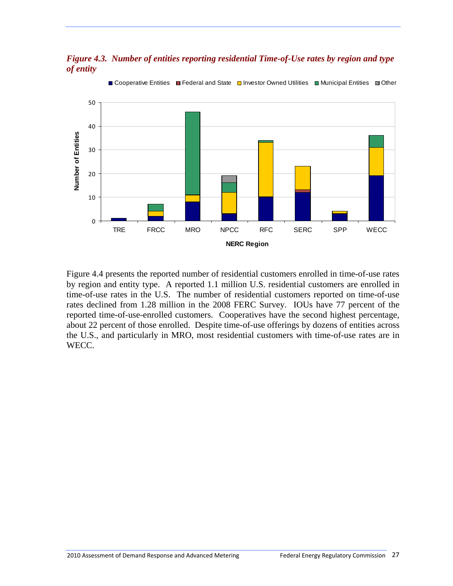<span id="page-33-0"></span>

*Figure 4.3. Number of entities reporting residential Time-of-Use rates by region and type of entity* 

Figure 4.4 presents the reported number of residential customers enrolled in time-of-use rates by region and entity type. A reported 1.1 million U.S. residential customers are enrolled in time-of-use rates in the U.S. The number of residential customers reported on time-of-use rates declined from 1.28 million in the 2008 FERC Survey. IOUs have 77 percent of the reported time-of-use-enrolled customers. Cooperatives have the second highest percentage, about 22 percent of those enrolled. Despite time-of-use offerings by dozens of entities across the U.S., and particularly in MRO, most residential customers with time-of-use rates are in WECC.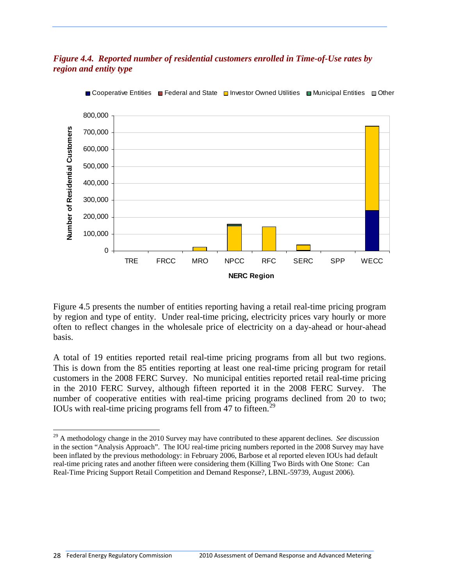#### <span id="page-34-0"></span>*Figure 4.4. Reported number of residential customers enrolled in Time-of-Use rates by region and entity type*



Gooperative Entities Federal and State  $\Box$  Investor Owned Utilities  $\Box$  Municipal Entities  $\Box$  Other

Figure 4.5 presents the number of entities reporting having a retail real-time pricing program by region and type of entity. Under real-time pricing, electricity prices vary hourly or more often to reflect changes in the wholesale price of electricity on a day-ahead or hour-ahead basis.

A total of 19 entities reported retail real-time pricing programs from all but two regions. This is down from the 85 entities reporting at least one real-time pricing program for retail customers in the 2008 FERC Survey. No municipal entities reported retail real-time pricing in the 2010 FERC Survey, although fifteen reported it in the 2008 FERC Survey. The number of cooperative entities with real-time pricing programs declined from 20 to two; IOUs with real-time pricing programs fell from 47 to fifteen.<sup>[29](#page-34-1)</sup>

<span id="page-34-1"></span><sup>&</sup>lt;sup>29</sup> A methodology change in the 2010 Survey may have contributed to these apparent declines. *See* discussion in the section "Analysis Approach". The IOU real-time pricing numbers reported in the 2008 Survey may have been inflated by the previous methodology: in February 2006, Barbose et al reported eleven IOUs had default real-time pricing rates and another fifteen were considering them (Killing Two Birds with One Stone: Can Real-Time Pricing Support Retail Competition and Demand Response?, LBNL-59739, August 2006).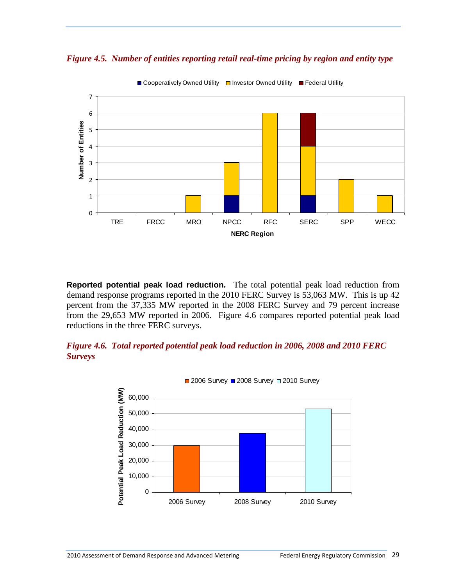*Figure 4.5. Number of entities reporting retail real-time pricing by region and entity type* 

<span id="page-35-0"></span>

**Reported potential peak load reduction.**The total potential peak load reduction from demand response programs reported in the 2010 FERC Survey is 53,063 MW. This is up 42 percent from the 37,335 MW reported in the 2008 FERC Survey and 79 percent increase from the 29,653 MW reported in 2006. Figure 4.6 compares reported potential peak load reductions in the three FERC surveys.

#### <span id="page-35-1"></span>*Figure 4.6. Total reported potential peak load reduction in 2006, 2008 and 2010 FERC Surveys*

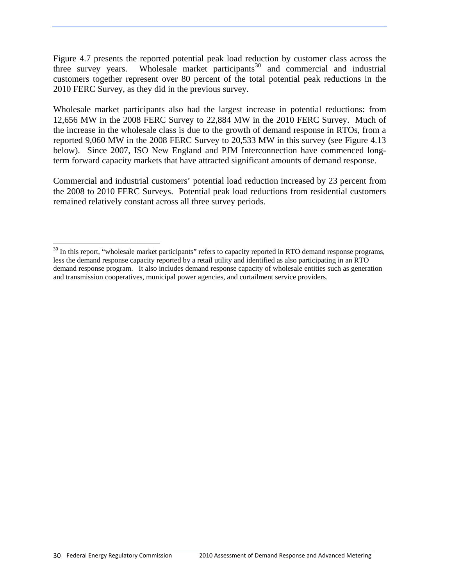Figure 4.7 presents the reported potential peak load reduction by customer class across the three survey years. Wholesale market participants<sup>[30](#page-36-0)</sup> and commercial and industrial customers together represent over 80 percent of the total potential peak reductions in the 2010 FERC Survey, as they did in the previous survey.

Wholesale market participants also had the largest increase in potential reductions: from 12,656 MW in the 2008 FERC Survey to 22,884 MW in the 2010 FERC Survey. Much of the increase in the wholesale class is due to the growth of demand response in RTOs, from a reported 9,060 MW in the 2008 FERC Survey to 20,533 MW in this survey (see Figure 4.13 below). Since 2007, ISO New England and PJM Interconnection have commenced longterm forward capacity markets that have attracted significant amounts of demand response.

Commercial and industrial customers' potential load reduction increased by 23 percent from the 2008 to 2010 FERC Surveys. Potential peak load reductions from residential customers remained relatively constant across all three survey periods.

<span id="page-36-0"></span> $\overline{a}$ <sup>30</sup> In this report, "wholesale market participants" refers to capacity reported in RTO demand response programs, less the demand response capacity reported by a retail utility and identified as also participating in an RTO demand response program. It also includes demand response capacity of wholesale entities such as generation and transmission cooperatives, municipal power agencies, and curtailment service providers.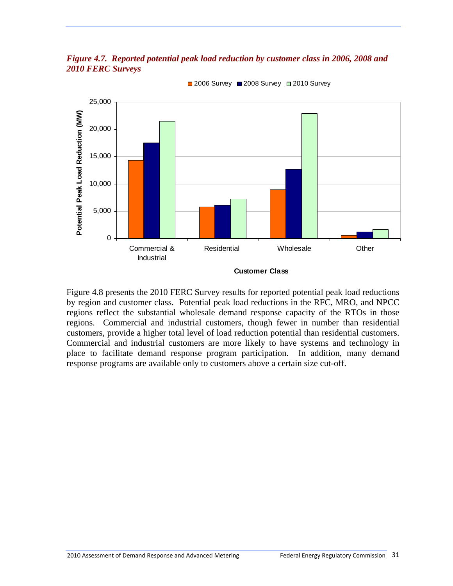



■ 2006 Survey ■ 2008 Survey ■ 2010 Survey

Figure 4.8 presents the 2010 FERC Survey results for reported potential peak load reductions by region and customer class. Potential peak load reductions in the RFC, MRO, and NPCC regions reflect the substantial wholesale demand response capacity of the RTOs in those regions. Commercial and industrial customers, though fewer in number than residential customers, provide a higher total level of load reduction potential than residential customers. Commercial and industrial customers are more likely to have systems and technology in place to facilitate demand response program participation. In addition, many demand response programs are available only to customers above a certain size cut-off.

**Customer Class**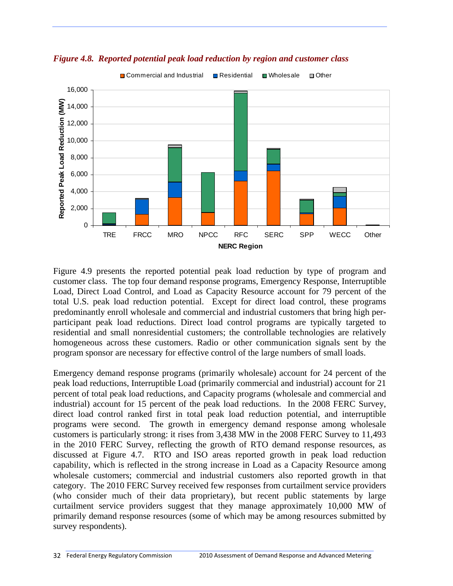

*Figure 4.8. Reported potential peak load reduction by region and customer class* 

Figure 4.9 presents the reported potential peak load reduction by type of program and customer class. The top four demand response programs, Emergency Response, Interruptible Load, Direct Load Control, and Load as Capacity Resource account for 79 percent of the total U.S. peak load reduction potential. Except for direct load control, these programs predominantly enroll wholesale and commercial and industrial customers that bring high perparticipant peak load reductions. Direct load control programs are typically targeted to residential and small nonresidential customers; the controllable technologies are relatively homogeneous across these customers. Radio or other communication signals sent by the program sponsor are necessary for effective control of the large numbers of small loads.

Emergency demand response programs (primarily wholesale) account for 24 percent of the peak load reductions, Interruptible Load (primarily commercial and industrial) account for 21 percent of total peak load reductions, and Capacity programs (wholesale and commercial and industrial) account for 15 percent of the peak load reductions. In the 2008 FERC Survey, direct load control ranked first in total peak load reduction potential, and interruptible programs were second. The growth in emergency demand response among wholesale customers is particularly strong: it rises from 3,438 MW in the 2008 FERC Survey to 11,493 in the 2010 FERC Survey, reflecting the growth of RTO demand response resources, as discussed at Figure 4.7. RTO and ISO areas reported growth in peak load reduction capability, which is reflected in the strong increase in Load as a Capacity Resource among wholesale customers; commercial and industrial customers also reported growth in that category. The 2010 FERC Survey received few responses from curtailment service providers (who consider much of their data proprietary), but recent public statements by large curtailment service providers suggest that they manage approximately 10,000 MW of primarily demand response resources (some of which may be among resources submitted by survey respondents).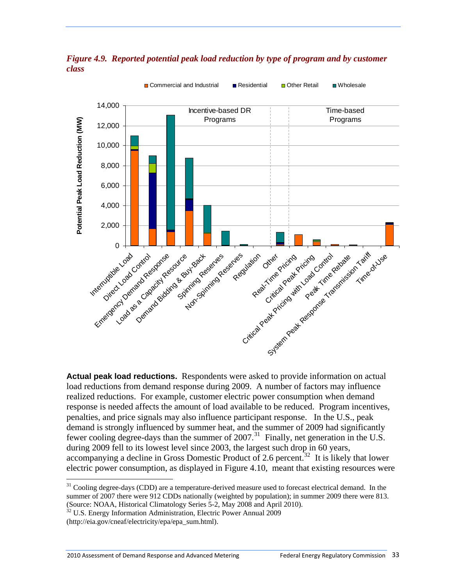

*Figure 4.9. Reported potential peak load reduction by type of program and by customer class* 

**Actual peak load reductions.**Respondents were asked to provide information on actual load reductions from demand response during 2009. A number of factors may influence realized reductions. For example, customer electric power consumption when demand response is needed affects the amount of load available to be reduced. Program incentives, penalties, and price signals may also influence participant response. In the U.S., peak demand is strongly influenced by summer heat, and the summer of 2009 had significantly fewer cooling degree-days than the summer of  $2007$ .<sup>[31](#page-39-0)</sup> Finally, net generation in the U.S. during 2009 fell to its lowest level since 2003, the largest such drop in 60 years, accompanying a decline in Gross Domestic Product of 2.6 percent.<sup>[32](#page-39-1)</sup> It is likely that lower electric power consumption, as displayed in Figure 4.10, meant that existing resources were

<span id="page-39-0"></span><sup>&</sup>lt;sup>31</sup> Cooling degree-days (CDD) are a temperature-derived measure used to forecast electrical demand. In the summer of 2007 there were 912 CDDs nationally (weighted by population); in summer 2009 there were 813. (Source: NOAA, Historical Climatology Series 5-2, May 2008 and April 2010).

<sup>32</sup> U.S. Energy Information Administration, Electric Power Annual 2009

<span id="page-39-1"></span><sup>(</sup>http://eia.gov/cneaf/electricity/epa/epa\_sum.html).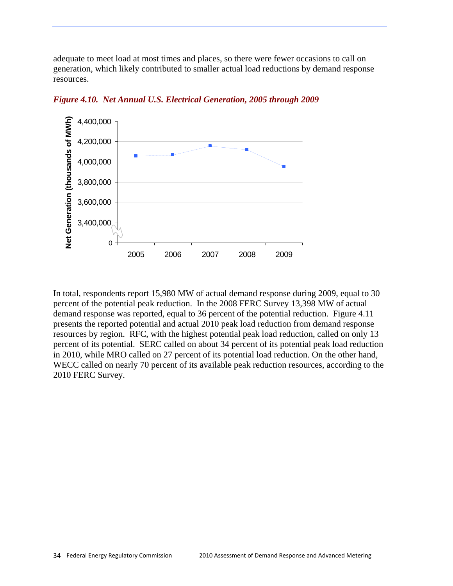adequate to meet load at most times and places, so there were fewer occasions to call on generation, which likely contributed to smaller actual load reductions by demand response resources.



*Figure 4.10. Net Annual U.S. Electrical Generation, 2005 through 2009* 

In total, respondents report 15,980 MW of actual demand response during 2009, equal to 30 percent of the potential peak reduction. In the 2008 FERC Survey 13,398 MW of actual demand response was reported, equal to 36 percent of the potential reduction. Figure 4.11 presents the reported potential and actual 2010 peak load reduction from demand response resources by region. RFC, with the highest potential peak load reduction, called on only 13 percent of its potential. SERC called on about 34 percent of its potential peak load reduction in 2010, while MRO called on 27 percent of its potential load reduction. On the other hand, WECC called on nearly 70 percent of its available peak reduction resources, according to the 2010 FERC Survey.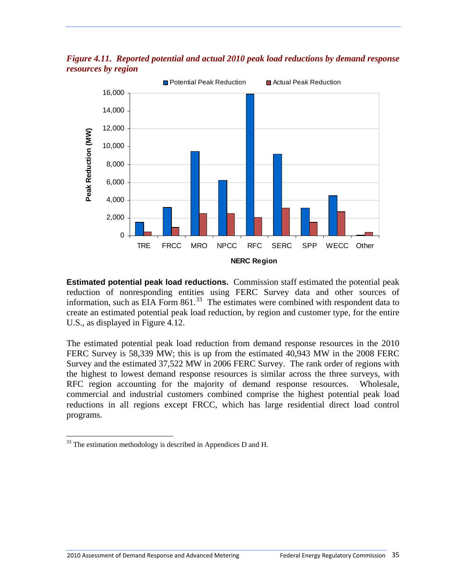*Figure 4.11. Reported potential and actual 2010 peak load reductions by demand response resources by region*



**Estimated potential peak load reductions.** Commission staff estimated the potential peak reduction of nonresponding entities using FERC Survey data and other sources of information, such as EIA Form  $861$ .<sup>[33](#page-41-0)</sup> The estimates were combined with respondent data to create an estimated potential peak load reduction, by region and customer type, for the entire U.S., as displayed in Figure 4.12.

The estimated potential peak load reduction from demand response resources in the 2010 FERC Survey is 58,339 MW; this is up from the estimated 40,943 MW in the 2008 FERC Survey and the estimated 37,522 MW in 2006 FERC Survey. The rank order of regions with the highest to lowest demand response resources is similar across the three surveys, with RFC region accounting for the majority of demand response resources. Wholesale, commercial and industrial customers combined comprise the highest potential peak load reductions in all regions except FRCC, which has large residential direct load control programs.

<span id="page-41-0"></span> $33$  The estimation methodology is described in Appendices D and H.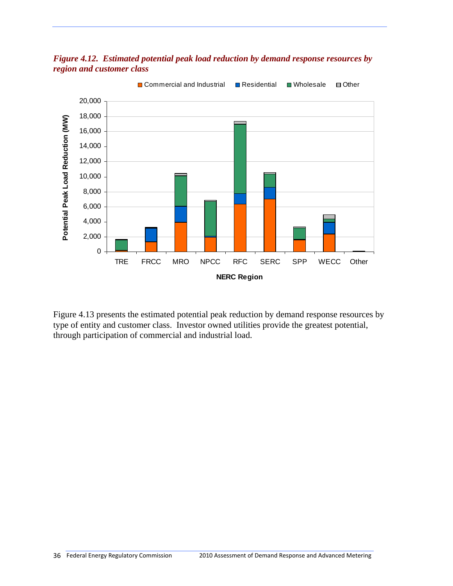

*Figure 4.12. Estimated potential peak load reduction by demand response resources by region and customer class* 

Figure 4.13 presents the estimated potential peak reduction by demand response resources by type of entity and customer class. Investor owned utilities provide the greatest potential, through participation of commercial and industrial load.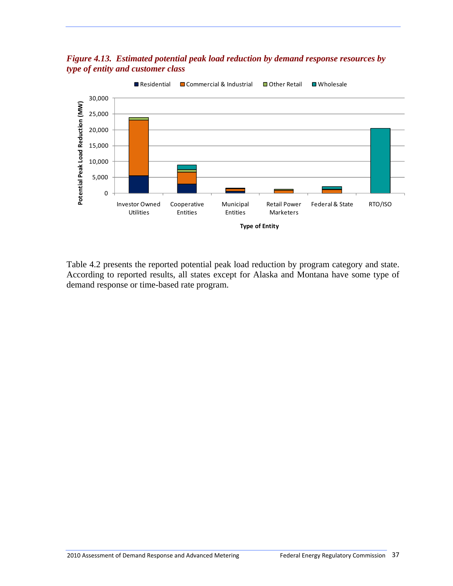## *Figure 4.13. Estimated potential peak load reduction by demand response resources by type of entity and customer class*



Table 4.2 presents the reported potential peak load reduction by program category and state. According to reported results, all states except for Alaska and Montana have some type of demand response or time-based rate program.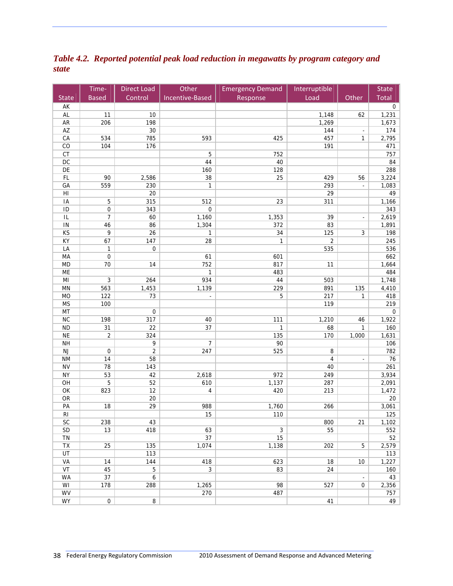*Table 4.2. Reported potential peak load reduction in megawatts by program category and state*

|                        | Time-                              | <b>Direct Load</b> | Other           | <b>Emergency Demand</b> | Interruptible  |                | <b>State</b> |
|------------------------|------------------------------------|--------------------|-----------------|-------------------------|----------------|----------------|--------------|
| <b>State</b>           | <b>Based</b>                       | Control            | Incentive-Based | Response                | Load           | Other          | Total        |
| AK                     |                                    |                    |                 |                         |                |                | $\mathbf 0$  |
| AL                     | 11                                 | 10                 |                 |                         | 1,148          | 62             | 1,231        |
| ${\sf AR}$             | 206                                | 198                |                 |                         | 1,269          |                | 1,673        |
| $\mathsf{A}\mathsf{Z}$ |                                    | 30                 |                 |                         | 144            | $\blacksquare$ | 174          |
| CA                     | 534                                | 785                | 593             | 425                     | 457            | 1              | 2,795        |
| CO                     | 104                                | 176                |                 |                         | 191            |                | 471          |
| CT                     |                                    |                    | 5               | 752                     |                |                | 757          |
| $DC$                   |                                    |                    | 44              | 40                      |                |                | 84           |
| DE                     |                                    |                    | 160             | 128                     |                |                | 288          |
| FL                     | 90                                 | 2,586              | 38              | 25                      | 429            | 56             | 3,224        |
| GA                     | 559                                | 230                | 1               |                         | 293            | ÷,             | 1,083        |
| H1                     |                                    | 20                 |                 |                         | 29             |                | 49           |
| IA                     | 5                                  | 315                | 512             | 23                      | 311            |                | 1,166        |
| ID                     | $\boldsymbol{0}$<br>$\overline{7}$ | 343                | $\pmb{0}$       |                         |                |                | 343          |
| $\sf IL$               |                                    | 60                 | 1,160           | 1,353                   | 39<br>83       |                | 2,619        |
| $\sf IN$<br>KS         | 46<br>9                            | 86<br>26           | 1,304<br>1      | 372<br>34               | 125            | 3              | 1,891<br>198 |
| KY                     | 67                                 | 147                | 28              | $\mathbf{1}$            | $\overline{2}$ |                | 245          |
| LA                     | 1                                  | $\boldsymbol{0}$   |                 |                         | 535            |                | 536          |
| MA                     | $\boldsymbol{0}$                   |                    | 61              | 601                     |                |                | 662          |
| <b>MD</b>              | 70                                 | 14                 | 752             | 817                     | 11             |                | 1,664        |
| ME                     |                                    |                    | $\mathbf{1}$    | 483                     |                |                | 484          |
| MI                     | $\mathbf{3}$                       | 264                | 934             | 44                      | 503            |                | 1,748        |
| MN                     | 563                                | 1,453              | 1,139           | 229                     | 891            | 135            | 4,410        |
| <b>MO</b>              | 122                                | 73                 | ÷,              | 5                       | 217            | 1              | 418          |
| <b>MS</b>              | 100                                |                    |                 |                         | 119            |                | 219          |
| MT                     |                                    | $\boldsymbol{0}$   |                 |                         |                |                | $\mathbf 0$  |
| NC                     | 198                                | 317                | 40              | 111                     | 1,210          | 46             | 1,922        |
| <b>ND</b>              | 31                                 | 22                 | 37              | $\mathbf{1}$            | 68             | $\mathbf{1}$   | 160          |
| <b>NE</b>              | $\sqrt{2}$                         | 324                |                 | 135                     | 170            | 1,000          | 1,631        |
| <b>NH</b>              |                                    | 9                  | 7               | 90                      |                |                | 106          |
| $\mathsf{NJ}$          | 0                                  | 2                  | 247             | 525                     | 8              |                | 782          |
| <b>NM</b>              | 14                                 | 58                 |                 |                         | 4              | ä,             | 76           |
| <b>NV</b>              | 78                                 | 143                |                 |                         | 40             |                | 261          |
| <b>NY</b>              | 53                                 | 42                 | 2,618           | 972                     | 249            |                | 3,934        |
| OH                     | 5                                  | 52                 | 610             | 1,137                   | 287            |                | 2,091        |
| OK                     | 823                                | 12                 | 4               | 420                     | 213            |                | 1,472        |
| ${\sf OR}$             |                                    | 20                 |                 |                         |                |                | 20           |
| PA                     | 18                                 | 29                 | 988             | 1,760                   | 266            |                | 3,061        |
| R <sub>l</sub>         |                                    |                    | 15              | 110                     |                |                | 125          |
| <b>SC</b>              | 238                                | 43                 |                 |                         | 800            | 21             | 1,102        |
| SD                     | 13                                 | 418                | 63              | $\mathbf{3}$            | 55             |                | 552          |
| TN                     |                                    |                    | 37              | 15                      |                |                | 52           |
| TX                     | 25                                 | 135                | 1,074           | 1,138                   | 202            | 5              | 2,579        |
| UT                     |                                    | 113                |                 |                         |                |                | 113          |
| VA                     | 14                                 | 144                | 418             | 623                     | 18             | 10             | 1,227        |
| VT                     | 45                                 | $\overline{5}$     | $\overline{3}$  | 83                      | 24             |                | 160          |
| <b>WA</b>              | 37                                 | $\boldsymbol{6}$   |                 |                         |                | $\blacksquare$ | 43           |
| WI                     | 178                                | 288                | 1,265           | 98                      | 527            | 0              | 2,356        |
| WV                     |                                    |                    | 270             | 487                     |                |                | 757          |
| <b>WY</b>              | 0                                  | 8                  |                 |                         | 41             |                | 49           |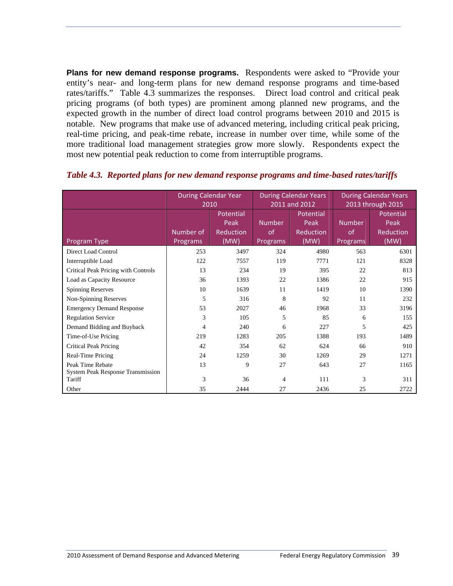**Plans for new demand response programs.** Respondents were asked to "Provide your entity's near- and long-term plans for new demand response programs and time-based rates/tariffs." Table 4.3 summarizes the responses. Direct load control and critical peak pricing programs (of both types) are prominent among planned new programs, and the expected growth in the number of direct load control programs between 2010 and 2015 is notable. New programs that make use of advanced metering, including critical peak pricing, real-time pricing, and peak-time rebate, increase in number over time, while some of the more traditional load management strategies grow more slowly. Respondents expect the most new potential peak reduction to come from interruptible programs.

|                                                              | <b>During Calendar Year</b><br>2010 |                                        | <b>During Calendar Years</b><br>2011 and 2012 |                                        | <b>During Calendar Years</b><br>2013 through 2015 |                                        |
|--------------------------------------------------------------|-------------------------------------|----------------------------------------|-----------------------------------------------|----------------------------------------|---------------------------------------------------|----------------------------------------|
| Program Type                                                 | Number of<br>Programs               | Potential<br>Peak<br>Reduction<br>(MW) | <b>Number</b><br><sub>of</sub><br>Programs    | Potential<br>Peak<br>Reduction<br>(MW) | <b>Number</b><br>of<br>Programs                   | Potential<br>Peak<br>Reduction<br>(MW) |
| <b>Direct Load Control</b>                                   | 253                                 | 3497                                   | 324                                           | 4980                                   | 563                                               | 6301                                   |
| Interruptible Load                                           | 122                                 | 7557                                   | 119                                           | 7771                                   | 121                                               | 8328                                   |
| Critical Peak Pricing with Controls                          | 13                                  | 234                                    | 19                                            | 395                                    | 22                                                | 813                                    |
| Load as Capacity Resource                                    | 36                                  | 1393                                   | 22                                            | 1386                                   | 22                                                | 915                                    |
| <b>Spinning Reserves</b>                                     | 10                                  | 1639                                   | 11                                            | 1419                                   | 10                                                | 1390                                   |
| Non-Spinning Reserves                                        | 5                                   | 316                                    | 8                                             | 92                                     | 11                                                | 232                                    |
| <b>Emergency Demand Response</b>                             | 53                                  | 2027                                   | 46                                            | 1968                                   | 33                                                | 3196                                   |
| <b>Regulation Service</b>                                    | 3                                   | 105                                    | 5                                             | 85                                     | 6                                                 | 155                                    |
| Demand Bidding and Buyback                                   | 4                                   | 240                                    | 6                                             | 227                                    | 5                                                 | 425                                    |
| Time-of-Use Pricing                                          | 219                                 | 1283                                   | 205                                           | 1388                                   | 193                                               | 1489                                   |
| Critical Peak Pricing                                        | 42                                  | 354                                    | 62                                            | 624                                    | 66                                                | 910                                    |
| Real-Time Pricing                                            | 24                                  | 1259                                   | 30                                            | 1269                                   | 29                                                | 1271                                   |
| Peak Time Rebate<br><b>System Peak Response Transmission</b> | 13                                  | 9                                      | 27                                            | 643                                    | 27                                                | 1165                                   |
| Tariff                                                       | 3                                   | 36                                     | 4                                             | 111                                    | 3                                                 | 311                                    |
| Other                                                        | 35                                  | 2444                                   | 27                                            | 2436                                   | 25                                                | 2722                                   |

#### *Table 4.3. Reported plans for new demand response programs and time-based rates/tariffs*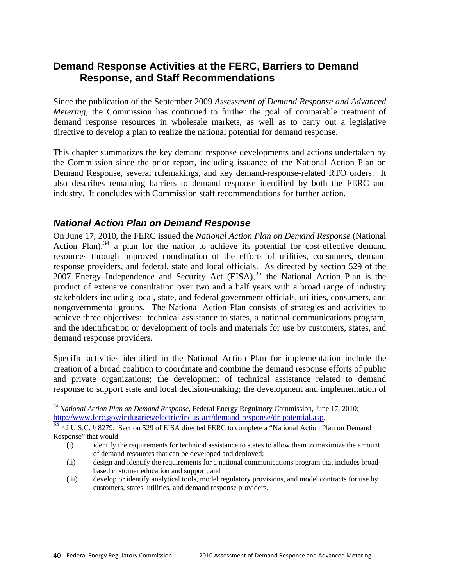# **Demand Response Activities at the FERC, Barriers to Demand Response, and Staff Recommendations**

Since the publication of the September 2009 *Assessment of Demand Response and Advanced Metering*, the Commission has continued to further the goal of comparable treatment of demand response resources in wholesale markets, as well as to carry out a legislative directive to develop a plan to realize the national potential for demand response.

This chapter summarizes the key demand response developments and actions undertaken by the Commission since the prior report, including issuance of the National Action Plan on Demand Response, several rulemakings, and key demand-response-related RTO orders. It also describes remaining barriers to demand response identified by both the FERC and industry. It concludes with Commission staff recommendations for further action.

# *National Action Plan on Demand Response*

On June 17, 2010, the FERC issued the *National Action Plan on Demand Response* (National Action Plan),  $34$  a plan for the nation to achieve its potential for cost-effective demand resources through improved coordination of the efforts of utilities, consumers, demand response providers, and federal, state and local officials. As directed by section 529 of the 2007 Energy Independence and Security Act  $(EISA)$ ,  $35$  the National Action Plan is the product of extensive consultation over two and a half years with a broad range of industry stakeholders including local, state, and federal government officials, utilities, consumers, and nongovernmental groups. The National Action Plan consists of strategies and activities to achieve three objectives: technical assistance to states, a national communications program, and the identification or development of tools and materials for use by customers, states, and demand response providers.

Specific activities identified in the National Action Plan for implementation include the creation of a broad coalition to coordinate and combine the demand response efforts of public and private organizations; the development of technical assistance related to demand response to support state and local decision-making; the development and implementation of

<span id="page-46-0"></span><sup>34</sup> *National Action Plan on Demand Response*, Federal Energy Regulatory Commission, June 17, 2010; [http://www.ferc.gov/industries/electric/indus-act/demand-response/dr-potential.asp.](http://www.ferc.gov/industries/electric/indus-act/demand-response/dr-potential.asp)<br><sup>[35](http://www.ferc.gov/industries/electric/indus-act/demand-response/dr-potential.asp)</sup> 42 U.S.C. § 8279. Section 529 of EISA directed FERC to complete a "National Action Plan on Demand

<span id="page-46-1"></span>Response" that would:

<sup>(</sup>i) identify the requirements for technical assistance to states to allow them to maximize the amount of demand resources that can be developed and deployed;

<sup>(</sup>ii) design and identify the requirements for a national communications program that includes broadbased customer education and support; and

<sup>(</sup>iii) develop or identify analytical tools, model regulatory provisions, and model contracts for use by customers, states, utilities, and demand response providers.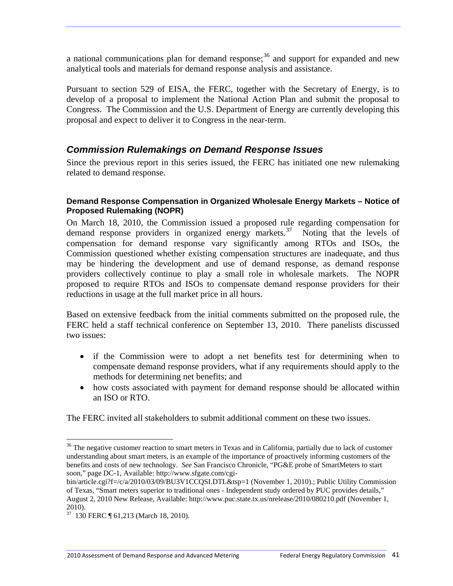a national communications plan for demand response; $36$  and support for expanded and new analytical tools and materials for demand response analysis and assistance.

Pursuant to section 529 of EISA, the FERC, together with the Secretary of Energy, is to develop of a proposal to implement the National Action Plan and submit the proposal to Congress. The Commission and the U.S. Department of Energy are currently developing this proposal and expect to deliver it to Congress in the near-term.

# *Commission Rulemakings on Demand Response Issues*

Since the previous report in this series issued, the FERC has initiated one new rulemaking related to demand response.

### **Demand Response Compensation in Organized Wholesale Energy Markets – Notice of Proposed Rulemaking (NOPR)**

On March 18, 2010, the Commission issued a proposed rule regarding compensation for demand response providers in organized energy markets.<sup>[37](#page-47-1)</sup> Noting that the levels of compensation for demand response vary significantly among RTOs and ISOs, the Commission questioned whether existing compensation structures are inadequate, and thus may be hindering the development and use of demand response, as demand response providers collectively continue to play a small role in wholesale markets. The NOPR proposed to require RTOs and ISOs to compensate demand response providers for their reductions in usage at the full market price in all hours.

Based on extensive feedback from the initial comments submitted on the proposed rule, the FERC held a staff technical conference on September 13, 2010. There panelists discussed two issues:

- if the Commission were to adopt a net benefits test for determining when to compensate demand response providers, what if any requirements should apply to the methods for determining net benefits; and
- how costs associated with payment for demand response should be allocated within an ISO or RTO.

The FERC invited all stakeholders to submit additional comment on these two issues.

<span id="page-47-0"></span><sup>&</sup>lt;sup>36</sup> The negative customer reaction to smart meters in Texas and in California, partially due to lack of customer understanding about smart meters, is an example of the importance of proactively informing customers of the benefits and costs of new technology. *See* San Francisco Chronicle, "PG&E probe of SmartMeters to start soon," page DC-1, Available: http://www.sfgate.com/cgi-

bin/article.cgi?f=/c/a/2010/03/09/BU3V1CCQSI.DTL&tsp=1 (November 1, 2010).; Public Utility Commission of Texas, "Smart meters superior to traditional ones - Independent study ordered by PUC provides details," August 2, 2010 New Release, Available: http://www.puc.state.tx.us/nrelease/2010/080210.pdf (November 1, 2010).

<span id="page-47-1"></span> $\frac{37}{37}$  130 FERC ¶ 61,213 (March 18, 2010).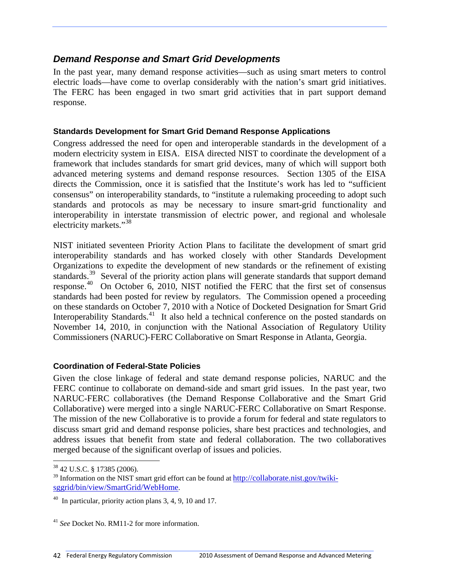# *Demand Response and Smart Grid Developments*

In the past year, many demand response activities—such as using smart meters to control electric loads—have come to overlap considerably with the nation's smart grid initiatives. The FERC has been engaged in two smart grid activities that in part support demand response.

## **Standards Development for Smart Grid Demand Response Applications**

Congress addressed the need for open and interoperable standards in the development of a modern electricity system in EISA. EISA directed NIST to coordinate the development of a framework that includes standards for smart grid devices, many of which will support both advanced metering systems and demand response resources. Section 1305 of the EISA directs the Commission, once it is satisfied that the Institute's work has led to "sufficient consensus" on interoperability standards, to "institute a rulemaking proceeding to adopt such standards and protocols as may be necessary to insure smart-grid functionality and interoperability in interstate transmission of electric power, and regional and wholesale electricity markets."[38](#page-48-0)

NIST initiated seventeen Priority Action Plans to facilitate the development of smart grid interoperability standards and has worked closely with other Standards Development Organizations to expedite the development of new standards or the refinement of existing standards.<sup>[39](#page-48-1)</sup> Several of the priority action plans will generate standards that support demand response.<sup>[40](#page-48-2)</sup> On October 6, 2010, NIST notified the FERC that the first set of consensus standards had been posted for review by regulators. The Commission opened a proceeding on these standards on October 7, 2010 with a Notice of Docketed Designation for Smart Grid Interoperability Standards.<sup>[41](#page-48-3)</sup> It also held a technical conference on the posted standards on November 14, 2010, in conjunction with the National Association of Regulatory Utility Commissioners (NARUC)-FERC Collaborative on Smart Response in Atlanta, Georgia.

## **Coordination of Federal-State Policies**

Given the close linkage of federal and state demand response policies, NARUC and the FERC continue to collaborate on demand-side and smart grid issues. In the past year, two NARUC-FERC collaboratives (the Demand Response Collaborative and the Smart Grid Collaborative) were merged into a single NARUC-FERC Collaborative on Smart Response. The mission of the new Collaborative is to provide a forum for federal and state regulators to discuss smart grid and demand response policies, share best practices and technologies, and address issues that benefit from state and federal collaboration. The two collaboratives merged because of the significant overlap of issues and policies.

<sup>38 42</sup> U.S.C. § 17385 (2006).

<span id="page-48-1"></span><span id="page-48-0"></span> $39$  Information on the NIST smart grid effort can be found at  $\frac{http://collaborate.nist.gov/twiki-1}{http://collaborate.nist.gov/twiki-1}$ [sggrid/bin/view/SmartGrid/WebHome](http://collaborate.nist.gov/twiki-sggrid/bin/view/SmartGrid/WebHome).

<span id="page-48-2"></span> $40$  In particular, priority action plans 3, 4, 9, 10 and 17.

<span id="page-48-3"></span><sup>41</sup> *See* Docket No. RM11-2 for more information.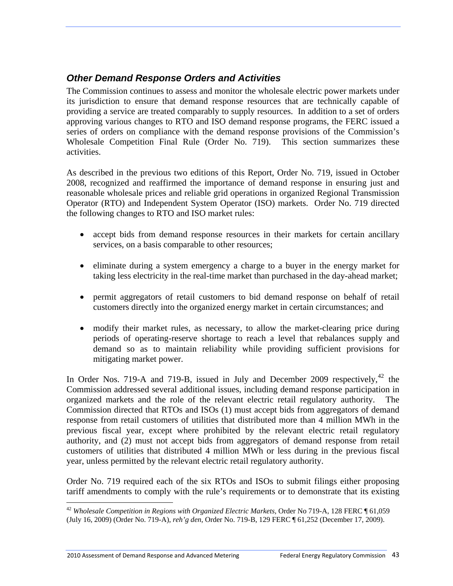# *Other Demand Response Orders and Activities*

The Commission continues to assess and monitor the wholesale electric power markets under its jurisdiction to ensure that demand response resources that are technically capable of providing a service are treated comparably to supply resources. In addition to a set of orders approving various changes to RTO and ISO demand response programs, the FERC issued a series of orders on compliance with the demand response provisions of the Commission's Wholesale Competition Final Rule (Order No. 719). This section summarizes these activities.

As described in the previous two editions of this Report, Order No. 719, issued in October 2008, recognized and reaffirmed the importance of demand response in ensuring just and reasonable wholesale prices and reliable grid operations in organized Regional Transmission Operator (RTO) and Independent System Operator (ISO) markets. Order No. 719 directed the following changes to RTO and ISO market rules:

- accept bids from demand response resources in their markets for certain ancillary services, on a basis comparable to other resources;
- eliminate during a system emergency a charge to a buyer in the energy market for taking less electricity in the real-time market than purchased in the day-ahead market;
- permit aggregators of retail customers to bid demand response on behalf of retail customers directly into the organized energy market in certain circumstances; and
- modify their market rules, as necessary, to allow the market-clearing price during periods of operating-reserve shortage to reach a level that rebalances supply and demand so as to maintain reliability while providing sufficient provisions for mitigating market power.

In Order Nos. 719-A and 719-B, issued in July and December 2009 respectively,  $42$  the Commission addressed several additional issues, including demand response participation in organized markets and the role of the relevant electric retail regulatory authority. The Commission directed that RTOs and ISOs (1) must accept bids from aggregators of demand response from retail customers of utilities that distributed more than 4 million MWh in the previous fiscal year, except where prohibited by the relevant electric retail regulatory authority, and (2) must not accept bids from aggregators of demand response from retail customers of utilities that distributed 4 million MWh or less during in the previous fiscal year, unless permitted by the relevant electric retail regulatory authority.

Order No. 719 required each of the six RTOs and ISOs to submit filings either proposing tariff amendments to comply with the rule's requirements or to demonstrate that its existing

1

<span id="page-49-0"></span><sup>42</sup> *Wholesale Competition in Regions with Organized Electric Markets,* Order No 719-A, 128 FERC ¶ 61,059 (July 16, 2009) (Order No. 719-A), *reh'g den*, Order No. 719-B, 129 FERC ¶ 61,252 (December 17, 2009).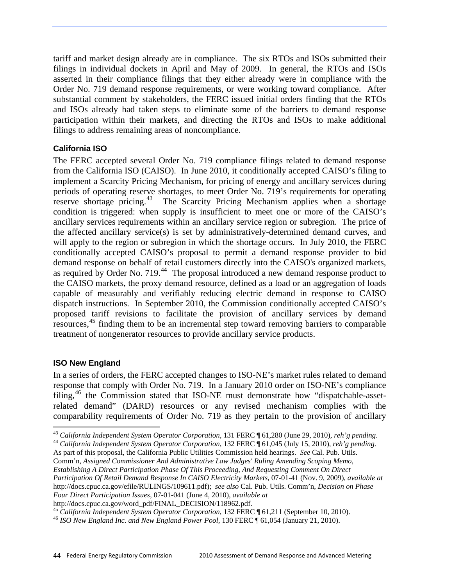tariff and market design already are in compliance. The six RTOs and ISOs submitted their filings in individual dockets in April and May of 2009. In general, the RTOs and ISOs asserted in their compliance filings that they either already were in compliance with the Order No. 719 demand response requirements, or were working toward compliance. After substantial comment by stakeholders, the FERC issued initial orders finding that the RTOs and ISOs already had taken steps to eliminate some of the barriers to demand response participation within their markets, and directing the RTOs and ISOs to make additional filings to address remaining areas of noncompliance.

## **California ISO**

The FERC accepted several Order No. 719 compliance filings related to demand response from the California ISO (CAISO). In June 2010, it conditionally accepted CAISO's filing to implement a Scarcity Pricing Mechanism, for pricing of energy and ancillary services during periods of operating reserve shortages, to meet Order No. 719's requirements for operating reserve shortage pricing.[43](#page-50-0) The Scarcity Pricing Mechanism applies when a shortage condition is triggered: when supply is insufficient to meet one or more of the CAISO's ancillary services requirements within an ancillary service region or subregion. The price of the affected ancillary service(s) is set by administratively-determined demand curves, and will apply to the region or subregion in which the shortage occurs. In July 2010, the FERC conditionally accepted CAISO's proposal to permit a demand response provider to bid demand response on behalf of retail customers directly into the CAISO's organized markets, as required by Order No.  $719<sup>44</sup>$  $719<sup>44</sup>$  $719<sup>44</sup>$  The proposal introduced a new demand response product to the CAISO markets, the proxy demand resource, defined as a load or an aggregation of loads capable of measurably and verifiably reducing electric demand in response to CAISO dispatch instructions. In September 2010, the Commission conditionally accepted CAISO's proposed tariff revisions to facilitate the provision of ancillary services by demand resources,<sup>[45](#page-50-2)</sup> finding them to be an incremental step toward removing barriers to comparable treatment of nongenerator resources to provide ancillary service products.

#### **ISO New England**

 $\overline{a}$ 

In a series of orders, the FERC accepted changes to ISO-NE's market rules related to demand response that comply with Order No. 719. In a January 2010 order on ISO-NE's compliance filing,[46](#page-50-3) the Commission stated that ISO-NE must demonstrate how "dispatchable-assetrelated demand" (DARD) resources or any revised mechanism complies with the comparability requirements of Order No. 719 as they pertain to the provision of ancillary

As part of this proposal, the California Public Utilities Commission held hearings. *See* Cal. Pub. Utils. Comm'n, *Assigned Commissioner And Administrative Law Judges' Ruling Amending Scoping Memo, Establishing A Direct Participation Phase Of This Proceeding, And Requesting Comment On Direct Participation Of Retail Demand Response In CAISO Electricity Markets*, 07-01-41 (Nov. 9, 2009), *available at*  http://docs.cpuc.ca.gov/efile/RULINGS/109611.pdf); *see also* Cal. Pub. Utils. Comm'n, *Decision on Phase Four Direct Participation Issues*, 07-01-041 (June 4, 2010), *available at*

<span id="page-50-0"></span><sup>&</sup>lt;sup>43</sup> California Independent System Operator Corporation, 131 FERC  $\P$  61,280 (June 29, 2010), reh'g pending.<br><sup>44</sup> California Independent System Operator Corporation, 132 FERC  $\P$  61,045 (July 15, 2010), reh'g pending.

<span id="page-50-1"></span>

http://docs.cpuc.ca.gov/word\_pdf/FINAL\_DECISION/118962.pdf.<br><sup>45</sup> California Independent System Operator Corporation, 132 FERC ¶ 61,211 (September 10, 2010).

<span id="page-50-3"></span><span id="page-50-2"></span><sup>&</sup>lt;sup>46</sup> *ISO New England Inc. and New England Power Pool*, 130 FERC ¶ 61,054 (January 21, 2010).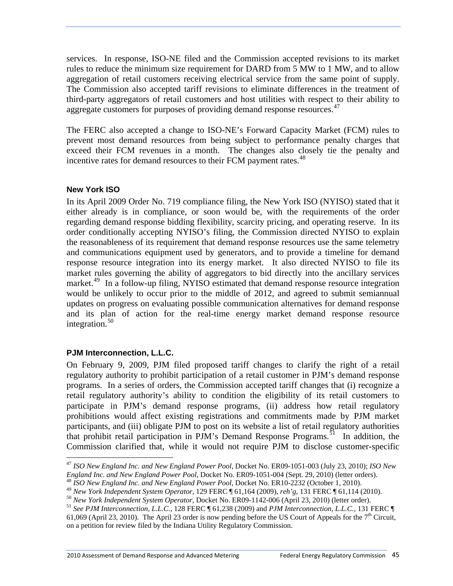services. In response, ISO-NE filed and the Commission accepted revisions to its market rules to reduce the minimum size requirement for DARD from 5 MW to 1 MW, and to allow aggregation of retail customers receiving electrical service from the same point of supply. The Commission also accepted tariff revisions to eliminate differences in the treatment of third-party aggregators of retail customers and host utilities with respect to their ability to aggregate customers for purposes of providing demand response resources.<sup>[47](#page-51-0)</sup>

The FERC also accepted a change to ISO-NE's Forward Capacity Market (FCM) rules to prevent most demand resources from being subject to performance penalty charges that exceed their FCM revenues in a month. The changes also closely tie the penalty and incentive rates for demand resources to their FCM payment rates.<sup>[48](#page-51-1)</sup>

#### **New York ISO**

In its April 2009 Order No. 719 compliance filing, the New York ISO (NYISO) stated that it either already is in compliance, or soon would be, with the requirements of the order regarding demand response bidding flexibility, scarcity pricing, and operating reserve. In its order conditionally accepting NYISO's filing, the Commission directed NYISO to explain the reasonableness of its requirement that demand response resources use the same telemetry and communications equipment used by generators, and to provide a timeline for demand response resource integration into its energy market. It also directed NYISO to file its market rules governing the ability of aggregators to bid directly into the ancillary services market.<sup>[49](#page-51-2)</sup> In a follow-up filing, NYISO estimated that demand response resource integration would be unlikely to occur prior to the middle of 2012, and agreed to submit semiannual updates on progress on evaluating possible communication alternatives for demand response and its plan of action for the real-time energy market demand response resource integration. $50$ 

## **PJM Interconnection, L.L.C.**

Commission clarified that, while it would not require PJM to disclose customer-specific On February 9, 2009, PJM filed proposed tariff changes to clarify the right of a retail regulatory authority to prohibit participation of a retail customer in PJM's demand response programs. In a series of orders, the Commission accepted tariff changes that (i) recognize a retail regulatory authority's ability to condition the eligibility of its retail customers to participate in PJM's demand response programs, (ii) address how retail regulatory prohibitions would affect existing registrations and commitments made by PJM market participants, and (iii) obligate PJM to post on its website a list of retail regulatory authorities that prohibit retail participation in PJM's Demand Response Programs.<sup>[51](#page-51-3)</sup> In addition, the

<span id="page-51-0"></span> $\overline{a}$ <sup>47</sup> *ISO New England Inc. and New England Power Pool*, Docket No. ER09-1051-003 (July 23, 2010); *ISO New*  England Inc. and New England Power Pool, Docket No. ER09-1051-004 (Sept. 29, 2010) (letter orders).

<span id="page-51-2"></span><span id="page-51-1"></span><sup>&</sup>lt;sup>48</sup> *ISO New England Inc. and New England Power Pool*, Docket No. ER10-2232 (October 1, 2010).<br><sup>49</sup> New York Independent System Operator, 129 FERC ¶ 61,164 (2009), reh'g, 131 FERC ¶ 61,114 (2010).

<span id="page-51-3"></span><sup>61,069 (</sup>April 23, 2010). The April 23 order is now pending before the US Court of Appeals for the  $7<sup>th</sup>$  Circuit, on a petition for review filed by the Indiana Utility Regulatory Commission. <sup>50</sup> New York Independent System Operator, Docket No. ER09-1142-006 (April 23, 2010) (letter order).<br><sup>51</sup> See PJM Interconnection, L.L.C., 128 FERC ¶ 61,238 (2009) and *PJM Interconnection, L.L.C.*, 131 FERC ¶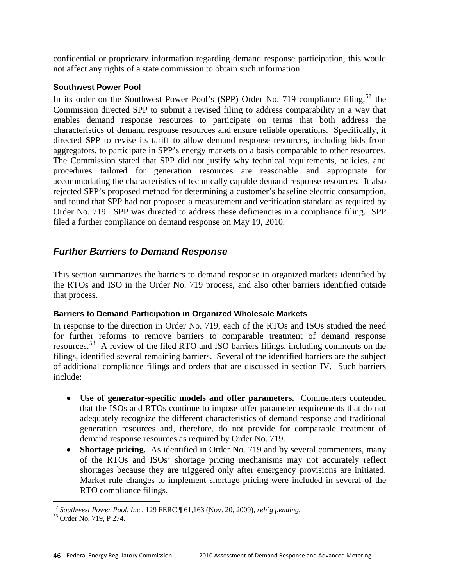confidential or proprietary information regarding demand response participation, this would not affect any rights of a state commission to obtain such information.

## **Southwest Power Pool**

In its order on the Southwest Power Pool's (SPP) Order No. 719 compliance filing,  $52$  the Commission directed SPP to submit a revised filing to address comparability in a way that enables demand response resources to participate on terms that both address the characteristics of demand response resources and ensure reliable operations. Specifically, it directed SPP to revise its tariff to allow demand response resources, including bids from aggregators, to participate in SPP's energy markets on a basis comparable to other resources. The Commission stated that SPP did not justify why technical requirements, policies, and procedures tailored for generation resources are reasonable and appropriate for accommodating the characteristics of technically capable demand response resources. It also rejected SPP's proposed method for determining a customer's baseline electric consumption, and found that SPP had not proposed a measurement and verification standard as required by Order No. 719. SPP was directed to address these deficiencies in a compliance filing. SPP filed a further compliance on demand response on May 19, 2010.

# *Further Barriers to Demand Response*

This section summarizes the barriers to demand response in organized markets identified by the RTOs and ISO in the Order No. 719 process, and also other barriers identified outside that process.

## **Barriers to Demand Participation in Organized Wholesale Markets**

In response to the direction in Order No. 719, each of the RTOs and ISOs studied the need for further reforms to remove barriers to comparable treatment of demand response resources.[53](#page-52-1) A review of the filed RTO and ISO barriers filings, including comments on the filings, identified several remaining barriers. Several of the identified barriers are the subject of additional compliance filings and orders that are discussed in section IV. Such barriers include:

- **Use of generator-specific models and offer parameters.** Commenters contended that the ISOs and RTOs continue to impose offer parameter requirements that do not adequately recognize the different characteristics of demand response and traditional generation resources and, therefore, do not provide for comparable treatment of demand response resources as required by Order No. 719.
- **Shortage pricing.** As identified in Order No. 719 and by several commenters, many of the RTOs and ISOs' shortage pricing mechanisms may not accurately reflect shortages because they are triggered only after emergency provisions are initiated. Market rule changes to implement shortage pricing were included in several of the RTO compliance filings.

<span id="page-52-0"></span> $\overline{a}$ <sup>52</sup> *Southwest Power Pool, Inc*., 129 FERC ¶ 61,163 (Nov. 20, 2009), *reh'g pending.* 53 Order No. 719, P 274.

<span id="page-52-1"></span>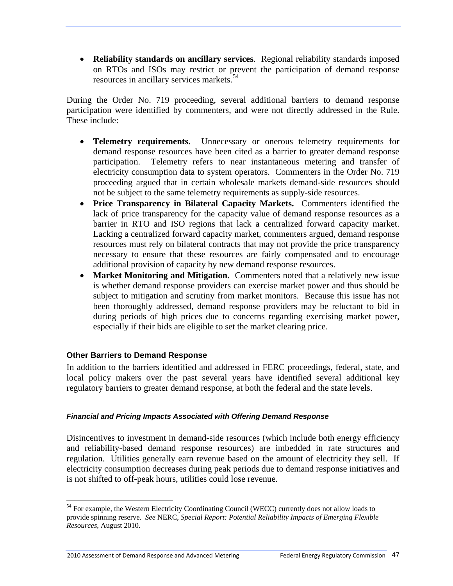**Reliability standards on ancillary services**. Regional reliability standards imposed on RTOs and ISOs may restrict or prevent the participation of demand response resources in ancillary services markets.<sup>[54](#page-53-0)</sup>

During the Order No. 719 proceeding, several additional barriers to demand response participation were identified by commenters, and were not directly addressed in the Rule. These include:

- **Telemetry requirements.** Unnecessary or onerous telemetry requirements for demand response resources have been cited as a barrier to greater demand response participation. Telemetry refers to near instantaneous metering and transfer of electricity consumption data to system operators. Commenters in the Order No. 719 proceeding argued that in certain wholesale markets demand-side resources should not be subject to the same telemetry requirements as supply-side resources.
- **Price Transparency in Bilateral Capacity Markets.** Commenters identified the lack of price transparency for the capacity value of demand response resources as a barrier in RTO and ISO regions that lack a centralized forward capacity market. Lacking a centralized forward capacity market, commenters argued, demand response resources must rely on bilateral contracts that may not provide the price transparency necessary to ensure that these resources are fairly compensated and to encourage additional provision of capacity by new demand response resources.
- Market Monitoring and Mitigation. Commenters noted that a relatively new issue is whether demand response providers can exercise market power and thus should be subject to mitigation and scrutiny from market monitors. Because this issue has not been thoroughly addressed, demand response providers may be reluctant to bid in during periods of high prices due to concerns regarding exercising market power, especially if their bids are eligible to set the market clearing price.

## **Other Barriers to Demand Response**

In addition to the barriers identified and addressed in FERC proceedings, federal, state, and local policy makers over the past several years have identified several additional key regulatory barriers to greater demand response, at both the federal and the state levels.

#### *Financial and Pricing Impacts Associated with Offering Demand Response*

Disincentives to investment in demand-side resources (which include both energy efficiency and reliability-based demand response resources) are imbedded in rate structures and regulation. Utilities generally earn revenue based on the amount of electricity they sell. If electricity consumption decreases during peak periods due to demand response initiatives and is not shifted to off-peak hours, utilities could lose revenue.

<span id="page-53-0"></span> $\overline{a}$ <sup>54</sup> For example, the Western Electricity Coordinating Council (WECC) currently does not allow loads to provide spinning reserve. *See* NERC, *Special Report: Potential Reliability Impacts of Emerging Flexible Resources*, August 2010.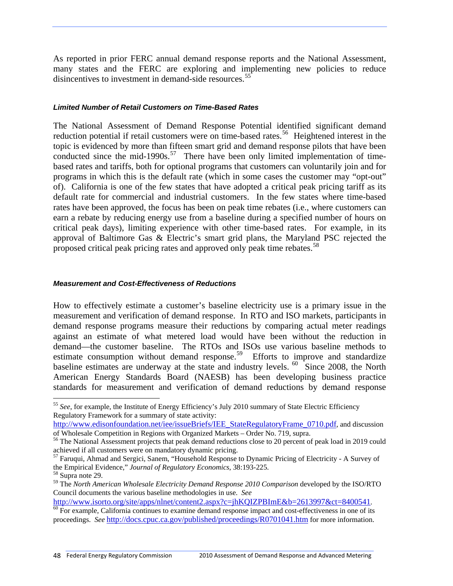As reported in prior FERC annual demand response reports and the National Assessment, many states and the FERC are exploring and implementing new policies to reduce disincentives to investment in demand-side resources.<sup>[55](#page-54-0)</sup>

#### *Limited Number of Retail Customers on Time-Based Rates*

The National Assessment of Demand Response Potential identified significant demand reduction potential if retail customers were on time-based rates.<sup>[56](#page-54-1)</sup> Heightened interest in the topic is evidenced by more than fifteen smart grid and demand response pilots that have been conducted since the mid-1990s.<sup>[57](#page-54-2)</sup> There have been only limited implementation of timebased rates and tariffs, both for optional programs that customers can voluntarily join and for programs in which this is the default rate (which in some cases the customer may "opt-out" of). California is one of the few states that have adopted a critical peak pricing tariff as its default rate for commercial and industrial customers. In the few states where time-based rates have been approved, the focus has been on peak time rebates (i.e., where customers can earn a rebate by reducing energy use from a baseline during a specified number of hours on critical peak days), limiting experience with other time-based rates. For example, in its approval of Baltimore Gas & Electric's smart grid plans, the Maryland PSC rejected the proposed critical peak pricing rates and approved only peak time rebates.<sup>[58](#page-54-3)</sup>

#### *Measurement and Cost-Effectiveness of Reductions*

How to effectively estimate a customer's baseline electricity use is a primary issue in the measurement and verification of demand response. In RTO and ISO markets, participants in demand response programs measure their reductions by comparing actual meter readings against an estimate of what metered load would have been without the reduction in demand—the customer baseline. The RTOs and ISOs use various baseline methods to estimate consumption without demand response.<sup>[59](#page-54-4)</sup> Efforts to improve and standardize baseline estimates are underway at the state and industry levels.  $60\degree$  Since 2008, the North [American Energy Standards Board \(NAESB\) has been developing business practice](#page-54-5)  [standards for measurement and verification of demand reductions by demand response](#page-54-5) 

<span id="page-54-0"></span><sup>55</sup> *See*, for example, the Institute of Energy Efficiency's July 2010 summary of State Electric Efficiency Regulatory Framework for a summary of state activity:

[http://www.edisonfoundation.net/iee/issueBriefs/IEE\\_StateRegulatoryFrame\\_0710.pdf,](http://www.edisonfoundation.net/iee/issueBriefs/IEE_StateRegulatoryFrame_0710.pdf) and discussion of Wholesale Competition in Regions with Organized Markets – Order No. 719, supra.

<span id="page-54-1"></span><sup>&</sup>lt;sup>56</sup> The National Assessment projects that peak demand reductions close to 20 percent of peak load in 2019 could achieved if all customers were on mandatory dynamic pricing.

<span id="page-54-2"></span><sup>&</sup>lt;sup>57</sup> Faruqui, Ahmad and Sergici, Sanem, "Household Response to Dynamic Pricing of Electricity - A Survey of the Empirical Evidence," *Journal of Regulatory Economics*, 38:193-225. 58 Supra note 29.

<span id="page-54-4"></span><span id="page-54-3"></span><sup>59</sup> The *North American Wholesale Electricity Demand Response 2010 Comparison* developed by the ISO/RTO Council documents the various baseline methodologies in use. *See*

[http://www.isorto.org/site/apps/nlnet/content2.aspx?c=jhKQIZPBImE&b=2613997&ct=8400541.](http://www.isorto.org/site/apps/nlnet/content2.aspx?c=jhKQIZPBImE&b=2613997&ct=8400541)<br><sup>[60](http://www.isorto.org/site/apps/nlnet/content2.aspx?c=jhKQIZPBImE&b=2613997&ct=8400541)</sup> For example, California continues to examine demand response impact and cost-effectiveness in one of its

<span id="page-54-5"></span>proceedings. *See* <http://docs.cpuc.ca.gov/published/proceedings/R0701041.htm>for more information.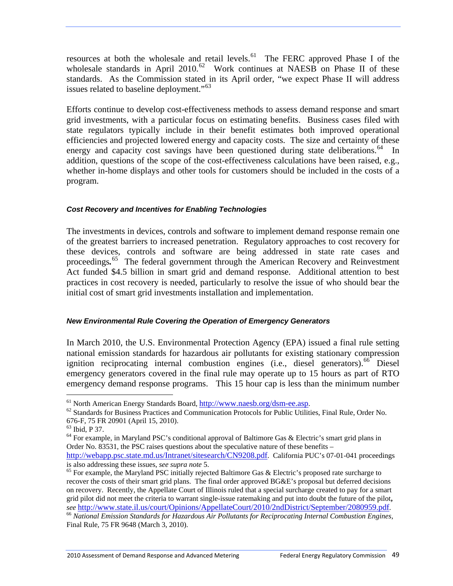[resources at both the wholesale and retail levels.](#page-54-5) $61$  The FERC approved Phase I of the [wholesale standards in April 2010.](#page-55-0)<sup>62</sup> Work continues at NAESB on Phase II of these [standards. As the Commission stated in its April order, "we expect Phase II will address](#page-55-1)  [issues related to baseline deployment."](#page-55-1)<sup>63</sup>

Efforts continue to develop cost-effectiveness methods to assess demand response and smart grid investments, with a particular focus on estimating benefits. Business cases filed with state regulators typically include in their benefit estimates both improved operational efficiencies and projected lowered energy and capacity costs. The size and certainty of these energy and capacity cost savings have been questioned during state deliberations.<sup>[64](#page-55-3)</sup> In addition, questions of the scope of the cost-effectiveness calculations have been raised, e.g., whether in-home displays and other tools for customers should be included in the costs of a program.

#### *Cost Recovery and Incentives for Enabling Technologies*

The investments in devices, controls and software to implement demand response remain one of the greatest barriers to increased penetration. Regulatory approaches to cost recovery for these devices, controls and software are being addressed in state rate cases and proceedings*.* [65](#page-55-4) The federal government through the American Recovery and Reinvestment Act funded \$4.5 billion in smart grid and demand response. Additional attention to best practices in cost recovery is needed, particularly to resolve the issue of who should bear the initial cost of smart grid investments installation and implementation.

#### *New Environmental Rule Covering the Operation of Emergency Generators*

In March 2010, the U.S. Environmental Protection Agency (EPA) issued a final rule setting national emission standards for hazardous air pollutants for existing stationary compression ignition reciprocating internal combustion engines (i.e., diesel generators). <sup>[66](#page-55-5)</sup> Diesel emergency generators covered in the final rule may operate up to 15 hours as part of RTO emergency demand response programs. This 15 hour cap is less than the minimum number

<span id="page-55-1"></span><span id="page-55-0"></span><sup>&</sup>lt;sup>61</sup> North American Energy Standards Board,  $\frac{http://www.naesb.org/dsm-ee.asp.}{$ <sup>62</sup> Standards for Business Practices and Communication Protocols for Public Utilities, Final Rule, Order No. 676-F, 75 FR 20901 (April 15, 2010).

<span id="page-55-2"></span><sup>63</sup> Ibid, P 37.

<span id="page-55-3"></span> $64$  For example, in Maryland PSC's conditional approval of Baltimore Gas & Electric's smart grid plans in Order No. 83531, the PSC raises questions about the speculative nature of these benefits –

[http://webapp.psc.state.md.us/Intranet/sitesearch/CN9208.pdf.](http://webapp.psc.state.md.us/Intranet/sitesearch/CN9208.pdf) California PUC's 07-01-041 proceedings is also addressing these issues, *see supra note* 5.

<span id="page-55-4"></span><sup>&</sup>lt;sup>65</sup> For example, the Maryland PSC initially rejected Baltimore Gas & Electric's proposed rate surcharge to recover the costs of their smart grid plans. The final order approved BG&E's proposal but deferred decisions on recovery. Recently, the Appellate Court of Illinois ruled that a special surcharge created to pay for a smart grid pilot did not meet the criteria to warrant single-issue ratemaking and put into doubt the future of the pilot**,** *see* <http://www.state.il.us/court/Opinions/AppellateCourt/2010/2ndDistrict/September/2080959.pdf>. 66 *National Emission Standards for Hazardous Air Pollutants for Reciprocating Internal Combustion Engines*,

<span id="page-55-5"></span>Final Rule, 75 FR 9648 (March 3, 2010).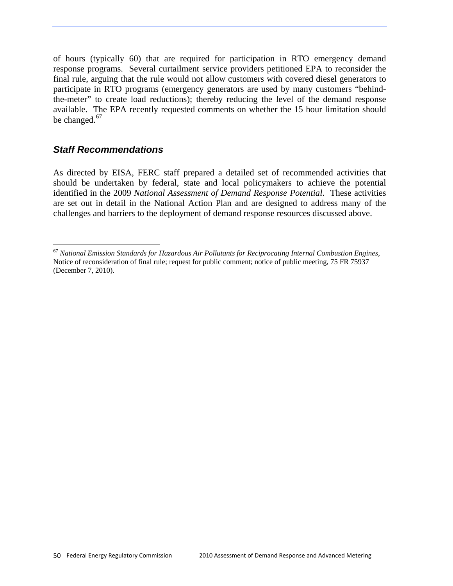of hours (typically 60) that are required for participation in RTO emergency demand response programs. Several curtailment service providers petitioned EPA to reconsider the final rule, arguing that the rule would not allow customers with covered diesel generators to participate in RTO programs (emergency generators are used by many customers "behindthe-meter" to create load reductions); thereby reducing the level of the demand response available. The EPA recently requested comments on whether the 15 hour limitation should be changed.<sup>[67](#page-56-0)</sup>

# *Staff Recommendations*

 $\overline{a}$ 

As directed by EISA, FERC staff prepared a detailed set of recommended activities that should be undertaken by federal, state and local policymakers to achieve the potential identified in the 2009 *National Assessment of Demand Response Potential*. These activities are set out in detail in the National Action Plan and are designed to address many of the challenges and barriers to the deployment of demand response resources discussed above.

<span id="page-56-0"></span><sup>67</sup> *National Emission Standards for Hazardous Air Pollutants for Reciprocating Internal Combustion Engines*, Notice of reconsideration of final rule; request for public comment; notice of public meeting, 75 FR 75937 (December 7, 2010).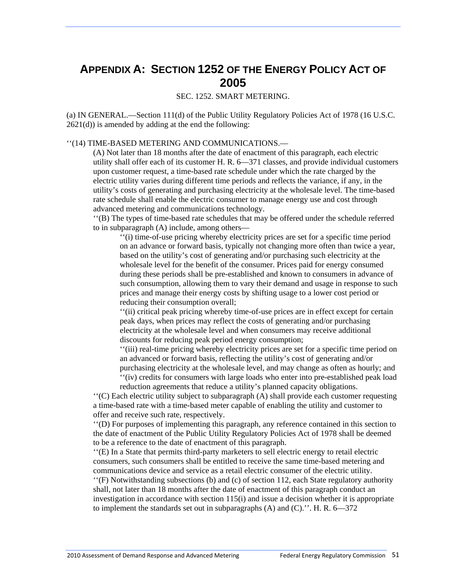# **APPENDIX A: SECTION 1252 OF THE ENERGY POLICY ACT OF 2005**

SEC. 1252. SMART METERING.

(a) IN GENERAL.—Section 111(d) of the Public Utility Regulatory Policies Act of 1978 (16 U.S.C.  $2621(d)$ ) is amended by adding at the end the following:

#### ''(14) TIME-BASED METERING AND COMMUNICATIONS.—

(A) Not later than 18 months after the date of enactment of this paragraph, each electric utility shall offer each of its customer H. R. 6—371 classes, and provide individual customers upon customer request, a time-based rate schedule under which the rate charged by the electric utility varies during different time periods and reflects the variance, if any, in the utility's costs of generating and purchasing electricity at the wholesale level. The time-based rate schedule shall enable the electric consumer to manage energy use and cost through advanced metering and communications technology.

''(B) The types of time-based rate schedules that may be offered under the schedule referred to in subparagraph (A) include, among others—

''(i) time-of-use pricing whereby electricity prices are set for a specific time period on an advance or forward basis, typically not changing more often than twice a year, based on the utility's cost of generating and/or purchasing such electricity at the wholesale level for the benefit of the consumer. Prices paid for energy consumed during these periods shall be pre-established and known to consumers in advance of such consumption, allowing them to vary their demand and usage in response to such prices and manage their energy costs by shifting usage to a lower cost period or reducing their consumption overall;

''(ii) critical peak pricing whereby time-of-use prices are in effect except for certain peak days, when prices may reflect the costs of generating and/or purchasing electricity at the wholesale level and when consumers may receive additional discounts for reducing peak period energy consumption;

''(iii) real-time pricing whereby electricity prices are set for a specific time period on an advanced or forward basis, reflecting the utility's cost of generating and/or purchasing electricity at the wholesale level, and may change as often as hourly; and ''(iv) credits for consumers with large loads who enter into pre-established peak load

reduction agreements that reduce a utility's planned capacity obligations.

''(C) Each electric utility subject to subparagraph (A) shall provide each customer requesting a time-based rate with a time-based meter capable of enabling the utility and customer to offer and receive such rate, respectively.

''(D) For purposes of implementing this paragraph, any reference contained in this section to the date of enactment of the Public Utility Regulatory Policies Act of 1978 shall be deemed to be a reference to the date of enactment of this paragraph.

''(E) In a State that permits third-party marketers to sell electric energy to retail electric consumers, such consumers shall be entitled to receive the same time-based metering and communications device and service as a retail electric consumer of the electric utility.

''(F) Notwithstanding subsections (b) and (c) of section 112, each State regulatory authority shall, not later than 18 months after the date of enactment of this paragraph conduct an investigation in accordance with section 115(i) and issue a decision whether it is appropriate to implement the standards set out in subparagraphs  $(A)$  and  $(C)$ .". H. R. 6—372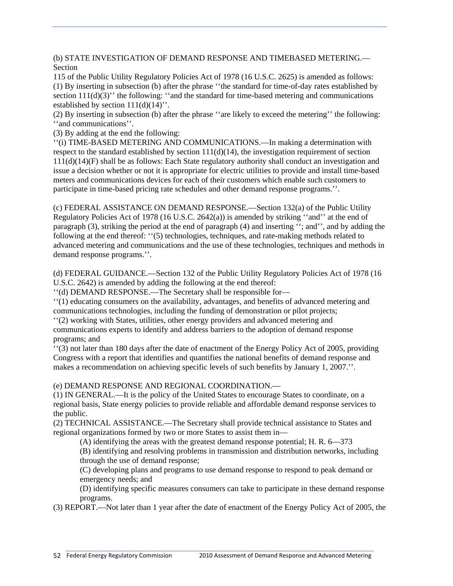(b) STATE INVESTIGATION OF DEMAND RESPONSE AND TIMEBASED METERING.— **Section** 

115 of the Public Utility Regulatory Policies Act of 1978 (16 U.S.C. 2625) is amended as follows: (1) By inserting in subsection (b) after the phrase ''the standard for time-of-day rates established by section  $111(d)(3)$ <sup>"</sup> the following: "and the standard for time-based metering and communications established by section  $111(d)(14)$ .

(2) By inserting in subsection (b) after the phrase ''are likely to exceed the metering'' the following: ''and communications''.

(3) By adding at the end the following:

''(i) TIME-BASED METERING AND COMMUNICATIONS.—In making a determination with respect to the standard established by section  $111(d)(14)$ , the investigation requirement of section 111(d)(14)(F) shall be as follows: Each State regulatory authority shall conduct an investigation and issue a decision whether or not it is appropriate for electric utilities to provide and install time-based meters and communications devices for each of their customers which enable such customers to participate in time-based pricing rate schedules and other demand response programs.''.

(c) FEDERAL ASSISTANCE ON DEMAND RESPONSE.—Section 132(a) of the Public Utility Regulatory Policies Act of 1978 (16 U.S.C. 2642(a)) is amended by striking "and" at the end of paragraph (3), striking the period at the end of paragraph (4) and inserting ''; and'', and by adding the following at the end thereof: ''(5) technologies, techniques, and rate-making methods related to advanced metering and communications and the use of these technologies, techniques and methods in demand response programs.''.

(d) FEDERAL GUIDANCE.—Section 132 of the Public Utility Regulatory Policies Act of 1978 (16 U.S.C. 2642) is amended by adding the following at the end thereof:

''(d) DEMAND RESPONSE.—The Secretary shall be responsible for—

''(1) educating consumers on the availability, advantages, and benefits of advanced metering and communications technologies, including the funding of demonstration or pilot projects;

''(2) working with States, utilities, other energy providers and advanced metering and communications experts to identify and address barriers to the adoption of demand response programs; and

''(3) not later than 180 days after the date of enactment of the Energy Policy Act of 2005, providing Congress with a report that identifies and quantifies the national benefits of demand response and makes a recommendation on achieving specific levels of such benefits by January 1, 2007.''.

#### (e) DEMAND RESPONSE AND REGIONAL COORDINATION.—

(1) IN GENERAL.—It is the policy of the United States to encourage States to coordinate, on a regional basis, State energy policies to provide reliable and affordable demand response services to the public.

(2) TECHNICAL ASSISTANCE.—The Secretary shall provide technical assistance to States and regional organizations formed by two or more States to assist them in—

(A) identifying the areas with the greatest demand response potential; H. R. 6—373

(B) identifying and resolving problems in transmission and distribution networks, including through the use of demand response;

(C) developing plans and programs to use demand response to respond to peak demand or emergency needs; and

(D) identifying specific measures consumers can take to participate in these demand response programs.

(3) REPORT.—Not later than 1 year after the date of enactment of the Energy Policy Act of 2005, the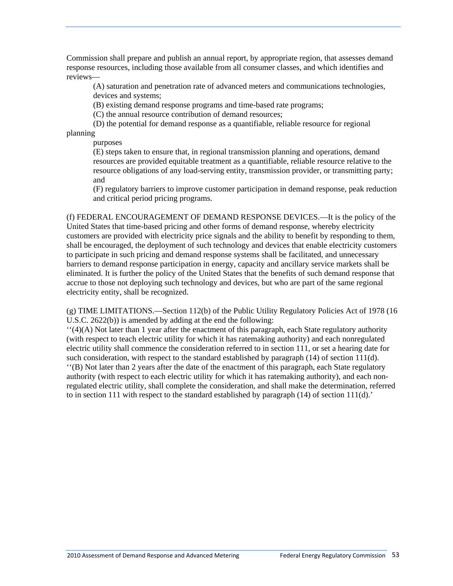Commission shall prepare and publish an annual report, by appropriate region, that assesses demand response resources, including those available from all consumer classes, and which identifies and reviews—

(A) saturation and penetration rate of advanced meters and communications technologies, devices and systems;

(B) existing demand response programs and time-based rate programs;

(C) the annual resource contribution of demand resources;

(D) the potential for demand response as a quantifiable, reliable resource for regional planning

purposes

(E) steps taken to ensure that, in regional transmission planning and operations, demand resources are provided equitable treatment as a quantifiable, reliable resource relative to the resource obligations of any load-serving entity, transmission provider, or transmitting party; and

(F) regulatory barriers to improve customer participation in demand response, peak reduction and critical period pricing programs.

(f) FEDERAL ENCOURAGEMENT OF DEMAND RESPONSE DEVICES.—It is the policy of the United States that time-based pricing and other forms of demand response, whereby electricity customers are provided with electricity price signals and the ability to benefit by responding to them, shall be encouraged, the deployment of such technology and devices that enable electricity customers to participate in such pricing and demand response systems shall be facilitated, and unnecessary barriers to demand response participation in energy, capacity and ancillary service markets shall be eliminated. It is further the policy of the United States that the benefits of such demand response that accrue to those not deploying such technology and devices, but who are part of the same regional electricity entity, shall be recognized.

(g) TIME LIMITATIONS.—Section 112(b) of the Public Utility Regulatory Policies Act of 1978 (16 U.S.C. 2622(b)) is amended by adding at the end the following:

''(4)(A) Not later than 1 year after the enactment of this paragraph, each State regulatory authority (with respect to teach electric utility for which it has ratemaking authority) and each nonregulated electric utility shall commence the consideration referred to in section 111, or set a hearing date for such consideration, with respect to the standard established by paragraph  $(14)$  of section  $111(d)$ .

''(B) Not later than 2 years after the date of the enactment of this paragraph, each State regulatory authority (with respect to each electric utility for which it has ratemaking authority), and each nonregulated electric utility, shall complete the consideration, and shall make the determination, referred to in section 111 with respect to the standard established by paragraph (14) of section 111(d).'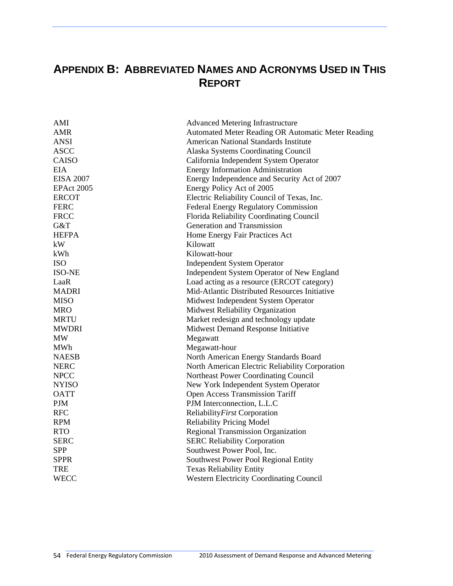# **APPENDIX B: ABBREVIATED NAMES AND ACRONYMS USED IN THIS REPORT**

| AMI               | <b>Advanced Metering Infrastructure</b>            |
|-------------------|----------------------------------------------------|
| <b>AMR</b>        | Automated Meter Reading OR Automatic Meter Reading |
| <b>ANSI</b>       | <b>American National Standards Institute</b>       |
| <b>ASCC</b>       | <b>Alaska Systems Coordinating Council</b>         |
| <b>CAISO</b>      | California Independent System Operator             |
| <b>EIA</b>        | <b>Energy Information Administration</b>           |
| <b>EISA 2007</b>  | Energy Independence and Security Act of 2007       |
| <b>EPAct 2005</b> | Energy Policy Act of 2005                          |
| <b>ERCOT</b>      | Electric Reliability Council of Texas, Inc.        |
| <b>FERC</b>       | Federal Energy Regulatory Commission               |
| <b>FRCC</b>       | Florida Reliability Coordinating Council           |
| G&T               | Generation and Transmission                        |
| <b>HEFPA</b>      | Home Energy Fair Practices Act                     |
| kW                | Kilowatt                                           |
| kWh               | Kilowatt-hour                                      |
| <b>ISO</b>        | <b>Independent System Operator</b>                 |
| <b>ISO-NE</b>     | Independent System Operator of New England         |
| LaaR              | Load acting as a resource (ERCOT category)         |
| <b>MADRI</b>      | Mid-Atlantic Distributed Resources Initiative      |
| <b>MISO</b>       | Midwest Independent System Operator                |
| <b>MRO</b>        | Midwest Reliability Organization                   |
| <b>MRTU</b>       | Market redesign and technology update              |
| <b>MWDRI</b>      | Midwest Demand Response Initiative                 |
| <b>MW</b>         | Megawatt                                           |
| <b>MWh</b>        | Megawatt-hour                                      |
| <b>NAESB</b>      | North American Energy Standards Board              |
| <b>NERC</b>       | North American Electric Reliability Corporation    |
| <b>NPCC</b>       | Northeast Power Coordinating Council               |
| <b>NYISO</b>      | New York Independent System Operator               |
| <b>OATT</b>       | Open Access Transmission Tariff                    |
| <b>PJM</b>        | PJM Interconnection, L.L.C                         |
| <b>RFC</b>        | Reliability First Corporation                      |
| <b>RPM</b>        | <b>Reliability Pricing Model</b>                   |
| <b>RTO</b>        | <b>Regional Transmission Organization</b>          |
| <b>SERC</b>       | <b>SERC Reliability Corporation</b>                |
| <b>SPP</b>        | Southwest Power Pool, Inc.                         |
| <b>SPPR</b>       | Southwest Power Pool Regional Entity               |
| <b>TRE</b>        | <b>Texas Reliability Entity</b>                    |
| <b>WECC</b>       | <b>Western Electricity Coordinating Council</b>    |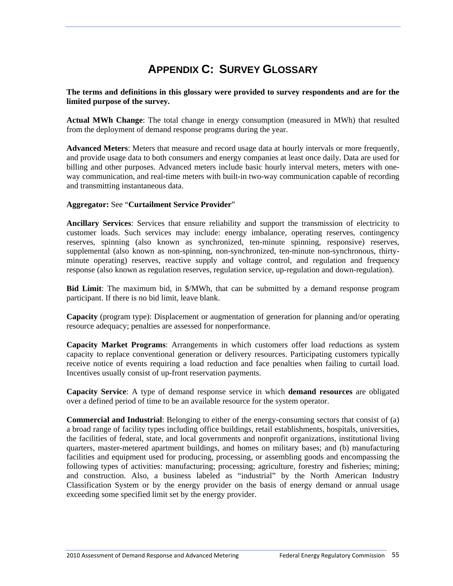# **APPENDIX C: SURVEY GLOSSARY**

#### **The terms and definitions in this glossary were provided to survey respondents and are for the limited purpose of the survey.**

**Actual MWh Change**: The total change in energy consumption (measured in MWh) that resulted from the deployment of demand response programs during the year.

**Advanced Meters**: Meters that measure and record usage data at hourly intervals or more frequently, and provide usage data to both consumers and energy companies at least once daily. Data are used for billing and other purposes. Advanced meters include basic hourly interval meters, meters with oneway communication, and real-time meters with built-in two-way communication capable of recording and transmitting instantaneous data.

#### **Aggregator:** See "**Curtailment Service Provider**"

**Ancillary Services**: Services that ensure reliability and support the transmission of electricity to customer loads. Such services may include: energy imbalance, operating reserves, contingency reserves, spinning (also known as synchronized, ten-minute spinning, responsive) reserves, supplemental (also known as non-spinning, non-synchronized, ten-minute non-synchronous, thirtyminute operating) reserves, reactive supply and voltage control, and regulation and frequency response (also known as regulation reserves, regulation service, up-regulation and down-regulation).

**Bid Limit**: The maximum bid, in \$/MWh, that can be submitted by a demand response program participant. If there is no bid limit, leave blank.

**Capacity** (program type): Displacement or augmentation of generation for planning and/or operating resource adequacy; penalties are assessed for nonperformance.

**Capacity Market Programs**: Arrangements in which customers offer load reductions as system capacity to replace conventional generation or delivery resources. Participating customers typically receive notice of events requiring a load reduction and face penalties when failing to curtail load. Incentives usually consist of up-front reservation payments.

**Capacity Service**: A type of demand response service in which **demand resources** are obligated over a defined period of time to be an available resource for the system operator.

**Commercial and Industrial**: Belonging to either of the energy-consuming sectors that consist of (a) a broad range of facility types including office buildings, retail establishments, hospitals, universities, the facilities of federal, state, and local governments and nonprofit organizations, institutional living quarters, master-metered apartment buildings, and homes on military bases; and (b) manufacturing facilities and equipment used for producing, processing, or assembling goods and encompassing the following types of activities: manufacturing; processing; agriculture, forestry and fisheries; mining; and construction. Also, a business labeled as "industrial" by the North American Industry Classification System or by the energy provider on the basis of energy demand or annual usage exceeding some specified limit set by the energy provider.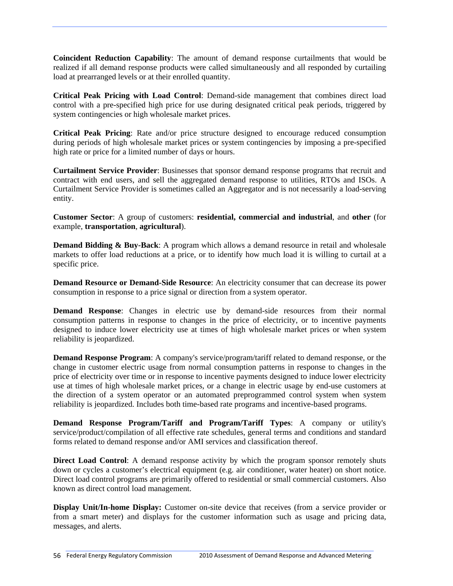**Coincident Reduction Capability**: The amount of demand response curtailments that would be realized if all demand response products were called simultaneously and all responded by curtailing load at prearranged levels or at their enrolled quantity.

**Critical Peak Pricing with Load Control**: Demand-side management that combines direct load control with a pre-specified high price for use during designated critical peak periods, triggered by system contingencies or high wholesale market prices.

**Critical Peak Pricing**: Rate and/or price structure designed to encourage reduced consumption during periods of high wholesale market prices or system contingencies by imposing a pre-specified high rate or price for a limited number of days or hours.

**Curtailment Service Provider**: Businesses that sponsor demand response programs that recruit and contract with end users, and sell the aggregated demand response to utilities, RTOs and ISOs. A Curtailment Service Provider is sometimes called an Aggregator and is not necessarily a load-serving entity.

**Customer Sector**: A group of customers: **residential, commercial and industrial**, and **other** (for example, **transportation**, **agricultural**).

**Demand Bidding & Buy-Back:** A program which allows a demand resource in retail and wholesale markets to offer load reductions at a price, or to identify how much load it is willing to curtail at a specific price.

**Demand Resource or Demand-Side Resource**: An electricity consumer that can decrease its power consumption in response to a price signal or direction from a system operator.

**Demand Response**: Changes in electric use by demand-side resources from their normal consumption patterns in response to changes in the price of electricity, or to incentive payments designed to induce lower electricity use at times of high wholesale market prices or when system reliability is jeopardized.

**Demand Response Program**: A company's service/program/tariff related to demand response, or the change in customer electric usage from normal consumption patterns in response to changes in the price of electricity over time or in response to incentive payments designed to induce lower electricity use at times of high wholesale market prices, or a change in electric usage by end-use customers at the direction of a system operator or an automated preprogrammed control system when system reliability is jeopardized. Includes both time-based rate programs and incentive-based programs.

**Demand Response Program/Tariff and Program/Tariff Types**: A company or utility's service/product/compilation of all effective rate schedules, general terms and conditions and standard forms related to demand response and/or AMI services and classification thereof.

**Direct Load Control**: A demand response activity by which the program sponsor remotely shuts down or cycles a customer's electrical equipment (e.g. air conditioner, water heater) on short notice. Direct load control programs are primarily offered to residential or small commercial customers. Also known as direct control load management.

**Display Unit/In-home Display:** Customer on-site device that receives (from a service provider or from a smart meter) and displays for the customer information such as usage and pricing data, messages, and alerts.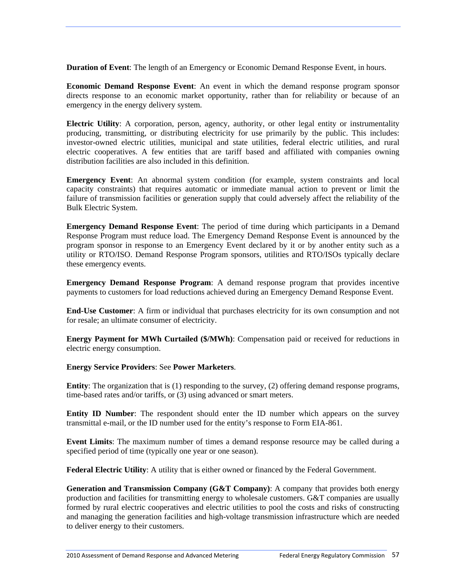**Duration of Event**: The length of an Emergency or Economic Demand Response Event, in hours.

**Economic Demand Response Event**: An event in which the demand response program sponsor directs response to an economic market opportunity, rather than for reliability or because of an emergency in the energy delivery system.

**Electric Utility**: A corporation, person, agency, authority, or other legal entity or instrumentality producing, transmitting, or distributing electricity for use primarily by the public. This includes: investor-owned electric utilities, municipal and state utilities, federal electric utilities, and rural electric cooperatives. A few entities that are tariff based and affiliated with companies owning distribution facilities are also included in this definition.

**Emergency Event**: An abnormal system condition (for example, system constraints and local capacity constraints) that requires automatic or immediate manual action to prevent or limit the failure of transmission facilities or generation supply that could adversely affect the reliability of the Bulk Electric System.

**Emergency Demand Response Event**: The period of time during which participants in a Demand Response Program must reduce load. The Emergency Demand Response Event is announced by the program sponsor in response to an Emergency Event declared by it or by another entity such as a utility or RTO/ISO. Demand Response Program sponsors, utilities and RTO/ISOs typically declare these emergency events.

**Emergency Demand Response Program**: A demand response program that provides incentive payments to customers for load reductions achieved during an Emergency Demand Response Event.

**End-Use Customer**: A firm or individual that purchases electricity for its own consumption and not for resale; an ultimate consumer of electricity.

**Energy Payment for MWh Curtailed (\$/MWh)**: Compensation paid or received for reductions in electric energy consumption.

**Energy Service Providers**: See **Power Marketers**.

**Entity**: The organization that is (1) responding to the survey, (2) offering demand response programs, time-based rates and/or tariffs, or (3) using advanced or smart meters.

**Entity ID Number**: The respondent should enter the ID number which appears on the survey transmittal e-mail, or the ID number used for the entity's response to Form EIA-861.

**Event Limits**: The maximum number of times a demand response resource may be called during a specified period of time (typically one year or one season).

**Federal Electric Utility**: A utility that is either owned or financed by the Federal Government.

**Generation and Transmission Company (G&T Company):** A company that provides both energy production and facilities for transmitting energy to wholesale customers. G&T companies are usually formed by rural electric cooperatives and electric utilities to pool the costs and risks of constructing and managing the generation facilities and high-voltage transmission infrastructure which are needed to deliver energy to their customers.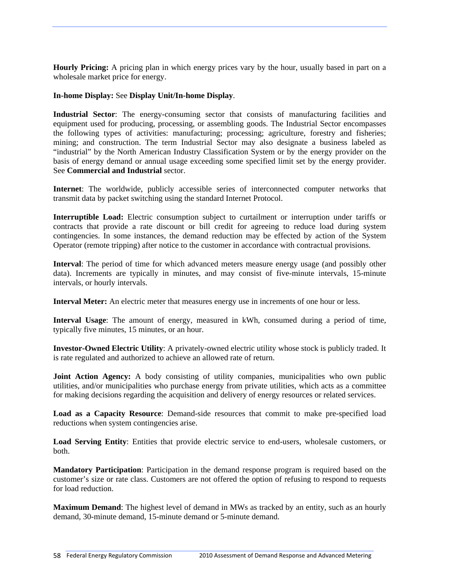**Hourly Pricing:** A pricing plan in which energy prices vary by the hour, usually based in part on a wholesale market price for energy.

#### **In-home Display:** See **Display Unit/In-home Display**.

**Industrial Sector**: The energy-consuming sector that consists of manufacturing facilities and equipment used for producing, processing, or assembling goods. The Industrial Sector encompasses the following types of activities: manufacturing; processing; agriculture, forestry and fisheries; mining; and construction. The term Industrial Sector may also designate a business labeled as "industrial" by the North American Industry Classification System or by the energy provider on the basis of energy demand or annual usage exceeding some specified limit set by the energy provider. See **Commercial and Industrial** sector.

**Internet**: The worldwide, publicly accessible series of interconnected computer networks that transmit data by packet switching using the standard Internet Protocol.

**Interruptible Load:** Electric consumption subject to curtailment or interruption under tariffs or contracts that provide a rate discount or bill credit for agreeing to reduce load during system contingencies. In some instances, the demand reduction may be effected by action of the System Operator (remote tripping) after notice to the customer in accordance with contractual provisions.

**Interval**: The period of time for which advanced meters measure energy usage (and possibly other data). Increments are typically in minutes, and may consist of five-minute intervals, 15-minute intervals, or hourly intervals.

**Interval Meter:** An electric meter that measures energy use in increments of one hour or less.

**Interval Usage**: The amount of energy, measured in kWh, consumed during a period of time, typically five minutes, 15 minutes, or an hour.

**Investor-Owned Electric Utility**: A privately-owned electric utility whose stock is publicly traded. It is rate regulated and authorized to achieve an allowed rate of return.

**Joint Action Agency:** A body consisting of utility companies, municipalities who own public utilities, and/or municipalities who purchase energy from private utilities, which acts as a committee for making decisions regarding the acquisition and delivery of energy resources or related services.

**Load as a Capacity Resource**: Demand-side resources that commit to make pre-specified load reductions when system contingencies arise.

**Load Serving Entity**: Entities that provide electric service to end-users, wholesale customers, or both.

**Mandatory Participation**: Participation in the demand response program is required based on the customer's size or rate class. Customers are not offered the option of refusing to respond to requests for load reduction.

**Maximum Demand**: The highest level of demand in MWs as tracked by an entity, such as an hourly demand, 30-minute demand, 15-minute demand or 5-minute demand.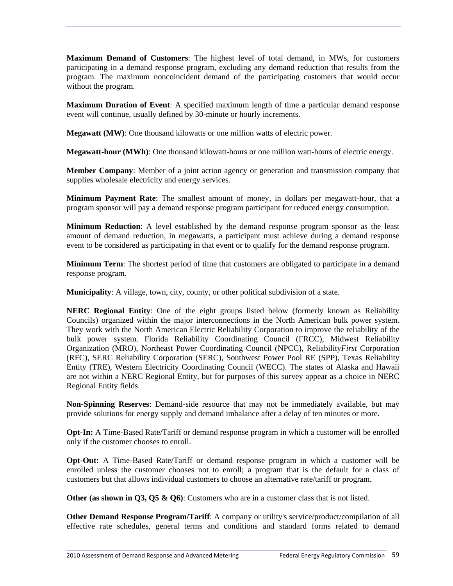**Maximum Demand of Customers**: The highest level of total demand, in MWs, for customers participating in a demand response program, excluding any demand reduction that results from the program. The maximum noncoincident demand of the participating customers that would occur without the program.

**Maximum Duration of Event**: A specified maximum length of time a particular demand response event will continue, usually defined by 30-minute or hourly increments.

**Megawatt (MW)**: One thousand kilowatts or one million watts of electric power.

**Megawatt-hour (MWh)**: One thousand kilowatt-hours or one million watt-hours of electric energy.

**Member Company**: Member of a joint action agency or generation and transmission company that supplies wholesale electricity and energy services.

**Minimum Payment Rate**: The smallest amount of money, in dollars per megawatt-hour, that a program sponsor will pay a demand response program participant for reduced energy consumption.

**Minimum Reduction**: A level established by the demand response program sponsor as the least amount of demand reduction, in megawatts, a participant must achieve during a demand response event to be considered as participating in that event or to qualify for the demand response program.

**Minimum Term**: The shortest period of time that customers are obligated to participate in a demand response program.

**Municipality**: A village, town, city, county, or other political subdivision of a state.

**NERC Regional Entity**: One of the eight groups listed below (formerly known as Reliability Councils) organized within the major interconnections in the North American bulk power system. They work with the North American Electric Reliability Corporation to improve the reliability of the bulk power system. Florida Reliability Coordinating Council (FRCC), Midwest Reliability Organization (MRO), Northeast Power Coordinating Council (NPCC), Reliability*First* Corporation (RFC), SERC Reliability Corporation (SERC), Southwest Power Pool RE (SPP), Texas Reliability Entity (TRE), Western Electricity Coordinating Council (WECC). The states of Alaska and Hawaii are not within a NERC Regional Entity, but for purposes of this survey appear as a choice in NERC Regional Entity fields.

**Non-Spinning Reserves**: Demand-side resource that may not be immediately available, but may provide solutions for energy supply and demand imbalance after a delay of ten minutes or more.

**Opt-In:** A Time-Based Rate/Tariff or demand response program in which a customer will be enrolled only if the customer chooses to enroll.

**Opt-Out:** A Time-Based Rate/Tariff or demand response program in which a customer will be enrolled unless the customer chooses not to enroll; a program that is the default for a class of customers but that allows individual customers to choose an alternative rate/tariff or program.

**Other (as shown in Q3, Q5 & Q6)**: Customers who are in a customer class that is not listed.

**Other Demand Response Program/Tariff**: A company or utility's service/product/compilation of all effective rate schedules, general terms and conditions and standard forms related to demand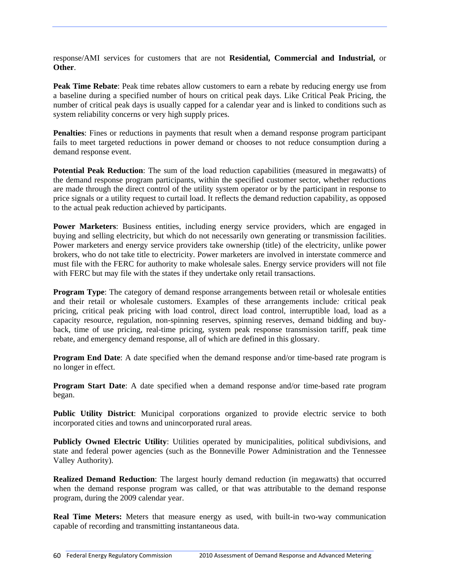response/AMI services for customers that are not **Residential, Commercial and Industrial,** or **Other**.

**Peak Time Rebate**: Peak time rebates allow customers to earn a rebate by reducing energy use from a baseline during a specified number of hours on critical peak days. Like Critical Peak Pricing, the number of critical peak days is usually capped for a calendar year and is linked to conditions such as system reliability concerns or very high supply prices.

**Penalties**: Fines or reductions in payments that result when a demand response program participant fails to meet targeted reductions in power demand or chooses to not reduce consumption during a demand response event.

**Potential Peak Reduction**: The sum of the load reduction capabilities (measured in megawatts) of the demand response program participants, within the specified customer sector, whether reductions are made through the direct control of the utility system operator or by the participant in response to price signals or a utility request to curtail load. It reflects the demand reduction capability, as opposed to the actual peak reduction achieved by participants.

**Power Marketers**: Business entities, including energy service providers, which are engaged in buying and selling electricity, but which do not necessarily own generating or transmission facilities. Power marketers and energy service providers take ownership (title) of the electricity, unlike power brokers, who do not take title to electricity. Power marketers are involved in interstate commerce and must file with the FERC for authority to make wholesale sales. Energy service providers will not file with FERC but may file with the states if they undertake only retail transactions.

**Program Type**: The category of demand response arrangements between retail or wholesale entities and their retail or wholesale customers. Examples of these arrangements include*:* critical peak pricing*,* critical peak pricing with load control, direct load control*,* interruptible load, load as a capacity resource, regulation, non-spinning reserves, spinning reserves, demand bidding and buyback, time of use pricing, real-time pricing, system peak response transmission tariff, peak time rebate, and emergency demand response*,* all of which are defined in this glossary.

**Program End Date:** A date specified when the demand response and/or time-based rate program is no longer in effect.

**Program Start Date**: A date specified when a demand response and/or time-based rate program began.

**Public Utility District**: Municipal corporations organized to provide electric service to both incorporated cities and towns and unincorporated rural areas.

**Publicly Owned Electric Utility**: Utilities operated by municipalities, political subdivisions, and state and federal power agencies (such as the Bonneville Power Administration and the Tennessee Valley Authority).

**Realized Demand Reduction**: The largest hourly demand reduction (in megawatts) that occurred when the demand response program was called, or that was attributable to the demand response program, during the 2009 calendar year.

**Real Time Meters:** Meters that measure energy as used, with built-in two-way communication capable of recording and transmitting instantaneous data.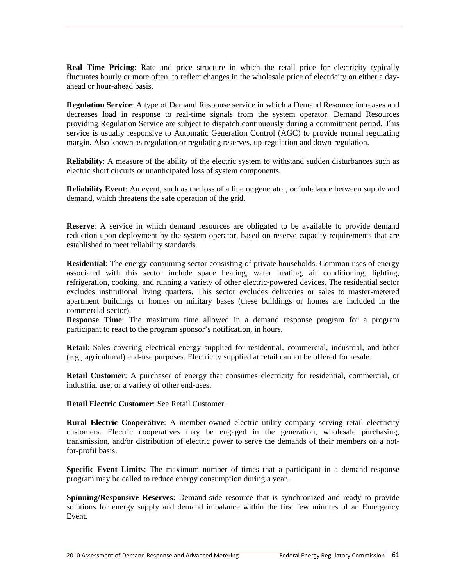**Real Time Pricing**: Rate and price structure in which the retail price for electricity typically fluctuates hourly or more often, to reflect changes in the wholesale price of electricity on either a dayahead or hour-ahead basis.

**Regulation Service**: A type of Demand Response service in which a Demand Resource increases and decreases load in response to real-time signals from the system operator. Demand Resources providing Regulation Service are subject to dispatch continuously during a commitment period. This service is usually responsive to Automatic Generation Control (AGC) to provide normal regulating margin. Also known as regulation or regulating reserves, up-regulation and down-regulation.

**Reliability:** A measure of the ability of the electric system to withstand sudden disturbances such as electric short circuits or unanticipated loss of system components.

**Reliability Event**: An event, such as the loss of a line or generator, or imbalance between supply and demand, which threatens the safe operation of the grid.

**Reserve:** A service in which demand resources are obligated to be available to provide demand reduction upon deployment by the system operator, based on reserve capacity requirements that are established to meet reliability standards.

**Residential**: The energy-consuming sector consisting of private households. Common uses of energy associated with this sector include space heating, water heating, air conditioning, lighting, refrigeration, cooking, and running a variety of other electric-powered devices. The residential sector excludes institutional living quarters. This sector excludes deliveries or sales to master-metered apartment buildings or homes on military bases (these buildings or homes are included in the commercial sector).

**Response Time**: The maximum time allowed in a demand response program for a program participant to react to the program sponsor's notification, in hours.

**Retail**: Sales covering electrical energy supplied for residential, commercial, industrial, and other (e.g., agricultural) end-use purposes. Electricity supplied at retail cannot be offered for resale.

**Retail Customer**: A purchaser of energy that consumes electricity for residential, commercial, or industrial use, or a variety of other end-uses.

**Retail Electric Customer**: See Retail Customer.

**Rural Electric Cooperative**: A member-owned electric utility company serving retail electricity customers. Electric cooperatives may be engaged in the generation, wholesale purchasing, transmission, and/or distribution of electric power to serve the demands of their members on a notfor-profit basis.

**Specific Event Limits**: The maximum number of times that a participant in a demand response program may be called to reduce energy consumption during a year.

**Spinning/Responsive Reserves**: Demand-side resource that is synchronized and ready to provide solutions for energy supply and demand imbalance within the first few minutes of an Emergency Event.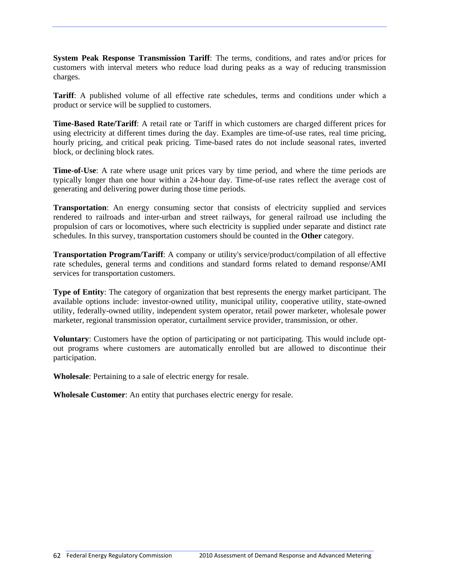**System Peak Response Transmission Tariff**: The terms, conditions, and rates and/or prices for customers with interval meters who reduce load during peaks as a way of reducing transmission charges.

**Tariff**: A published volume of all effective rate schedules, terms and conditions under which a product or service will be supplied to customers.

**Time-Based Rate/Tariff**: A retail rate or Tariff in which customers are charged different prices for using electricity at different times during the day. Examples are time-of-use rates, real time pricing, hourly pricing, and critical peak pricing. Time-based rates do not include seasonal rates, inverted block, or declining block rates.

**Time-of-Use**: A rate where usage unit prices vary by time period, and where the time periods are typically longer than one hour within a 24-hour day. Time-of-use rates reflect the average cost of generating and delivering power during those time periods.

**Transportation**: An energy consuming sector that consists of electricity supplied and services rendered to railroads and inter-urban and street railways, for general railroad use including the propulsion of cars or locomotives, where such electricity is supplied under separate and distinct rate schedules. In this survey, transportation customers should be counted in the **Other** category.

**Transportation Program/Tariff**: A company or utility's service/product/compilation of all effective rate schedules, general terms and conditions and standard forms related to demand response/AMI services for transportation customers.

**Type of Entity**: The category of organization that best represents the energy market participant. The available options include: investor-owned utility, municipal utility, cooperative utility, state-owned utility, federally-owned utility, independent system operator, retail power marketer, wholesale power marketer, regional transmission operator, curtailment service provider, transmission, or other.

**Voluntary**: Customers have the option of participating or not participating. This would include optout programs where customers are automatically enrolled but are allowed to discontinue their participation.

**Wholesale**: Pertaining to a sale of electric energy for resale.

**Wholesale Customer**: An entity that purchases electric energy for resale.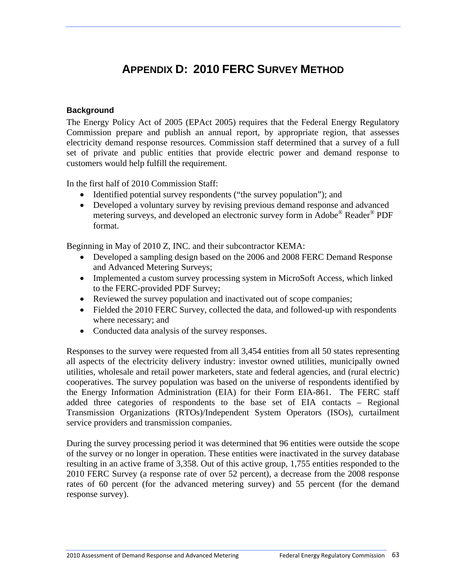# **APPENDIX D: 2010 FERC SURVEY METHOD**

### **Background**

The Energy Policy Act of 2005 (EPAct 2005) requires that the Federal Energy Regulatory Commission prepare and publish an annual report, by appropriate region, that assesses electricity demand response resources. Commission staff determined that a survey of a full set of private and public entities that provide electric power and demand response to customers would help fulfill the requirement.

In the first half of 2010 Commission Staff:

- Identified potential survey respondents ("the survey population"); and
- Developed a voluntary survey by revising previous demand response and advanced metering surveys, and developed an electronic survey form in Adobe® Reader® PDF format.

Beginning in May of 2010 Z, INC. and their subcontractor KEMA:

- Developed a sampling design based on the 2006 and 2008 FERC Demand Response and Advanced Metering Surveys;
- Implemented a custom survey processing system in MicroSoft Access, which linked to the FERC-provided PDF Survey;
- Reviewed the survey population and inactivated out of scope companies;
- Fielded the 2010 FERC Survey, collected the data, and followed-up with respondents where necessary; and
- Conducted data analysis of the survey responses.

Responses to the survey were requested from all 3,454 entities from all 50 states representing all aspects of the electricity delivery industry: investor owned utilities, municipally owned utilities, wholesale and retail power marketers, state and federal agencies, and (rural electric) cooperatives. The survey population was based on the universe of respondents identified by the Energy Information Administration (EIA) for their Form EIA-861. The FERC staff added three categories of respondents to the base set of EIA contacts – Regional Transmission Organizations (RTOs)/Independent System Operators (ISOs), curtailment service providers and transmission companies.

During the survey processing period it was determined that 96 entities were outside the scope of the survey or no longer in operation. These entities were inactivated in the survey database resulting in an active frame of 3,358. Out of this active group, 1,755 entities responded to the 2010 FERC Survey (a response rate of over 52 percent), a decrease from the 2008 response rates of 60 percent (for the advanced metering survey) and 55 percent (for the demand response survey).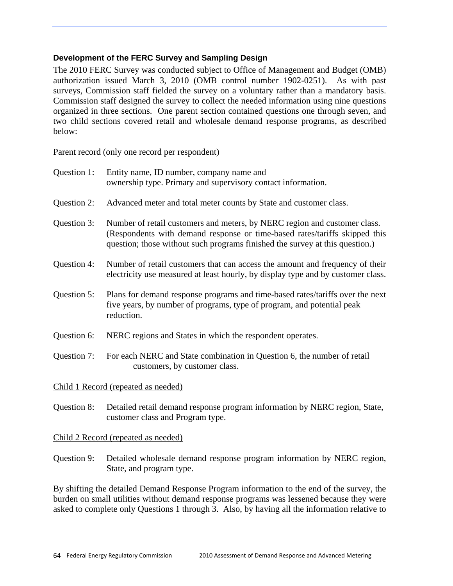## **Development of the FERC Survey and Sampling Design**

The 2010 FERC Survey was conducted subject to Office of Management and Budget (OMB) authorization issued March 3, 2010 (OMB control number 1902-0251). As with past surveys, Commission staff fielded the survey on a voluntary rather than a mandatory basis. Commission staff designed the survey to collect the needed information using nine questions organized in three sections. One parent section contained questions one through seven, and two child sections covered retail and wholesale demand response programs, as described below:

Parent record (only one record per respondent)

| Question 1: | Entity name, ID number, company name and<br>ownership type. Primary and supervisory contact information.                                                                                                                                |
|-------------|-----------------------------------------------------------------------------------------------------------------------------------------------------------------------------------------------------------------------------------------|
| Question 2: | Advanced meter and total meter counts by State and customer class.                                                                                                                                                                      |
| Question 3: | Number of retail customers and meters, by NERC region and customer class.<br>(Respondents with demand response or time-based rates/tariffs skipped this<br>question; those without such programs finished the survey at this question.) |
| Question 4: | Number of retail customers that can access the amount and frequency of their<br>electricity use measured at least hourly, by display type and by customer class.                                                                        |
| Question 5: | Plans for demand response programs and time-based rates/tariffs over the next<br>five years, by number of programs, type of program, and potential peak<br>reduction.                                                                   |
| Question 6: | NERC regions and States in which the respondent operates.                                                                                                                                                                               |
| Question 7: | For each NERC and State combination in Question 6, the number of retail<br>customers, by customer class.                                                                                                                                |
|             | Child 1 Record (repeated as needed)                                                                                                                                                                                                     |
| Question 8: | Detailed retail demand response program information by NERC region, State,<br>customer class and Program type.                                                                                                                          |
|             | Child 2 Record (repeated as needed)                                                                                                                                                                                                     |

Question 9: Detailed wholesale demand response program information by NERC region, State, and program type.

By shifting the detailed Demand Response Program information to the end of the survey, the burden on small utilities without demand response programs was lessened because they were asked to complete only Questions 1 through 3. Also, by having all the information relative to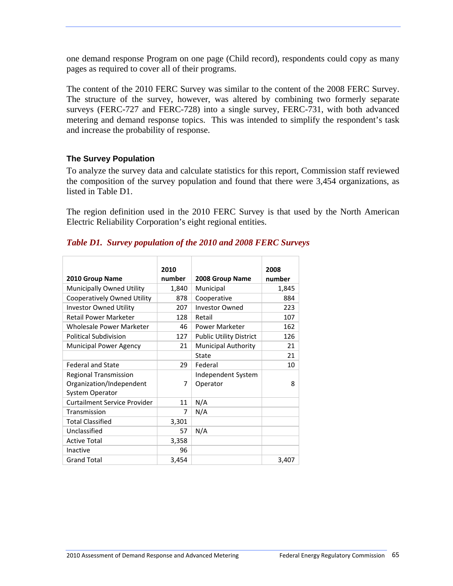one demand response Program on one page (Child record), respondents could copy as many pages as required to cover all of their programs.

The content of the 2010 FERC Survey was similar to the content of the 2008 FERC Survey. The structure of the survey, however, was altered by combining two formerly separate surveys (FERC-727 and FERC-728) into a single survey, FERC-731, with both advanced metering and demand response topics. This was intended to simplify the respondent's task and increase the probability of response.

## **The Survey Population**

To analyze the survey data and calculate statistics for this report, Commission staff reviewed the composition of the survey population and found that there were 3,454 organizations, as listed in Table D1.

The region definition used in the 2010 FERC Survey is that used by the North American Electric Reliability Corporation's eight regional entities.

# *Table D1. Survey population of the 2010 and 2008 FERC Surveys*

|                               | 2010   |                                | 2008   |
|-------------------------------|--------|--------------------------------|--------|
| 2010 Group Name               | number | 2008 Group Name                | number |
| Municipally Owned Utility     | 1,840  | Municipal                      | 1,845  |
| Cooperatively Owned Utility   | 878    | Cooperative                    | 884    |
| <b>Investor Owned Utility</b> | 207    | <b>Investor Owned</b>          | 223    |
| <b>Retail Power Marketer</b>  | 128    | Retail                         | 107    |
| Wholesale Power Marketer      | 46     | <b>Power Marketer</b>          | 162    |
| <b>Political Subdivision</b>  | 127    | <b>Public Utility District</b> | 126    |
| <b>Municipal Power Agency</b> | 21     | <b>Municipal Authority</b>     | 21     |
|                               |        | State                          | 21     |
| <b>Federal and State</b>      | 29     | Federal                        | 10     |
| <b>Regional Transmission</b>  |        | Independent System             |        |
| Organization/Independent      | 7      | Operator                       | 8      |
| <b>System Operator</b>        |        |                                |        |
| Curtailment Service Provider  | 11     | N/A                            |        |
| Transmission                  | 7      | N/A                            |        |
| <b>Total Classified</b>       | 3,301  |                                |        |
| Unclassified                  | 57     | N/A                            |        |
| <b>Active Total</b>           | 3,358  |                                |        |
| Inactive                      | 96     |                                |        |
| Grand Total                   | 3,454  |                                | 3,407  |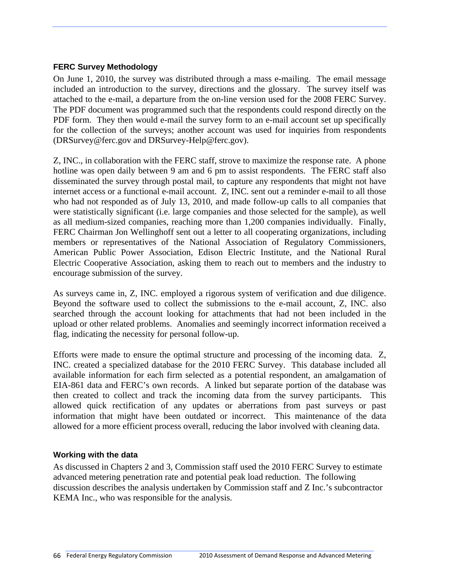#### **FERC Survey Methodology**

On June 1, 2010, the survey was distributed through a mass e-mailing. The email message included an introduction to the survey, directions and the glossary. The survey itself was attached to the e-mail, a departure from the on-line version used for the 2008 FERC Survey. The PDF document was programmed such that the respondents could respond directly on the PDF form. They then would e-mail the survey form to an e-mail account set up specifically for the collection of the surveys; another account was used for inquiries from respondents (DRSurvey@ferc.gov and DRSurvey-Help@ferc.gov).

Z, INC., in collaboration with the FERC staff, strove to maximize the response rate. A phone hotline was open daily between 9 am and 6 pm to assist respondents. The FERC staff also disseminated the survey through postal mail, to capture any respondents that might not have internet access or a functional e-mail account. Z, INC. sent out a reminder e-mail to all those who had not responded as of July 13, 2010, and made follow-up calls to all companies that were statistically significant (i.e. large companies and those selected for the sample), as well as all medium-sized companies, reaching more than 1,200 companies individually. Finally, FERC Chairman Jon Wellinghoff sent out a letter to all cooperating organizations, including members or representatives of the National Association of Regulatory Commissioners, American Public Power Association, Edison Electric Institute, and the National Rural Electric Cooperative Association, asking them to reach out to members and the industry to encourage submission of the survey.

As surveys came in, Z, INC. employed a rigorous system of verification and due diligence. Beyond the software used to collect the submissions to the e-mail account, Z, INC. also searched through the account looking for attachments that had not been included in the upload or other related problems. Anomalies and seemingly incorrect information received a flag, indicating the necessity for personal follow-up.

Efforts were made to ensure the optimal structure and processing of the incoming data. Z, INC. created a specialized database for the 2010 FERC Survey. This database included all available information for each firm selected as a potential respondent, an amalgamation of EIA-861 data and FERC's own records. A linked but separate portion of the database was then created to collect and track the incoming data from the survey participants. This allowed quick rectification of any updates or aberrations from past surveys or past information that might have been outdated or incorrect. This maintenance of the data allowed for a more efficient process overall, reducing the labor involved with cleaning data.

#### **Working with the data**

As discussed in Chapters 2 and 3, Commission staff used the 2010 FERC Survey to estimate advanced metering penetration rate and potential peak load reduction. The following discussion describes the analysis undertaken by Commission staff and Z Inc.'s subcontractor KEMA Inc., who was responsible for the analysis.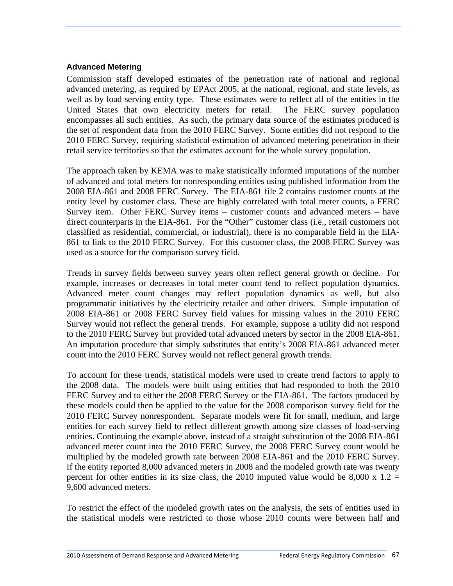#### **Advanced Metering**

Commission staff developed estimates of the penetration rate of national and regional advanced metering, as required by EPAct 2005, at the national, regional, and state levels, as well as by load serving entity type. These estimates were to reflect all of the entities in the United States that own electricity meters for retail. The FERC survey population encompasses all such entities. As such, the primary data source of the estimates produced is the set of respondent data from the 2010 FERC Survey. Some entities did not respond to the 2010 FERC Survey, requiring statistical estimation of advanced metering penetration in their retail service territories so that the estimates account for the whole survey population.

The approach taken by KEMA was to make statistically informed imputations of the number of advanced and total meters for nonresponding entities using published information from the 2008 EIA-861 and 2008 FERC Survey. The EIA-861 file 2 contains customer counts at the entity level by customer class. These are highly correlated with total meter counts, a FERC Survey item. Other FERC Survey items – customer counts and advanced meters – have direct counterparts in the EIA-861. For the "Other" customer class (i.e., retail customers not classified as residential, commercial, or industrial), there is no comparable field in the EIA-861 to link to the 2010 FERC Survey. For this customer class, the 2008 FERC Survey was used as a source for the comparison survey field.

Trends in survey fields between survey years often reflect general growth or decline. For example, increases or decreases in total meter count tend to reflect population dynamics. Advanced meter count changes may reflect population dynamics as well, but also programmatic initiatives by the electricity retailer and other drivers. Simple imputation of 2008 EIA-861 or 2008 FERC Survey field values for missing values in the 2010 FERC Survey would not reflect the general trends. For example, suppose a utility did not respond to the 2010 FERC Survey but provided total advanced meters by sector in the 2008 EIA-861. An imputation procedure that simply substitutes that entity's 2008 EIA-861 advanced meter count into the 2010 FERC Survey would not reflect general growth trends.

To account for these trends, statistical models were used to create trend factors to apply to the 2008 data. The models were built using entities that had responded to both the 2010 FERC Survey and to either the 2008 FERC Survey or the EIA-861. The factors produced by these models could then be applied to the value for the 2008 comparison survey field for the 2010 FERC Survey nonrespondent. Separate models were fit for small, medium, and large entities for each survey field to reflect different growth among size classes of load-serving entities. Continuing the example above, instead of a straight substitution of the 2008 EIA-861 advanced meter count into the 2010 FERC Survey, the 2008 FERC Survey count would be multiplied by the modeled growth rate between 2008 EIA-861 and the 2010 FERC Survey. If the entity reported 8,000 advanced meters in 2008 and the modeled growth rate was twenty percent for other entities in its size class, the 2010 imputed value would be 8,000 x  $1.2 =$ 9,600 advanced meters.

To restrict the effect of the modeled growth rates on the analysis, the sets of entities used in the statistical models were restricted to those whose 2010 counts were between half and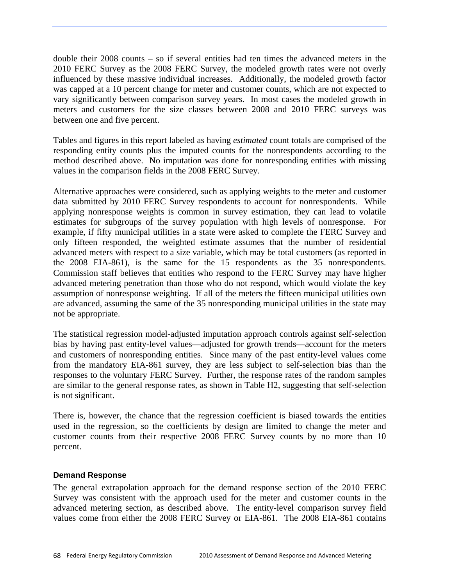double their 2008 counts – so if several entities had ten times the advanced meters in the 2010 FERC Survey as the 2008 FERC Survey, the modeled growth rates were not overly influenced by these massive individual increases. Additionally, the modeled growth factor was capped at a 10 percent change for meter and customer counts, which are not expected to vary significantly between comparison survey years. In most cases the modeled growth in meters and customers for the size classes between 2008 and 2010 FERC surveys was between one and five percent.

Tables and figures in this report labeled as having *estimated* count totals are comprised of the responding entity counts plus the imputed counts for the nonrespondents according to the method described above. No imputation was done for nonresponding entities with missing values in the comparison fields in the 2008 FERC Survey.

Alternative approaches were considered, such as applying weights to the meter and customer data submitted by 2010 FERC Survey respondents to account for nonrespondents. While applying nonresponse weights is common in survey estimation, they can lead to volatile estimates for subgroups of the survey population with high levels of nonresponse. For example, if fifty municipal utilities in a state were asked to complete the FERC Survey and only fifteen responded, the weighted estimate assumes that the number of residential advanced meters with respect to a size variable, which may be total customers (as reported in the 2008 EIA-861), is the same for the 15 respondents as the 35 nonrespondents. Commission staff believes that entities who respond to the FERC Survey may have higher advanced metering penetration than those who do not respond, which would violate the key assumption of nonresponse weighting. If all of the meters the fifteen municipal utilities own are advanced, assuming the same of the 35 nonresponding municipal utilities in the state may not be appropriate.

The statistical regression model-adjusted imputation approach controls against self-selection bias by having past entity-level values—adjusted for growth trends—account for the meters and customers of nonresponding entities. Since many of the past entity-level values come from the mandatory EIA-861 survey, they are less subject to self-selection bias than the responses to the voluntary FERC Survey. Further, the response rates of the random samples are similar to the general response rates, as shown in Table H2, suggesting that self-selection is not significant.

There is, however, the chance that the regression coefficient is biased towards the entities used in the regression, so the coefficients by design are limited to change the meter and customer counts from their respective 2008 FERC Survey counts by no more than 10 percent.

#### **Demand Response**

The general extrapolation approach for the demand response section of the 2010 FERC Survey was consistent with the approach used for the meter and customer counts in the advanced metering section, as described above. The entity-level comparison survey field values come from either the 2008 FERC Survey or EIA-861. The 2008 EIA-861 contains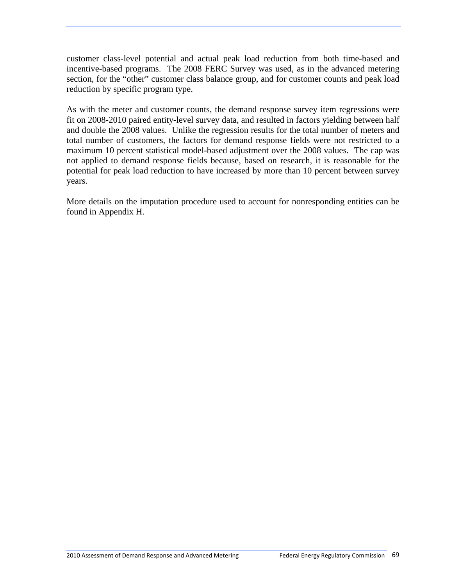customer class-level potential and actual peak load reduction from both time-based and incentive-based programs. The 2008 FERC Survey was used, as in the advanced metering section, for the "other" customer class balance group, and for customer counts and peak load reduction by specific program type.

As with the meter and customer counts, the demand response survey item regressions were fit on 2008-2010 paired entity-level survey data, and resulted in factors yielding between half and double the 2008 values. Unlike the regression results for the total number of meters and total number of customers, the factors for demand response fields were not restricted to a maximum 10 percent statistical model-based adjustment over the 2008 values. The cap was not applied to demand response fields because, based on research, it is reasonable for the potential for peak load reduction to have increased by more than 10 percent between survey years.

More details on the imputation procedure used to account for nonresponding entities can be found in Appendix H.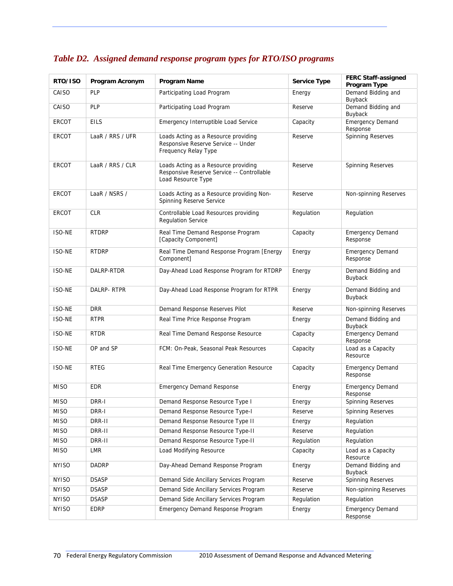| RTO/ISO       | Program Acronym  | Program Name                                                                                             | <b>Service Type</b> | <b>FERC Staff-assigned</b><br>Program Type |
|---------------|------------------|----------------------------------------------------------------------------------------------------------|---------------------|--------------------------------------------|
| CAISO         | <b>PLP</b>       | Participating Load Program                                                                               | Energy              | Demand Bidding and<br>Buyback              |
| CAISO         | <b>PLP</b>       | Participating Load Program                                                                               | Reserve             | Demand Bidding and<br>Buyback              |
| <b>ERCOT</b>  | <b>EILS</b>      | Emergency Interruptible Load Service                                                                     | Capacity            | <b>Emergency Demand</b><br>Response        |
| ERCOT         | LaaR / RRS / UFR | Loads Acting as a Resource providing<br>Responsive Reserve Service -- Under<br>Frequency Relay Type      | Reserve             | <b>Spinning Reserves</b>                   |
| <b>ERCOT</b>  | LaaR / RRS / CLR | Loads Acting as a Resource providing<br>Responsive Reserve Service -- Controllable<br>Load Resource Type | Reserve             | Spinning Reserves                          |
| <b>ERCOT</b>  | LaaR / NSRS /    | Loads Acting as a Resource providing Non-<br>Spinning Reserve Service                                    | Reserve             | Non-spinning Reserves                      |
| ERCOT         | <b>CLR</b>       | Controllable Load Resources providing<br><b>Regulation Service</b>                                       | Regulation          | Regulation                                 |
| <b>ISO-NE</b> | <b>RTDRP</b>     | Real Time Demand Response Program<br>[Capacity Component]                                                | Capacity            | <b>Emergency Demand</b><br>Response        |
| ISO-NE        | <b>RTDRP</b>     | Real Time Demand Response Program [Energy<br>Component]                                                  | Energy              | <b>Emergency Demand</b><br>Response        |
| <b>ISO-NE</b> | DALRP-RTDR       | Day-Ahead Load Response Program for RTDRP                                                                | Energy              | Demand Bidding and<br>Buyback              |
| <b>ISO-NE</b> | DALRP-RTPR       | Day-Ahead Load Response Program for RTPR                                                                 | Energy              | Demand Bidding and<br>Buyback              |
| ISO-NE        | <b>DRR</b>       | Demand Response Reserves Pilot                                                                           | Reserve             | Non-spinning Reserves                      |
| ISO-NE        | <b>RTPR</b>      | Real Time Price Response Program                                                                         | Energy              | Demand Bidding and<br>Buyback              |
| <b>ISO-NE</b> | <b>RTDR</b>      | Real Time Demand Response Resource                                                                       | Capacity            | <b>Emergency Demand</b><br>Response        |
| ISO-NE        | OP and SP        | FCM: On-Peak, Seasonal Peak Resources                                                                    | Capacity            | Load as a Capacity<br>Resource             |
| <b>ISO-NE</b> | <b>RTEG</b>      | Real Time Emergency Generation Resource                                                                  | Capacity            | <b>Emergency Demand</b><br>Response        |
| <b>MISO</b>   | <b>EDR</b>       | <b>Emergency Demand Response</b>                                                                         | Energy              | <b>Emergency Demand</b><br>Response        |
| <b>MISO</b>   | DRR-I            | Demand Response Resource Type I                                                                          | Energy              | <b>Spinning Reserves</b>                   |
| <b>MISO</b>   | DRR-I            | Demand Response Resource Type-I                                                                          | Reserve             | Spinning Reserves                          |
| <b>MISO</b>   | DRR-II           | Demand Response Resource Type II                                                                         | Energy              | Regulation                                 |
| <b>MISO</b>   | DRR-II           | Demand Response Resource Type-II                                                                         | Reserve             | Regulation                                 |
| <b>MISO</b>   | DRR-II           | Demand Response Resource Type-II                                                                         | Regulation          | Regulation                                 |
| <b>MISO</b>   | LMR              | Load Modifying Resource                                                                                  | Capacity            | Load as a Capacity<br>Resource             |
| <b>NYISO</b>  | DADRP            | Day-Ahead Demand Response Program                                                                        | Energy              | Demand Bidding and<br>Buyback              |
| <b>NYISO</b>  | <b>DSASP</b>     | Demand Side Ancillary Services Program                                                                   | Reserve             | Spinning Reserves                          |
| <b>NYISO</b>  | <b>DSASP</b>     | Demand Side Ancillary Services Program                                                                   | Reserve             | Non-spinning Reserves                      |
| <b>NYISO</b>  | <b>DSASP</b>     | Demand Side Ancillary Services Program                                                                   | Regulation          | Regulation                                 |
| <b>NYISO</b>  | EDRP             | Emergency Demand Response Program                                                                        | Energy              | <b>Emergency Demand</b><br>Response        |

### *Table D2. Assigned demand response program types for RTO/ISO programs*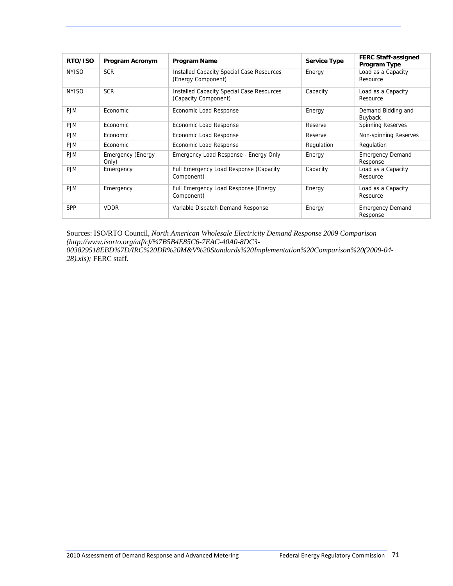| RTO/ISO      | Program Acronym                   | <b>Program Name</b>                                                      | <b>Service Type</b> | <b>FERC Staff-assigned</b><br>Program Type |
|--------------|-----------------------------------|--------------------------------------------------------------------------|---------------------|--------------------------------------------|
| <b>NYISO</b> | <b>SCR</b>                        | <b>Installed Capacity Special Case Resources</b><br>(Energy Component)   | Energy              | Load as a Capacity<br>Resource             |
| <b>NYISO</b> | <b>SCR</b>                        | <b>Installed Capacity Special Case Resources</b><br>(Capacity Component) | Capacity            | Load as a Capacity<br>Resource             |
| <b>P.JM</b>  | <b>Economic</b>                   | Economic Load Response                                                   | Energy              | Demand Bidding and<br>Buyback              |
| <b>PJM</b>   | Economic                          | Economic Load Response                                                   | Reserve             | <b>Spinning Reserves</b>                   |
| <b>PJM</b>   | Economic                          | Economic Load Response                                                   | Reserve             | Non-spinning Reserves                      |
| <b>PJM</b>   | Economic                          | Economic Load Response                                                   | Regulation          | Regulation                                 |
| <b>PJM</b>   | <b>Emergency (Energy</b><br>Only) | Emergency Load Response - Energy Only                                    | Energy              | <b>Emergency Demand</b><br>Response        |
| <b>PJM</b>   | Emergency                         | Full Emergency Load Response (Capacity<br>Component)                     | Capacity            | Load as a Capacity<br>Resource             |
| <b>PJM</b>   | Emergency                         | Full Emergency Load Response (Energy<br>Component)                       | Energy              | Load as a Capacity<br>Resource             |
| <b>SPP</b>   | <b>VDDR</b>                       | Variable Dispatch Demand Response                                        | Energy              | <b>Emergency Demand</b><br>Response        |

Sources: ISO/RTO Council, *North American Wholesale Electricity Demand Response 2009 Comparison (http://www.isorto.org/atf/cf/%7B5B4E85C6-7EAC-40A0-8DC3- 003829518EBD%7D/IRC%20DR%20M&V%20Standards%20Implementation%20Comparison%20(2009-04- 28).xls);* FERC staff.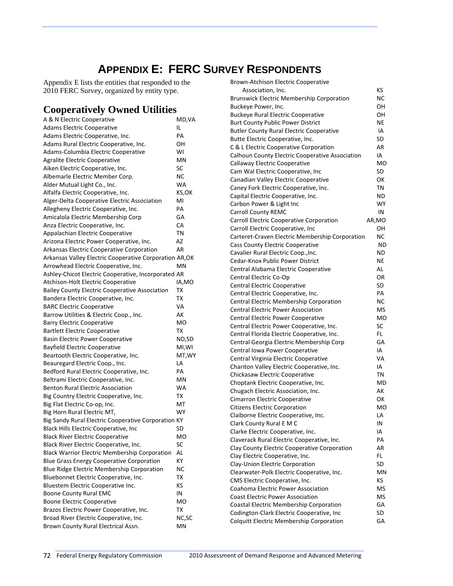# **APPENDIX E: FERC SURVEY RESPONDENTS**

Appendix E lists the entities that responded to the 2010 FERC Survey, organized by entity type.

### **Cooperatively Owned Utilities**

| A & N Electric Cooperative                              | MD, VA    |
|---------------------------------------------------------|-----------|
| <b>Adams Electric Cooperative</b>                       | IL        |
| Adams Electric Cooperative, Inc.                        | PA        |
| Adams Rural Electric Cooperative, Inc.                  | OН        |
| Adams-Columbia Electric Cooperative                     | W١        |
| <b>Agralite Electric Cooperative</b>                    | ΜN        |
| Aiken Electric Cooperative, Inc.                        | SC        |
| Albemarle Electric Member Corp.                         | ΝC        |
| Alder Mutual Light Co., Inc.                            | WA        |
| Alfalfa Electric Cooperative, Inc.                      | KS,OK     |
| Alger-Delta Cooperative Electric Association            | MI        |
| Allegheny Electric Cooperative, Inc.                    | PА        |
| Amicalola Electric Membership Corp                      | GA        |
| Anza Electric Cooperative, Inc.                         | CA        |
| Appalachian Electric Cooperative                        | ΤN        |
| Arizona Electric Power Cooperative, Inc.                | AZ        |
| Arkansas Electric Cooperative Corporation               | AR        |
| Arkansas Valley Electric Cooperative Corporation AR, OK |           |
| Arrowhead Electric Cooperative, Inc.                    | ΜN        |
| Ashley-Chicot Electric Cooperative, Incorporated AR     |           |
| Atchison-Holt Electric Cooperative                      | IA,MO     |
| <b>Bailey County Electric Cooperative Association</b>   | ТX        |
| Bandera Electric Cooperative, Inc.                      | ТX        |
| <b>BARC Electric Cooperative</b>                        | VA        |
| Barrow Utilities & Electric Coop., Inc.                 | AK        |
| <b>Barry Electric Cooperative</b>                       | МO        |
| <b>Bartlett Electric Cooperative</b>                    | ТX        |
| <b>Basin Electric Power Cooperative</b>                 | ND,SD     |
| <b>Bayfield Electric Cooperative</b>                    | MI,WI     |
| Beartooth Electric Cooperative, Inc.                    | MT, WY    |
| Beauregard Electric Coop., Inc.                         | LA        |
| Bedford Rural Electric Cooperative, Inc.                | PA        |
| Beltrami Electric Cooperative, Inc.                     | ΜN        |
| <b>Benton Rural Electric Association</b>                | <b>WA</b> |
| Big Country Electric Cooperative, Inc.                  | ТX        |
| Big Flat Electric Co-op, Inc.                           | МT        |
| Big Horn Rural Electric MT,                             | WY        |
| Big Sandy Rural Electric Cooperative Corporation KY     |           |
| Black Hills Electric Cooperative, Inc                   | SD        |
| <b>Black River Electric Cooperative</b>                 | МO        |
| Black River Electric Cooperative, Inc.                  | SC        |
| <b>Black Warrior Electric Membership Corporation</b>    | AL        |
| <b>Blue Grass Energy Cooperative Corporation</b>        | ΚY        |
| Blue Ridge Electric Membership Corporation              | ΝC        |
| Bluebonnet Electric Cooperative, Inc.                   | TХ        |
| Bluestem Electric Cooperative Inc.                      | κs        |
| <b>Boone County Rural EMC</b>                           | IN        |
| <b>Boone Electric Cooperative</b>                       | МO        |
| Brazos Electric Power Cooperative, Inc.                 | TХ        |
| Broad River Electric Cooperative, Inc.                  | NC, SC    |
|                                                         |           |
| Brown County Rural Electrical Assn.                     | ΜN        |

| <b>Brown-Atchison Electric Cooperative</b>                                          |           |
|-------------------------------------------------------------------------------------|-----------|
| Association, Inc.                                                                   | KS.       |
| <b>Brunswick Electric Membership Corporation</b>                                    | NC        |
| Buckeye Power, Inc.                                                                 | OН        |
| <b>Buckeye Rural Electric Cooperative</b>                                           | OН        |
| <b>Burt County Public Power District</b>                                            | ΝE        |
| <b>Butler County Rural Electric Cooperative</b>                                     | IA        |
| Butte Electric Cooperative, Inc.                                                    | SD        |
| C & L Electric Cooperative Corporation                                              | AR        |
| Calhoun County Electric Cooperative Association                                     | IA        |
| Callaway Electric Cooperative                                                       | МO        |
| Cam Wal Electric Cooperative, Inc                                                   | SD        |
| Canadian Valley Electric Cooperative                                                | ОΚ        |
| Caney Fork Electric Cooperative, Inc.                                               | TN        |
| Capital Electric Cooperative, Inc.                                                  | ND        |
| Carbon Power & Light Inc                                                            | <b>WY</b> |
| <b>Carroll County REMC</b>                                                          | IN        |
| Carroll Electric Cooperative Corporation                                            | AR,MO     |
| Carroll Electric Cooperative, Inc                                                   | OН        |
| Carteret-Craven Electric Membership Corporation                                     | NС        |
| Cass County Electric Cooperative                                                    | <b>ND</b> |
| Cavalier Rural Electric Coop., Inc.                                                 | <b>ND</b> |
| Cedar-Knox Public Power District                                                    | ΝE        |
| Central Alabama Electric Cooperative                                                | AL        |
| Central Electric Co-Op                                                              | OR        |
| Central Electric Cooperative                                                        | <b>SD</b> |
| Central Electric Cooperative, Inc.                                                  | PA        |
| Central Electric Membership Corporation                                             | ΝC        |
| <b>Central Electric Power Association</b>                                           | MS        |
| <b>Central Electric Power Cooperative</b>                                           | <b>MO</b> |
| Central Electric Power Cooperative, Inc.                                            | SC        |
| Central Florida Electric Cooperative, Inc.                                          | FL.       |
| Central Georgia Electric Membership Corp                                            | GA<br>IA  |
| Central Iowa Power Cooperative                                                      | VA        |
| Central Virginia Electric Cooperative<br>Chariton Valley Electric Cooperative, Inc. | IA        |
| Chickasaw Electric Cooperative                                                      | TN        |
| Choptank Electric Cooperative, Inc.                                                 | MD        |
| Chugach Electric Association, Inc.                                                  | АK        |
| Cimarron Electric Cooperative                                                       | ОΚ        |
| <b>Citizens Electric Corporation</b>                                                | MO        |
| Claiborne Electric Cooperative, Inc.                                                | LA        |
| Clark County Rural E M C                                                            | IN        |
| Clarke Electric Cooperative, Inc.                                                   | IA        |
| Claverack Rural Electric Cooperative, Inc.                                          | PA        |
| Clay County Electric Cooperative Corporation                                        | AR        |
| Clay Electric Cooperative, Inc.                                                     | FL.       |
| Clay-Union Electric Corporation                                                     | SD        |
| Clearwater-Polk Electric Cooperative, Inc.                                          | ΜN        |
| CMS Electric Cooperative, Inc.                                                      | ΚS        |
| Coahoma Electric Power Association                                                  | MS        |
| <b>Coast Electric Power Association</b>                                             | <b>MS</b> |
| Coastal Electric Membership Corporation                                             | GA        |
| Codington-Clark Electric Cooperative, Inc                                           | SD        |
| Colquitt Electric Membership Corporation                                            | GA        |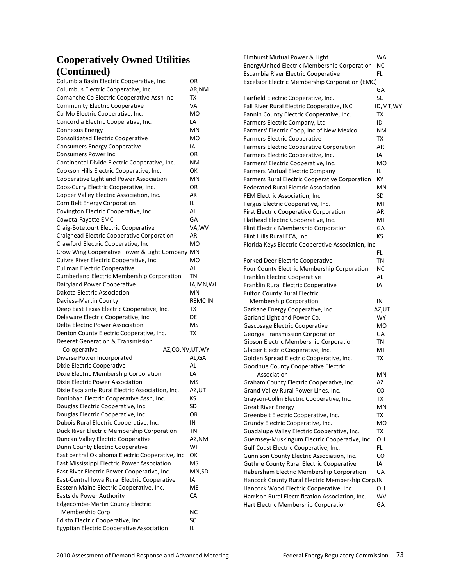| Columbia Basin Electric Cooperative, Inc.                                             | OR            |
|---------------------------------------------------------------------------------------|---------------|
| Columbus Electric Cooperative, Inc.                                                   | AR,NM         |
| Comanche Co Electric Cooperative Assn Inc                                             | ТΧ            |
| <b>Community Electric Cooperative</b>                                                 | VA            |
| Co-Mo Electric Cooperative, Inc.                                                      | мo            |
| Concordia Electric Cooperative, Inc.                                                  | LA            |
| <b>Connexus Energy</b>                                                                | ΜN            |
| Consolidated Electric Cooperative                                                     | МO            |
| <b>Consumers Energy Cooperative</b>                                                   | IA            |
| Consumers Power Inc.                                                                  | OR            |
| Continental Divide Electric Cooperative, Inc.                                         | ΝM            |
| Cookson Hills Electric Cooperative, Inc.                                              | οк            |
| Cooperative Light and Power Association                                               | MN            |
| Coos-Curry Electric Cooperative, Inc.                                                 | ΟR            |
| Copper Valley Electric Association, Inc.                                              | АK            |
| Corn Belt Energy Corporation                                                          | IL            |
| Covington Electric Cooperative, Inc.                                                  | AL            |
| Coweta-Fayette EMC                                                                    | GA            |
| Craig-Botetourt Electric Cooperative                                                  | VA,WV         |
| Craighead Electric Cooperative Corporation                                            | AR            |
| Crawford Electric Cooperative, Inc                                                    | МO            |
| Crow Wing Cooperative Power & Light Company MN                                        |               |
| Cuivre River Electric Cooperative, Inc                                                | МO            |
| <b>Cullman Electric Cooperative</b>                                                   | AL            |
| <b>Cumberland Electric Membership Corporation</b>                                     | ΤN            |
| Dairyland Power Cooperative                                                           | IA,MN,WI      |
| Dakota Electric Association                                                           | ΜN            |
| Daviess-Martin County                                                                 | <b>REMCIN</b> |
| Deep East Texas Electric Cooperative, Inc.                                            | тх            |
| Delaware Electric Cooperative, Inc.                                                   | DE            |
| Delta Electric Power Association                                                      | MS            |
| Denton County Electric Cooperative, Inc.                                              | ТX            |
| Deseret Generation & Transmission                                                     |               |
| Co-operative<br>AZ,CO,NV,UT,WY                                                        |               |
| Diverse Power Incorporated                                                            | AL,GA         |
| Dixie Electric Cooperative                                                            | AL            |
| Dixie Electric Membership Corporation                                                 | LA            |
| Dixie Electric Power Association                                                      | MS            |
| Dixie Escalante Rural Electric Association, Inc.                                      | AZ,UT         |
| Doniphan Electric Cooperative Assn, Inc.                                              | κs            |
| Douglas Electric Cooperative, Inc                                                     | SD            |
| Douglas Electric Cooperative, Inc.                                                    | OR            |
| Dubois Rural Electric Cooperative, Inc.                                               | IN            |
| Duck River Electric Membership Corporation                                            | ΤN            |
| Duncan Valley Electric Cooperative                                                    | AZ,NM         |
| Dunn County Electric Cooperative                                                      | WI            |
| East central Oklahoma Electric Cooperative, Inc.                                      | ОΚ            |
| East Mississippi Electric Power Association                                           | MS            |
| East River Electric Power Cooperative, Inc.                                           | MN,SD         |
| East-Central Iowa Rural Electric Cooperative                                          | ΙA            |
| Eastern Maine Electric Cooperative, Inc.                                              | ME            |
| Eastside Power Authority                                                              | CA            |
| Edgecombe-Martin County Electric                                                      |               |
| Membership Corp.                                                                      | ΝC            |
| Edisto Electric Cooperative, Inc.<br><b>Egyptian Electric Cooperative Association</b> | SC<br>IL      |
|                                                                                       |               |

| Elmhurst Mutual Power & Light                                                   | WA         |
|---------------------------------------------------------------------------------|------------|
| EnergyUnited Electric Membership Corporation                                    | NC         |
| Escambia River Electric Cooperative                                             | FL         |
| <b>Excelsior Electric Membership Corporation (EMC)</b>                          |            |
|                                                                                 | GA         |
| Fairfield Electric Cooperative, Inc.                                            | SC         |
| Fall River Rural Electric Cooperative, INC                                      | ID, MT, WY |
| Fannin County Electric Cooperative, Inc.                                        | ТΧ<br>ID   |
| Farmers Electric Company, Ltd<br>Farmers' Electric Coop, Inc of New Mexico      | ΝM         |
| <b>Farmers Electric Cooperative</b>                                             | ΤХ         |
| <b>Farmers Electric Cooperative Corporation</b>                                 | AR         |
| Farmers Electric Cooperative, Inc.                                              | IA         |
| Farmers' Electric Cooperative, Inc.                                             | МO         |
| <b>Farmers Mutual Electric Company</b>                                          | IL         |
| Farmers Rural Electric Cooperative Corporation                                  | КY         |
| <b>Federated Rural Electric Association</b>                                     | ΜN         |
| FEM Electric Association, Inc                                                   | SD         |
| Fergus Electric Cooperative, Inc.                                               | МT         |
| <b>First Electric Cooperative Corporation</b>                                   | AR         |
| Flathead Electric Cooperative, Inc.                                             | МT         |
| Flint Electric Membership Corporation                                           | GА         |
| Flint Hills Rural ECA, Inc                                                      | КS         |
| Florida Keys Electric Cooperative Association, Inc.                             |            |
|                                                                                 | FL         |
| <b>Forked Deer Electric Cooperative</b>                                         | ΤN         |
| Four County Electric Membership Corporation                                     | NC         |
| Franklin Electric Cooperative                                                   | AL         |
| Franklin Rural Electric Cooperative                                             | IA         |
| <b>Fulton County Rural Electric</b>                                             |            |
| <b>Membership Corporation</b>                                                   | IN         |
| Garkane Energy Cooperative, Inc                                                 | AZ,UT      |
| Garland Light and Power Co.                                                     | WY         |
| Gascosage Electric Cooperative                                                  | МO         |
| Georgia Transmission Corporation                                                | GA         |
| Gibson Electric Membership Corporation                                          | ΤN         |
| Glacier Electric Cooperative, Inc.                                              | МT<br>ТX   |
| Golden Spread Electric Cooperative, Inc.<br>Goodhue County Cooperative Electric |            |
| Association                                                                     | MN         |
| Graham County Electric Cooperative, Inc.                                        | AZ         |
| Grand Valley Rural Power Lines, Inc.                                            | CO         |
| Grayson-Collin Electric Cooperative, Inc.                                       | ТX         |
| <b>Great River Energy</b>                                                       | ΜN         |
| Greenbelt Electric Cooperative, Inc.                                            | ТX         |
| Grundy Electric Cooperative, Inc.                                               | MO         |
| Guadalupe Valley Electric Cooperative, Inc.                                     | ТX         |
| Guernsey-Muskingum Electric Cooperative, Inc.                                   | OН         |
| Gulf Coast Electric Cooperative, Inc.                                           | FL.        |
| Gunnison County Electric Association, Inc.                                      | CO         |
| <b>Guthrie County Rural Electric Cooperative</b>                                | IA         |
| Habersham Electric Membership Corporation                                       | GА         |
| Hancock County Rural Electric Membership Corp.IN                                |            |
| Hancock Wood Electric Cooperative, Inc                                          | OH         |
| Harrison Rural Electrification Association, Inc.                                | WV         |
| Hart Electric Membership Corporation                                            | GА         |
|                                                                                 |            |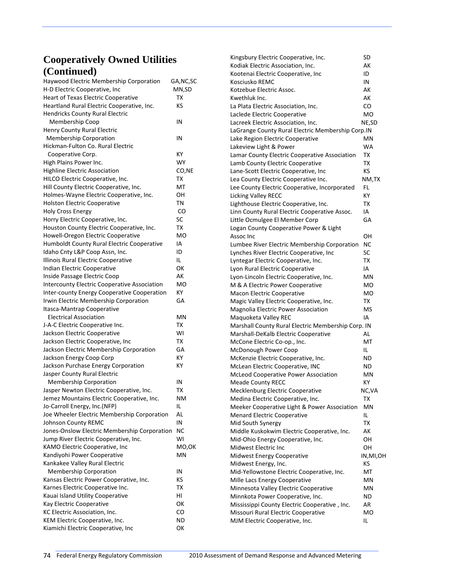| Haywood Electric Membership Corporation<br>H-D Electric Cooperative, Inc | GA, NC, SC<br>MN,SD |
|--------------------------------------------------------------------------|---------------------|
| Heart of Texas Electric Cooperative                                      | ТΧ                  |
| Heartland Rural Electric Cooperative, Inc.                               | КS                  |
| <b>Hendricks County Rural Electric</b>                                   |                     |
| Membership Coop                                                          | IN                  |
| Henry County Rural Electric                                              |                     |
| <b>Membership Corporation</b>                                            | IN                  |
| Hickman-Fulton Co. Rural Electric                                        |                     |
| Cooperative Corp.                                                        | КY                  |
| High Plains Power Inc.                                                   | WY                  |
| <b>Highline Electric Association</b>                                     | CO,NE               |
| HILCO Electric Cooperative, Inc.                                         | ТX                  |
| Hill County Electric Cooperative, Inc.                                   | МT                  |
| Holmes-Wayne Electric Cooperative, Inc.                                  | OН                  |
| <b>Holston Electric Cooperative</b>                                      | ΤN                  |
| <b>Holy Cross Energy</b>                                                 | CO                  |
| Horry Electric Cooperative, Inc.                                         | SC                  |
| Houston County Electric Cooperative, Inc.                                | ТΧ                  |
| Howell-Oregon Electric Cooperative                                       | <b>MO</b>           |
| Humboldt County Rural Electric Cooperative                               | ΙA                  |
| Idaho Cnty L&P Coop Assn, Inc.                                           | ID                  |
| Illinois Rural Electric Cooperative                                      | IL.                 |
| Indian Electric Cooperative                                              | OK                  |
| Inside Passage Electric Coop                                             | АΚ                  |
| <b>Intercounty Electric Cooperative Association</b>                      | МO                  |
| Inter-county Energy Cooperative Cooperation                              | ΚY                  |
| Irwin Electric Membership Corporation                                    | GА                  |
| Itasca-Mantrap Cooperative                                               |                     |
| <b>Electrical Association</b>                                            | ΜN                  |
| J-A-C Electric Cooperative Inc.                                          | тх                  |
| Jackson Electric Cooperative                                             | WI                  |
| Jackson Electric Cooperative, Inc                                        | TХ                  |
| Jackson Electric Membership Corporation                                  | GА                  |
| Jackson Energy Coop Corp                                                 | ΚY                  |
| Jackson Purchase Energy Corporation                                      | ΚY                  |
| Jasper County Rural Electric                                             |                     |
| <b>Membership Corporation</b>                                            | IN                  |
| Jasper Newton Electric Cooperative, Inc.                                 | тх                  |
| Jemez Mountains Electric Cooperative, Inc.                               | ΝM                  |
| Jo-Carroll Energy, Inc.(NFP)                                             | IL.                 |
| Joe Wheeler Electric Membership Corporation                              | AL                  |
| Johnson County REMC                                                      | IN                  |
| Jones-Onslow Electric Membership Corporation                             | NC                  |
| Jump River Electric Cooperative, Inc.                                    | WI                  |
| KAMO Electric Cooperative, Inc                                           | MO,OK               |
| Kandiyohi Power Cooperative                                              | MN                  |
| Kankakee Valley Rural Electric                                           |                     |
| <b>Membership Corporation</b>                                            | IN                  |
| Kansas Electric Power Cooperative, Inc.                                  | ΚS                  |
| Karnes Electric Cooperative Inc.                                         | ТX                  |
| Kauai Island Utility Cooperative                                         | HI                  |
| Kay Electric Cooperative                                                 | ОΚ                  |
| KC Electric Association, Inc.                                            | CO                  |
| KEM Electric Cooperative, Inc.                                           | ΝD                  |
| Kiamichi Electric Cooperative, Inc                                       | ОΚ                  |
|                                                                          |                     |

| Kingsbury Electric Cooperative, Inc.               | SD         |
|----------------------------------------------------|------------|
| Kodiak Electric Association, Inc.                  | АK         |
| Kootenai Electric Cooperative, Inc                 | ID         |
| Kosciusko REMC                                     | IN         |
| Kotzebue Electric Assoc.                           | AK         |
| Kwethluk Inc.                                      | AK         |
| La Plata Electric Association, Inc.                | CO         |
| Laclede Electric Cooperative                       | МO         |
| Lacreek Electric Association, Inc.                 | NE,SD      |
| LaGrange County Rural Electric Membership Corp.IN  |            |
| Lake Region Electric Cooperative                   | ΜN         |
| Lakeview Light & Power                             | WA         |
| Lamar County Electric Cooperative Association      | ΤХ         |
| Lamb County Electric Cooperative                   | ТX         |
| Lane-Scott Electric Cooperative, Inc               | KS         |
| Lea County Electric Cooperative Inc.               | NM,TX      |
| Lee County Electric Cooperative, Incorporated      | FL         |
| Licking Valley RECC                                | КY         |
| Lighthouse Electric Cooperative, Inc.              | ТX         |
| Linn County Rural Electric Cooperative Assoc.      | IA         |
| Little Ocmulgee El Member Corp                     | GА         |
| Logan County Cooperative Power & Light             |            |
| Assoc Inc                                          | OН         |
| Lumbee River Electric Membership Corporation       | NC         |
| Lynches River Electric Cooperative, Inc            | SC         |
| Lyntegar Electric Cooperative, Inc.                | ТX         |
| Lyon Rural Electric Cooperative                    | IA         |
| Lyon-Lincoln Electric Cooperative, Inc.            | ΜN         |
| M & A Electric Power Cooperative                   | MO         |
| Macon Electric Cooperative                         | МO         |
| Magic Valley Electric Cooperative, Inc.            | ТX         |
| Magnolia Electric Power Association                | MS         |
| Maquoketa Valley REC                               | IA         |
| Marshall County Rural Electric Membership Corp. IN |            |
| Marshall-DeKalb Electric Cooperative               | AL         |
| McCone Electric Co-op., Inc.                       | МT         |
| McDonough Power Coop                               | IL         |
| McKenzie Electric Cooperative, Inc.                | <b>ND</b>  |
| McLean Electric Cooperative, INC                   | ND         |
| <b>McLeod Cooperative Power Association</b>        | ΜN         |
| <b>Meade County RECC</b>                           | КY         |
| Mecklenburg Electric Cooperative                   | NC, VA     |
| Medina Electric Cooperative, Inc.                  | TХ         |
| Meeker Cooperative Light & Power Association       | ΜN         |
| <b>Menard Electric Cooperative</b>                 | IL         |
| Mid South Synergy                                  | TХ         |
| Middle Kuskokwim Electric Cooperative, Inc.        | AK         |
| Mid-Ohio Energy Cooperative, Inc.                  | OН         |
| Midwest Electric Inc                               | OН         |
| <b>Midwest Energy Cooperative</b>                  | IN, MI, OH |
| Midwest Energy, Inc.                               | КS         |
| Mid-Yellowstone Electric Cooperative, Inc.         | МT         |
| Mille Lacs Energy Cooperative                      | ΜN         |
| Minnesota Valley Electric Cooperative              | ΜN         |
| Minnkota Power Cooperative, Inc.                   | ND         |
| Mississippi County Electric Cooperative, Inc.      | AR         |
| Missouri Rural Electric Cooperative                | МO         |
| MJM Electric Cooperative, Inc.                     | IL         |
|                                                    |            |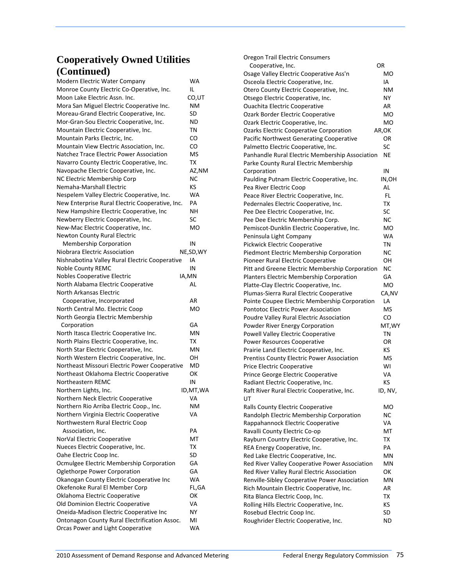| Modern Electric Water Company                   | WA         |
|-------------------------------------------------|------------|
| Monroe County Electric Co-Operative, Inc.       | IL         |
| Moon Lake Electric Assn. Inc.                   | CO,UT      |
| Mora San Miguel Electric Cooperative Inc.       | ΝM         |
| Moreau-Grand Electric Cooperative, Inc.         | SD         |
| Mor-Gran-Sou Electric Cooperative, Inc.         | ND         |
| Mountain Electric Cooperative, Inc.             | ΤN         |
| Mountain Parks Electric, Inc.                   | CO         |
| Mountain View Electric Association, Inc.        | CO         |
| Natchez Trace Electric Power Association        | <b>MS</b>  |
| Navarro County Electric Cooperative, Inc.       | ТX         |
| Navopache Electric Cooperative, Inc.            | AZ,NM      |
| NC Electric Membership Corp                     | NC         |
| Nemaha-Marshall Electric                        | KS         |
|                                                 |            |
| Nespelem Valley Electric Cooperative, Inc.      | WA         |
| New Enterprise Rural Electric Cooperative, Inc. | PA         |
| New Hampshire Electric Cooperative, Inc         | NΗ         |
| Newberry Electric Cooperative, Inc.             | SC         |
| New-Mac Electric Cooperative, Inc.              | МO         |
| Newton County Rural Electric                    |            |
| <b>Membership Corporation</b>                   | IN         |
| Niobrara Electric Association                   | NE, SD, WY |
| Nishnabotina Valley Rural Electric Cooperative  | IA         |
| <b>Noble County REMC</b>                        | IN         |
| <b>Nobles Cooperative Electric</b>              | IA,MN      |
| North Alabama Electric Cooperative              | AL         |
| North Arkansas Electric                         |            |
| Cooperative, Incorporated                       | AR         |
| North Central Mo. Electric Coop                 | МO         |
| North Georgia Electric Membership               |            |
| Corporation                                     | GA         |
| North Itasca Electric Cooperative Inc.          | ΜN         |
| North Plains Electric Cooperative, Inc.         | тх         |
| North Star Electric Cooperative, Inc.           | ΜN         |
| North Western Electric Cooperative, Inc.        | OН         |
| Northeast Missouri Electric Power Cooperative   | MD         |
| Northeast Oklahoma Electric Cooperative         | ОΚ         |
| Northeastern REMC                               | IN         |
| Northern Lights, Inc.                           | ID, MT, WA |
| Northern Neck Electric Cooperative              | VA         |
| Northern Rio Arriba Electric Coop., Inc         | NΜ         |
| Northern Virginia Electric Cooperative          | VA         |
| Northwestern Rural Electric Coop                |            |
| Association, Inc.                               | PА         |
|                                                 |            |
| NorVal Electric Cooperative                     | МT         |
| Nueces Electric Cooperative, Inc.               | ΤХ         |
| Oahe Electric Coop Inc.                         | SD         |
| Ocmulgee Electric Membership Corporation        | GА         |
| Oglethorpe Power Corporation                    | GА         |
| Okanogan County Electric Cooperative Inc        | WA         |
| Okefenoke Rural El Member Corp                  | FL,GA      |
| Oklahoma Electric Cooperative                   | ОΚ         |
| Old Dominion Electric Cooperative               | VA         |
| Oneida-Madison Electric Cooperative Inc         | NΥ         |
| Ontonagon County Rural Electrification Assoc.   | MI         |
| Orcas Power and Light Cooperative               | WA         |

| Oregon Trail Electric Consumers                   |           |
|---------------------------------------------------|-----------|
| Cooperative, Inc.                                 | OR        |
| Osage Valley Electric Cooperative Ass'n           | мo        |
| Osceola Electric Cooperative, Inc.                | IA        |
| Otero County Electric Cooperative, Inc.           | ΝM        |
| Otsego Electric Cooperative, Inc.                 | NΥ        |
| <b>Ouachita Electric Cooperative</b>              | AR        |
| Ozark Border Electric Cooperative                 | MO        |
| Ozark Electric Cooperative, Inc.                  | мo        |
| <b>Ozarks Electric Cooperative Corporation</b>    | AR,OK     |
| Pacific Northwest Generating Cooperative          | OR        |
| Palmetto Electric Cooperative, Inc.               | SC        |
| Panhandle Rural Electric Membership Association   | ΝE        |
| Parke County Rural Electric Membership            |           |
| Corporation                                       | IN        |
| Paulding Putnam Electric Cooperative, Inc.        | IN,OH     |
| Pea River Electric Coop                           | AL        |
| Peace River Electric Cooperative, Inc.            | FL        |
| Pedernales Electric Cooperative, Inc.             | ТX        |
| Pee Dee Electric Cooperative, Inc.                | SC        |
| Pee Dee Electric Membership Corp.                 | NC        |
| Pemiscot-Dunklin Electric Cooperative, Inc.       | МO        |
| Peninsula Light Company                           | WA        |
| Pickwick Electric Cooperative                     | ΤN        |
| Piedmont Electric Membership Corporation          | NC        |
| Pioneer Rural Electric Cooperative                | OН        |
| Pitt and Greene Electric Membership Corporation   | NC        |
| Planters Electric Membership Corporation          | GA        |
| Platte-Clay Electric Cooperative, Inc.            | МO        |
| Plumas-Sierra Rural Electric Cooperative          | CA, NV    |
| Pointe Coupee Electric Membership Corporation     | LA        |
| <b>Pontotoc Electric Power Association</b>        | MS        |
| Poudre Valley Rural Electric Association          | CO        |
| Powder River Energy Corporation                   | MT,WY     |
| Powell Valley Electric Cooperative                | <b>TN</b> |
| <b>Power Resources Cooperative</b>                | OR        |
| Prairie Land Electric Cooperative, Inc.           | ΚS        |
| <b>Prentiss County Electric Power Association</b> | MS        |
| Price Electric Cooperative                        | WI        |
| Prince George Electric Cooperative                | VA        |
| Radiant Electric Cooperative, Inc.                | KS        |
| Raft River Rural Electric Cooperative, Inc.       | ID, NV,   |
| UT                                                |           |
| Ralls County Electric Cooperative                 | МO        |
| Randolph Electric Membership Corporation          | ΝC        |
| Rappahannock Electric Cooperative                 | VA        |
| Ravalli County Electric Co-op                     | МT        |
| Rayburn Country Electric Cooperative, Inc.        | ТX        |
| REA Energy Cooperative, Inc.                      | PA        |
| Red Lake Electric Cooperative, Inc.               | ΜN        |
| Red River Valley Cooperative Power Association    | ΜN        |
| Red River Valley Rural Electric Association       | οк        |
| Renville-Sibley Cooperative Power Association     | ΜN        |
| Rich Mountain Electric Cooperative, Inc.          | AR        |
| Rita Blanca Electric Coop, Inc.                   | ТX        |
| Rolling Hills Electric Cooperative, Inc.          | κs        |
| Rosebud Electric Coop Inc.                        | SD        |
| Roughrider Electric Cooperative, Inc.             | ND        |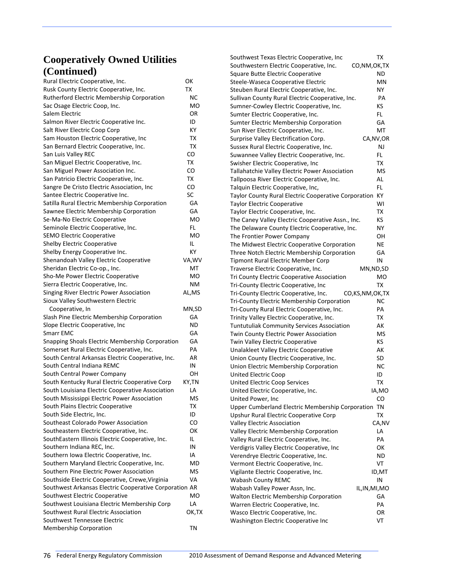| Rural Electric Cooperative, Inc.                       | οк          |
|--------------------------------------------------------|-------------|
| Rusk County Electric Cooperative, Inc.                 | ТX          |
| Rutherford Electric Membership Corporation             | NC          |
| Sac Osage Electric Coop, Inc.                          | мo          |
| Salem Electric                                         | OR          |
| Salmon River Electric Cooperative Inc.                 | ID          |
| Salt River Electric Coop Corp                          | ΚY          |
| Sam Houston Electric Cooperative, Inc                  | ΤХ          |
| San Bernard Electric Cooperative, Inc.                 | ТX          |
| San Luis Valley REC                                    | CO          |
| San Miguel Electric Cooperative, Inc.                  | ТX          |
| San Miguel Power Association Inc.                      | CO          |
| San Patricio Electric Cooperative, Inc.                | ТX          |
| Sangre De Cristo Electric Association, Inc             | CO          |
| Santee Electric Cooperative Inc.                       | SC          |
| Satilla Rural Electric Membership Corporation          | GА          |
| Sawnee Electric Membership Corporation                 | GA          |
| Se-Ma-No Electric Cooperative                          | МO          |
| Seminole Electric Cooperative, Inc.                    | FL          |
| <b>SEMO Electric Cooperative</b>                       | мo          |
| <b>Shelby Electric Cooperative</b>                     | IL.         |
| Shelby Energy Cooperative Inc.                         | ΚY          |
| Shenandoah Valley Electric Cooperative                 | VA, WV      |
| Sheridan Electric Co-op., Inc.                         | МT          |
| Sho-Me Power Electric Cooperative                      | МO          |
| Sierra Electric Cooperative, Inc.                      | NΜ          |
| Singing River Electric Power Association               | AL,MS       |
|                                                        |             |
| Sioux Valley Southwestern Electric                     |             |
| Cooperative, In                                        | MN,SD<br>GА |
| Slash Pine Electric Membership Corporation             |             |
| Slope Electric Cooperative, Inc                        | ND          |
| <b>Smarr EMC</b>                                       | GА          |
| Snapping Shoals Electric Membership Corporation        | GА          |
| Somerset Rural Electric Cooperative, Inc.              | PА          |
| South Central Arkansas Electric Cooperative, Inc.      | AR          |
| South Central Indiana REMC                             | ΙN          |
| South Central Power Company                            | OН          |
| South Kentucky Rural Electric Cooperative Corp         | KY,TN       |
| South Louisiana Electric Cooperative Association       | LA          |
| South Mississippi Electric Power Association           | MS          |
| South Plains Electric Cooperative                      | ТX          |
| South Side Electric, Inc.                              | ID          |
| Southeast Colorado Power Association                   | CO          |
| Southeastern Electric Cooperative, Inc.                | ОΚ          |
| SouthEastern Illinois Electric Cooperative, Inc.       | IL.         |
| Southern Indiana REC, Inc.                             | IN          |
| Southern Iowa Electric Cooperative, Inc.               | IA          |
| Southern Maryland Electric Cooperative, Inc.           | MD          |
| Southern Pine Electric Power Association               | MS          |
| Southside Electric Cooperative, Crewe, Virginia        | VA          |
| Southwest Arkansas Electric Cooperative Corporation AR |             |
| Southwest Electric Cooperative                         | МO          |
| Southwest Louisiana Electric Membership Corp           | LA          |
| Southwest Rural Electric Association                   | ок,тх       |
| Southwest Tennessee Electric                           |             |
| Membership Corporation                                 | ΤN          |

| Southwest Texas Electric Cooperative, Inc                   | ТX             |
|-------------------------------------------------------------|----------------|
| Southwestern Electric Cooperative, Inc.                     | CO, NM, OK, TX |
| Square Butte Electric Cooperative                           | <b>ND</b>      |
| Steele-Waseca Cooperative Electric                          | ΜN             |
| Steuben Rural Electric Cooperative, Inc.                    | NY.            |
| Sullivan County Rural Electric Cooperative, Inc.            | PA             |
| Sumner-Cowley Electric Cooperative, Inc.                    | KS.            |
| Sumter Electric Cooperative, Inc.                           | FL             |
| Sumter Electric Membership Corporation                      | GA             |
|                                                             |                |
| Sun River Electric Cooperative, Inc.                        | МT             |
| Surprise Valley Electrification Corp.                       | CA, NV, OR     |
| Sussex Rural Electric Cooperative, Inc.                     | NJ             |
| Suwannee Valley Electric Cooperative, Inc.                  | FL.            |
| Swisher Electric Cooperative, Inc                           | ТX             |
| Tallahatchie Valley Electric Power Association              | MS             |
| Tallpoosa River Electric Cooperative, Inc.                  | AL             |
| Talquin Electric Cooperative, Inc,                          | FL             |
| Taylor County Rural Electric Cooperative Corporation        | KY             |
| <b>Taylor Electric Cooperative</b>                          | WI             |
| Taylor Electric Cooperative, Inc.                           | TX             |
| The Caney Valley Electric Cooperative Assn., Inc.           | КS             |
| The Delaware County Electric Cooperative, Inc.              | NΥ             |
| The Frontier Power Company                                  | ΟН             |
| The Midwest Electric Cooperative Corporation                | <b>NE</b>      |
| Three Notch Electric Membership Corporation                 | GА             |
| Tipmont Rural Electric Member Corp                          | IN             |
| Traverse Electric Cooperative, Inc.                         | MN, ND, SD     |
| Tri County Electric Cooperative Association                 | МO             |
|                                                             | ТΧ             |
| Tri-County Electric Cooperative, Inc                        |                |
| Tri-County Electric Cooperative, Inc.<br>CO, KS, NM, OK, TX |                |
| Tri-County Electric Membership Corporation                  | <b>NC</b>      |
| Tri-County Rural Electric Cooperative, Inc.                 | PA             |
| Trinity Valley Electric Cooperative, Inc.                   | TX             |
| Tuntutuliak Community Services Association                  | АK             |
| Twin County Electric Power Association                      | MS             |
| Twin Valley Electric Cooperative                            | <b>KS</b>      |
| Unalakleet Valley Electric Cooperative                      | АΚ             |
| Union County Electric Cooperative, Inc.                     | SD             |
| Union Electric Membership Corporation                       | NС             |
| <b>United Electric Coop</b>                                 | ID             |
| <b>United Electric Coop Services</b>                        | тх             |
| United Electric Cooperative, Inc.                           | IA,MO          |
| United Power, Inc                                           | CO             |
| Upper Cumberland Electric Membership Corporation            | <b>TN</b>      |
| Upshur Rural Electric Cooperative Corp                      | ТX             |
| <b>Valley Electric Association</b>                          | CA,NV          |
| Valley Electric Membership Corporation                      | LA             |
| Valley Rural Electric Cooperative, Inc.                     | PA             |
| Verdigris Valley Electric Cooperative, Inc                  | ОΚ             |
| Verendrye Electric Cooperative, Inc.                        | ND             |
| Vermont Electric Cooperative, Inc.                          | VT             |
| Vigilante Electric Cooperative, Inc.                        | ID,MT          |
| Wabash County REMC                                          | IN             |
| Wabash Valley Power Assn, Inc.                              | IL, IN, MI, MO |
| Walton Electric Membership Corporation                      | GА             |
| Warren Electric Cooperative, Inc.                           | PA             |
| Wasco Electric Cooperative, Inc.                            | OR             |
| Washington Electric Cooperative Inc                         | VT             |
|                                                             |                |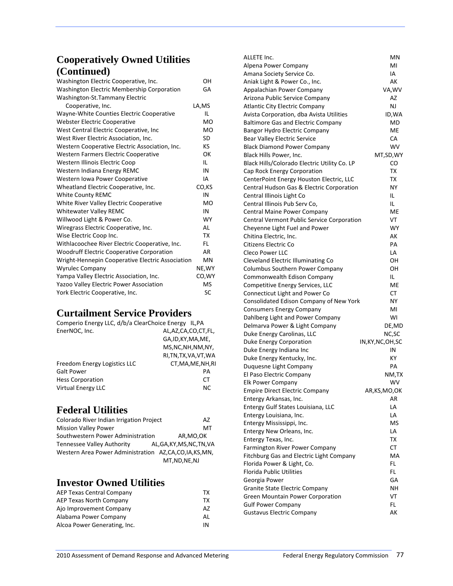| Washington Electric Cooperative, Inc.            | OH        |
|--------------------------------------------------|-----------|
| Washington Electric Membership Corporation       | GA        |
| Washington-St.Tammany Electric                   |           |
| Cooperative, Inc.                                | LA,MS     |
| Wayne-White Counties Electric Cooperative        | IL        |
| <b>Webster Electric Cooperative</b>              | <b>MO</b> |
| West Central Electric Cooperative, Inc           | <b>MO</b> |
| West River Electric Association, Inc.            | SD        |
| Western Cooperative Electric Association, Inc.   | KS        |
| Western Farmers Electric Cooperative             | OK        |
| Western Illinois Electric Coop                   | IL.       |
| Western Indiana Energy REMC                      | IN        |
| Western Iowa Power Cooperative                   | IA        |
| Wheatland Electric Cooperative, Inc.             | CO,KS     |
| <b>White County REMC</b>                         | IN        |
| White River Valley Electric Cooperative          | <b>MO</b> |
| <b>Whitewater Valley REMC</b>                    | IN        |
| Willwood Light & Power Co.                       | <b>WY</b> |
| Wiregrass Electric Cooperative, Inc.             | AL        |
| Wise Electric Coop Inc.                          | ТX        |
| Withlacoochee River Electric Cooperative, Inc.   | FL.       |
| <b>Woodruff Electric Cooperative Corporation</b> | AR        |
| Wright-Hennepin Cooperative Electric Association | MN        |
| <b>Wyrulec Company</b>                           | NE, WY    |
| Yampa Valley Electric Association, Inc.          | CO, WY    |
| Yazoo Valley Electric Power Association          | <b>MS</b> |
| York Electric Cooperative, Inc.                  | SC        |

### **Curtailment Service Providers**

| Comperio Energy LLC, d/b/a ClearChoice Energy IL, PA |                        |
|------------------------------------------------------|------------------------|
| EnerNOC, Inc.                                        | AL,AZ,CA,CO,CT,FL,     |
|                                                      | GA, ID, KY, MA, ME,    |
|                                                      | MS, NC, NH, NM, NY,    |
|                                                      | RI, TN, TX, VA, VT, WA |
| Freedom Energy Logistics LLC                         | CT, MA, ME, NH, RI     |
| <b>Galt Power</b>                                    | PА                     |
| <b>Hess Corporation</b>                              | СT                     |
| <b>Virtual Energy LLC</b>                            | <b>NC</b>              |

### **Federal Utilities**

| Colorado River Indian Irrigation Project             | AZ                         |
|------------------------------------------------------|----------------------------|
| <b>Mission Valley Power</b>                          | MТ                         |
| Southwestern Power Administration                    | AR.MO.OK                   |
| <b>Tennessee Valley Authority</b>                    | AL, GA, KY, MS, NC, TN, VA |
| Western Area Power Administration AZ,CA,CO,IA,KS,MN, |                            |
|                                                      | MT, ND, NE, NJ             |

### **Investor Owned Utilities**

| AEP Texas Central Company    | тх |
|------------------------------|----|
| AEP Texas North Company      | тх |
| Ajo Improvement Company      | AZ |
| Alabama Power Company        | ΑI |
| Alcoa Power Generating, Inc. | ΙN |
|                              |    |

| ALLETE Inc.                                  | ΜN                 |
|----------------------------------------------|--------------------|
| Alpena Power Company                         | MI                 |
| Amana Society Service Co.                    | IA                 |
| Aniak Light & Power Co., Inc.                | AК                 |
| Appalachian Power Company                    | VA, WV             |
| Arizona Public Service Company               | AZ                 |
| <b>Atlantic City Electric Company</b>        | NJ                 |
| Avista Corporation, dba Avista Utilities     | ID, WA             |
| <b>Baltimore Gas and Electric Company</b>    | MD                 |
| Bangor Hydro Electric Company                | МE                 |
| Bear Valley Electric Service                 | CA                 |
| <b>Black Diamond Power Company</b>           | WV.                |
| Black Hills Power, Inc.                      | MT,SD,WY           |
| Black Hills/Colorado Electric Utility Co. LP | CO                 |
| Cap Rock Energy Corporation                  | TX                 |
| CenterPoint Energy Houston Electric, LLC     | ТX                 |
| Central Hudson Gas & Electric Corporation    | ΝY                 |
| Central Illinois Light Co                    | IL.                |
| Central Illinois Pub Serv Co,                | IL                 |
| Central Maine Power Company                  | МE                 |
| Central Vermont Public Service Corporation   | VT                 |
| Cheyenne Light Fuel and Power                | WY                 |
| Chitina Electric, Inc.                       | AК                 |
| Citizens Electric Co                         | PA                 |
| <b>Cleco Power LLC</b>                       | LA                 |
| Cleveland Electric Illuminating Co           | OН                 |
| <b>Columbus Southern Power Company</b>       | OН                 |
| Commonwealth Edison Company                  | IL.                |
|                                              | МE                 |
| Competitive Energy Services, LLC             | СT                 |
| Connecticut Light and Power Co               |                    |
| Consolidated Edison Company of New York      | NΥ                 |
| <b>Consumers Energy Company</b>              | MI                 |
| Dahlberg Light and Power Company             | wı                 |
| Delmarva Power & Light Company               | DE, MD             |
| Duke Energy Carolinas, LLC                   | NC, SC             |
| Duke Energy Corporation                      | IN, KY, NC, OH, SC |
| Duke Energy Indiana Inc                      | IN                 |
| Duke Energy Kentucky, Inc.                   | ΚY                 |
| Duquesne Light Company                       | PA                 |
| El Paso Electric Company                     | NM,TX              |
| <b>Elk Power Company</b>                     | WV                 |
| <b>Empire Direct Electric Company</b>        | AR, KS, MO, OK     |
| Entergy Arkansas, Inc.                       | AR                 |
| Entergy Gulf States Louisiana, LLC           | LA                 |
| Entergy Louisiana, Inc.                      | LA                 |
| Entergy Mississippi, Inc.                    | MS                 |
| Entergy New Orleans, Inc.                    | LA                 |
| Entergy Texas, Inc.                          | ТX                 |
| Farmington River Power Company               | CТ                 |
| Fitchburg Gas and Electric Light Company     | МA                 |
| Florida Power & Light, Co.                   | FL                 |
| <b>Florida Public Utilities</b>              | FL.                |
| Georgia Power                                | GА                 |
| Granite State Electric Company               | NΗ                 |
| Green Mountain Power Corporation             | VT                 |
| <b>Gulf Power Company</b>                    | FL.                |
| <b>Gustavus Electric Company</b>             | АK                 |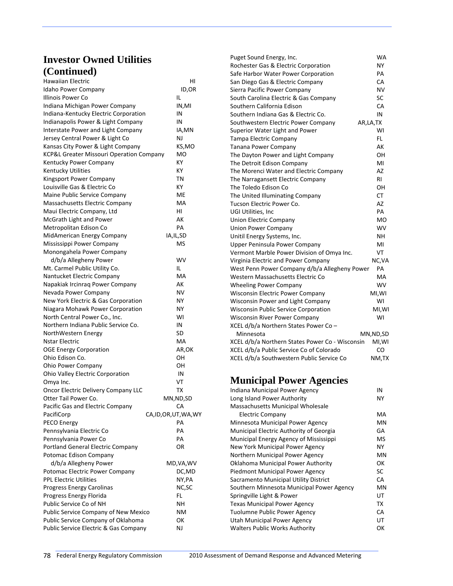### **Investor Owned Utilities (Continued)**

| Hawaiian Electric                        | HI                     |
|------------------------------------------|------------------------|
| Idaho Power Company                      | ID,OR                  |
| Illinois Power Co                        | IL                     |
| Indiana Michigan Power Company           | IN,MI                  |
| Indiana-Kentucky Electric Corporation    | IN                     |
| Indianapolis Power & Light Company       | IN                     |
| Interstate Power and Light Company       | IA,MN                  |
| Jersey Central Power & Light Co          | NJ                     |
| Kansas City Power & Light Company        | KS,MO                  |
| KCP&L Greater Missouri Operation Company | МO                     |
| Kentucky Power Company                   | КY                     |
| Kentucky Utilities                       | КY                     |
| Kingsport Power Company                  | ΤN                     |
| Louisville Gas & Electric Co             | ΚY                     |
| Maine Public Service Company             | МE                     |
| Massachusetts Electric Company           | МA                     |
| Maui Electric Company, Ltd               | HI                     |
| McGrath Light and Power                  | АK                     |
| Metropolitan Edison Co                   | PA                     |
| MidAmerican Energy Company               | IA, IL, SD             |
| Mississippi Power Company                | MS                     |
| Monongahela Power Company                |                        |
| d/b/a Allegheny Power                    | WV                     |
| Mt. Carmel Public Utility Co.            | IL                     |
| Nantucket Electric Company               | МA                     |
| Napakiak Ircinrag Power Company          | AК                     |
| Nevada Power Company                     | NV                     |
| New York Electric & Gas Corporation      | NΥ                     |
| Niagara Mohawk Power Corporation         | NΥ                     |
| North Central Power Co., Inc.            | WI                     |
| Northern Indiana Public Service Co.      | IN                     |
| NorthWestern Energy                      | SD                     |
| <b>Nstar Electric</b>                    | МA                     |
| <b>OGE Energy Corporation</b>            | AR,OK                  |
| Ohio Edison Co.                          | ΟН                     |
| Ohio Power Company                       | OН                     |
| Ohio Valley Electric Corporation         | IN                     |
| Omya Inc.                                | VT                     |
| Oncor Electric Delivery Company LLC      | тх                     |
| Otter Tail Power Co.                     | MN, ND, SD             |
| Pacific Gas and Electric Company         | CA                     |
| PacifiCorp                               | CA, ID, OR, UT, WA, WY |
| PECO Energy                              | PА                     |
| Pennsylvania Electric Co                 | PA                     |
| Pennsylvania Power Co                    | PA                     |
| <b>Portland General Electric Company</b> | OR                     |
| Potomac Edison Company                   |                        |
| d/b/a Allegheny Power                    | MD, VA, WV             |
| Potomac Electric Power Company           | DC,MD                  |
| <b>PPL Electric Utilities</b>            | NY,PA                  |
| Progress Energy Carolinas                | NC, SC                 |
| Progress Energy Florida                  | FL                     |
| Public Service Co of NH                  | NΗ                     |
| Public Service Company of New Mexico     | NΜ                     |
| Public Service Company of Oklahoma       | ок                     |
| Public Service Electric & Gas Company    | NJ                     |

| Puget Sound Energy, Inc.                          | <b>WA</b> |
|---------------------------------------------------|-----------|
| Rochester Gas & Electric Corporation              | NΥ        |
| Safe Harbor Water Power Corporation               | PA        |
| San Diego Gas & Electric Company                  | СA        |
| Sierra Pacific Power Company                      | NV        |
| South Carolina Electric & Gas Company             | <b>SC</b> |
| Southern California Edison                        | CA        |
| Southern Indiana Gas & Electric Co.               | IN        |
| Southwestern Electric Power Company<br>AR, LA, TX |           |
| Superior Water Light and Power                    | WI        |
| <b>Tampa Electric Company</b>                     | FL.       |
| <b>Tanana Power Company</b>                       | АK        |
| The Dayton Power and Light Company                | OН        |
| The Detroit Edison Company                        | MI        |
| The Morenci Water and Electric Company            | AZ        |
| The Narragansett Electric Company                 | RI        |
| The Toledo Edison Co                              | OН        |
| The United Illuminating Company                   | <b>CT</b> |
| Tucson Electric Power Co.                         | AZ        |
| UGI Utilities, Inc                                | PA        |
| <b>Union Electric Company</b>                     | MO        |
| <b>Union Power Company</b>                        | <b>WV</b> |
| Unitil Energy Systems, Inc.                       | NΗ        |
| <b>Upper Peninsula Power Company</b>              | MI        |
| Vermont Marble Power Division of Omya Inc.        | VT        |
| Virginia Electric and Power Company               | NC, VA    |
| West Penn Power Company d/b/a Allegheny Power     | PA        |
| Western Massachusetts Electric Co                 | MA        |
| <b>Wheeling Power Company</b>                     | <b>WV</b> |
| <b>Wisconsin Electric Power Company</b>           | MI, WI    |
| Wisconsin Power and Light Company                 | WI        |
| <b>Wisconsin Public Service Corporation</b>       | MI, WI    |
| <b>Wisconsin River Power Company</b>              | W١        |
| XCEL d/b/a Northern States Power Co-              |           |
| Minnesota                                         | MN,ND,SD  |
| XCEL d/b/a Northern States Power Co - Wisconsin   | MI, WI    |
| XCEL d/b/a Public Service Co of Colorado          | CO        |
| XCEL d/b/a Southwestern Public Service Co         | NM,TX     |

# **Municipal Power Agencies**

| Indiana Municipal Power Agency            | ΙN  |
|-------------------------------------------|-----|
| Long Island Power Authority               | NΥ  |
| Massachusetts Municipal Wholesale         |     |
| <b>Electric Company</b>                   | MA  |
| Minnesota Municipal Power Agency          | ΜN  |
| Municipal Electric Authority of Georgia   | GA  |
| Municipal Energy Agency of Mississippi    | MS  |
| New York Municipal Power Agency           | NY. |
| Northern Municipal Power Agency           | MN  |
| Oklahoma Municipal Power Authority        | OK  |
| Piedmont Municipal Power Agency           | SC  |
| Sacramento Municipal Utility District     | CA  |
| Southern Minnesota Municipal Power Agency | MN  |
| Springville Light & Power                 | UT  |
| <b>Texas Municipal Power Agency</b>       | ТX  |
| Tuolumne Public Power Agency              | CA  |
| Utah Municipal Power Agency               | UT  |
| <b>Walters Public Works Authority</b>     | οк  |
|                                           |     |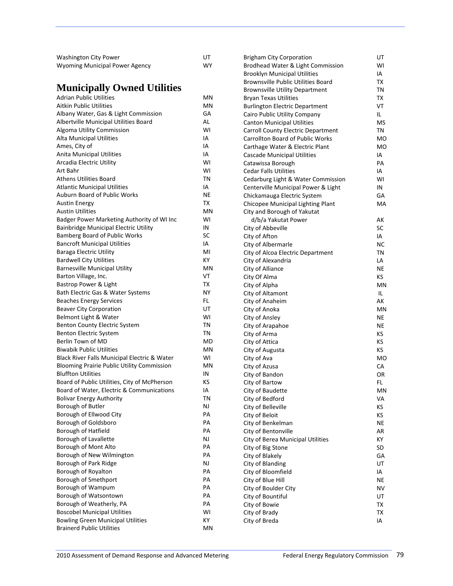| Washington City Power          | UТ |
|--------------------------------|----|
| Wyoming Municipal Power Agency | W٢ |

### **Municipally Owned Utilities**

| <b>Municipally Owned Utilities</b>                |           | <b>Brownsville Utility Department</b> | TN        |
|---------------------------------------------------|-----------|---------------------------------------|-----------|
| <b>Adrian Public Utilities</b>                    | MN        | <b>Bryan Texas Utilities</b>          | TX        |
| Aitkin Public Utilities                           | MN        | <b>Burlington Electric Department</b> | VT        |
| Albany Water, Gas & Light Commission              | GA        | Cairo Public Utility Company          | IL.       |
| Albertville Municipal Utilities Board             | AL.       | <b>Canton Municipal Utilities</b>     | MS        |
| Algoma Utility Commission                         | WI        | Carroll County Electric Department    | TN        |
| <b>Alta Municipal Utilities</b>                   | ΙA        | Carrollton Board of Public Works      | MO        |
| Ames, City of                                     | IA        | Carthage Water & Electric Plant       | <b>MO</b> |
| <b>Anita Municipal Utilities</b>                  | IA        | Cascade Municipal Utilities           | IA        |
| Arcadia Electric Utility                          | WI        | Catawissa Borough                     | PA        |
| Art Bahr                                          | WI        | <b>Cedar Falls Utilities</b>          | IA        |
| <b>Athens Utilities Board</b>                     | TN        | Cedarburg Light & Water Commission    | WI        |
| <b>Atlantic Municipal Utilities</b>               | IA        | Centerville Municipal Power & Light   | IN        |
| Auburn Board of Public Works                      | NE        | Chickamauga Electric System           | GA        |
| <b>Austin Energy</b>                              | TX        | Chicopee Municipal Lighting Plant     | МA        |
| Austin Utilities                                  | ΜN        | City and Borough of Yakutat           |           |
| Badger Power Marketing Authority of WI Inc        | WI        | d/b/a Yakutat Power                   | АK        |
| Bainbridge Municipal Electric Utility             | IN        | City of Abbeville                     | <b>SC</b> |
| Bamberg Board of Public Works                     | SC        | City of Afton                         | IA        |
| <b>Bancroft Municipal Utilities</b>               | IA        | City of Albermarle                    | NC        |
| <b>Baraga Electric Utility</b>                    | MI        | City of Alcoa Electric Department     | TN        |
| <b>Bardwell City Utilities</b>                    | КY        | City of Alexandria                    | LA        |
| <b>Barnesville Municipal Utility</b>              | MN        | City of Alliance                      | NE        |
| Barton Village, Inc.                              | VT        | City Of Alma                          | KS        |
| Bastrop Power & Light                             | TX        | City of Alpha                         | MN        |
| Bath Electric Gas & Water Systems                 | <b>NY</b> | City of Altamont                      | IL.       |
| <b>Beaches Energy Services</b>                    | FL        | City of Anaheim                       | АK        |
| <b>Beaver City Corporation</b>                    | UT        | City of Anoka                         | MN        |
| Belmont Light & Water                             | WI        | City of Ansley                        | ΝE        |
| Benton County Electric System                     | TN        | City of Arapahoe                      | NE        |
| Benton Electric System                            | TN        | City of Arma                          | ΚS        |
| Berlin Town of MD                                 | MD        | City of Attica                        | ΚS        |
| <b>Biwabik Public Utilities</b>                   | ΜN        | City of Augusta                       | KS        |
| Black River Falls Municipal Electric & Water      | WI        | City of Ava                           | <b>MO</b> |
| <b>Blooming Prairie Public Utility Commission</b> | ΜN        | City of Azusa                         | СA        |
| <b>Bluffton Utilities</b>                         | IN        | City of Bandon                        | OR        |
| Board of Public Utilities, City of McPherson      | ΚS        | City of Bartow                        | FL.       |
| Board of Water, Electric & Communications         | IA        | City of Baudette                      | MN        |
| <b>Bolivar Energy Authority</b>                   | <b>TN</b> | City of Bedford                       | VA        |
| Borough of Butler                                 | <b>NJ</b> | City of Belleville                    | KS        |
| Borough of Ellwood City                           | PA        | City of Beloit                        | KS        |
| Borough of Goldsboro                              | PA        | City of Benkelman                     | <b>NE</b> |
| Borough of Hatfield                               | PA        | City of Bentonville                   | AR        |
| Borough of Lavallette                             | NJ        | City of Berea Municipal Utilities     | КY        |
| Borough of Mont Alto                              | PA        | City of Big Stone                     | SD        |
| Borough of New Wilmington                         | PA        | City of Blakely                       | GA        |
| Borough of Park Ridge                             | NJ        | City of Blanding                      | UT        |
| Borough of Royalton                               | PA        | City of Bloomfield                    | IA        |
| Borough of Smethport                              | PA        | City of Blue Hill                     | NE        |
| Borough of Wampum                                 | PA        |                                       |           |
| Borough of Watsontown                             | PA        | City of Boulder City                  | NV        |
| Borough of Weatherly, PA                          | PA        | City of Bountiful<br>City of Bowie    | UT<br>TX  |
| <b>Boscobel Municipal Utilities</b>               | WI        |                                       |           |
| <b>Bowling Green Municipal Utilities</b>          | КY        | City of Brady                         | TX        |
| <b>Brainerd Public Utilities</b>                  | MN        | City of Breda                         | IA        |
|                                                   |           |                                       |           |

Brigham City Corporation **Interpretent Corporation** UT Brodhead Water & Light Commission

Brooklyn Municipal Utilities **Identifiable 19** IA Brownsville Public Utilities Board TX

Brodhead Water & Light Commission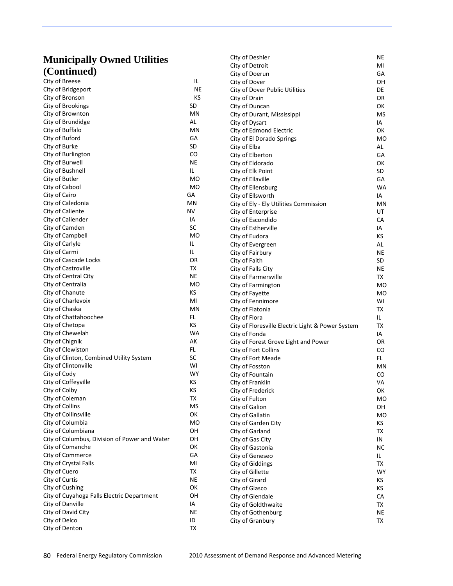# **Municipally Owned Utilities**

| <b>Municipally Owned Utilities</b>            |                  | City of Deshler                                   | NE             |
|-----------------------------------------------|------------------|---------------------------------------------------|----------------|
| (Continued)                                   |                  | City of Detroit                                   | MI             |
|                                               |                  | City of Doerun                                    | GА             |
| City of Breese                                | IL.<br><b>NE</b> | City of Dover                                     | OН             |
| City of Bridgeport                            |                  | City of Dover Public Utilities                    | DE             |
| City of Bronson                               | ΚS               | City of Drain                                     | OR             |
| City of Brookings                             | SD               | City of Duncan                                    | ОК             |
| City of Brownton                              | ΜN<br>AL         | City of Durant, Mississippi                       | MS             |
| City of Brundidge<br>City of Buffalo          | ΜN               | City of Dysart                                    | IA             |
| City of Buford                                | GА               | City of Edmond Electric                           | ОК             |
| City of Burke                                 | SD               | City of El Dorado Springs<br>City of Elba         | M <sub>O</sub> |
| City of Burlington                            | CO               |                                                   | AL.<br>GА      |
| City of Burwell                               | NE               | City of Elberton                                  | ОΚ             |
| City of Bushnell                              | IL.              | City of Eldorado<br>City of Elk Point             | SD             |
| City of Butler                                | MO               | City of Ellaville                                 | GА             |
| City of Cabool                                | MO               | City of Ellensburg                                | WA             |
| City of Cairo                                 | GА               | City of Ellsworth                                 | IA             |
| City of Caledonia                             | ΜN               | City of Ely - Ely Utilities Commission            | MN             |
| City of Caliente                              | NV               | City of Enterprise                                | UT             |
| City of Callender                             | IA               | City of Escondido                                 | СA             |
| City of Camden                                | SC               | City of Estherville                               | IA             |
| City of Campbell                              | MO               | City of Eudora                                    | КS             |
| City of Carlyle                               | IL               | City of Evergreen                                 | AL             |
| City of Carmi                                 | IL.              | City of Fairbury                                  | NE             |
| City of Cascade Locks                         | OR               | City of Faith                                     | SD             |
| City of Castroville                           | ТX               | City of Falls City                                | <b>NE</b>      |
| City of Central City                          | NE               | City of Farmersville                              | TX             |
| City of Centralia                             | MO               | City of Farmington                                | M <sub>O</sub> |
| City of Chanute                               | KS               | City of Fayette                                   | <b>MO</b>      |
| City of Charlevoix                            | MI               | City of Fennimore                                 | WI             |
| City of Chaska                                | MN               | City of Flatonia                                  | TX             |
| City of Chattahoochee                         | FL               | City of Flora                                     | IL.            |
| City of Chetopa                               | KS               | City of Floresville Electric Light & Power System | ТX             |
| City of Chewelah                              | WA               | City of Fonda                                     | IA             |
| City of Chignik                               | AK               | City of Forest Grove Light and Power              | OR             |
| City of Clewiston                             | FL.              | City of Fort Collins                              | CO             |
| City of Clinton, Combined Utility System      | SC               | City of Fort Meade                                | FL.            |
| City of Clintonville                          | WI               | City of Fosston                                   | MN             |
| City of Cody                                  | WY               | City of Fountain                                  | CO             |
| City of Coffeyville                           | KS               | City of Franklin                                  | VA             |
| City of Colby                                 | ΚS               | City of Frederick                                 | OK             |
| City of Coleman                               | <b>TX</b>        | City of Fulton                                    | M <sub>O</sub> |
| City of Collins                               | MS               | City of Galion                                    | OH             |
| City of Collinsville                          | OK               | City of Gallatin                                  | <b>MO</b>      |
| City of Columbia                              | MO               | City of Garden City                               | ΚS             |
| City of Columbiana                            | OH               | City of Garland                                   | TX             |
| City of Columbus, Division of Power and Water | OH               | City of Gas City                                  | IN             |
| City of Comanche                              | OK               | City of Gastonia                                  | NС             |
| City of Commerce                              | GA               | City of Geneseo                                   | IL.            |
| City of Crystal Falls                         | MI               | City of Giddings                                  | TX             |
| City of Cuero                                 | TX               | City of Gillette                                  | WY             |
| City of Curtis                                | <b>NE</b>        | City of Girard                                    | KS             |
| City of Cushing                               | OK               | City of Glasco                                    | КS             |
| City of Cuyahoga Falls Electric Department    | OH               | City of Glendale                                  | CA             |
| City of Danville                              | IA               | City of Goldthwaite                               | TX             |
| City of David City                            | <b>NE</b>        | City of Gothenburg                                | NE             |
| City of Delco                                 | ID               | City of Granbury                                  | TX             |
| City of Denton                                | ТX               |                                                   |                |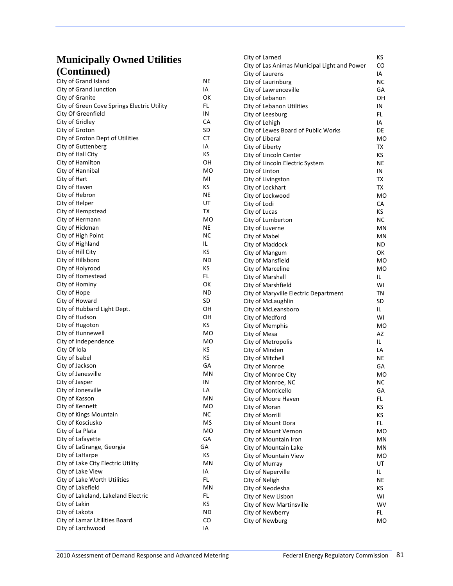| <b>Municipally Owned Utilities</b>          |            | City of Larned                               | КS        |
|---------------------------------------------|------------|----------------------------------------------|-----------|
| (Continued)                                 |            | City of Las Animas Municipal Light and Power | CO        |
|                                             |            | City of Laurens                              | IA        |
| City of Grand Island                        | NE         | City of Laurinburg                           | NС        |
| City of Grand Junction                      | IA         | City of Lawrenceville                        | GА        |
| City of Granite                             | ОΚ         | City of Lebanon                              | OН        |
| City of Green Cove Springs Electric Utility | FL         | City of Lebanon Utilities                    | IN        |
| City Of Greenfield                          | IN         | City of Leesburg                             | FL.       |
| City of Gridley                             | СA         | City of Lehigh                               | IA        |
| City of Groton                              | SD         | City of Lewes Board of Public Works          | DE        |
| City of Groton Dept of Utilities            | СT         | City of Liberal                              | мo        |
| City of Guttenberg                          | ΙA         | City of Liberty                              | TX        |
| City of Hall City                           | KS         | City of Lincoln Center                       | КS        |
| City of Hamilton                            | OН         | City of Lincoln Electric System              | NE.       |
| City of Hannibal                            | MO         | City of Linton                               | IN        |
| City of Hart                                | MI         | City of Livingston                           | TX        |
| City of Haven                               | KS         | City of Lockhart                             | TX        |
| City of Hebron                              | NE         | City of Lockwood                             | MO        |
| City of Helper                              | UT         | City of Lodi                                 | СA        |
| City of Hempstead                           | TX         | City of Lucas                                | КS        |
| City of Hermann                             | MO         | City of Lumberton                            | NC.       |
| City of Hickman                             | NE         | City of Luverne                              | ΜN        |
| City of High Point                          | NC         | City of Mabel                                | ΜN        |
| City of Highland                            | IL         | City of Maddock                              | ND        |
| City of Hill City                           | КS         | City of Mangum                               | ОΚ        |
| City of Hillsboro                           | ND         | City of Mansfield                            | MO        |
| City of Holyrood                            | КS         | City of Marceline                            | <b>MO</b> |
| City of Homestead                           | FL.        | City of Marshall                             | IL.       |
| City of Hominy                              | ОΚ         | City of Marshfield                           | WI        |
| City of Hope                                | ND         | City of Maryville Electric Department        | ΤN        |
| City of Howard                              | SD         | City of McLaughlin                           | SD        |
| City of Hubbard Light Dept.                 | OН         | City of McLeansboro                          | IL.       |
| City of Hudson                              | OН         | City of Medford                              | WI        |
| City of Hugoton                             | КS         | City of Memphis                              | MO        |
| City of Hunnewell                           | MO         | City of Mesa                                 | AZ        |
| City of Independence                        | MO         | City of Metropolis                           | IL.       |
| City Of Iola                                | КS         | City of Minden                               | LA        |
| City of Isabel                              | ΚS         | City of Mitchell                             | ΝE        |
| City of Jackson                             | GА         | City of Monroe                               | GА        |
| City of Janesville                          | ΜN         | City of Monroe City                          | MO        |
| City of Jasper                              | IN         | City of Monroe, NC                           | <b>NC</b> |
| City of Jonesville                          | LA         | City of Monticello                           | GA        |
| City of Kasson                              | ΜN         | City of Moore Haven                          | FL.       |
| City of Kennett                             | MO         | City of Moran                                | KS        |
| City of Kings Mountain                      | <b>NC</b>  | City of Morrill                              | KS        |
| City of Kosciusko                           | MS         | City of Mount Dora                           | FL.       |
| City of La Plata                            | MO         | City of Mount Vernon                         | мo        |
| City of Lafayette                           | GA         | City of Mountain Iron                        | ΜN        |
| City of LaGrange, Georgia                   | GA         | City of Mountain Lake                        | ΜN        |
| City of LaHarpe                             | KS         | City of Mountain View                        | МO        |
| City of Lake City Electric Utility          | MN         | City of Murray                               | UT        |
| City of Lake View                           | IA         | City of Naperville                           | IL.       |
| City of Lake Worth Utilities                | FL.        | City of Neligh                               | NE        |
| City of Lakefield                           | MN         | City of Neodesha                             | KS        |
| City of Lakeland, Lakeland Electric         | FL.        | City of New Lisbon                           | WI        |
| City of Lakin                               | ΚS         | City of New Martinsville                     | <b>WV</b> |
| City of Lakota                              | <b>ND</b>  | City of Newberry                             | FL.       |
| City of Lamar Utilities Board               | ${\rm CO}$ | City of Newburg                              | MO        |
| City of Larchwood                           | IA         |                                              |           |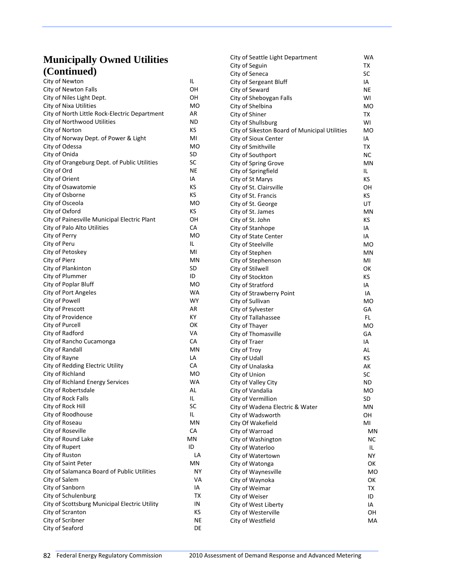| City of Newton                                | IL        | City o |
|-----------------------------------------------|-----------|--------|
| City of Newton Falls                          | OН        | City o |
| City of Niles Light Dept.                     | OН        | City o |
| City of Nixa Utilities                        | MO        | City o |
| City of North Little Rock-Electric Department | AR        | City o |
| City of Northwood Utilities                   | ND        | City o |
| City of Norton                                | КS        | City o |
| City of Norway Dept. of Power & Light         | MI        | City c |
| City of Odessa                                | мo        | City o |
| City of Onida                                 | SD        | City o |
| City of Orangeburg Dept. of Public Utilities  | SC        | City o |
| City of Ord                                   | NE        | City o |
| City of Orient                                | IA        | City o |
| City of Osawatomie                            | КS        | City o |
| City of Osborne                               | КS        | City o |
| City of Osceola                               | МO        | City o |
| City of Oxford                                | κs        | City o |
| City of Painesville Municipal Electric Plant  | OН        | City o |
| City of Palo Alto Utilities                   | СA        | City o |
| City of Perry                                 | <b>MO</b> | City o |
| City of Peru                                  | IL        | City o |
| City of Petoskey                              | MI        | City c |
| City of Pierz                                 | ΜN        | City c |
| City of Plankinton                            | SD        | City c |
| City of Plummer                               | ID        | City o |
| City of Poplar Bluff                          | MO        | City o |
| City of Port Angeles                          | WA        | City o |
| City of Powell                                | WY        | City o |
| City of Prescott                              | AR        | City o |
| City of Providence                            | КY        | City o |
| City of Purcell                               | ОΚ        | City c |
| City of Radford                               | VA        | City c |
| City of Rancho Cucamonga                      | СA        | City o |
| City of Randall                               | ΜN        | City o |
| City of Rayne                                 | LA        | City o |
| City of Redding Electric Utility              | СA        | City o |
| City of Richland                              | MO        | City o |
| City of Richland Energy Services              | <b>WA</b> | City o |
| City of Robertsdale                           | AL        | City o |
| City of Rock Falls                            | IL        | City o |
| City of Rock Hill                             | SC        | City o |
| City of Roodhouse                             | IL        | City c |
| City of Roseau                                | ΜN        | City 0 |
| City of Roseville                             | CA        | City o |
| City of Round Lake                            | ΜN        | City o |
| City of Rupert                                | ID        | City o |
| City of Ruston                                | LA        | City o |
| City of Saint Peter                           | ΜN        | City o |
| City of Salamanca Board of Public Utilities   | NΥ        | City o |
| City of Salem                                 | VA        | City o |
| City of Sanborn                               | ΙA        | City o |
| City of Schulenburg                           | ТX        | City o |
| City of Scottsburg Municipal Electric Utility | ΙN        | City o |
| City of Scranton                              | кs        | City c |
| City of Scribner                              | ΝE        | City c |
| City of Seaford                               | DE        |        |

| City of Seattle Light Department              | WA  |
|-----------------------------------------------|-----|
| City of Seguin                                | ΤХ  |
| City of Seneca                                | SC  |
| City of Sergeant Bluff                        | IA  |
| City of Seward                                | ΝE  |
| City of Sheboygan Falls                       | WI  |
| City of Shelbina                              | мo  |
| City of Shiner                                | ТX  |
| City of Shullsburg                            | WI  |
|                                               |     |
| City of Sikeston Board of Municipal Utilities | МO  |
| City of Sioux Center                          | IA  |
| City of Smithville                            | тх  |
| City of Southport                             | NC  |
| City of Spring Grove                          | ΜN  |
| City of Springfield                           | IL  |
| City of St Marys                              | κs  |
| City of St. Clairsville                       | ΟН  |
| City of St. Francis                           | κs  |
| City of St. George                            | UT  |
| City of St. James                             | MN  |
| City of St. John                              | κs  |
| City of Stanhope                              | IA  |
| City of State Center                          | IA  |
| City of Steelville                            | МO  |
| City of Stephen                               | MN  |
| City of Stephenson                            | MI  |
| City of Stilwell                              | ок  |
| City of Stockton                              | КS  |
| City of Stratford                             | ΙA  |
| City of Strawberry Point                      | IA  |
| City of Sullivan                              | МO  |
| City of Sylvester                             | GА  |
| City of Tallahassee                           | FL  |
| City of Thayer                                | МO  |
| City of Thomasville                           | GА  |
| City of Traer                                 | IA  |
| City of Troy                                  | AL  |
| City of Udall                                 | κs  |
| City of Unalaska                              | AK  |
| City of Union                                 | SC  |
| City of Valley City                           | ND  |
| City of Vandalia                              | МO  |
| City of Vermillion                            | SD  |
| City of Wadena Electric & Water               | ΜN  |
| City of Wadsworth                             | OН  |
| City Of Wakefield                             | MI  |
| City of Warroad                               | MN  |
| City of Washington                            | NС  |
| City of Waterloo                              | IL. |
| City of Watertown                             | ΝY  |
| City of Watonga                               | ОΚ  |
| City of Waynesville                           | МO  |
| City of Waynoka                               | ОΚ  |
| City of Weimar                                | ТX  |
| City of Weiser                                | ID  |
| City of West Liberty                          | IA  |
| City of Westerville                           | OН  |
| City of Westfield                             | МA  |
|                                               |     |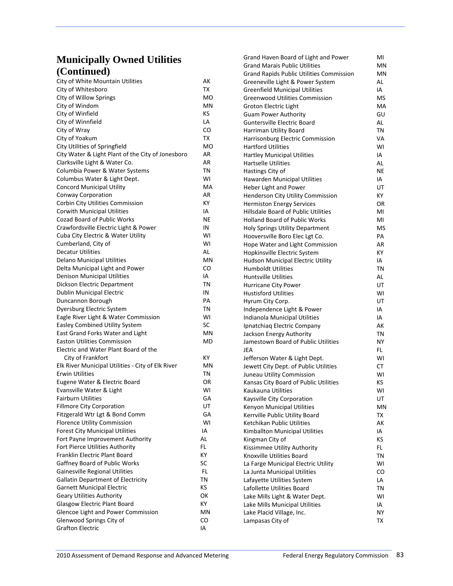| (Conlunca)                                        |           | <b>Grand Rapids Public Utilities Commission</b> | MN  |
|---------------------------------------------------|-----------|-------------------------------------------------|-----|
| City of White Mountain Utilities                  | АK        | Greeneville Light & Power System                | AL  |
| City of Whitesboro                                | ТX        | <b>Greenfield Municipal Utilities</b>           | IA  |
| City of Willow Springs                            | МO        | <b>Greenwood Utilities Commission</b>           | MS  |
| City of Windom                                    | MN        | Groton Electric Light                           | МA  |
| City of Winfield                                  | КS        | <b>Guam Power Authority</b>                     | GU  |
| City of Winnfield                                 | LA        | <b>Guntersville Electric Board</b>              | AL  |
| City of Wray                                      | CO        | Harriman Utility Board                          | ΤN  |
| City of Yoakum                                    | TX        | Harrisonburg Electric Commission                | VA  |
| City Utilities of Springfield                     | МO        | <b>Hartford Utilities</b>                       | WI  |
| City Water & Light Plant of the City of Jonesboro | AR        | <b>Hartley Municipal Utilities</b>              | IA  |
| Clarksville Light & Water Co.                     | AR        | <b>Hartselle Utilities</b>                      | AL  |
| Columbia Power & Water Systems                    | ΤN        | Hastings City of                                | NE  |
| Columbus Water & Light Dept.                      | WI        | Hawarden Municipal Utilities                    | IA  |
| <b>Concord Municipal Utility</b>                  | МA        | Heber Light and Power                           | UT  |
| Conway Corporation                                | AR        | Henderson City Utility Commission               | KY. |
| Corbin City Utilities Commission                  | ΚY        | <b>Hermiston Energy Services</b>                | OR  |
| <b>Corwith Municipal Utilities</b>                | ΙA        | Hillsdale Board of Public Utilities             | MI  |
| <b>Cozad Board of Public Works</b>                | NE        | <b>Holland Board of Public Works</b>            | MI  |
| Crawfordsville Electric Light & Power             | IN        | <b>Holy Springs Utility Department</b>          | MS  |
| Cuba City Electric & Water Utility                | WI        | Hooversville Boro Elec Lgt Co.                  | PА  |
| Cumberland, City of                               | WI        | Hope Water and Light Commission                 | AR  |
| <b>Decatur Utilities</b>                          | AL        | Hopkinsville Electric System                    | ΚY  |
| <b>Delano Municipal Utilities</b>                 | <b>MN</b> | Hudson Municipal Electric Utility               | IA  |
| Delta Municipal Light and Power                   | CO        | <b>Humboldt Utilities</b>                       | ΤN  |
| <b>Denison Municipal Utilities</b>                | IA        | <b>Huntsville Utilities</b>                     | AL  |
| Dickson Electric Department                       | ΤN        | Hurricane City Power                            | UT  |
| Dublin Municipal Electric                         | IN        | <b>Hustisford Utilities</b>                     | WI  |
| Duncannon Borough                                 | PА        | Hyrum City Corp.                                | UT  |
| Dyersburg Electric System                         | ΤN        | Independence Light & Power                      | IA  |
| Eagle River Light & Water Commission              | WI        | Indianola Municipal Utilities                   | IA  |
| <b>Easley Combined Utility System</b>             | SC        | Ipnatchiaq Electric Company                     | AК  |
| East Grand Forks Water and Light                  | MN        | Jackson Energy Authority                        | ΤN  |
| <b>Easton Utilities Commission</b>                | MD        | Jamestown Board of Public Utilities             | ΝY  |
| Electric and Water Plant Board of the             |           | JEA                                             | FL. |
| City of Frankfort                                 | КY        | Jefferson Water & Light Dept.                   | WI  |
| Elk River Municipal Utilities - City of Elk River | ΜN        | Jewett City Dept. of Public Utilities           | CТ  |
| <b>Erwin Utilities</b>                            | ΤN        | Juneau Utility Commission                       | WI  |
| Eugene Water & Electric Board                     | OR        | Kansas City Board of Public Utilities           | KS. |
| Evansville Water & Light                          | W١        | Kaukauna Utilities                              | WI  |
| <b>Fairburn Utilities</b>                         | GА        | Kaysville City Corporation                      | UT  |
| <b>Fillmore City Corporation</b>                  | UT        | Kenyon Municipal Utilities                      | ΜN  |
| Fitzgerald Wtr Lgt & Bond Comm                    | GA        | Kerrville Public Utility Board                  | TX  |
| <b>Florence Utility Commission</b>                | WI        | Ketchikan Public Utilities                      | AК  |
| <b>Forest City Municipal Utilities</b>            | IA        | Kimballton Municipal Utilities                  | IA  |
| Fort Payne Improvement Authority                  | AL        | Kingman City of                                 | КS  |
| Fort Pierce Utilities Authority                   | FL.       | Kissimmee Utility Authority                     | FL. |
| Franklin Electric Plant Board                     | КY        | Knoxville Utilities Board                       | ΤN  |
| Gaffney Board of Public Works                     | SC        | La Farge Municipal Electric Utility             | WI  |
| Gainesville Regional Utilities                    | FL.       | La Junta Municipal Utilities                    | CO  |
| <b>Gallatin Department of Electricity</b>         | TN        | Lafayette Utilities System                      | LA  |
| <b>Garnett Municipal Electric</b>                 | ΚS        | Lafollette Utilities Board                      | ΤN  |
| <b>Geary Utilities Authority</b>                  | OK        | Lake Mills Light & Water Dept.                  | WI  |
| Glasgow Electric Plant Board                      | КY        | Lake Mills Municipal Utilities                  | IA  |
| Glencoe Light and Power Commission                | ΜN        | Lake Placid Village, Inc.                       | ΝY  |
| Glenwood Springs City of                          | CO        | Lampasas City of                                | TX  |
| <b>Grafton Electric</b>                           | IA        |                                                 |     |

Grand Haven Board of Light and Power MI<br>Grand Marais Public Utilities MN

Grand Marais Public Utilities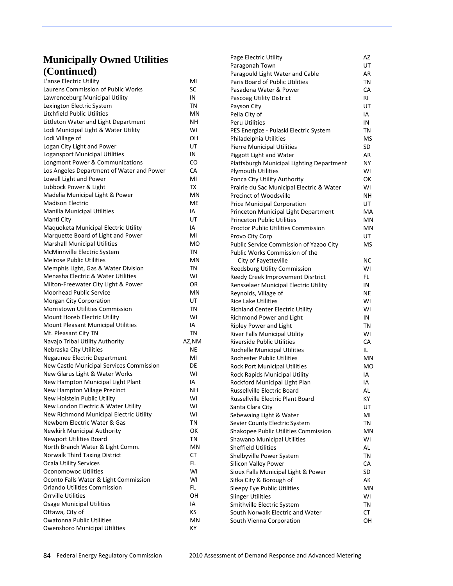| L'anse Electric Utility                                     | MI       |
|-------------------------------------------------------------|----------|
| Laurens Commission of Public Works                          | SC       |
| Lawrenceburg Municipal Utility                              | IN       |
| Lexington Electric System                                   | ΤN       |
| Litchfield Public Utilities                                 | ΜN       |
| Littleton Water and Light Department                        | NΗ       |
| Lodi Municipal Light & Water Utility                        | WI       |
| Lodi Village of                                             | OΗ       |
| Logan City Light and Power                                  | UT       |
| <b>Logansport Municipal Utilities</b>                       | IN       |
| Longmont Power & Communications                             | CO       |
| Los Angeles Department of Water and Power                   | CA       |
| Lowell Light and Power                                      | MI       |
| Lubbock Power & Light                                       | ТX       |
| Madelia Municipal Light & Power                             | MN       |
| <b>Madison Electric</b>                                     | МE       |
| <b>Manilla Municipal Utilities</b>                          | IA       |
| Manti City                                                  | UT       |
| Maquoketa Municipal Electric Utility                        | IA       |
| Marquette Board of Light and Power                          | MI       |
| <b>Marshall Municipal Utilities</b>                         | MO       |
| McMinnville Electric System                                 | ΤN       |
| <b>Melrose Public Utilities</b>                             | ΜN       |
| Memphis Light, Gas & Water Division                         | TN       |
| Menasha Electric & Water Utilities                          | WI       |
| Milton-Freewater City Light & Power                         | OR.      |
| Moorhead Public Service                                     | MN       |
| Morgan City Corporation                                     | UT       |
| <b>Morristown Utilities Commission</b>                      | ΤN       |
| Mount Horeb Electric Utility                                | WI       |
| Mount Pleasant Municipal Utilities                          | IA       |
| Mt. Pleasant City TN                                        | ΤN       |
| Navajo Tribal Utility Authority                             | AZ,NM    |
| Nebraska City Utilities                                     | NE       |
| Negaunee Electric Department                                | MI       |
| New Castle Municipal Services Commission                    | DE       |
| New Glarus Light & Water Works                              | WI       |
| New Hampton Municipal Light Plant                           | IA       |
| New Hampton Village Precinct<br>New Holstein Public Utility | NΗ<br>WI |
| New London Electric & Water Utility                         | WI       |
| New Richmond Municipal Electric Utility                     | WI       |
| Newbern Electric Water & Gas                                | ΤN       |
| Newkirk Municipal Authority                                 | ОΚ       |
| Newport Utilities Board                                     | ΤN       |
| North Branch Water & Light Comm.                            | ΜN       |
| Norwalk Third Taxing District                               | CТ       |
| <b>Ocala Utility Services</b>                               | FL       |
| <b>Oconomowoc Utilities</b>                                 | W١       |
| Oconto Falls Water & Light Commission                       | WI       |
| Orlando Utilities Commission                                | FL.      |
| <b>Orrville Utilities</b>                                   | OН       |
| <b>Osage Municipal Utilities</b>                            | IA       |
| Ottawa, City of                                             | ΚS       |
| <b>Owatonna Public Utilities</b>                            | ΜN       |
| <b>Owensboro Municipal Utilities</b>                        | ΚY       |
|                                                             |          |

| Page Electric Utility                      | AZ        |
|--------------------------------------------|-----------|
| Paragonah Town                             | UT        |
| Paragould Light Water and Cable            | AR        |
| Paris Board of Public Utilities            | ΤN        |
| Pasadena Water & Power                     | CA        |
| Pascoag Utility District                   | RI        |
| Payson City                                | UT        |
| Pella City of                              | IA        |
| Peru Utilities                             | ΙN        |
| PES Energize - Pulaski Electric System     | ΤN        |
| Philadelphia Utilities                     | MS        |
| <b>Pierre Municipal Utilities</b>          | SD        |
| Piggott Light and Water                    | AR        |
| Plattsburgh Municipal Lighting Department  | NΥ        |
| <b>Plymouth Utilities</b>                  | WI        |
| Ponca City Utility Authority               | ОΚ        |
| Prairie du Sac Municipal Electric & Water  | WI        |
| <b>Precinct of Woodsville</b>              | NΗ        |
| Price Municipal Corporation                | UT        |
| Princeton Municipal Light Department       | МA        |
| <b>Princeton Public Utilities</b>          | ΜN        |
| <b>Proctor Public Utilities Commission</b> | ΜN        |
| Provo City Corp                            | UT        |
| Public Service Commission of Yazoo City    | MS        |
| Public Works Commission of the             |           |
| City of Fayetteville                       | <b>NC</b> |
| Reedsburg Utility Commission               | WI        |
| Reedy Creek Improvement Disrtrict          | FL.       |
| Rensselaer Municipal Electric Utility      | IN        |
| Reynolds, Village of                       | ΝE        |
| <b>Rice Lake Utilities</b>                 | W١        |
| <b>Richland Center Electric Utility</b>    | W١        |
| Richmond Power and Light                   | ΙN        |
| <b>Ripley Power and Light</b>              | ΤN        |
| River Falls Municipal Utility              | W١        |
| <b>Riverside Public Utilities</b>          | CA        |
| <b>Rochelle Municipal Utilities</b>        | IL.       |
| <b>Rochester Public Utilities</b>          | ΜN        |
| <b>Rock Port Municipal Utilities</b>       | МO        |
| Rock Rapids Municipal Utility              | IA        |
| Rockford Municipal Light Plan              | ΙA        |
| Russellville Electric Board                | AL.       |
| Russellville Electric Plant Board          | ΚY        |
| Santa Clara City                           | UT        |
| Sebewaing Light & Water                    | MI        |
| Sevier County Electric System              | TN        |
| Shakopee Public Utilities Commission       | MN        |
| Shawano Municipal Utilities                | WI        |
| <b>Sheffield Utilities</b>                 | AL        |
| Shelbyville Power System                   | TN        |
| <b>Silicon Valley Power</b>                | CA        |
| Sioux Falls Municipal Light & Power        | SD        |
| Sitka City & Borough of                    | АΚ        |
| Sleepy Eye Public Utilities                | ΜN        |
| <b>Slinger Utilities</b>                   | W١        |
| Smithville Electric System                 | ΤN        |
| South Norwalk Electric and Water           | СT        |
| South Vienna Corporation                   | OН        |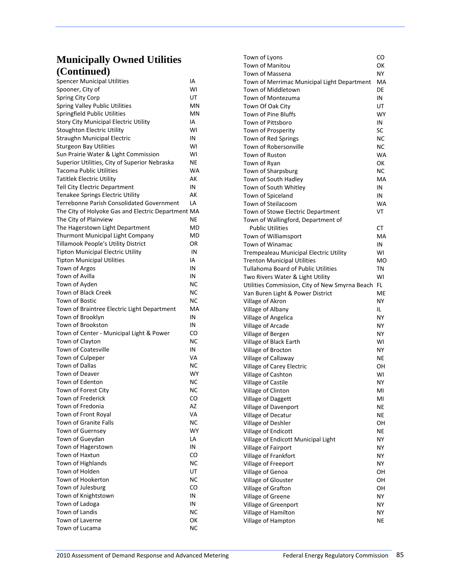| <b>Spencer Municipal Utilities</b>                 | IΑ        |
|----------------------------------------------------|-----------|
| Spooner, City of                                   | WI        |
| Spring City Corp                                   | UT        |
| <b>Spring Valley Public Utilities</b>              | ΜN        |
| Springfield Public Utilities                       | MN        |
| <b>Story City Municipal Electric Utility</b>       | IA        |
| <b>Stoughton Electric Utility</b>                  | W١        |
| Straughn Municipal Electric                        | IN        |
| <b>Sturgeon Bay Utilities</b>                      | WI        |
| Sun Prairie Water & Light Commission               | WI        |
| Superior Utilities, City of Superior Nebraska      | ΝE        |
| <b>Tacoma Public Utilities</b>                     | <b>WA</b> |
| Tatitlek Electric Utilitv                          | АΚ        |
| Tell City Electric Department                      | IN        |
| Tenakee Springs Electric Utility                   | АΚ        |
| Terrebonne Parish Consolidated Government          | LA        |
| The City of Holyoke Gas and Electric Department MA |           |
| The City of Plainview                              | ΝE        |
| The Hagerstown Light Department                    | MD        |
| <b>Thurmont Municipal Light Company</b>            | MD        |
| Tillamook People's Utility District                | ΟR        |
| <b>Tipton Municipal Electric Utility</b>           | IN        |
| <b>Tipton Municipal Utilities</b>                  | IA        |
| Town of Argos                                      | IN        |
| Town of Avilla                                     | IN        |
| Town of Ayden                                      | ΝC        |
| Town of Black Creek                                | ΝC        |
| Town of Bostic                                     | NС        |
| Town of Braintree Electric Light Department        | МA        |
| Town of Brooklyn                                   | IN        |
| Town of Brookston                                  | IN        |
| Town of Center - Municipal Light & Power           | CO        |
| Town of Clayton                                    | ΝC        |
| Town of Coatesville                                | IN        |
| Town of Culpeper                                   | VA        |
| Town of Dallas                                     | ΝC        |
| Town of Deaver                                     | WY        |
| Town of Edenton                                    | <b>NC</b> |
| Town of Forest City                                | ΝC        |
| Town of Frederick                                  | CO        |
| Town of Fredonia                                   | AZ        |
| Town of Front Royal                                | VA        |
| <b>Town of Granite Falls</b>                       | ΝC        |
| <b>Town of Guernsey</b>                            | WY        |
| Town of Gueydan                                    | LA        |
| Town of Hagerstown                                 | IN        |
| Town of Haxtun                                     | CO        |
| Town of Highlands                                  | NC        |
| Town of Holden                                     | UT        |
| Town of Hookerton                                  | NC        |
| Town of Julesburg                                  | CO        |
| Town of Knightstown                                | IN        |
| Town of Ladoga                                     | IN        |
| Town of Landis                                     | NC        |
| <b>Town of Laverne</b>                             | ОΚ        |
| Town of Lucama                                     | NC        |

| Town of Lyons                                  | CO        |
|------------------------------------------------|-----------|
| Town of Manitou                                | ОΚ        |
|                                                | <b>NY</b> |
| Town of Massena                                |           |
| Town of Merrimac Municipal Light Department    | МA        |
| Town of Middletown                             | DE        |
| Town of Montezuma                              | IN        |
| Town Of Oak City                               | UT        |
| Town of Pine Bluffs                            | WY        |
| Town of Pittsboro                              | IN        |
| Town of Prosperity                             | SC        |
| Town of Red Springs                            | ΝC        |
| Town of Robersonville                          | ΝC        |
| Town of Ruston                                 | WA        |
| Town of Ryan                                   | ОΚ        |
| Town of Sharpsburg                             | ΝC        |
| Town of South Hadley                           | МA        |
| Town of South Whitley                          | IN        |
| Town of Spiceland                              | IN        |
| Town of Steilacoom                             | <b>WA</b> |
| Town of Stowe Electric Department              | VT        |
| Town of Wallingford, Department of             |           |
| <b>Public Utilities</b>                        | СT        |
| Town of Williamsport                           | МA        |
| Town of Winamac                                | IN        |
| <b>Trempealeau Municipal Electric Utility</b>  | WI        |
| <b>Trenton Municipal Utilities</b>             | MO        |
| Tullahoma Board of Public Utilities            | ΤN        |
| Two Rivers Water & Light Utility               | WI        |
| Utilities Commission, City of New Smyrna Beach | FL        |
| Van Buren Light & Power District               | ME        |
| Village of Akron                               | NY        |
| Village of Albany                              | IL.       |
| Village of Angelica                            | NΥ        |
| Village of Arcade                              | NΥ        |
| Village of Bergen                              | NΥ        |
| Village of Black Earth                         | WI        |
| Village of Brocton                             | NΥ        |
| Village of Callaway                            | ΝE        |
| Village of Carey Electric                      | ΟН        |
| Village of Cashton                             | WI        |
| Village of Castile                             | NΥ        |
| Village of Clinton                             | MI        |
| Village of Daggett                             | MI        |
| Village of Davenport                           | ΝE        |
| Village of Decatur                             | NE        |
| Village of Deshler                             | ΟН        |
| Village of Endicott                            | ΝE        |
| Village of Endicott Municipal Light            | NΥ        |
| Village of Fairport                            | NΥ        |
| Village of Frankfort                           | NΥ        |
| Village of Freeport                            | NΥ        |
| Village of Genoa                               | ΟН        |
| Village of Glouster                            | ΟН        |
| Village of Grafton                             | ΟН        |
| Village of Greene                              | NΥ        |
| Village of Greenport                           | NΥ        |
| Village of Hamilton                            | NY        |
| Village of Hampton                             | NE        |
|                                                |           |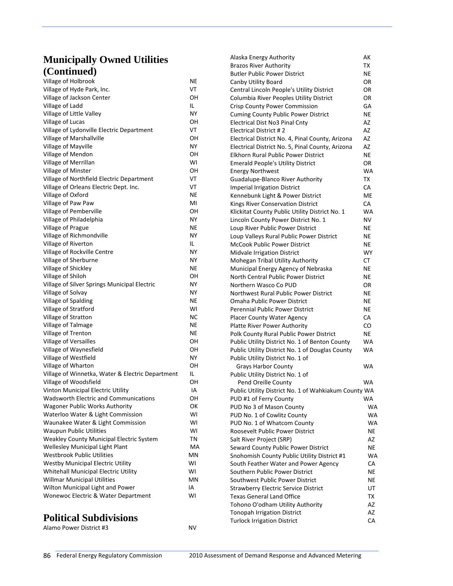| Village of Holbrook                              | ΝE  |
|--------------------------------------------------|-----|
| Village of Hyde Park, Inc.                       | VT  |
| Village of Jackson Center                        | OН  |
| Village of Ladd                                  | IL. |
| Village of Little Valley                         | NΥ  |
| Village of Lucas                                 | ΟH  |
| Village of Lydonville Electric Department        | VT  |
| Village of Marshallville                         | OН  |
| Village of Mayville                              | ΝY  |
| Village of Mendon                                | OН  |
| Village of Merrillan                             | WI  |
| Village of Minster                               | OН  |
| Village of Northfield Electric Department        | VT  |
| Village of Orleans Electric Dept. Inc.           | VT  |
| Village of Oxford                                | ΝE  |
| Village of Paw Paw                               | MI  |
| Village of Pemberville                           | OН  |
| Village of Philadelphia                          | ΝY  |
| Village of Prague                                | NE  |
| Village of Richmondville                         | NΥ  |
| Village of Riverton                              | IL. |
| Village of Rockville Centre                      | NΥ  |
| Village of Sherburne                             | ΝY  |
| Village of Shickley                              | ΝE  |
| Village of Shiloh                                | OН  |
| Village of Silver Springs Municipal Electric     | NΥ  |
| Village of Solvay                                | NΥ  |
| Village of Spalding                              | NE  |
| Village of Stratford                             | W١  |
| Village of Stratton                              | NС  |
| Village of Talmage                               | ΝE  |
| Village of Trenton                               | ΝE  |
| Village of Versailles                            | OН  |
| Village of Waynesfield                           | OН  |
| Village of Westfield                             | NY. |
| Village of Wharton                               | OН  |
| Village of Winnetka, Water & Electric Department | IL. |
| Village of Woodsfield                            | OН  |
| Vinton Municipal Electric Utility                | IA  |
| <b>Wadsworth Electric and Communications</b>     | OН  |
| <b>Wagoner Public Works Authority</b>            | ОΚ  |
| Waterloo Water & Light Commission                | WI  |
| Waunakee Water & Light Commission                | W١  |
| <b>Waupun Public Utilities</b>                   | WI  |
| Weakley County Municipal Electric System         | ΤN  |
| Wellesley Municipal Light Plant                  | МA  |
| <b>Westbrook Public Utilities</b>                | ΜN  |
| <b>Westby Municipal Electric Utility</b>         | WI  |
| Whitehall Municipal Electric Utility             | WI  |
| <b>Willmar Municipal Utilities</b>               | MN  |
| Wilton Municipal Light and Power                 | IA  |
| Wonewoc Electric & Water Department              | W١  |
|                                                  |     |

### **Political Subdivisions**

Alamo Power District #3 NV

Brazos River Authority **TX** Butler Public Power District NE Canby Utility Board **Canby Utility Board** Central Lincoln People's Utility District OR Columbia River Peoples Utility District OR Crisp County Power Commission GA Cuming County Public Power District NE Electrical Dist No3 Pinal Cnty **AZ** Electrical District # 2 AZ Electrical District No. 4, Pinal County, Arizona AZ Electrical District No. 5, Pinal County, Arizona AZ Elkhorn Rural Public Power District NE Emerald People's Utility District OR Energy Northwest WA Guadalupe‐Blanco River Authority TX Imperial Irrigation District CA Kennebunk Light & Power District ME Kings River Conservation District CA Klickitat County Public Utility District No. 1 WA Lincoln County Power District No. 1 NV Loup River Public Power District **NE** Loup Valleys Rural Public Power District NE McCook Public Power District ME Midvale Irrigation District **WY** Mohegan Tribal Utility Authority **CT** Municipal Energy Agency of Nebraska NE North Central Public Power District NE Northern Wasco Co PUD **OR** Northwest Rural Public Power District NE **Omaha Public Power District Communist Communist Communist Communist Communist Communist Communist Communist Co** Perennial Public Power District NE Placer County Water Agency **CA** Platte River Power Authority **CO** Polk County Rural Public Power District NE Public Utility District No. 1 of Benton County WA Public Utility District No. 1 of Douglas County WA Public Utility District No. 1 of Grays Harbor County **WA** Public Utility District No. 1 of Pend Oreille County **WA** Public Utility District No. 1 of Wahkiakum County WA PUD #1 of Ferry County **WA** PUD No 3 of Mason County **WA** PUD No. 1 of Cowlitz County **WA** PUD No. 1 of Whatcom County WA Roosevelt Public Power District NE Salt River Project (SRP) AZ Seward County Public Power District ME Snohomish County Public Utility District #1 WA South Feather Water and Power Agency CA Southern Public Power District ME Southwest Public Power District ME Strawberry Electric Service District UT Texas General Land Office **TR** Tohono O'odham Utility Authority AZ Tonopah Irrigation District AZ Turlock Irrigation District **CA** 

Alaska Energy Authority **AX**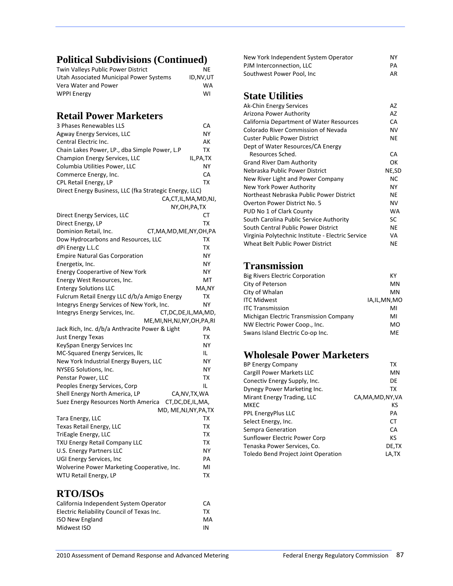# **Political Subdivisions (Continued)**

| Twin Valleys Public Power District      | NF        |
|-----------------------------------------|-----------|
| Utah Associated Municipal Power Systems | ID.NV.UT  |
| Vera Water and Power                    | <b>WA</b> |
| <b>WPPI Energy</b>                      | WI        |

# **Retail Power Marketers**

| 3 Phases Renewables LLS                                    | CА                 |
|------------------------------------------------------------|--------------------|
| Agway Energy Services, LLC                                 | NΥ                 |
| Central Electric Inc.                                      | АK                 |
| Chain Lakes Power, LP., dba Simple Power, L.P              | ΤХ                 |
| Champion Energy Services, LLC                              | IL, PA, TX         |
| Columbia Utilities Power, LLC                              | NΥ                 |
| Commerce Energy, Inc.                                      | СA                 |
| CPL Retail Energy, LP                                      | ТX                 |
| Direct Energy Business, LLC (fka Strategic Energy, LLC)    |                    |
|                                                            | CA,CT,IL,MA,MD,NJ, |
|                                                            | NY, OH, PA, TX     |
| Direct Energy Services, LLC                                | CТ                 |
| Direct Energy, LP                                          | ТX                 |
| Dominion Retail, Inc.<br>CT, MA, MD, ME, NY, OH, PA        |                    |
| Dow Hydrocarbons and Resources, LLC                        | тх                 |
| dPi Energy L.L.C                                           | тх                 |
| <b>Empire Natural Gas Corporation</b>                      | NΥ                 |
| Energetix, Inc.                                            | NΥ                 |
| <b>Energy Cooperartive of New York</b>                     | ΝY                 |
| Energy West Resources, Inc.                                | МT                 |
| <b>Entergy Solutions LLC</b>                               | MA,NY              |
| Fulcrum Retail Energy LLC d/b/a Amigo Energy               | тх                 |
| Integrys Energy Services of New York, Inc.                 | NΥ                 |
| Integrys Energy Services, Inc.<br>CT, DC, DE, IL, MA, MD,  |                    |
| ME, MI, NH, NJ, NY, OH, PA, RI                             |                    |
| Jack Rich, Inc. d/b/a Anthracite Power & Light             | PА                 |
| <b>Just Energy Texas</b>                                   | ТX                 |
| KeySpan Energy Services Inc                                | NΥ                 |
| MC-Squared Energy Services, Ilc                            | IL                 |
| New York Industrial Energy Buyers, LLC                     | NΥ                 |
| <b>NYSEG Solutions, Inc.</b>                               | NΥ                 |
| Penstar Power, LLC                                         | ТX                 |
| Peoples Energy Services, Corp                              | IL                 |
| Shell Energy North America, LP                             | CA, NV, TX, WA     |
| CT, DC, DE, IL, MA,<br>Suez Energy Resources North America |                    |
| MD, ME,NJ,NY,PA,TX                                         |                    |
| Tara Energy, LLC                                           | тх                 |
| Texas Retail Energy, LLC                                   | ТX                 |
| TriEagle Energy, LLC                                       | тх                 |
| <b>TXU Energy Retail Company LLC</b>                       | TХ                 |
| U.S. Energy Partners LLC                                   | NΥ                 |
| UGI Energy Services, Inc                                   | PА                 |
| Wolverine Power Marketing Cooperative, Inc.                | MI                 |
| WTU Retail Energy, LP                                      | ТX                 |

### **RTO/ISOs**

| CA. |
|-----|
| тх  |
| MA  |
| ΙN  |
|     |

| New York Independent System Operator | ΝY |
|--------------------------------------|----|
| PJM Interconnection. LLC             | PA |
| Southwest Power Pool, Inc.           | AR |

### **State Utilities**

| Ak-Chin Energy Services                           | AZ        |
|---------------------------------------------------|-----------|
| Arizona Power Authority                           | AZ        |
| California Department of Water Resources          | CA        |
| Colorado River Commission of Nevada               | NV        |
| Custer Public Power District                      | NE        |
| Dept of Water Resources/CA Energy                 |           |
| Resources Sched.                                  | CА        |
| <b>Grand River Dam Authority</b>                  | ОΚ        |
| Nebraska Public Power District                    | NE,SD     |
| New River Light and Power Company                 | <b>NC</b> |
| New York Power Authority                          | NΥ        |
| Northeast Nebraska Public Power District          | NE        |
| Overton Power District No. 5                      | <b>NV</b> |
| PUD No 1 of Clark County                          | <b>WA</b> |
| South Carolina Public Service Authority           | SC        |
| South Central Public Power District               | NE        |
| Virginia Polytechnic Institute - Electric Service | VA        |
| Wheat Belt Public Power District                  | NE        |

### **Transmission**

| <b>Big Rivers Electric Corporation</b> | КY             |
|----------------------------------------|----------------|
| City of Peterson                       | MN             |
| City of Whalan                         | MN             |
| <b>ITC Midwest</b>                     | IA, IL, MN, MO |
| <b>ITC Transmission</b>                | MI             |
| Michigan Electric Transmission Company | MI             |
| NW Electric Power Coop., Inc.          | MO             |
| Swans Island Electric Co-op Inc.       | ME             |

### **Wholesale Power Marketers**

| <b>BP Energy Company</b>                   | TХ                 |
|--------------------------------------------|--------------------|
| Cargill Power Markets LLC                  | MN                 |
| Conectiv Energy Supply, Inc.               | DE                 |
| Dynegy Power Marketing Inc.                | ТX                 |
| Mirant Energy Trading, LLC                 | CA, MA, MD, NY, VA |
| <b>MKEC</b>                                | ΚS                 |
| <b>PPL EnergyPlus LLC</b>                  | PA                 |
| Select Energy, Inc.                        | СT                 |
| Sempra Generation                          | CA                 |
| Sunflower Electric Power Corp              | ΚS                 |
| Tenaska Power Services, Co.                | DE,TX              |
| <b>Toledo Bend Project Joint Operation</b> | LA.TX              |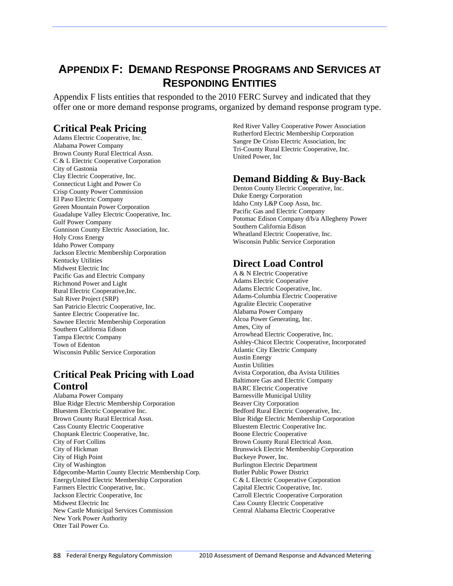# **APPENDIX F: DEMAND RESPONSE PROGRAMS AND SERVICES AT RESPONDING ENTITIES**

Appendix F lists entities that responded to the 2010 FERC Survey and indicated that they offer one or more demand response programs, organized by demand response program type.

### **Critical Peak Pricing**

Adams Electric Cooperative, Inc. Alabama Power Company Brown County Rural Electrical Assn. C & L Electric Cooperative Corporation City of Gastonia Clay Electric Cooperative, Inc. Connecticut Light and Power Co Crisp County Power Commission El Paso Electric Company Green Mountain Power Corporation Guadalupe Valley Electric Cooperative, Inc. Gulf Power Company Gunnison County Electric Association, Inc. Holy Cross Energy Idaho Power Company Jackson Electric Membership Corporation Kentucky Utilities Midwest Electric Inc Pacific Gas and Electric Company Richmond Power and Light Rural Electric Cooperative,Inc. Salt River Project (SRP) San Patricio Electric Cooperative, Inc. Santee Electric Cooperative Inc. Sawnee Electric Membership Corporation Southern California Edison Tampa Electric Company Town of Edenton Wisconsin Public Service Corporation

### **Critical Peak Pricing with Load Control**

Alabama Power Company Blue Ridge Electric Membership Corporation Bluestem Electric Cooperative Inc. Brown County Rural Electrical Assn. Cass County Electric Cooperative Choptank Electric Cooperative, Inc. City of Fort Collins City of Hickman City of High Point City of Washington Edgecombe-Martin County Electric Membership Corp. EnergyUnited Electric Membership Corporation Farmers Electric Cooperative, Inc. Jackson Electric Cooperative, Inc Midwest Electric Inc New Castle Municipal Services Commission New York Power Authority Otter Tail Power Co.

Red River Valley Cooperative Power Association Rutherford Electric Membership Corporation Sangre De Cristo Electric Association, Inc Tri-County Rural Electric Cooperative, Inc. United Power, Inc

### **Demand Bidding & Buy-Back**

Denton County Electric Cooperative, Inc. Duke Energy Corporation Idaho Cnty L&P Coop Assn, Inc. Pacific Gas and Electric Company Potomac Edison Company d/b/a Allegheny Power Southern California Edison Wheatland Electric Cooperative, Inc. Wisconsin Public Service Corporation

### **Direct Load Control**

A & N Electric Cooperative Adams Electric Cooperative Adams Electric Cooperative, Inc. Adams-Columbia Electric Cooperative Agralite Electric Cooperative Alabama Power Company Alcoa Power Generating, Inc. Ames, City of Arrowhead Electric Cooperative, Inc. Ashley-Chicot Electric Cooperative, Incorporated Atlantic City Electric Company Austin Energy Austin Utilities Avista Corporation, dba Avista Utilities Baltimore Gas and Electric Company BARC Electric Cooperative Barnesville Municipal Utility Beaver City Corporation Bedford Rural Electric Cooperative, Inc. Blue Ridge Electric Membership Corporation Bluestem Electric Cooperative Inc. Boone Electric Cooperative Brown County Rural Electrical Assn. Brunswick Electric Membership Corporation Buckeye Power, Inc. Burlington Electric Department Butler Public Power District C & L Electric Cooperative Corporation Capital Electric Cooperative, Inc. Carroll Electric Cooperative Corporation Cass County Electric Cooperative Central Alabama Electric Cooperative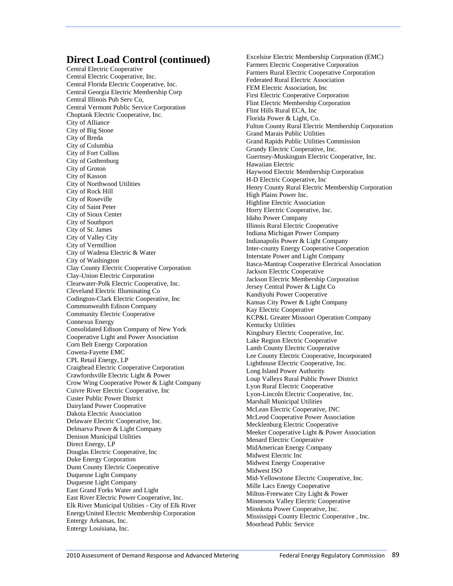#### **Direct Load Control (continued)**

Central Electric Cooperative Central Electric Cooperative, Inc. Central Florida Electric Cooperative, Inc. Central Georgia Electric Membership Corp Central Illinois Pub Serv Co, Central Vermont Public Service Corporation Choptank Electric Cooperative, Inc. City of Alliance City of Big Stone City of Breda City of Columbia City of Fort Collins City of Gothenburg City of Groton City of Kasson City of Northwood Utilities City of Rock Hill City of Roseville City of Saint Peter City of Sioux Center City of Southport City of St. James City of Valley City City of Vermillion City of Wadena Electric & Water City of Washington Clay County Electric Cooperative Corporation Clay-Union Electric Corporation Clearwater-Polk Electric Cooperative, Inc. Cleveland Electric Illuminating Co Codington-Clark Electric Cooperative, Inc Commonwealth Edison Company Community Electric Cooperative Connexus Energy Consolidated Edison Company of New York Cooperative Light and Power Association Corn Belt Energy Corporation Coweta-Fayette EMC CPL Retail Energy, LP Craighead Electric Cooperative Corporation Crawfordsville Electric Light & Power Crow Wing Cooperative Power & Light Company Cuivre River Electric Cooperative, Inc Custer Public Power District Dairyland Power Cooperative Dakota Electric Association Delaware Electric Cooperative, Inc. Delmarva Power & Light Company Denison Municipal Utilities Direct Energy, LP Douglas Electric Cooperative, Inc Duke Energy Corporation Dunn County Electric Cooperative Duquesne Light Company Duquesne Light Company East Grand Forks Water and Light East River Electric Power Cooperative, Inc. Elk River Municipal Utilities - City of Elk River EnergyUnited Electric Membership Corporation Entergy Arkansas, Inc. Entergy Louisiana, Inc.

Excelsior Electric Membership Corporation (EMC) Farmers Electric Cooperative Corporation Farmers Rural Electric Cooperative Corporation Federated Rural Electric Association FEM Electric Association, Inc First Electric Cooperative Corporation Flint Electric Membership Corporation Flint Hills Rural ECA, Inc Florida Power & Light, Co. Fulton County Rural Electric Membership Corporation Grand Marais Public Utilities Grand Rapids Public Utilities Commission Grundy Electric Cooperative, Inc. Guernsey-Muskingum Electric Cooperative, Inc. Hawaiian Electric Haywood Electric Membership Corporation H-D Electric Cooperative, Inc Henry County Rural Electric Membership Corporation High Plains Power Inc. Highline Electric Association Horry Electric Cooperative, Inc. Idaho Power Company Illinois Rural Electric Cooperative Indiana Michigan Power Company Indianapolis Power & Light Company Inter-county Energy Cooperative Cooperation Interstate Power and Light Company Itasca-Mantrap Cooperative Electrical Association Jackson Electric Cooperative Jackson Electric Membership Corporation Jersey Central Power & Light Co Kandiyohi Power Cooperative Kansas City Power & Light Company Kay Electric Cooperative KCP&L Greater Missouri Operation Company Kentucky Utilities Kingsbury Electric Cooperative, Inc. Lake Region Electric Cooperative Lamb County Electric Cooperative Lee County Electric Cooperative, Incorporated Lighthouse Electric Cooperative, Inc. Long Island Power Authority Loup Valleys Rural Public Power District Lyon Rural Electric Cooperative Lyon-Lincoln Electric Cooperative, Inc. Marshall Municipal Utilities McLean Electric Cooperative, INC McLeod Cooperative Power Association Mecklenburg Electric Cooperative Meeker Cooperative Light & Power Association Menard Electric Cooperative MidAmerican Energy Company Midwest Electric Inc Midwest Energy Cooperative Midwest ISO Mid-Yellowstone Electric Cooperative, Inc. Mille Lacs Energy Cooperative Milton-Freewater City Light & Power Minnesota Valley Electric Cooperative Minnkota Power Cooperative, Inc. Mississippi County Electric Cooperative , Inc. Moorhead Public Service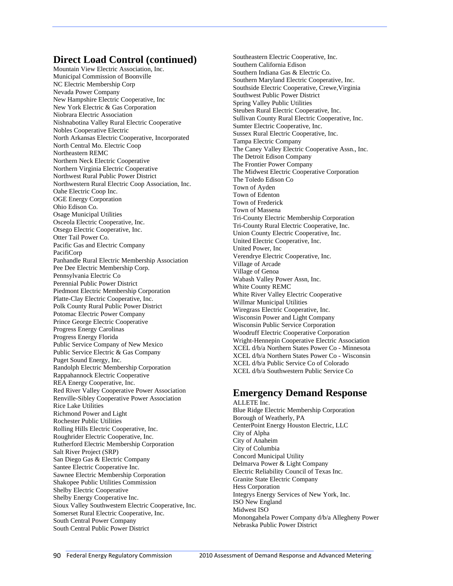#### **Direct Load Control (continued)**

Mountain View Electric Association, Inc. Municipal Commission of Boonville NC Electric Membership Corp Nevada Power Company New Hampshire Electric Cooperative, Inc New York Electric & Gas Corporation Niobrara Electric Association Nishnabotina Valley Rural Electric Cooperative Nobles Cooperative Electric North Arkansas Electric Cooperative, Incorporated North Central Mo. Electric Coop Northeastern REMC Northern Neck Electric Cooperative Northern Virginia Electric Cooperative Northwest Rural Public Power District Northwestern Rural Electric Coop Association, Inc. Oahe Electric Coop Inc. OGE Energy Corporation Ohio Edison Co. Osage Municipal Utilities Osceola Electric Cooperative, Inc. Otsego Electric Cooperative, Inc. Otter Tail Power Co. Pacific Gas and Electric Company PacifiCorp Panhandle Rural Electric Membership Association Pee Dee Electric Membership Corp. Pennsylvania Electric Co Perennial Public Power District Piedmont Electric Membership Corporation Platte-Clay Electric Cooperative, Inc. Polk County Rural Public Power District Potomac Electric Power Company Prince George Electric Cooperative Progress Energy Carolinas Progress Energy Florida Public Service Company of New Mexico Public Service Electric & Gas Company Puget Sound Energy, Inc. Randolph Electric Membership Corporation Rappahannock Electric Cooperative REA Energy Cooperative, Inc. Red River Valley Cooperative Power Association Renville-Sibley Cooperative Power Association Rice Lake Utilities Richmond Power and Light Rochester Public Utilities Rolling Hills Electric Cooperative, Inc. Roughrider Electric Cooperative, Inc. Rutherford Electric Membership Corporation Salt River Project (SRP) San Diego Gas & Electric Company Santee Electric Cooperative Inc. Sawnee Electric Membership Corporation Shakopee Public Utilities Commission Shelby Electric Cooperative Shelby Energy Cooperative Inc. Sioux Valley Southwestern Electric Cooperative, Inc. Somerset Rural Electric Cooperative, Inc. South Central Power Company South Central Public Power District

Southeastern Electric Cooperative, Inc. Southern California Edison Southern Indiana Gas & Electric Co. Southern Maryland Electric Cooperative, Inc. Southside Electric Cooperative, Crewe,Virginia Southwest Public Power District Spring Valley Public Utilities Steuben Rural Electric Cooperative, Inc. Sullivan County Rural Electric Cooperative, Inc. Sumter Electric Cooperative, Inc. Sussex Rural Electric Cooperative, Inc. Tampa Electric Company The Caney Valley Electric Cooperative Assn., Inc. The Detroit Edison Company The Frontier Power Company The Midwest Electric Cooperative Corporation The Toledo Edison Co Town of Ayden Town of Edenton Town of Frederick Town of Massena Tri-County Electric Membership Corporation Tri-County Rural Electric Cooperative, Inc. Union County Electric Cooperative, Inc. United Electric Cooperative, Inc. United Power, Inc Verendrye Electric Cooperative, Inc. Village of Arcade Village of Genoa Wabash Valley Power Assn, Inc. White County REMC White River Valley Electric Cooperative Willmar Municipal Utilities Wiregrass Electric Cooperative, Inc. Wisconsin Power and Light Company Wisconsin Public Service Corporation Woodruff Electric Cooperative Corporation Wright-Hennepin Cooperative Electric Association XCEL d/b/a Northern States Power Co - Minnesota XCEL d/b/a Northern States Power Co - Wisconsin XCEL d/b/a Public Service Co of Colorado XCEL d/b/a Southwestern Public Service Co

#### **Emergency Demand Response**  ALLETE Inc.

Blue Ridge Electric Membership Corporation Borough of Weatherly, PA CenterPoint Energy Houston Electric, LLC City of Alpha City of Anaheim City of Columbia Concord Municipal Utility Delmarva Power & Light Company Electric Reliability Council of Texas Inc. Granite State Electric Company Hess Corporation Integrys Energy Services of New York, Inc. ISO New England Midwest ISO Monongahela Power Company d/b/a Allegheny Power Nebraska Public Power District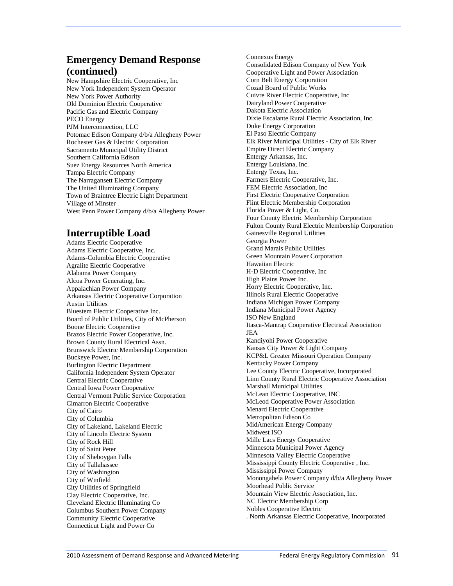### **Emergency Demand Response (continued)**

New Hampshire Electric Cooperative, Inc New York Independent System Operator New York Power Authority Old Dominion Electric Cooperative Pacific Gas and Electric Company PECO Energy PJM Interconnection, LLC Potomac Edison Company d/b/a Allegheny Power Rochester Gas & Electric Corporation Sacramento Municipal Utility District Southern California Edison Suez Energy Resources North America Tampa Electric Company The Narragansett Electric Company The United Illuminating Company Town of Braintree Electric Light Department Village of Minster West Penn Power Company d/b/a Allegheny Power

### **Interruptible Load**

Adams Electric Cooperative Adams Electric Cooperative, Inc. Adams-Columbia Electric Cooperative Agralite Electric Cooperative Alabama Power Company Alcoa Power Generating, Inc. Appalachian Power Company Arkansas Electric Cooperative Corporation Austin Utilities Bluestem Electric Cooperative Inc. Board of Public Utilities, City of McPherson Boone Electric Cooperative Brazos Electric Power Cooperative, Inc. Brown County Rural Electrical Assn. Brunswick Electric Membership Corporation Buckeye Power, Inc. Burlington Electric Department California Independent System Operator Central Electric Cooperative Central Iowa Power Cooperative Central Vermont Public Service Corporation Cimarron Electric Cooperative City of Cairo City of Columbia City of Lakeland, Lakeland Electric City of Lincoln Electric System City of Rock Hill City of Saint Peter City of Sheboygan Falls City of Tallahassee City of Washington City of Winfield City Utilities of Springfield Clay Electric Cooperative, Inc. Cleveland Electric Illuminating Co Columbus Southern Power Company Community Electric Cooperative Connecticut Light and Power Co

Connexus Energy Consolidated Edison Company of New York Cooperative Light and Power Association Corn Belt Energy Corporation Cozad Board of Public Works Cuivre River Electric Cooperative, Inc Dairyland Power Cooperative Dakota Electric Association Dixie Escalante Rural Electric Association, Inc. Duke Energy Corporation El Paso Electric Company Elk River Municipal Utilities - City of Elk River Empire Direct Electric Company Entergy Arkansas, Inc. Entergy Louisiana, Inc. Entergy Texas, Inc. Farmers Electric Cooperative, Inc. FEM Electric Association, Inc First Electric Cooperative Corporation Flint Electric Membership Corporation Florida Power & Light, Co. Four County Electric Membership Corporation Fulton County Rural Electric Membership Corporation Gainesville Regional Utilities Georgia Power Grand Marais Public Utilities Green Mountain Power Corporation Hawaiian Electric H-D Electric Cooperative, Inc High Plains Power Inc. Horry Electric Cooperative, Inc. Illinois Rural Electric Cooperative Indiana Michigan Power Company Indiana Municipal Power Agency ISO New England Itasca-Mantrap Cooperative Electrical Association JEA Kandiyohi Power Cooperative Kansas City Power & Light Company KCP&L Greater Missouri Operation Company Kentucky Power Company Lee County Electric Cooperative, Incorporated Linn County Rural Electric Cooperative Association Marshall Municipal Utilities McLean Electric Cooperative, INC McLeod Cooperative Power Association Menard Electric Cooperative Metropolitan Edison Co MidAmerican Energy Company Midwest ISO Mille Lacs Energy Cooperative Minnesota Municipal Power Agency Minnesota Valley Electric Cooperative Mississippi County Electric Cooperative , Inc. Mississippi Power Company Monongahela Power Company d/b/a Allegheny Power Moorhead Public Service Mountain View Electric Association, Inc. NC Electric Membership Corp Nobles Cooperative Electric . North Arkansas Electric Cooperative, Incorporated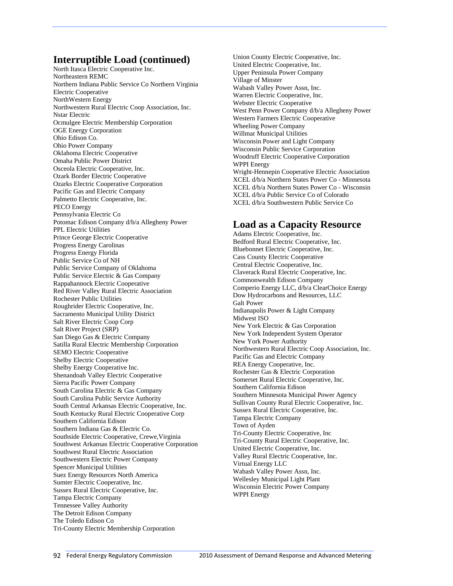#### **Interruptible Load (continued)**

North Itasca Electric Cooperative Inc. Northeastern REMC Northern Indiana Public Service Co Northern Virginia Electric Cooperative NorthWestern Energy Northwestern Rural Electric Coop Association, Inc. Nstar Electric Ocmulgee Electric Membership Corporation OGE Energy Corporation Ohio Edison Co. Ohio Power Company Oklahoma Electric Cooperative Omaha Public Power District Osceola Electric Cooperative, Inc. Ozark Border Electric Cooperative Ozarks Electric Cooperative Corporation Pacific Gas and Electric Company Palmetto Electric Cooperative, Inc. PECO Energy Pennsylvania Electric Co Potomac Edison Company d/b/a Allegheny Power PPL Electric Utilities Prince George Electric Cooperative Progress Energy Carolinas Progress Energy Florida Public Service Co of NH Public Service Company of Oklahoma Public Service Electric & Gas Company Rappahannock Electric Cooperative Red River Valley Rural Electric Association Rochester Public Utilities Roughrider Electric Cooperative, Inc. Sacramento Municipal Utility District Salt River Electric Coop Corp Salt River Project (SRP) San Diego Gas & Electric Company Satilla Rural Electric Membership Corporation SEMO Electric Cooperative Shelby Electric Cooperative Shelby Energy Cooperative Inc. Shenandoah Valley Electric Cooperative Sierra Pacific Power Company South Carolina Electric & Gas Company South Carolina Public Service Authority South Central Arkansas Electric Cooperative, Inc. South Kentucky Rural Electric Cooperative Corp Southern California Edison Southern Indiana Gas & Electric Co. Southside Electric Cooperative, Crewe,Virginia Southwest Arkansas Electric Cooperative Corporation Southwest Rural Electric Association Southwestern Electric Power Company Spencer Municipal Utilities Suez Energy Resources North America Sumter Electric Cooperative, Inc. Sussex Rural Electric Cooperative, Inc. Tampa Electric Company Tennessee Valley Authority The Detroit Edison Company The Toledo Edison Co Tri-County Electric Membership Corporation

Union County Electric Cooperative, Inc. United Electric Cooperative, Inc. Upper Peninsula Power Company Village of Minster Wabash Valley Power Assn, Inc. Warren Electric Cooperative, Inc. Webster Electric Cooperative West Penn Power Company d/b/a Allegheny Power Western Farmers Electric Cooperative Wheeling Power Company Willmar Municipal Utilities Wisconsin Power and Light Company Wisconsin Public Service Corporation Woodruff Electric Cooperative Corporation WPPI Energy Wright-Hennepin Cooperative Electric Association XCEL d/b/a Northern States Power Co - Minnesota XCEL d/b/a Northern States Power Co - Wisconsin XCEL d/b/a Public Service Co of Colorado XCEL d/b/a Southwestern Public Service Co

### **Load as a Capacity Resource**

Adams Electric Cooperative, Inc. Bedford Rural Electric Cooperative, Inc. Bluebonnet Electric Cooperative, Inc. Cass County Electric Cooperative Central Electric Cooperative, Inc. Claverack Rural Electric Cooperative, Inc. Commonwealth Edison Company Comperio Energy LLC, d/b/a ClearChoice Energy Dow Hydrocarbons and Resources, LLC Galt Power Indianapolis Power & Light Company Midwest ISO New York Electric & Gas Corporation New York Independent System Operator New York Power Authority Northwestern Rural Electric Coop Association, Inc. Pacific Gas and Electric Company REA Energy Cooperative, Inc. Rochester Gas & Electric Corporation Somerset Rural Electric Cooperative, Inc. Southern California Edison Southern Minnesota Municipal Power Agency Sullivan County Rural Electric Cooperative, Inc. Sussex Rural Electric Cooperative, Inc. Tampa Electric Company Town of Ayden Tri-County Electric Cooperative, Inc Tri-County Rural Electric Cooperative, Inc. United Electric Cooperative, Inc. Valley Rural Electric Cooperative, Inc. Virtual Energy LLC Wabash Valley Power Assn, Inc. Wellesley Municipal Light Plant Wisconsin Electric Power Company WPPI Energy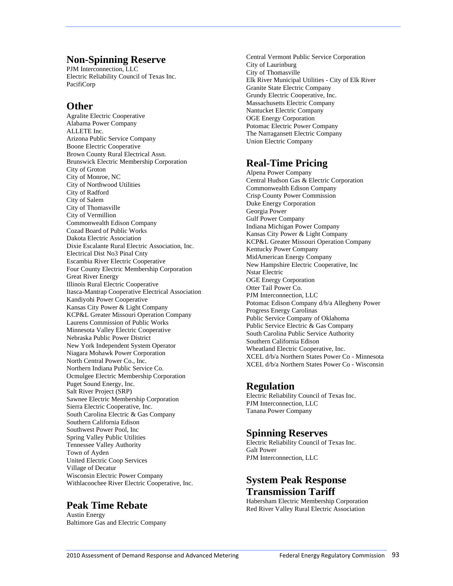#### **Non-Spinning Reserve**

PJM Interconnection, LLC Electric Reliability Council of Texas Inc. PacifiCorp

### **Other**

Agralite Electric Cooperative Alabama Power Company ALLETE Inc. Arizona Public Service Company Boone Electric Cooperative Brown County Rural Electrical Assn. Brunswick Electric Membership Corporation City of Groton City of Monroe, NC City of Northwood Utilities City of Radford City of Salem City of Thomasville City of Vermillion Commonwealth Edison Company Cozad Board of Public Works Dakota Electric Association Dixie Escalante Rural Electric Association, Inc. Electrical Dist No3 Pinal Cnty Escambia River Electric Cooperative Four County Electric Membership Corporation Great River Energy Illinois Rural Electric Cooperative Itasca-Mantrap Cooperative Electrical Association Kandiyohi Power Cooperative Kansas City Power & Light Company KCP&L Greater Missouri Operation Company Laurens Commission of Public Works Minnesota Valley Electric Cooperative Nebraska Public Power District New York Independent System Operator Niagara Mohawk Power Corporation North Central Power Co., Inc. Northern Indiana Public Service Co. Ocmulgee Electric Membership Corporation Puget Sound Energy, Inc. Salt River Project (SRP) Sawnee Electric Membership Corporation Sierra Electric Cooperative, Inc. South Carolina Electric & Gas Company Southern California Edison Southwest Power Pool, Inc Spring Valley Public Utilities Tennessee Valley Authority Town of Ayden United Electric Coop Services Village of Decatur Wisconsin Electric Power Company Withlacoochee River Electric Cooperative, Inc.

### **Peak Time Rebate**

Austin Energy Baltimore Gas and Electric Company Central Vermont Public Service Corporation City of Laurinburg City of Thomasville Elk River Municipal Utilities - City of Elk River Granite State Electric Company Grundy Electric Cooperative, Inc. Massachusetts Electric Company Nantucket Electric Company OGE Energy Corporation Potomac Electric Power Company The Narragansett Electric Company Union Electric Company

### **Real-Time Pricing**

Alpena Power Company Central Hudson Gas & Electric Corporation Commonwealth Edison Company Crisp County Power Commission Duke Energy Corporation Georgia Power Gulf Power Company Indiana Michigan Power Company Kansas City Power & Light Company KCP&L Greater Missouri Operation Company Kentucky Power Company MidAmerican Energy Company New Hampshire Electric Cooperative, Inc Nstar Electric OGE Energy Corporation Otter Tail Power Co. PJM Interconnection, LLC Potomac Edison Company d/b/a Allegheny Power Progress Energy Carolinas Public Service Company of Oklahoma Public Service Electric & Gas Company South Carolina Public Service Authority Southern California Edison Wheatland Electric Cooperative, Inc. XCEL d/b/a Northern States Power Co - Minnesota XCEL d/b/a Northern States Power Co - Wisconsin

### **Regulation**

Electric Reliability Council of Texas Inc. PJM Interconnection, LLC Tanana Power Company

### **Spinning Reserves**

Electric Reliability Council of Texas Inc. Galt Power PJM Interconnection, LLC

### **System Peak Response Transmission Tariff**

Habersham Electric Membership Corporation Red River Valley Rural Electric Association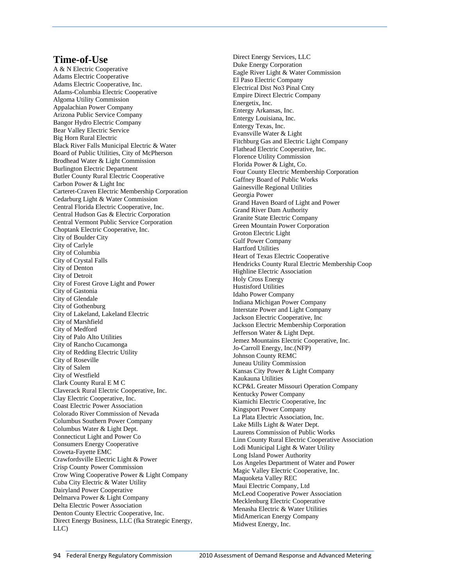#### **Time-of-Use**

A & N Electric Cooperative Adams Electric Cooperative Adams Electric Cooperative, Inc. Adams-Columbia Electric Cooperative Algoma Utility Commission Appalachian Power Company Arizona Public Service Company Bangor Hydro Electric Company Bear Valley Electric Service Big Horn Rural Electric Black River Falls Municipal Electric & Water Board of Public Utilities, City of McPherson Brodhead Water & Light Commission Burlington Electric Department Butler County Rural Electric Cooperative Carbon Power & Light Inc Carteret-Craven Electric Membership Corporation Cedarburg Light & Water Commission Central Florida Electric Cooperative, Inc. Central Hudson Gas & Electric Corporation Central Vermont Public Service Corporation Choptank Electric Cooperative, Inc. City of Boulder City City of Carlyle City of Columbia City of Crystal Falls City of Denton City of Detroit City of Forest Grove Light and Power City of Gastonia City of Glendale City of Gothenburg City of Lakeland, Lakeland Electric City of Marshfield City of Medford City of Palo Alto Utilities City of Rancho Cucamonga City of Redding Electric Utility City of Roseville City of Salem City of Westfield Clark County Rural E M C Claverack Rural Electric Cooperative, Inc. Clay Electric Cooperative, Inc. Coast Electric Power Association Colorado River Commission of Nevada Columbus Southern Power Company Columbus Water & Light Dept. Connecticut Light and Power Co Consumers Energy Cooperative Coweta-Fayette EMC Crawfordsville Electric Light & Power Crisp County Power Commission Crow Wing Cooperative Power & Light Company Cuba City Electric & Water Utility Dairyland Power Cooperative Delmarva Power & Light Company Delta Electric Power Association Denton County Electric Cooperative, Inc. Direct Energy Business, LLC (fka Strategic Energy, LLC)

Direct Energy Services, LLC Duke Energy Corporation Eagle River Light & Water Commission El Paso Electric Company Electrical Dist No3 Pinal Cnty Empire Direct Electric Company Energetix, Inc. Entergy Arkansas, Inc. Entergy Louisiana, Inc. Entergy Texas, Inc. Evansville Water & Light Fitchburg Gas and Electric Light Company Flathead Electric Cooperative, Inc. Florence Utility Commission Florida Power & Light, Co. Four County Electric Membership Corporation Gaffney Board of Public Works Gainesville Regional Utilities Georgia Power Grand Haven Board of Light and Power Grand River Dam Authority Granite State Electric Company Green Mountain Power Corporation Groton Electric Light Gulf Power Company Hartford Utilities Heart of Texas Electric Cooperative Hendricks County Rural Electric Membership Coop Highline Electric Association Holy Cross Energy Hustisford Utilities Idaho Power Company Indiana Michigan Power Company Interstate Power and Light Company Jackson Electric Cooperative, Inc Jackson Electric Membership Corporation Jefferson Water & Light Dept. Jemez Mountains Electric Cooperative, Inc. Jo-Carroll Energy, Inc.(NFP) Johnson County REMC Juneau Utility Commission Kansas City Power & Light Company Kaukauna Utilities KCP&L Greater Missouri Operation Company Kentucky Power Company Kiamichi Electric Cooperative, Inc Kingsport Power Company La Plata Electric Association, Inc. Lake Mills Light & Water Dept. Laurens Commission of Public Works Linn County Rural Electric Cooperative Association Lodi Municipal Light & Water Utility Long Island Power Authority Los Angeles Department of Water and Power Magic Valley Electric Cooperative, Inc. Maquoketa Valley REC Maui Electric Company, Ltd McLeod Cooperative Power Association Mecklenburg Electric Cooperative Menasha Electric & Water Utilities MidAmerican Energy Company Midwest Energy, Inc.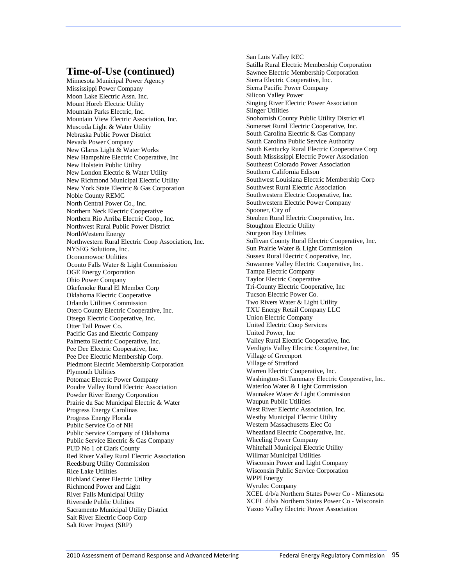#### **Time-of-Use (continued)**

Minnesota Municipal Power Agency Mississippi Power Company Moon Lake Electric Assn. Inc. Mount Horeb Electric Utility Mountain Parks Electric, Inc. Mountain View Electric Association, Inc. Muscoda Light & Water Utility Nebraska Public Power District Nevada Power Company New Glarus Light & Water Works New Hampshire Electric Cooperative, Inc New Holstein Public Utility New London Electric & Water Utility New Richmond Municipal Electric Utility New York State Electric & Gas Corporation Noble County REMC North Central Power Co., Inc. Northern Neck Electric Cooperative Northern Rio Arriba Electric Coop., Inc. Northwest Rural Public Power District NorthWestern Energy Northwestern Rural Electric Coop Association, Inc. NYSEG Solutions, Inc. Oconomowoc Utilities Oconto Falls Water & Light Commission OGE Energy Corporation Ohio Power Company Okefenoke Rural El Member Corp Oklahoma Electric Cooperative Orlando Utilities Commission Otero County Electric Cooperative, Inc. Otsego Electric Cooperative, Inc. Otter Tail Power Co. Pacific Gas and Electric Company Palmetto Electric Cooperative, Inc. Pee Dee Electric Cooperative, Inc. Pee Dee Electric Membership Corp. Piedmont Electric Membership Corporation Plymouth Utilities Potomac Electric Power Company Poudre Valley Rural Electric Association Powder River Energy Corporation Prairie du Sac Municipal Electric & Water Progress Energy Carolinas Progress Energy Florida Public Service Co of NH Public Service Company of Oklahoma Public Service Electric & Gas Company PUD No 1 of Clark County Red River Valley Rural Electric Association Reedsburg Utility Commission Rice Lake Utilities Richland Center Electric Utility Richmond Power and Light River Falls Municipal Utility Riverside Public Utilities Sacramento Municipal Utility District Salt River Electric Coop Corp Salt River Project (SRP)

San Luis Valley REC Satilla Rural Electric Membership Corporation Sawnee Electric Membership Corporation Sierra Electric Cooperative, Inc. Sierra Pacific Power Company Silicon Valley Power Singing River Electric Power Association Slinger Utilities Snohomish County Public Utility District #1 Somerset Rural Electric Cooperative, Inc. South Carolina Electric & Gas Company South Carolina Public Service Authority South Kentucky Rural Electric Cooperative Corp South Mississippi Electric Power Association Southeast Colorado Power Association Southern California Edison Southwest Louisiana Electric Membership Corp Southwest Rural Electric Association Southwestern Electric Cooperative, Inc. Southwestern Electric Power Company Spooner, City of Steuben Rural Electric Cooperative, Inc. Stoughton Electric Utility Sturgeon Bay Utilities Sullivan County Rural Electric Cooperative, Inc. Sun Prairie Water & Light Commission Sussex Rural Electric Cooperative, Inc. Suwannee Valley Electric Cooperative, Inc. Tampa Electric Company Taylor Electric Cooperative Tri-County Electric Cooperative, Inc Tucson Electric Power Co. Two Rivers Water & Light Utility TXU Energy Retail Company LLC Union Electric Company United Electric Coop Services United Power, Inc Valley Rural Electric Cooperative, Inc. Verdigris Valley Electric Cooperative, Inc Village of Greenport Village of Stratford Warren Electric Cooperative, Inc. Washington-St.Tammany Electric Cooperative, Inc. Waterloo Water & Light Commission Waunakee Water & Light Commission Waupun Public Utilities West River Electric Association, Inc. Westby Municipal Electric Utility Western Massachusetts Elec Co Wheatland Electric Cooperative, Inc. Wheeling Power Company Whitehall Municipal Electric Utility Willmar Municipal Utilities Wisconsin Power and Light Company Wisconsin Public Service Corporation WPPI Energy Wyrulec Company XCEL d/b/a Northern States Power Co - Minnesota XCEL d/b/a Northern States Power Co - Wisconsin Yazoo Valley Electric Power Association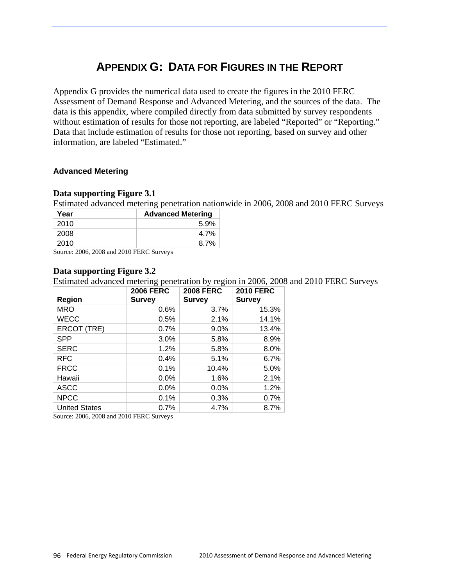# **APPENDIX G: DATA FOR FIGURES IN THE REPORT**

Appendix G provides the numerical data used to create the figures in the 2010 FERC Assessment of Demand Response and Advanced Metering, and the sources of the data. The data is this appendix, where compiled directly from data submitted by survey respondents without estimation of results for those not reporting, are labeled "Reported" or "Reporting." Data that include estimation of results for those not reporting, based on survey and other information, are labeled "Estimated."

#### **Advanced Metering**

#### **Data supporting Figure 3.1**

Estimated advanced metering penetration nationwide in 2006, 2008 and 2010 FERC Surveys

| <b>Advanced Metering</b><br>Year |      |  |  |  |  |
|----------------------------------|------|--|--|--|--|
| 2010                             | 5.9% |  |  |  |  |
| 2008                             | 4.7% |  |  |  |  |
| 2010                             | 8.7% |  |  |  |  |

Source: 2006, 2008 and 2010 FERC Surveys

#### **Data supporting Figure 3.2**

Estimated advanced metering penetration by region in 2006, 2008 and 2010 FERC Surveys

| Region               | <b>2006 FERC</b><br><b>Survey</b> | <b>2008 FERC</b><br><b>Survey</b> | <b>2010 FERC</b><br><b>Survey</b> |
|----------------------|-----------------------------------|-----------------------------------|-----------------------------------|
| <b>MRO</b>           | 0.6%                              | 3.7%                              | 15.3%                             |
| <b>WECC</b>          | 0.5%                              | 2.1%                              | 14.1%                             |
| ERCOT (TRE)          | 0.7%                              | 9.0%                              | 13.4%                             |
| <b>SPP</b>           | 3.0%                              | 5.8%                              | 8.9%                              |
| <b>SERC</b>          | 1.2%                              | 5.8%                              | 8.0%                              |
| <b>RFC</b>           | 0.4%                              | 5.1%                              | 6.7%                              |
| <b>FRCC</b>          | 0.1%                              | 10.4%                             | 5.0%                              |
| Hawaii               | 0.0%                              | 1.6%                              | 2.1%                              |
| <b>ASCC</b>          | 0.0%                              | 0.0%                              | 1.2%                              |
| <b>NPCC</b>          | 0.1%                              | 0.3%                              | 0.7%                              |
| <b>United States</b> | 0.7%                              | 4.7%                              | 8.7%                              |

Source: 2006, 2008 and 2010 FERC Surveys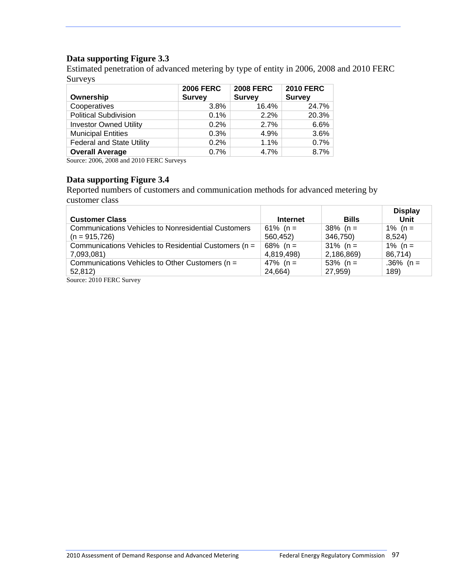### **Data supporting Figure 3.3**

Estimated penetration of advanced metering by type of entity in 2006, 2008 and 2010 FERC Surveys

| Ownership                        | <b>2006 FERC</b><br><b>Survey</b> | <b>2008 FERC</b><br><b>Survey</b> | <b>2010 FERC</b><br><b>Survey</b> |
|----------------------------------|-----------------------------------|-----------------------------------|-----------------------------------|
|                                  |                                   |                                   |                                   |
| Cooperatives                     | 3.8%                              | 16.4%                             | 24.7%                             |
| <b>Political Subdivision</b>     | 0.1%                              | 2.2%                              | 20.3%                             |
| <b>Investor Owned Utility</b>    | 0.2%                              | 2.7%                              | 6.6%                              |
| <b>Municipal Entities</b>        | 0.3%                              | 4.9%                              | 3.6%                              |
| <b>Federal and State Utility</b> | 0.2%                              | 1.1%                              | 0.7%                              |
| <b>Overall Average</b>           | 0.7%                              | 4.7%                              | 8.7%                              |

Source: 2006, 2008 and 2010 FERC Surveys

#### **Data supporting Figure 3.4**

Reported numbers of customers and communication methods for advanced metering by customer class

| <b>Customer Class</b>                                      | <b>Internet</b> | <b>Bills</b> | <b>Display</b><br>Unit |
|------------------------------------------------------------|-----------------|--------------|------------------------|
| <b>Communications Vehicles to Nonresidential Customers</b> | 61% (n =        | $38\%$ (n =  | 1% ( $n =$             |
| $(n = 915, 726)$                                           | 560,452)        | 346,750)     | 8,524)                 |
| Communications Vehicles to Residential Customers (n =      | 68% ( $n =$     | $31\%$ (n =  | 1% ( $n =$             |
| 7,093,081)                                                 | 4,819,498)      | 2,186,869)   | 86,714)                |
| Communications Vehicles to Other Customers (n =            | 47% (n =        | 53% (n =     | .36% (n =              |
| 52,812)                                                    | 24,664)         | 27,959)      | 189)                   |
| $C_{\text{outmax}}$ , $2010$ EEDC $C_{\text{inmax}}$       |                 |              |                        |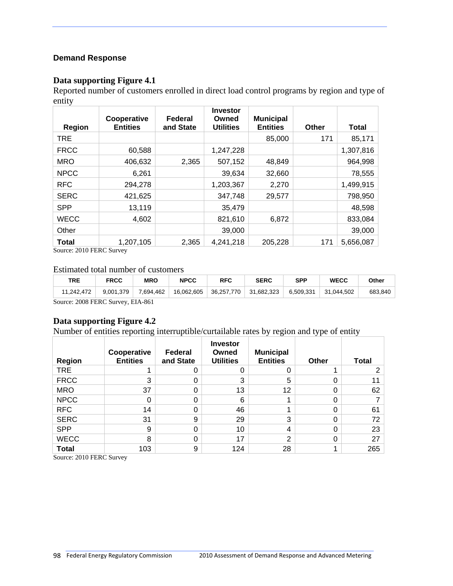#### **Demand Response**

#### **Data supporting Figure 4.1**

Reported number of customers enrolled in direct load control programs by region and type of entity

| Region       | Cooperative<br><b>Entities</b> | Federal<br>and State | <b>Investor</b><br>Owned<br><b>Utilities</b> | <b>Municipal</b><br><b>Entities</b> | <b>Other</b> | <b>Total</b> |
|--------------|--------------------------------|----------------------|----------------------------------------------|-------------------------------------|--------------|--------------|
| <b>TRE</b>   |                                |                      |                                              | 85,000                              | 171          | 85,171       |
| <b>FRCC</b>  | 60,588                         |                      | 1,247,228                                    |                                     |              | 1,307,816    |
| <b>MRO</b>   | 406,632                        | 2,365                | 507,152                                      | 48,849                              |              | 964,998      |
| <b>NPCC</b>  | 6,261                          |                      | 39,634                                       | 32,660                              |              | 78,555       |
| <b>RFC</b>   | 294,278                        |                      | 1,203,367                                    | 2,270                               |              | 1,499,915    |
| <b>SERC</b>  | 421,625                        |                      | 347,748                                      | 29,577                              |              | 798,950      |
| <b>SPP</b>   | 13,119                         |                      | 35,479                                       |                                     |              | 48,598       |
| <b>WECC</b>  | 4,602                          |                      | 821,610                                      | 6,872                               |              | 833,084      |
| Other        |                                |                      | 39,000                                       |                                     |              | 39,000       |
| <b>Total</b> | 1,207,105                      | 2,365                | 4,241,218                                    | 205,228                             | 171          | 5,656,087    |

Source: 2010 FERC Survey

#### Estimated total number of customers

| TRE                                                | <b>FRCC</b> | <b>MRO</b> | <b>NPCC</b> | <b>RFC</b> | <b>SERC</b> | <b>SPP</b> | <b>WECC</b> | Other   |
|----------------------------------------------------|-------------|------------|-------------|------------|-------------|------------|-------------|---------|
| 11,242,472                                         | 9.001.379   | 7,694,462  | 16,062,605  | 36.257.770 | 31.682.323  | 6,509,331  | 31.044.502  | 683.840 |
| $S_{\text{out}}$ 2008 EEDC $S_{\text{in}}$ ELA 861 |             |            |             |            |             |            |             |         |

Source: 2008 FERC Survey, EIA-861

#### **Data supporting Figure 4.2**

Number of entities reporting interruptible/curtailable rates by region and type of entity

| Region       | Cooperative<br><b>Entities</b> | Federal<br>and State | <b>Investor</b><br>Owned<br><b>Utilities</b> | <b>Municipal</b><br><b>Entities</b> | <b>Other</b> | <b>Total</b> |
|--------------|--------------------------------|----------------------|----------------------------------------------|-------------------------------------|--------------|--------------|
| <b>TRE</b>   |                                |                      | 0                                            |                                     |              | 2            |
| <b>FRCC</b>  | 3                              | 0                    | 3                                            | 5                                   | 0            |              |
| <b>MRO</b>   | 37                             | 0                    | 13                                           | 12                                  | 0            | 62           |
| <b>NPCC</b>  | 0                              | 0                    | 6                                            |                                     | 0            |              |
| <b>RFC</b>   | 14                             | 0                    | 46                                           |                                     | $\Omega$     | 61           |
| <b>SERC</b>  | 31                             | 9                    | 29                                           | 3                                   | $\Omega$     | 72           |
| <b>SPP</b>   | 9                              | 0                    | 10                                           | 4                                   | 0            | 23           |
| <b>WECC</b>  | 8                              | 0                    | 17                                           | $\overline{2}$                      | 0            | 27           |
| <b>Total</b> | 103                            | 9                    | 124                                          | 28                                  |              | 265          |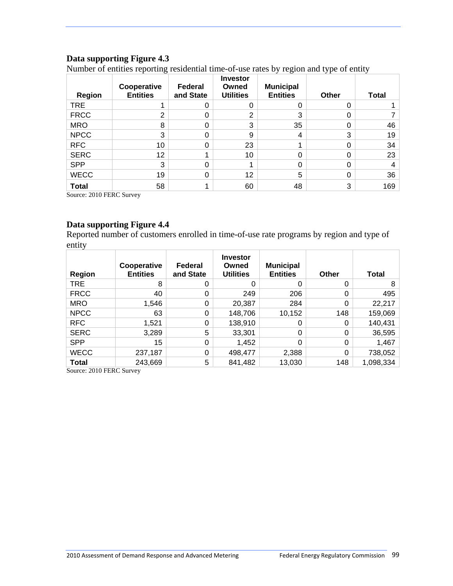### **Data supporting Figure 4.3**

Number of entities reporting residential time-of-use rates by region and type of entity

| <b>Region</b> | Cooperative<br><b>Entities</b> | Federal<br>and State | <b>Investor</b><br>Owned<br><b>Utilities</b> | <b>Municipal</b><br><b>Entities</b> | Other | <b>Total</b> |
|---------------|--------------------------------|----------------------|----------------------------------------------|-------------------------------------|-------|--------------|
| <b>TRE</b>    |                                |                      |                                              | 0                                   | 0     |              |
| <b>FRCC</b>   | っ                              |                      | ⌒                                            | 3                                   |       |              |
| <b>MRO</b>    | 8                              |                      | 3                                            | 35                                  | 0     | 46           |
| <b>NPCC</b>   | 3                              |                      | 9                                            | 4                                   | 3     | 19           |
| <b>RFC</b>    | 10                             |                      | 23                                           |                                     |       | 34           |
| <b>SERC</b>   | 12                             |                      | 10                                           | 0                                   |       | 23           |
| <b>SPP</b>    | 3                              |                      |                                              | 0                                   | 0     |              |
| <b>WECC</b>   | 19                             | O                    | 12                                           | 5                                   | 0     | 36           |
| <b>Total</b>  | 58                             |                      | 60                                           | 48                                  | 3     | 169          |

Source: 2010 FERC Survey

#### **Data supporting Figure 4.4**

Reported number of customers enrolled in time-of-use rate programs by region and type of entity

| Region       | Cooperative<br><b>Entities</b> | Federal<br>and State | <b>Investor</b><br>Owned<br><b>Utilities</b> | <b>Municipal</b><br><b>Entities</b> | Other    | <b>Total</b> |
|--------------|--------------------------------|----------------------|----------------------------------------------|-------------------------------------|----------|--------------|
| TRE          | 8                              | ი                    | 0                                            | 0                                   | 0        | 8            |
| <b>FRCC</b>  | 40                             | 0                    | 249                                          | 206                                 | 0        | 495          |
| <b>MRO</b>   | 1,546                          | 0                    | 20,387                                       | 284                                 | $\Omega$ | 22,217       |
| <b>NPCC</b>  | 63                             | 0                    | 148,706                                      | 10,152                              | 148      | 159,069      |
| <b>RFC</b>   | 1,521                          | 0                    | 138,910                                      | 0                                   | 0        | 140,431      |
| <b>SERC</b>  | 3,289                          | 5                    | 33,301                                       | 0                                   | 0        | 36,595       |
| <b>SPP</b>   | 15                             | 0                    | 1,452                                        | 0                                   | 0        | 1,467        |
| <b>WECC</b>  | 237,187                        | 0                    | 498,477                                      | 2,388                               | 0        | 738,052      |
| <b>Total</b> | 243,669                        | 5                    | 841,482                                      | 13,030                              | 148      | 1,098,334    |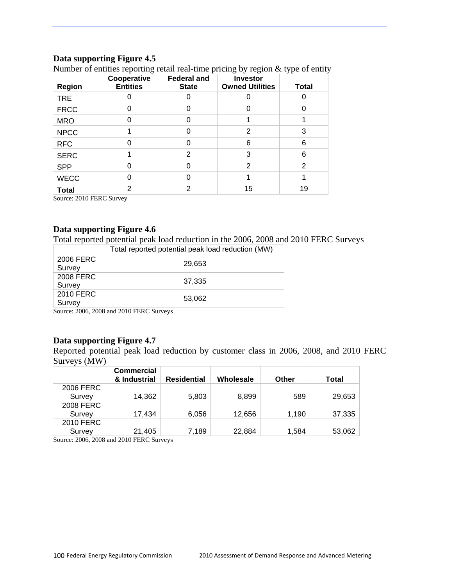#### **Data supporting Figure 4.5**

| <b>Region</b> | Cooperative<br><b>Entities</b> | <b>Federal and</b><br><b>Investor</b><br><b>Owned Utilities</b><br><b>State</b> |                | <b>Total</b> |
|---------------|--------------------------------|---------------------------------------------------------------------------------|----------------|--------------|
| <b>TRE</b>    |                                |                                                                                 |                |              |
| <b>FRCC</b>   |                                |                                                                                 |                |              |
| <b>MRO</b>    |                                |                                                                                 |                |              |
| <b>NPCC</b>   |                                |                                                                                 | 2              | 3            |
| <b>RFC</b>    |                                | O                                                                               | 6              | 6            |
| <b>SERC</b>   |                                | 2                                                                               | 3              | 6            |
| <b>SPP</b>    |                                |                                                                                 | $\overline{2}$ | 2            |
| <b>WECC</b>   |                                |                                                                                 |                |              |
| <b>Total</b>  | 2                              | 2                                                                               | 15             | 19           |

Number of entities reporting retail real-time pricing by region & type of entity

Source: 2010 FERC Survey

#### **Data supporting Figure 4.6**

Total reported potential peak load reduction in the 2006, 2008 and 2010 FERC Surveys

|                     | Total reported potential peak load reduction (MW) |
|---------------------|---------------------------------------------------|
| 2006 FERC<br>Survey | 29,653                                            |
| 2008 FERC<br>Survey | 37,335                                            |
| 2010 FERC<br>Survey | 53,062                                            |

Source: 2006, 2008 and 2010 FERC Surveys

#### **Data supporting Figure 4.7**

Reported potential peak load reduction by customer class in 2006, 2008, and 2010 FERC Surveys (MW)

|           | <b>Commercial</b><br>& Industrial | <b>Residential</b> | Wholesale | Other | Total  |
|-----------|-----------------------------------|--------------------|-----------|-------|--------|
| 2006 FERC |                                   |                    |           |       |        |
| Survey    | 14,362                            | 5,803              | 8,899     | 589   | 29,653 |
| 2008 FERC |                                   |                    |           |       |        |
| Survey    | 17,434                            | 6,056              | 12,656    | 1,190 | 37,335 |
| 2010 FERC |                                   |                    |           |       |        |
| Survey    | 21,405                            | 7,189              | 22,884    | 1,584 | 53,062 |

Source: 2006, 2008 and 2010 FERC Surveys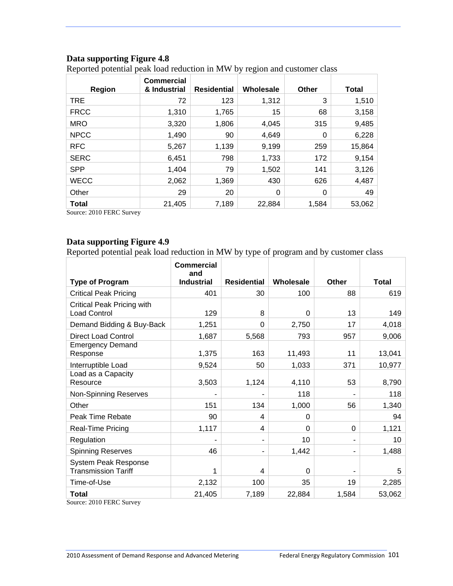### **Data supporting Figure 4.8**

Reported potential peak load reduction in MW by region and customer class

| <b>Region</b> | <b>Commercial</b><br>& Industrial | <b>Residential</b> | Wholesale | Other | Total  |
|---------------|-----------------------------------|--------------------|-----------|-------|--------|
| <b>TRE</b>    | 72                                | 123                | 1,312     | 3     | 1,510  |
| <b>FRCC</b>   | 1,310                             | 1,765              | 15        | 68    | 3,158  |
| <b>MRO</b>    | 3,320                             | 1,806              | 4.045     | 315   | 9,485  |
| <b>NPCC</b>   | 1,490                             | 90                 | 4,649     | 0     | 6,228  |
| <b>RFC</b>    | 5,267                             | 1,139              | 9,199     | 259   | 15,864 |
| <b>SERC</b>   | 6,451                             | 798                | 1,733     | 172   | 9,154  |
| <b>SPP</b>    | 1,404                             | 79                 | 1,502     | 141   | 3,126  |
| <b>WECC</b>   | 2,062                             | 1,369              | 430       | 626   | 4,487  |
| Other         | 29                                | 20                 | 0         | 0     | 49     |
| <b>Total</b>  | 21,405                            | 7,189              | 22,884    | 1,584 | 53,062 |

Source: 2010 FERC Survey

#### **Data supporting Figure 4.9**

Reported potential peak load reduction in MW by type of program and by customer class

|                                                           | <b>Commercial</b><br>and |                    |           |       |        |
|-----------------------------------------------------------|--------------------------|--------------------|-----------|-------|--------|
| <b>Type of Program</b>                                    | <b>Industrial</b>        | <b>Residential</b> | Wholesale | Other | Total  |
| <b>Critical Peak Pricing</b>                              | 401                      | 30                 | 100       | 88    | 619    |
| <b>Critical Peak Pricing with</b><br><b>Load Control</b>  | 129                      | 8                  | 0         | 13    | 149    |
| Demand Bidding & Buy-Back                                 | 1,251                    | 0                  | 2,750     | 17    | 4,018  |
| <b>Direct Load Control</b>                                | 1,687                    | 5,568              | 793       | 957   | 9,006  |
| <b>Emergency Demand</b><br>Response                       | 1,375                    | 163                | 11,493    | 11    | 13,041 |
| Interruptible Load                                        | 9,524                    | 50                 | 1,033     | 371   | 10,977 |
| Load as a Capacity<br>Resource                            | 3,503                    | 1,124              | 4,110     | 53    | 8,790  |
| <b>Non-Spinning Reserves</b>                              |                          |                    | 118       |       | 118    |
| Other                                                     | 151                      | 134                | 1,000     | 56    | 1,340  |
| Peak Time Rebate                                          | 90                       | 4                  | $\Omega$  |       | 94     |
| <b>Real-Time Pricing</b>                                  | 1,117                    | 4                  | 0         | 0     | 1,121  |
| Regulation                                                |                          |                    | 10        |       | 10     |
| <b>Spinning Reserves</b>                                  | 46                       |                    | 1,442     |       | 1,488  |
| <b>System Peak Response</b><br><b>Transmission Tariff</b> | 1                        | 4                  | 0         |       | 5      |
| Time-of-Use                                               | 2,132                    | 100                | 35        | 19    | 2,285  |
| <b>Total</b>                                              | 21,405                   | 7,189              | 22,884    | 1,584 | 53,062 |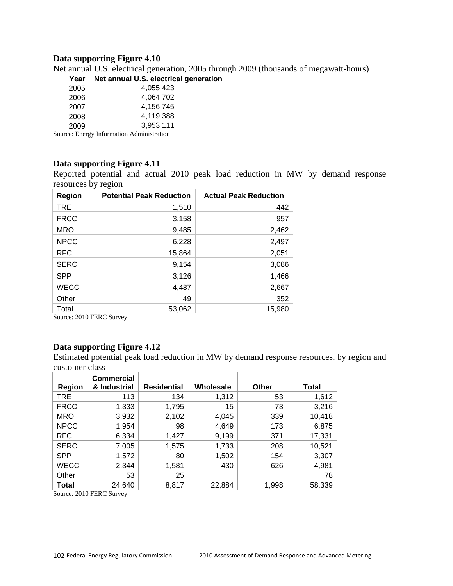#### **Data supporting Figure 4.10**

Net annual U.S. electrical generation, 2005 through 2009 (thousands of megawatt-hours)

#### **Year Net annual U.S. electrical generation**

| 2005              | 4,055,423      |
|-------------------|----------------|
| 2006              | 4,064,702      |
| 2007              | 4,156,745      |
| 2008              | 4.119.388      |
|                   |                |
| 2009<br>т с<br>r. | 3.953.111<br>. |

Source: Energy Information Administration

#### **Data supporting Figure 4.11**

Reported potential and actual 2010 peak load reduction in MW by demand response resources by region

| Region      | <b>Potential Peak Reduction</b> | <b>Actual Peak Reduction</b> |
|-------------|---------------------------------|------------------------------|
| <b>TRE</b>  | 1,510                           | 442                          |
| <b>FRCC</b> | 3,158                           | 957                          |
| <b>MRO</b>  | 9,485                           | 2,462                        |
| <b>NPCC</b> | 6,228                           | 2,497                        |
| <b>RFC</b>  | 15,864                          | 2,051                        |
| <b>SERC</b> | 9,154                           | 3,086                        |
| <b>SPP</b>  | 3,126                           | 1,466                        |
| <b>WECC</b> | 4,487                           | 2,667                        |
| Other       | 49                              | 352                          |
| Total       | 53,062                          | 15,980                       |

Source: 2010 FERC Survey

#### **Data supporting Figure 4.12**

Estimated potential peak load reduction in MW by demand response resources, by region and customer class

| Region       | <b>Commercial</b><br>& Industrial | <b>Residential</b> | Wholesale | Other | <b>Total</b> |
|--------------|-----------------------------------|--------------------|-----------|-------|--------------|
| <b>TRE</b>   | 113                               | 134                | 1,312     | 53    | 1,612        |
| <b>FRCC</b>  | 1,333                             | 1,795              | 15        | 73    | 3,216        |
| <b>MRO</b>   | 3,932                             | 2,102              | 4,045     | 339   | 10,418       |
| <b>NPCC</b>  | 1,954                             | 98                 | 4,649     | 173   | 6,875        |
| <b>RFC</b>   | 6,334                             | 1,427              | 9,199     | 371   | 17,331       |
| <b>SERC</b>  | 7,005                             | 1,575              | 1,733     | 208   | 10,521       |
| <b>SPP</b>   | 1,572                             | 80                 | 1,502     | 154   | 3,307        |
| <b>WECC</b>  | 2,344                             | 1,581              | 430       | 626   | 4,981        |
| Other        | 53                                | 25                 |           |       | 78           |
| <b>Total</b> | 24,640<br>$\cdots$                | 8,817              | 22,884    | 1,998 | 58,339       |

Source: 2010 FERC Survey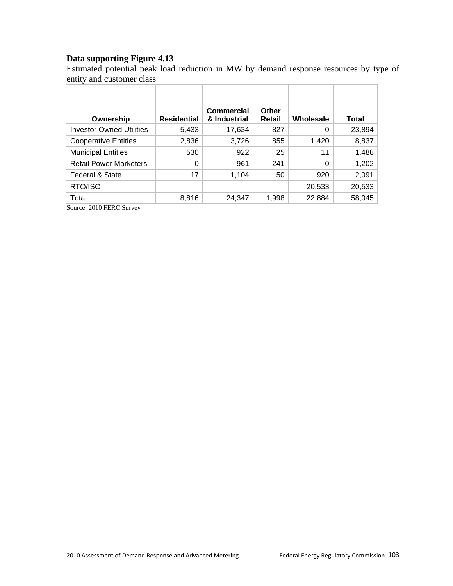## **Data supporting Figure 4.13**

Estimated potential peak load reduction in MW by demand response resources by type of entity and customer class

| Ownership                       | <b>Residential</b> | <b>Commercial</b><br>& Industrial | Other<br>Retail | Wholesale | Total  |
|---------------------------------|--------------------|-----------------------------------|-----------------|-----------|--------|
| <b>Investor Owned Utilities</b> | 5,433              | 17,634                            | 827             | 0         | 23,894 |
| <b>Cooperative Entities</b>     | 2,836              | 3,726                             | 855             | 1,420     | 8,837  |
| <b>Municipal Entities</b>       | 530                | 922                               | 25              | 11        | 1,488  |
| <b>Retail Power Marketers</b>   | 0                  | 961                               | 241             | 0         | 1,202  |
| Federal & State                 | 17                 | 1,104                             | 50              | 920       | 2,091  |
| RTO/ISO                         |                    |                                   |                 | 20,533    | 20,533 |
| Total                           | 8,816              | 24,347                            | 1,998           | 22,884    | 58,045 |

Source: 2010 FERC Survey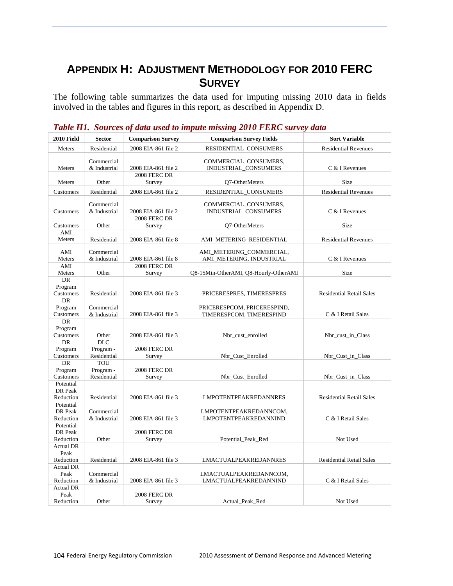# **APPENDIX H: ADJUSTMENT METHODOLOGY FOR 2010 FERC SURVEY**

The following table summarizes the data used for imputing missing 2010 data in fields involved in the tables and figures in this report, as described in Appendix D.

| 2008 EIA-861 file 2<br>RESIDENTIAL_CONSUMERS<br>Meters<br>Residential<br><b>Residential Revenues</b><br>Commercial<br>COMMERCIAL_CONSUMERS,<br>INDUSTRIAL CONSUMERS<br>Meters<br>& Industrial<br>2008 EIA-861 file 2<br>C & I Revenues<br>2008 FERC DR<br>Meters<br>Other<br>O7-OtherMeters<br>Size<br>Survey<br>Residential<br>2008 EIA-861 file 2<br>RESIDENTIAL_CONSUMERS<br><b>Residential Revenues</b><br>Customers<br>Commercial<br>COMMERCIAL_CONSUMERS,<br>& Industrial<br>2008 EIA-861 file 2<br>INDUSTRIAL_CONSUMERS<br>Customers<br>C & I Revenues<br>2008 FERC DR<br>Other<br>Size<br>Customers<br>Q7-OtherMeters<br>Survey<br>AMI<br>Meters<br>Residential<br>2008 EIA-861 file 8<br>AMI_METERING_RESIDENTIAL<br><b>Residential Revenues</b> | <b>Sort Variable</b> |
|-----------------------------------------------------------------------------------------------------------------------------------------------------------------------------------------------------------------------------------------------------------------------------------------------------------------------------------------------------------------------------------------------------------------------------------------------------------------------------------------------------------------------------------------------------------------------------------------------------------------------------------------------------------------------------------------------------------------------------------------------------------|----------------------|
|                                                                                                                                                                                                                                                                                                                                                                                                                                                                                                                                                                                                                                                                                                                                                           |                      |
|                                                                                                                                                                                                                                                                                                                                                                                                                                                                                                                                                                                                                                                                                                                                                           |                      |
|                                                                                                                                                                                                                                                                                                                                                                                                                                                                                                                                                                                                                                                                                                                                                           |                      |
|                                                                                                                                                                                                                                                                                                                                                                                                                                                                                                                                                                                                                                                                                                                                                           |                      |
|                                                                                                                                                                                                                                                                                                                                                                                                                                                                                                                                                                                                                                                                                                                                                           |                      |
|                                                                                                                                                                                                                                                                                                                                                                                                                                                                                                                                                                                                                                                                                                                                                           |                      |
|                                                                                                                                                                                                                                                                                                                                                                                                                                                                                                                                                                                                                                                                                                                                                           |                      |
|                                                                                                                                                                                                                                                                                                                                                                                                                                                                                                                                                                                                                                                                                                                                                           |                      |
| AMI<br>Commercial<br>AMI METERING COMMERCIAL,<br>& Industrial<br>AMI_METERING, INDUSTRIAL<br>C & I Revenues<br>Meters<br>2008 EIA-861 file 8                                                                                                                                                                                                                                                                                                                                                                                                                                                                                                                                                                                                              |                      |
| 2008 FERC DR<br>AMI                                                                                                                                                                                                                                                                                                                                                                                                                                                                                                                                                                                                                                                                                                                                       |                      |
| Meters<br>Other<br>Survey<br>Q8-15Min-OtherAMI, Q8-Hourly-OtherAMI<br>Size                                                                                                                                                                                                                                                                                                                                                                                                                                                                                                                                                                                                                                                                                |                      |
| DR<br>Program<br>Customers<br>Residential<br>2008 EIA-861 file 3<br>PRICERESPRES, TIMERESPRES<br><b>Residential Retail Sales</b>                                                                                                                                                                                                                                                                                                                                                                                                                                                                                                                                                                                                                          |                      |
| DR<br>Program<br>Commercial<br>PRICERESPCOM, PRICERESPIND,<br>Customers<br>& Industrial<br>2008 EIA-861 file 3<br>TIMERESPCOM, TIMERESPIND<br>C & I Retail Sales                                                                                                                                                                                                                                                                                                                                                                                                                                                                                                                                                                                          |                      |
| DR<br>Program<br>Customers<br>Other<br>2008 EIA-861 file 3<br>Nbr_cust_enrolled<br>Nbr_cust_in_Class                                                                                                                                                                                                                                                                                                                                                                                                                                                                                                                                                                                                                                                      |                      |
| <b>DLC</b><br>DR<br>Program<br>Program -<br>2008 FERC DR<br>Residential<br>Customers<br>Nbr_Cust_Enrolled<br>Nbr_Cust_in_Class<br>Survey                                                                                                                                                                                                                                                                                                                                                                                                                                                                                                                                                                                                                  |                      |
| <b>TOU</b><br>DR<br>Program -<br>2008 FERC DR<br>Program<br>Residential<br>Customers<br>Nbr Cust Enrolled<br>Nbr_Cust_in_Class<br>Survey                                                                                                                                                                                                                                                                                                                                                                                                                                                                                                                                                                                                                  |                      |
| Potential<br>DR Peak<br>Reduction<br>Residential<br>2008 EIA-861 file 3<br><b>LMPOTENTPEAKREDANNRES</b><br><b>Residential Retail Sales</b>                                                                                                                                                                                                                                                                                                                                                                                                                                                                                                                                                                                                                |                      |
| Potential<br>DR Peak<br>Commercial<br>LMPOTENTPEAKREDANNCOM,<br>Reduction<br>& Industrial<br>2008 EIA-861 file 3<br>LMPOTENTPEAKREDANNIND<br>C & I Retail Sales                                                                                                                                                                                                                                                                                                                                                                                                                                                                                                                                                                                           |                      |
| Potential<br>2008 FERC DR<br>DR Peak<br>Other<br>Reduction<br>Survey<br>Potential_Peak_Red<br>Not Used                                                                                                                                                                                                                                                                                                                                                                                                                                                                                                                                                                                                                                                    |                      |
| <b>Actual DR</b><br>Peak<br>Residential<br>Reduction<br>2008 EIA-861 file 3<br><b>LMACTUALPEAKREDANNRES</b><br><b>Residential Retail Sales</b>                                                                                                                                                                                                                                                                                                                                                                                                                                                                                                                                                                                                            |                      |
| <b>Actual DR</b><br>Peak<br>Commercial<br>LMACTUALPEAKREDANNCOM,<br>Reduction<br>& Industrial<br>2008 EIA-861 file 3<br>LMACTUALPEAKREDANNIND<br>C & I Retail Sales                                                                                                                                                                                                                                                                                                                                                                                                                                                                                                                                                                                       |                      |
| <b>Actual DR</b><br>Peak<br>2008 FERC DR<br>Other<br>Reduction<br>Survey<br>Actual_Peak_Red<br>Not Used                                                                                                                                                                                                                                                                                                                                                                                                                                                                                                                                                                                                                                                   |                      |

*Table H1. Sources of data used to impute missing 2010 FERC survey data*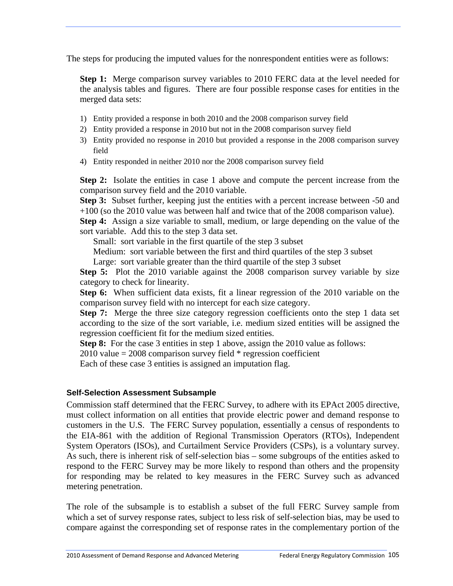The steps for producing the imputed values for the nonrespondent entities were as follows:

**Step 1:** Merge comparison survey variables to 2010 FERC data at the level needed for the analysis tables and figures. There are four possible response cases for entities in the merged data sets:

- 1) Entity provided a response in both 2010 and the 2008 comparison survey field
- 2) Entity provided a response in 2010 but not in the 2008 comparison survey field
- 3) Entity provided no response in 2010 but provided a response in the 2008 comparison survey field
- 4) Entity responded in neither 2010 nor the 2008 comparison survey field

**Step 2:** Isolate the entities in case 1 above and compute the percent increase from the comparison survey field and the 2010 variable.

**Step 3:** Subset further, keeping just the entities with a percent increase between -50 and +100 (so the 2010 value was between half and twice that of the 2008 comparison value).

**Step 4:** Assign a size variable to small, medium, or large depending on the value of the sort variable. Add this to the step 3 data set.

Small: sort variable in the first quartile of the step 3 subset

Medium: sort variable between the first and third quartiles of the step 3 subset

Large: sort variable greater than the third quartile of the step 3 subset

**Step 5:** Plot the 2010 variable against the 2008 comparison survey variable by size category to check for linearity.

**Step 6:** When sufficient data exists, fit a linear regression of the 2010 variable on the comparison survey field with no intercept for each size category.

**Step 7:** Merge the three size category regression coefficients onto the step 1 data set according to the size of the sort variable, i.e. medium sized entities will be assigned the regression coefficient fit for the medium sized entities.

**Step 8:** For the case 3 entities in step 1 above, assign the 2010 value as follows:

 $2010$  value = 2008 comparison survey field  $*$  regression coefficient

Each of these case 3 entities is assigned an imputation flag.

#### **Self-Selection Assessment Subsample**

Commission staff determined that the FERC Survey, to adhere with its EPAct 2005 directive, must collect information on all entities that provide electric power and demand response to customers in the U.S. The FERC Survey population, essentially a census of respondents to the EIA-861 with the addition of Regional Transmission Operators (RTOs), Independent System Operators (ISOs), and Curtailment Service Providers (CSPs), is a voluntary survey. As such, there is inherent risk of self-selection bias – some subgroups of the entities asked to respond to the FERC Survey may be more likely to respond than others and the propensity for responding may be related to key measures in the FERC Survey such as advanced metering penetration.

The role of the subsample is to establish a subset of the full FERC Survey sample from which a set of survey response rates, subject to less risk of self-selection bias, may be used to compare against the corresponding set of response rates in the complementary portion of the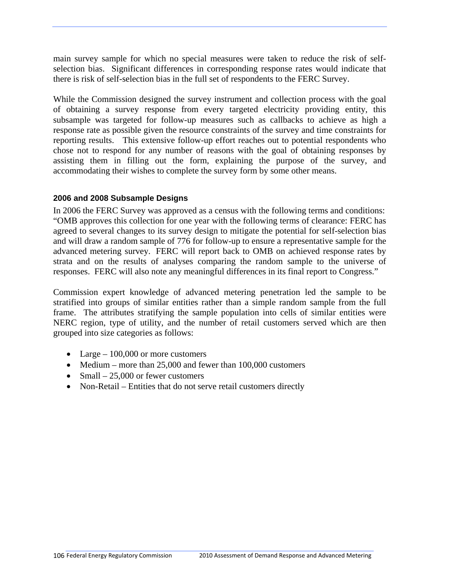main survey sample for which no special measures were taken to reduce the risk of selfselection bias. Significant differences in corresponding response rates would indicate that there is risk of self-selection bias in the full set of respondents to the FERC Survey.

While the Commission designed the survey instrument and collection process with the goal of obtaining a survey response from every targeted electricity providing entity, this subsample was targeted for follow-up measures such as callbacks to achieve as high a response rate as possible given the resource constraints of the survey and time constraints for reporting results. This extensive follow-up effort reaches out to potential respondents who chose not to respond for any number of reasons with the goal of obtaining responses by assisting them in filling out the form, explaining the purpose of the survey, and accommodating their wishes to complete the survey form by some other means.

#### **2006 and 2008 Subsample Designs**

In 2006 the FERC Survey was approved as a census with the following terms and conditions: "OMB approves this collection for one year with the following terms of clearance: FERC has agreed to several changes to its survey design to mitigate the potential for self-selection bias and will draw a random sample of 776 for follow-up to ensure a representative sample for the advanced metering survey. FERC will report back to OMB on achieved response rates by strata and on the results of analyses comparing the random sample to the universe of responses. FERC will also note any meaningful differences in its final report to Congress."

Commission expert knowledge of advanced metering penetration led the sample to be stratified into groups of similar entities rather than a simple random sample from the full frame. The attributes stratifying the sample population into cells of similar entities were NERC region, type of utility, and the number of retail customers served which are then grouped into size categories as follows:

- Large  $-100,000$  or more customers
- Medium more than 25,000 and fewer than 100,000 customers
- Small  $-25,000$  or fewer customers
- Non-Retail Entities that do not serve retail customers directly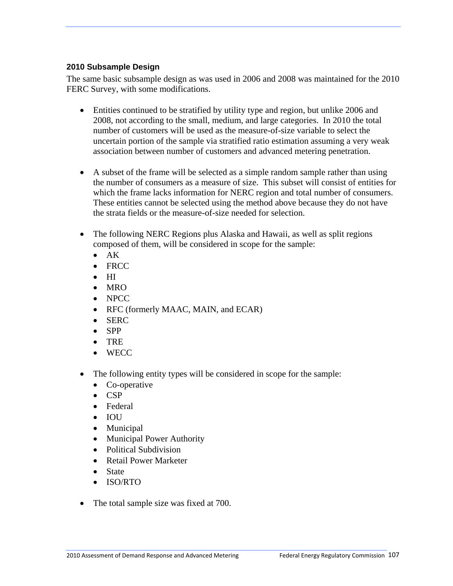#### **2010 Subsample Design**

The same basic subsample design as was used in 2006 and 2008 was maintained for the 2010 FERC Survey, with some modifications.

- Entities continued to be stratified by utility type and region, but unlike 2006 and 2008, not according to the small, medium, and large categories. In 2010 the total number of customers will be used as the measure-of-size variable to select the uncertain portion of the sample via stratified ratio estimation assuming a very weak association between number of customers and advanced metering penetration.
- A subset of the frame will be selected as a simple random sample rather than using the number of consumers as a measure of size. This subset will consist of entities for which the frame lacks information for NERC region and total number of consumers. These entities cannot be selected using the method above because they do not have the strata fields or the measure-of-size needed for selection.
- The following NERC Regions plus Alaska and Hawaii, as well as split regions composed of them, will be considered in scope for the sample:
	- $\bullet$  AK
	- FRCC
	- $\bullet$  HI
	- $\bullet$  MRO
	- NPCC
	- RFC (formerly MAAC, MAIN, and ECAR)
	- SERC
	- $\bullet$  SPP
	- TRE
	- WECC
- The following entity types will be considered in scope for the sample:
	- Co-operative
	- $\bullet$  CSP
	- Federal
	- IOU
	- Municipal
	- Municipal Power Authority
	- Political Subdivision
	- Retail Power Marketer
	- State
	- ISO/RTO
- The total sample size was fixed at 700.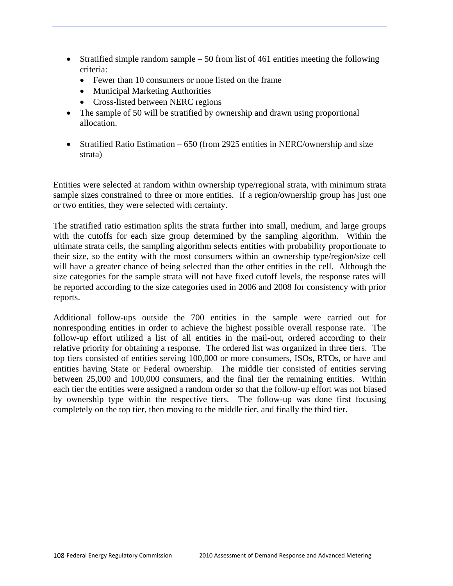- Stratified simple random sample  $-50$  from list of 461 entities meeting the following criteria:
	- Fewer than 10 consumers or none listed on the frame
	- Municipal Marketing Authorities
	- Cross-listed between NERC regions
- The sample of 50 will be stratified by ownership and drawn using proportional allocation.
- Stratified Ratio Estimation 650 (from 2925 entities in NERC/ownership and size strata)

Entities were selected at random within ownership type/regional strata, with minimum strata sample sizes constrained to three or more entities. If a region/ownership group has just one or two entities, they were selected with certainty.

The stratified ratio estimation splits the strata further into small, medium, and large groups with the cutoffs for each size group determined by the sampling algorithm. Within the ultimate strata cells, the sampling algorithm selects entities with probability proportionate to their size, so the entity with the most consumers within an ownership type/region/size cell will have a greater chance of being selected than the other entities in the cell. Although the size categories for the sample strata will not have fixed cutoff levels, the response rates will be reported according to the size categories used in 2006 and 2008 for consistency with prior reports.

Additional follow-ups outside the 700 entities in the sample were carried out for nonresponding entities in order to achieve the highest possible overall response rate. The follow-up effort utilized a list of all entities in the mail-out, ordered according to their relative priority for obtaining a response. The ordered list was organized in three tiers. The top tiers consisted of entities serving 100,000 or more consumers, ISOs, RTOs, or have and entities having State or Federal ownership. The middle tier consisted of entities serving between 25,000 and 100,000 consumers, and the final tier the remaining entities. Within each tier the entities were assigned a random order so that the follow-up effort was not biased by ownership type within the respective tiers. The follow-up was done first focusing completely on the top tier, then moving to the middle tier, and finally the third tier.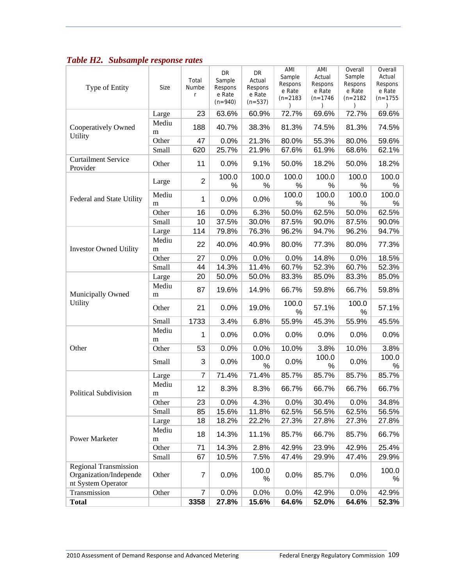| Type of Entity                                                               | Size       | Total<br>Numbe<br>r | DR<br>Sample<br>Respons<br>e Rate<br>$(n=940)$ | DR<br>Actual<br>Respons<br>e Rate<br>$(n=537)$ | AMI<br>Sample<br>Respons<br>e Rate<br>$(n=2183)$ | AMI<br>Actual<br>Respons<br>e Rate<br>$(n=1746)$ | Overall<br>Sample<br>Respons<br>e Rate<br>$(n=2182)$ | Overall<br>Actual<br>Respons<br>e Rate<br>$(n=1755)$ |
|------------------------------------------------------------------------------|------------|---------------------|------------------------------------------------|------------------------------------------------|--------------------------------------------------|--------------------------------------------------|------------------------------------------------------|------------------------------------------------------|
|                                                                              | Large      | 23                  | 63.6%                                          | 60.9%                                          | 72.7%                                            | 69.6%                                            | 72.7%                                                | 69.6%                                                |
| Cooperatively Owned<br>Utility                                               | Mediu<br>m | 188                 | 40.7%                                          | 38.3%                                          | 81.3%                                            | 74.5%                                            | 81.3%                                                | 74.5%                                                |
|                                                                              | Other      | 47                  | 0.0%                                           | 21.3%                                          | 80.0%                                            | 55.3%                                            | 80.0%                                                | 59.6%                                                |
|                                                                              | Small      | 620                 | 25.7%                                          | 21.9%                                          | 67.6%                                            | 61.9%                                            | 68.6%                                                | 62.1%                                                |
| <b>Curtailment Service</b><br>Provider                                       | Other      | 11                  | 0.0%                                           | 9.1%                                           | 50.0%                                            | 18.2%                                            | 50.0%                                                | 18.2%                                                |
|                                                                              | Large      | $\overline{2}$      | 100.0<br>$\%$                                  | 100.0<br>$\%$                                  | 100.0<br>%                                       | 100.0<br>%                                       | 100.0<br>%                                           | 100.0<br>$\%$                                        |
| Federal and State Utility                                                    | Mediu<br>m | 1                   | 0.0%                                           | 0.0%                                           | 100.0<br>%                                       | 100.0<br>%                                       | 100.0<br>%                                           | 100.0<br>%                                           |
|                                                                              | Other      | 16                  | 0.0%                                           | 6.3%                                           | 50.0%                                            | 62.5%                                            | 50.0%                                                | 62.5%                                                |
|                                                                              | Small      | 10                  | 37.5%                                          | 30.0%                                          | 87.5%                                            | 90.0%                                            | 87.5%                                                | 90.0%                                                |
|                                                                              | Large      | 114                 | 79.8%                                          | 76.3%                                          | 96.2%                                            | 94.7%                                            | 96.2%                                                | 94.7%                                                |
| <b>Investor Owned Utility</b>                                                | Mediu<br>m | 22                  | 40.0%                                          | 40.9%                                          | 80.0%                                            | 77.3%                                            | 80.0%                                                | 77.3%                                                |
|                                                                              | Other      | 27                  | 0.0%                                           | 0.0%                                           | 0.0%                                             | 14.8%                                            | 0.0%                                                 | 18.5%                                                |
|                                                                              | Small      | 44                  | 14.3%                                          | 11.4%                                          | 60.7%                                            | 52.3%                                            | 60.7%                                                | 52.3%                                                |
|                                                                              | Large      | 20                  | 50.0%                                          | 50.0%                                          | 83.3%                                            | 85.0%                                            | 83.3%                                                | 85.0%                                                |
| Municipally Owned                                                            | Mediu<br>m | 87                  | 19.6%                                          | 14.9%                                          | 66.7%                                            | 59.8%                                            | 66.7%                                                | 59.8%                                                |
| Utility                                                                      | Other      | 21                  | 0.0%                                           | 19.0%                                          | 100.0<br>$\%$                                    | 57.1%                                            | 100.0<br>%                                           | 57.1%                                                |
|                                                                              | Small      | 1733                | 3.4%                                           | 6.8%                                           | 55.9%                                            | 45.3%                                            | 55.9%                                                | 45.5%                                                |
|                                                                              | Mediu<br>m | 1                   | 0.0%                                           | 0.0%                                           | 0.0%                                             | 0.0%                                             | 0.0%                                                 | 0.0%                                                 |
| Other                                                                        | Other      | 53                  | 0.0%                                           | 0.0%                                           | 10.0%                                            | 3.8%                                             | 10.0%                                                | 3.8%                                                 |
|                                                                              | Small      | 3                   | 0.0%                                           | 100.0<br>$\%$                                  | 0.0%                                             | 100.0<br>%                                       | 0.0%                                                 | 100.0<br>℅                                           |
|                                                                              | Large      | $\overline{7}$      | 71.4%                                          | 71.4%                                          | 85.7%                                            | 85.7%                                            | 85.7%                                                | 85.7%                                                |
| Political Subdivision                                                        | Mediu<br>m | 12                  | 8.3%                                           | 8.3%                                           | 66.7%                                            | 66.7%                                            | 66.7%                                                | 66.7%                                                |
|                                                                              | Other      | 23                  | 0.0%                                           | 4.3%                                           | 0.0%                                             | 30.4%                                            | 0.0%                                                 | 34.8%                                                |
|                                                                              | Small      | 85                  | 15.6%                                          | 11.8%                                          | 62.5%                                            | 56.5%                                            | 62.5%                                                | 56.5%                                                |
| Power Marketer                                                               | Large      | 18                  | 18.2%                                          | 22.2%                                          | 27.3%                                            | 27.8%                                            | 27.3%                                                | 27.8%                                                |
|                                                                              | Mediu<br>m | 18                  | 14.3%                                          | 11.1%                                          | 85.7%                                            | 66.7%                                            | 85.7%                                                | 66.7%                                                |
|                                                                              | Other      | 71                  | 14.3%                                          | 2.8%                                           | 42.9%                                            | 23.9%                                            | 42.9%                                                | 25.4%                                                |
|                                                                              | Small      | 67                  | 10.5%                                          | 7.5%                                           | 47.4%                                            | 29.9%                                            | 47.4%                                                | 29.9%                                                |
| <b>Regional Transmission</b><br>Organization/Independe<br>nt System Operator | Other      | 7                   | 0.0%                                           | 100.0<br>%                                     | 0.0%                                             | 85.7%                                            | 0.0%                                                 | 100.0<br>℅                                           |
| Transmission                                                                 | Other      | $\overline{7}$      | 0.0%                                           | 0.0%                                           | 0.0%                                             | 42.9%                                            | 0.0%                                                 | 42.9%                                                |
| <b>Total</b>                                                                 |            | 3358                | 27.8%                                          | 15.6%                                          | 64.6%                                            | 52.0%                                            | 64.6%                                                | 52.3%                                                |

### *Table H2. Subsample response rates*